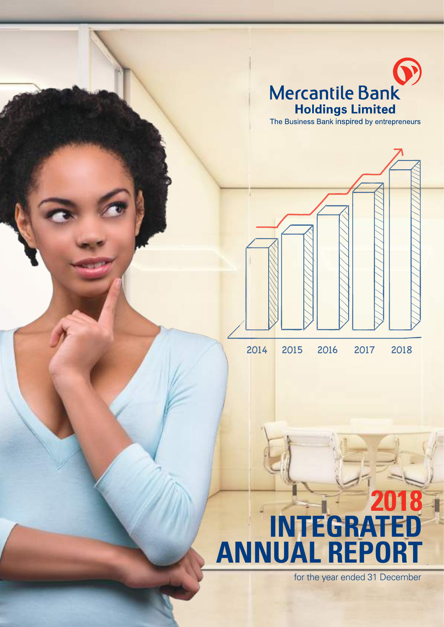

# **2018 INTEGRATED ANNUAL REPORT**

for the year ended 31 December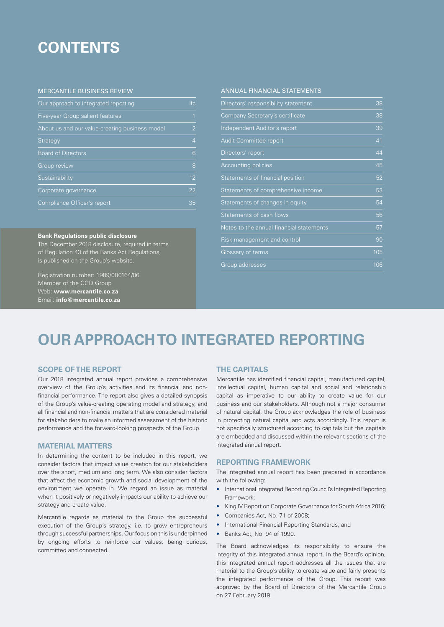## **CONTENTS**

#### MERCANTILE BUSINESS REVIEW

| Our approach to integrated reporting           | ifc.           |
|------------------------------------------------|----------------|
| Five-year Group salient features               | $\overline{1}$ |
| About us and our value-creating business model | $\overline{2}$ |
| Strategy                                       | $\overline{4}$ |
| <b>Board of Directors</b>                      | 6              |
| <b>Group review</b>                            | 8              |
| Sustainability                                 | 12             |
| Corporate governance                           | 22             |
| Compliance Officer's report                    | 35             |

#### **Bank Regulations public disclosure**

The December 2018 disclosure, required in terms of Regulation 43 of the Banks Act Regulations, is published on the Group's website.

Registration number: 1989/000164/06 Member of the CGD Group Web: **www.mercantile.co.za** Email: **info@mercantile.co.za**

#### ANNUAL FINANCIAL STATEMENTS

| Directors' responsibility statement      | 38  |
|------------------------------------------|-----|
| Company Secretary's certificate          | 38  |
| Independent Auditor's report             | 39  |
| Audit Committee report                   | 41  |
| Directors' report                        | 44  |
| <b>Accounting policies</b>               | 45  |
| Statements of financial position         | 52  |
| Statements of comprehensive income       | 53  |
| Statements of changes in equity          | 54  |
| Statements of cash flows                 | 56  |
| Notes to the annual financial statements | 57  |
| Risk management and control              | 90  |
| Glossary of terms                        | 105 |
| Group addresses                          | 106 |

## **OUR APPROACH TO INTEGRATED REPORTING**

#### **SCOPE OF THE REPORT**

Our 2018 integrated annual report provides a comprehensive overview of the Group's activities and its financial and nonfinancial performance. The report also gives a detailed synopsis of the Group's value-creating operating model and strategy, and all financial and non-financial matters that are considered material for stakeholders to make an informed assessment of the historic performance and the forward-looking prospects of the Group.

#### **MATERIAL MATTERS**

In determining the content to be included in this report, we consider factors that impact value creation for our stakeholders over the short, medium and long term. We also consider factors that affect the economic growth and social development of the environment we operate in. We regard an issue as material when it positively or negatively impacts our ability to achieve our strategy and create value.

Mercantile regards as material to the Group the successful execution of the Group's strategy, i.e. to grow entrepreneurs through successful partnerships. Our focus on this is underpinned by ongoing efforts to reinforce our values: being curious, committed and connected.

#### **THE CAPITALS**

Mercantile has identified financial capital, manufactured capital, intellectual capital, human capital and social and relationship capital as imperative to our ability to create value for our business and our stakeholders. Although not a major consumer of natural capital, the Group acknowledges the role of business in protecting natural capital and acts accordingly. This report is not specifically structured according to capitals but the capitals are embedded and discussed within the relevant sections of the integrated annual report.

#### **REPORTING FRAMEWORK**

The integrated annual report has been prepared in accordance with the following:

- International Integrated Reporting Council's Integrated Reporting Framework;
- King IV Report on Corporate Governance for South Africa 2016;
- Companies Act, No. 71 of 2008;
- International Financial Reporting Standards; and
- Banks Act, No. 94 of 1990.

The Board acknowledges its responsibility to ensure the integrity of this integrated annual report. In the Board's opinion, this integrated annual report addresses all the issues that are material to the Group's ability to create value and fairly presents the integrated performance of the Group. This report was approved by the Board of Directors of the Mercantile Group on 27 February 2019.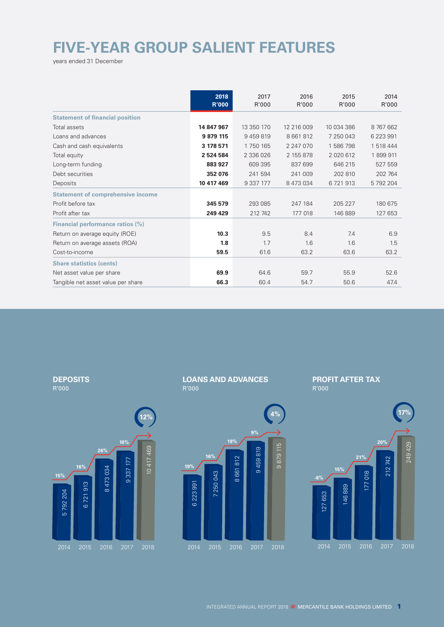# **FIVE-YEAR GROUP SALIENT FEATURES**

years ended 31 December

|                                          | 2018<br><b>R'000</b> | 2017<br>R'000 | 2016<br>R'000 | 2015<br>R'000 | 2014<br>R'000 |
|------------------------------------------|----------------------|---------------|---------------|---------------|---------------|
| <b>Statement of financial position</b>   |                      |               |               |               |               |
| Total assets                             | 14 847 967           | 13 350 170    | 12 216 009    | 10 034 386    | 8 767 662     |
| Loans and advances                       | 9 879 115            | 9459819       | 8 661 812     | 7 250 043     | 6 223 991     |
| Cash and cash equivalents                | 3 178 571            | 1750165       | 2 247 070     | 1586798       | 1 518 444     |
| Total equity                             | 2 524 584            | 2 336 026     | 2 155 878     | 2 0 2 0 6 1 2 | 1899911       |
| Long-term funding                        | 883 927              | 609 395       | 837 699       | 646 215       | 527 559       |
| Debt securities                          | 352 076              | 241 594       | 241 009       | 202 810       | 202 764       |
| Deposits                                 | 10 417 469           | 9 3 3 7 1 7 7 | 8 473 034     | 6721913       | 5 792 204     |
| <b>Statement of comprehensive income</b> |                      |               |               |               |               |
| Profit before tax                        | 345 579              | 293 085       | 247 184       | 205 227       | 180 675       |
| Profit after tax                         | 249 429              | 212 742       | 177 018       | 146 889       | 127 653       |
| Financial performance ratios (%)         |                      |               |               |               |               |
| Return on average equity (ROE)           | 10.3                 | 9.5           | 8.4           | 7.4           | 6.9           |
| Return on average assets (ROA)           | 1.8                  | 1.7           | 1.6           | 1.6           | 1.5           |
| Cost-to-income                           | 59.5                 | 61.6          | 63.2          | 63.6          | 63.2          |
| <b>Share statistics (cents)</b>          |                      |               |               |               |               |
| Net asset value per share                | 69.9                 | 64.6          | 59.7          | 55.9          | 52.6          |
| Tangible net asset value per share       | 66.3                 | 60.4          | 54.7          | 50.6          | 47.4          |

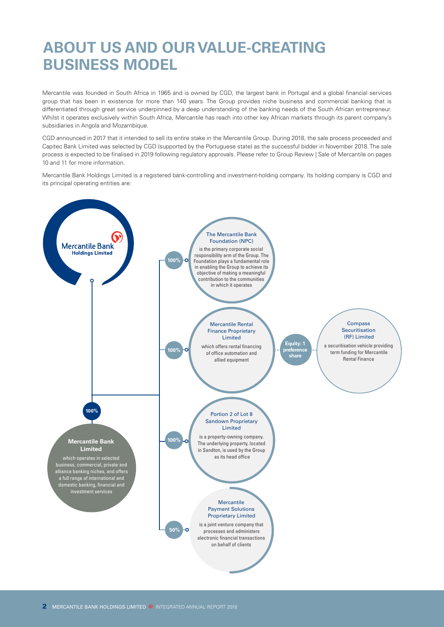# **ABOUT US AND OUR VALUE-CREATING BUSINESS MODEL**

Mercantile was founded in South Africa in 1965 and is owned by CGD, the largest bank in Portugal and a global financial services group that has been in existence for more than 140 years. The Group provides niche business and commercial banking that is differentiated through great service underpinned by a deep understanding of the banking needs of the South African entrepreneur. Whilst it operates exclusively within South Africa, Mercantile has reach into other key African markets through its parent company's subsidiaries in Angola and Mozambique.

CGD announced in 2017 that it intended to sell its entire stake in the Mercantile Group. During 2018, the sale process proceeded and Capitec Bank Limited was selected by CGD (supported by the Portuguese state) as the successful bidder in November 2018. The sale process is expected to be finalised in 2019 following regulatory approvals. Please refer to Group Review | Sale of Mercantile on pages 10 and 11 for more information.

Mercantile Bank Holdings Limited is a registered bank-controlling and investment-holding company. Its holding company is CGD and its principal operating entities are:

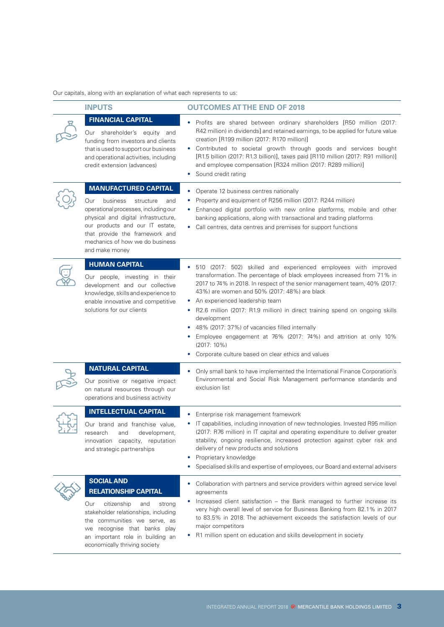Our capitals, along with an explanation of what each represents to us:

| <b>INPUTS</b>                                                                                                                                                                                                                                                                | <b>OUTCOMES AT THE END OF 2018</b>                                                                                                                                                                                                                                                                                                                                                                                                                                                                                                                                                                                                  |
|------------------------------------------------------------------------------------------------------------------------------------------------------------------------------------------------------------------------------------------------------------------------------|-------------------------------------------------------------------------------------------------------------------------------------------------------------------------------------------------------------------------------------------------------------------------------------------------------------------------------------------------------------------------------------------------------------------------------------------------------------------------------------------------------------------------------------------------------------------------------------------------------------------------------------|
| <b>FINANCIAL CAPITAL</b><br>Our shareholder's equity and<br>funding from investors and clients<br>that is used to support our business<br>and operational activities, including<br>credit extension (advances)                                                               | Profits are shared between ordinary shareholders [R50 million (2017:<br>R42 million) in dividends] and retained earnings, to be applied for future value<br>creation [R199 million (2017: R170 million)]<br>• Contributed to societal growth through goods and services bought<br>[R1.5 billion (2017: R1.3 billion)], taxes paid [R110 million (2017: R91 million)]<br>and employee compensation [R324 million (2017: R289 million)]<br>Sound credit rating<br>٠                                                                                                                                                                   |
| <b>MANUFACTURED CAPITAL</b><br>business<br>Our<br>structure<br>and<br>operational processes, including our<br>physical and digital infrastructure,<br>our products and our IT estate,<br>that provide the framework and<br>mechanics of how we do business<br>and make money | Operate 12 business centres nationally<br>۰<br>Property and equipment of R256 million (2017: R244 million)<br>٠<br>Enhanced digital portfolio with new online platforms, mobile and other<br>٠<br>banking applications, along with transactional and trading platforms<br>Call centres, data centres and premises for support functions<br>٠                                                                                                                                                                                                                                                                                        |
| <b>HUMAN CAPITAL</b><br>Our people, investing in their<br>development and our collective<br>knowledge, skills and experience to<br>enable innovative and competitive<br>solutions for our clients                                                                            | 510 (2017: 502) skilled and experienced employees with improved<br>٠<br>transformation. The percentage of black employees increased from 71% in<br>2017 to 74% in 2018. In respect of the senior management team, 40% (2017:<br>43%) are women and 50% (2017: 48%) are black<br>An experienced leadership team<br>٠<br>R2.6 million (2017: R1.9 million) in direct training spend on ongoing skills<br>۰<br>development<br>48% (2017: 37%) of vacancies filled internally<br>٠<br>Employee engagement at 76% (2017: 74%) and attrition at only 10%<br>٠<br>$(2017:10\%)$<br>Corporate culture based on clear ethics and values<br>٠ |
| <b>NATURAL CAPITAL</b><br>Our positive or negative impact<br>on natural resources through our<br>operations and business activity                                                                                                                                            | Only small bank to have implemented the International Finance Corporation's<br>٠<br>Environmental and Social Risk Management performance standards and<br>exclusion list                                                                                                                                                                                                                                                                                                                                                                                                                                                            |
| <b>INTELLECTUAL CAPITAL</b><br>Our brand and franchise value,<br>research<br>and<br>development,<br>innovation capacity, reputation<br>and strategic partnerships                                                                                                            | Enterprise risk management framework<br>٠<br>IT capabilities, including innovation of new technologies. Invested R95 million<br>(2017: R76 million) in IT capital and operating expenditure to deliver greater<br>stability, ongoing resilience, increased protection against cyber risk and<br>delivery of new products and solutions<br>Proprietary knowledge<br>٠<br>Specialised skills and expertise of employees, our Board and external advisers<br>٠                                                                                                                                                                         |
| <b>SOCIAL AND</b><br><b>RELATIONSHIP CAPITAL</b><br>Our<br>citizenship<br>and<br>strong<br>stakeholder relationships, including<br>the communities we serve, as<br>we recognise that banks play<br>an important role in building an<br>economically thriving society         | Collaboration with partners and service providers within agreed service level<br>٠<br>agreements<br>Increased client satisfaction - the Bank managed to further increase its<br>very high overall level of service for Business Banking from 82.1% in 2017<br>to 83.5% in 2018. The achievement exceeds the satisfaction levels of our<br>major competitors<br>R1 million spent on education and skills development in society                                                                                                                                                                                                      |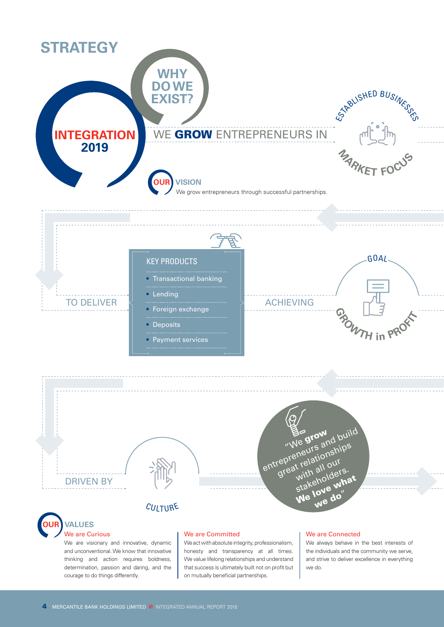

thinking and action requires boldness, determination, passion and daring, and the courage to do things differently.

We value lifelong relationships and understand that success is ultimately built not on profit but on mutually beneficial partnerships.

and strive to deliver excellence in everything we do.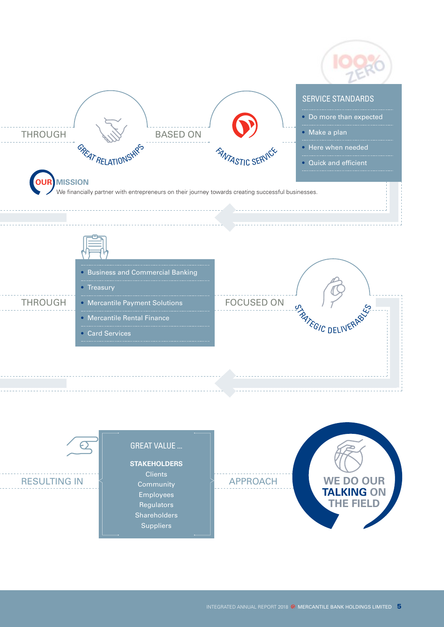

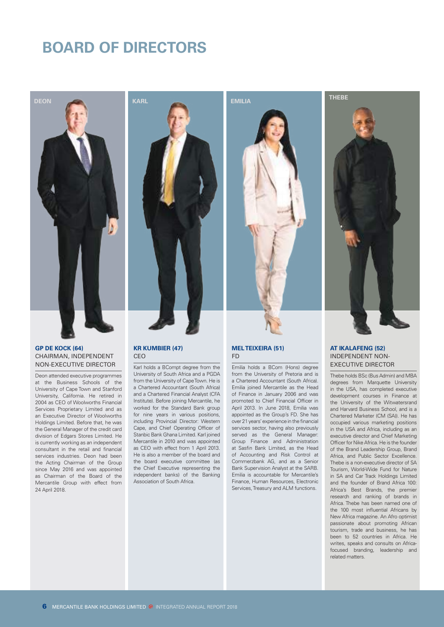## **BOARD OF DIRECTORS**



#### **GP DE KOCK (64)** CHAIRMAN, INDEPENDENT NON-EXECUTIVE DIRECTOR

Deon attended executive programmes at the Business Schools of the University of Cape Town and Stanford University, California. He retired in 2004 as CEO of Woolworths Financial Services Proprietary Limited and as an Executive Director of Woolworths Holdings Limited. Before that, he was the General Manager of the credit card division of Edgars Stores Limited. He is currently working as an independent consultant in the retail and financial services industries. Deon had been the Acting Chairman of the Group since May 2016 and was appointed as Chairman of the Board of the Mercantile Group with effect from 24 April 2018.



#### **KR KUMBIER (47)** CEO

Karl holds a BCompt degree from the University of South Africa and a PGDA from the University of Cape Town. He is a Chartered Accountant (South Africa) and a Chartered Financial Analyst (CFA Institute). Before joining Mercantile, he worked for the Standard Bank group for nine years in various positions, including Provincial Director: Western Cape, and Chief Operating Officer of Stanbic Bank Ghana Limited. Karl joined Mercantile in 2010 and was appointed as CEO with effect from 1 April 2013. He is also a member of the board and the board executive committee (as the Chief Executive representing the independent banks) of the Banking Association of South Africa.



#### **MEL TEIXEIRA (51)** FD

Emilia holds a BCom (Hons) degree from the University of Pretoria and is a Chartered Accountant (South Africa). Emilia joined Mercantile as the Head of Finance in January 2006 and was promoted to Chief Financial Officer in April 2013. In June 2018, Emilia was appointed as the Group's FD. She has over 21 years' experience in the financial services sector, having also previously served as the General Manager: Group Finance and Administration at Sasfin Bank Limited, as the Head of Accounting and Risk Control at Commerzbank AG, and as a Senior Bank Supervision Analyst at the SARB. Emilia is accountable for Mercantile's Finance, Human Resources, Electronic Services, Treasury and ALM functions.



#### **AT IKALAFENG (52)** INDEPENDENT NON-EXECUTIVE DIRECTOR

Thebe holds BSc (Bus Admin) and MBA degrees from Marquette University in the USA, has completed executive development courses in Finance at the University of the Witwatersrand and Harvard Business School, and is a Chartered Marketer (CM (SA)). He has occupied various marketing positions in the USA and Africa, including as an executive director and Chief Marketing Officer for Nike Africa. He is the founder of the Brand Leadership Group, Brand Africa, and Public Sector Excellence. Thebe is a non-executive director of SA Tourism, World-Wide Fund for Nature in SA and Car Track Holdings Limited and the founder of Brand Africa 100: Africa's Best Brands, the premier research and ranking of brands in Africa. Thebe has been named one of the 100 most influential Africans by New Africa magazine. An Afro optimist passionate about promoting African tourism, trade and business, he has been to 52 countries in Africa. He writes, speaks and consults on Africafocused branding, leadership and related matters.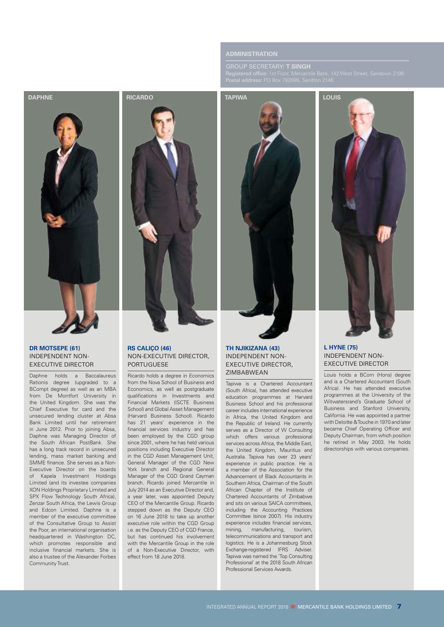### **ADMINISTRATION**



#### **DR MOTSEPE (61)** INDEPENDENT NON-EXECUTIVE DIRECTOR

Daphne holds a Baccalaureus Rationis degree (upgraded to a BCompt degree) as well as an MBA from De Montfort University in the United Kingdom. She was the Chief Executive for card and the unsecured lending cluster at Absa Bank Limited until her retirement in June 2012. Prior to joining Absa, Daphne was Managing Director of the South African PostBank. She has a long track record in unsecured lending, mass market banking and SMME finance. She serves as a Non-Executive Director on the boards of Kapela Investment Holdings Limited (and its investee companies XON Holdings Proprietary Limited and SPX Flow Technology South Africa), Zenzar South Africa, the Lewis Group and Edcon Limited. Daphne is a member of the executive committee of the Consultative Group to Assist the Poor, an international organisation headquartered in Washington DC, which promotes responsible and inclusive financial markets. She is also a trustee of the Alexander Forbes Community Trust.



#### **RS CALIÇO (46)** NON-EXECUTIVE DIRECTOR, PORTUGUESE

Ricardo holds a degree in Economics from the Nova School of Business and Economics, as well as postgraduate qualifications in Investments and Financial Markets (ISCTE Business School) and Global Asset Management (Harvard Business School). Ricardo has 21 years' experience in the financial services industry and has been employed by the CGD group since 2001, where he has held various positions including Executive Director in the CGD Asset Management Unit, General Manager of the CGD New York branch and Regional General Manager of the CGD Grand Cayman branch. Ricardo joined Mercantile in July 2014 as an Executive Director and, a year later, was appointed Deputy CEO of the Mercantile Group. Ricardo stepped down as the Deputy CEO on 16 June 2018 to take up another executive role within the CGD Group i.e. as the Deputy CEO of CGD France, but has continued his involvement with the Mercantile Group in the role of a Non-Executive Director, with effect from 18 June 2018.



#### **TH NJIKIZANA (43)** INDEPENDENT NON-EXECUTIVE DIRECTOR, ZIMBABWEAN

Tapiwa is a Chartered Accountant (South Africa), has attended executive education programmes at Harvard Business School and his professional career includes international experience in Africa, the United Kingdom and the Republic of Ireland. He currently serves as a Director of W Consulting which offers various professional services across Africa, the Middle East, the United Kingdom, Mauritius and Australia. Tapiwa has over 23 years' experience in public practice. He is a member of the Association for the Advancement of Black Accountants in Southern Africa, Chairman of the South African Chapter of the Institute of Chartered Accountants of Zimbabwe and sits on various SAICA committees, including the Accounting Practices Committee (since 2007). His industry experience includes financial services, mining, manufacturing, tourism, telecommunications and transport and logistics. He is a Johannesburg Stock Exchange-registered IFRS Adviser. Tapiwa was named the 'Top Consulting Professional' at the 2018 South African Professional Services Awards.



#### **L HYNE (75)** INDEPENDENT NON-EXECUTIVE DIRECTOR

Louis holds a BCom (Hons) degree and is a Chartered Accountant (South Africa). He has attended executive programmes at the University of the Witwatersrand's Graduate School of Business and Stanford University, California. He was appointed a partner with Deloitte & Touche in 1970 and later became Chief Operating Officer and Deputy Chairman, from which position he retired in May 2003. He holds directorships with various companies.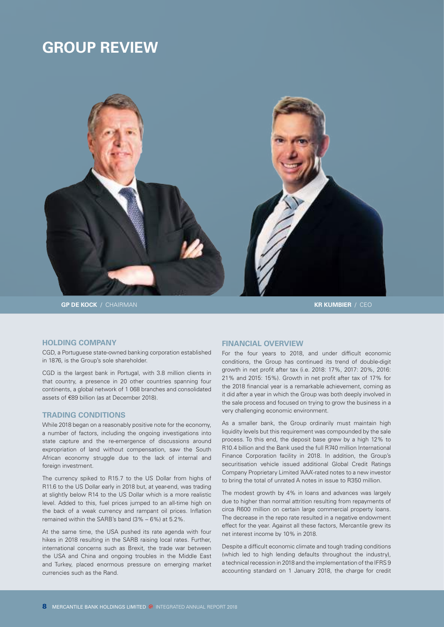## **GROUP REVIEW**



#### **HOLDING COMPANY**

CGD, a Portuguese state-owned banking corporation established in 1876, is the Group's sole shareholder.

CGD is the largest bank in Portugal, with 3.8 million clients in that country, a presence in 20 other countries spanning four continents, a global network of 1 068 branches and consolidated assets of €89 billion (as at December 2018).

#### **TRADING CONDITIONS**

While 2018 began on a reasonably positive note for the economy, a number of factors, including the ongoing investigations into state capture and the re-emergence of discussions around expropriation of land without compensation, saw the South African economy struggle due to the lack of internal and foreign investment.

The currency spiked to R15.7 to the US Dollar from highs of R11.6 to the US Dollar early in 2018 but, at year-end, was trading at slightly below R14 to the US Dollar which is a more realistic level. Added to this, fuel prices jumped to an all-time high on the back of a weak currency and rampant oil prices. Inflation remained within the SARB's band (3% – 6%) at 5.2%.

At the same time, the USA pushed its rate agenda with four hikes in 2018 resulting in the SARB raising local rates. Further, international concerns such as Brexit, the trade war between the USA and China and ongoing troubles in the Middle East and Turkey, placed enormous pressure on emerging market currencies such as the Rand.

#### **FINANCIAL OVERVIEW**

For the four years to 2018, and under difficult economic conditions, the Group has continued its trend of double-digit growth in net profit after tax (i.e. 2018: 17%, 2017: 20%, 2016: 21% and 2015: 15%). Growth in net profit after tax of 17% for the 2018 financial year is a remarkable achievement, coming as it did after a year in which the Group was both deeply involved in the sale process and focused on trying to grow the business in a very challenging economic environment.

As a smaller bank, the Group ordinarily must maintain high liquidity levels but this requirement was compounded by the sale process. To this end, the deposit base grew by a high 12% to R10.4 billion and the Bank used the full R740 million International Finance Corporation facility in 2018. In addition, the Group's securitisation vehicle issued additional Global Credit Ratings Company Proprietary Limited 'AAA'-rated notes to a new investor to bring the total of unrated A notes in issue to R350 million.

The modest growth by 4% in loans and advances was largely due to higher than normal attrition resulting from repayments of circa R600 million on certain large commercial property loans. The decrease in the repo rate resulted in a negative endowment effect for the year. Against all these factors, Mercantile grew its net interest income by 10% in 2018.

Despite a difficult economic climate and tough trading conditions (which led to high lending defaults throughout the industry), a technical recession in 2018 and the implementation of the IFRS 9 accounting standard on 1 January 2018, the charge for credit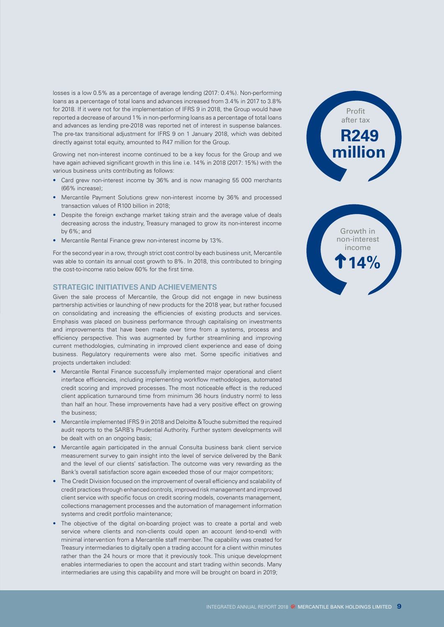losses is a low 0.5% as a percentage of average lending (2017: 0.4%). Non-performing loans as a percentage of total loans and advances increased from 3.4% in 2017 to 3.8% for 2018. If it were not for the implementation of IFRS 9 in 2018, the Group would have reported a decrease of around 1% in non-performing loans as a percentage of total loans and advances as lending pre-2018 was reported net of interest in suspense balances. The pre-tax transitional adjustment for IFRS 9 on 1 January 2018, which was debited directly against total equity, amounted to R47 million for the Group.

Growing net non-interest income continued to be a key focus for the Group and we have again achieved significant growth in this line i.e. 14% in 2018 (2017: 15%) with the various business units contributing as follows:

- Card grew non-interest income by 36% and is now managing 55 000 merchants (66% increase);
- Mercantile Payment Solutions grew non-interest income by 36% and processed transaction values of R100 billion in 2018;
- Despite the foreign exchange market taking strain and the average value of deals decreasing across the industry, Treasury managed to grow its non-interest income by 6%; and
- Mercantile Rental Finance grew non-interest income by 13%.

For the second year in a row, through strict cost control by each business unit, Mercantile was able to contain its annual cost growth to 8%. In 2018, this contributed to bringing the cost-to-income ratio below 60% for the first time.

#### **STRATEGIC INITIATIVES AND ACHIEVEMENTS**

Given the sale process of Mercantile, the Group did not engage in new business partnership activities or launching of new products for the 2018 year, but rather focused on consolidating and increasing the efficiencies of existing products and services. Emphasis was placed on business performance through capitalising on investments and improvements that have been made over time from a systems, process and efficiency perspective. This was augmented by further streamlining and improving current methodologies, culminating in improved client experience and ease of doing business. Regulatory requirements were also met. Some specific initiatives and projects undertaken included:

- Mercantile Rental Finance successfully implemented major operational and client interface efficiencies, including implementing workflow methodologies, automated credit scoring and improved processes. The most noticeable effect is the reduced client application turnaround time from minimum 36 hours (industry norm) to less than half an hour. These improvements have had a very positive effect on growing the business;
- Mercantile implemented IFRS 9 in 2018 and Deloitte & Touche submitted the required audit reports to the SARB's Prudential Authority. Further system developments will be dealt with on an ongoing basis;
- Mercantile again participated in the annual Consulta business bank client service measurement survey to gain insight into the level of service delivered by the Bank and the level of our clients' satisfaction. The outcome was very rewarding as the Bank's overall satisfaction score again exceeded those of our major competitors;
- The Credit Division focused on the improvement of overall efficiency and scalability of credit practices through enhanced controls, improved risk management and improved client service with specific focus on credit scoring models, covenants management, collections management processes and the automation of management information systems and credit portfolio maintenance;
- The objective of the digital on-boarding project was to create a portal and web service where clients and non-clients could open an account (end-to-end) with minimal intervention from a Mercantile staff member. The capability was created for Treasury intermediaries to digitally open a trading account for a client within minutes rather than the 24 hours or more that it previously took. This unique development enables intermediaries to open the account and start trading within seconds. Many intermediaries are using this capability and more will be brought on board in 2019;



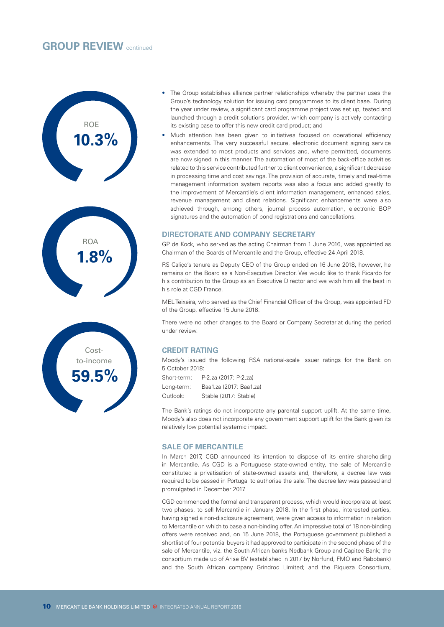## **GROUP REVIEW** continued





- The Group establishes alliance partner relationships whereby the partner uses the Group's technology solution for issuing card programmes to its client base. During the year under review, a significant card programme project was set up, tested and launched through a credit solutions provider, which company is actively contacting its existing base to offer this new credit card product; and
- Much attention has been given to initiatives focused on operational efficiency enhancements. The very successful secure, electronic document signing service was extended to most products and services and, where permitted, documents are now signed in this manner. The automation of most of the back-office activities related to this service contributed further to client convenience, a significant decrease in processing time and cost savings. The provision of accurate, timely and real-time management information system reports was also a focus and added greatly to the improvement of Mercantile's client information management, enhanced sales, revenue management and client relations. Significant enhancements were also achieved through, among others, journal process automation, electronic BOP signatures and the automation of bond registrations and cancellations.

#### **DIRECTORATE AND COMPANY SECRETARY**

GP de Kock, who served as the acting Chairman from 1 June 2016, was appointed as Chairman of the Boards of Mercantile and the Group, effective 24 April 2018.

RS Caliço's tenure as Deputy CEO of the Group ended on 16 June 2018, however, he remains on the Board as a Non-Executive Director. We would like to thank Ricardo for his contribution to the Group as an Executive Director and we wish him all the best in his role at CGD France.

MEL Teixeira, who served as the Chief Financial Officer of the Group, was appointed FD of the Group, effective 15 June 2018.

There were no other changes to the Board or Company Secretariat during the period under review.

## **CREDIT RATING**

Moody's issued the following RSA national-scale issuer ratings for the Bank on 5 October 2018:

Short-term: P-2.za (2017: P-2.za) Long-term: Baa1.za (2017: Baa1.za) Outlook: Stable (2017: Stable)

The Bank's ratings do not incorporate any parental support uplift. At the same time, Moody's also does not incorporate any government support uplift for the Bank given its relatively low potential systemic impact.

#### **SALE OF MERCANTILE**

In March 2017, CGD announced its intention to dispose of its entire shareholding in Mercantile. As CGD is a Portuguese state-owned entity, the sale of Mercantile constituted a privatisation of state-owned assets and, therefore, a decree law was required to be passed in Portugal to authorise the sale. The decree law was passed and promulgated in December 2017.

CGD commenced the formal and transparent process, which would incorporate at least two phases, to sell Mercantile in January 2018. In the first phase, interested parties, having signed a non-disclosure agreement, were given access to information in relation to Mercantile on which to base a non-binding offer. An impressive total of 18 non-binding offers were received and, on 15 June 2018, the Portuguese government published a shortlist of four potential buyers it had approved to participate in the second phase of the sale of Mercantile, viz. the South African banks Nedbank Group and Capitec Bank; the consortium made up of Arise BV (established in 2017 by Norfund, FMO and Rabobank) and the South African company Grindrod Limited; and the Riqueza Consortium,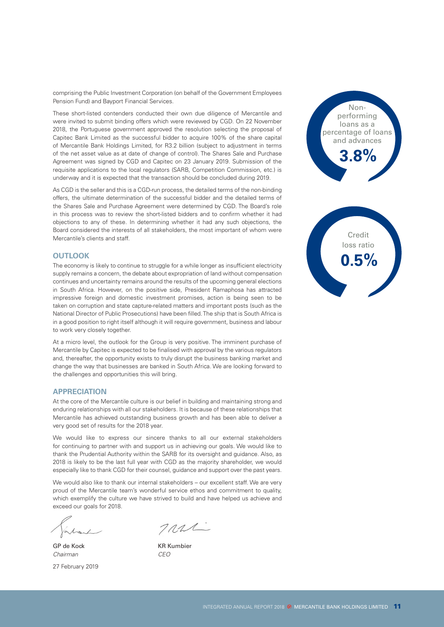comprising the Public Investment Corporation (on behalf of the Government Employees Pension Fund) and Bayport Financial Services.

These short-listed contenders conducted their own due diligence of Mercantile and were invited to submit binding offers which were reviewed by CGD. On 22 November 2018, the Portuguese government approved the resolution selecting the proposal of Capitec Bank Limited as the successful bidder to acquire 100% of the share capital of Mercantile Bank Holdings Limited, for R3.2 billion (subject to adjustment in terms of the net asset value as at date of change of control). The Shares Sale and Purchase Agreement was signed by CGD and Capitec on 23 January 2019. Submission of the requisite applications to the local regulators (SARB, Competition Commission, etc.) is underway and it is expected that the transaction should be concluded during 2019.

As CGD is the seller and this is a CGD-run process, the detailed terms of the non-binding offers, the ultimate determination of the successful bidder and the detailed terms of the Shares Sale and Purchase Agreement were determined by CGD. The Board's role in this process was to review the short-listed bidders and to confirm whether it had objections to any of these. In determining whether it had any such objections, the Board considered the interests of all stakeholders, the most important of whom were Mercantile's clients and staff.

#### **OUTLOOK**

The economy is likely to continue to struggle for a while longer as insufficient electricity supply remains a concern, the debate about expropriation of land without compensation continues and uncertainty remains around the results of the upcoming general elections in South Africa. However, on the positive side, President Ramaphosa has attracted impressive foreign and domestic investment promises, action is being seen to be taken on corruption and state capture-related matters and important posts (such as the National Director of Public Prosecutions) have been filled. The ship that is South Africa is in a good position to right itself although it will require government, business and labour to work very closely together.

At a micro level, the outlook for the Group is very positive. The imminent purchase of Mercantile by Capitec is expected to be finalised with approval by the various regulators and, thereafter, the opportunity exists to truly disrupt the business banking market and change the way that businesses are banked in South Africa. We are looking forward to the challenges and opportunities this will bring.

#### **APPRECIATION**

At the core of the Mercantile culture is our belief in building and maintaining strong and enduring relationships with all our stakeholders. It is because of these relationships that Mercantile has achieved outstanding business growth and has been able to deliver a very good set of results for the 2018 year.

We would like to express our sincere thanks to all our external stakeholders for continuing to partner with and support us in achieving our goals. We would like to thank the Prudential Authority within the SARB for its oversight and guidance. Also, as 2018 is likely to be the last full year with CGD as the majority shareholder, we would especially like to thank CGD for their counsel, guidance and support over the past years.

We would also like to thank our internal stakeholders – our excellent staff. We are very proud of the Mercantile team's wonderful service ethos and commitment to quality, which exemplify the culture we have strived to build and have helped us achieve and exceed our goals for 2018.

GP de Kock KR Kumbier *Chairman CEO* 27 February 2019

 $7n2L$ 



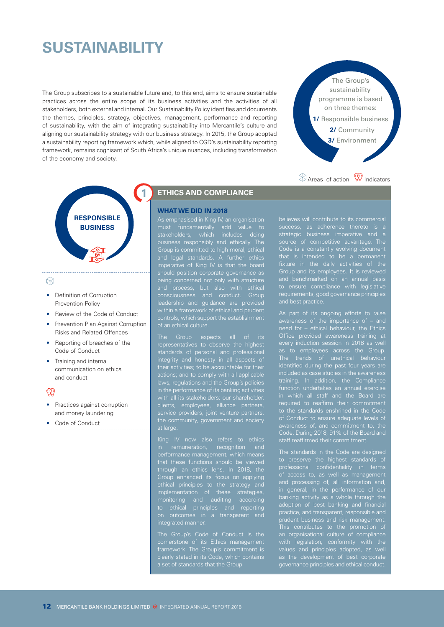## **SUSTAINABILITY**

The Group subscribes to a sustainable future and, to this end, aims to ensure sustainable practices across the entire scope of its business activities and the activities of all stakeholders, both external and internal. Our Sustainability Policy identifies and documents the themes, principles, strategy, objectives, management, performance and reporting of sustainability, with the aim of integrating sustainability into Mercantile's culture and aligning our sustainability strategy with our business strategy. In 2015, the Group adopted a sustainability reporting framework which, while aligned to CGD's sustainability reporting framework, remains cognisant of South Africa's unique nuances, including transformation of the economy and society.



 $\otimes$  Areas of action  $\mathbb \mathbb{R}$  Indicators



## ⊛

- **Definition of Corruption** Prevention Policy
- Review of the Code of Conduct
- Prevention Plan Against Corruption Risks and Related Offences
- Reporting of breaches of the Code of Conduct
- Training and internal communication on ethics and conduct

 $\mathbb Q$ 

- Practices against corruption and money laundering
- Code of Conduct

## **ETHICS AND COMPLIANCE**

#### **WHAT WE DID IN 2018**

As emphasised in King IV, an organisation must fundamentally add value to stakeholders, which includes doing business responsibly and ethically. The Group is committed to high moral, ethical and legal standards. A further ethics imperative of King IV is that the board being concerned not only with structure controls, which support the establishment

representatives to observe the highest integrity and honesty in all aspects of actions; and to comply with all applicable laws, regulations and the Group's policies at large.

King IV now also refers to ethics performance management, which means through an ethics lens. In 2018, the Group enhanced its focus on applying ethical principles to the strategy and implementation of these strategies, monitoring and auditing according to ethical principles and reporting integrated manner

cornerstone of its Ethics management

strategic business imperative and a source of competitive advantage. The Code is a constantly evolving document Group and its employees. It is reviewed to ensure compliance with legislative requirements, good governance principles

As part of its ongoing efforts to raise need for – ethical behaviour, the Ethics Office provided awareness training at every induction session in 2018 as well The trends of unethical behaviour identified during the past four years are training. In addition, the Compliance in which all staff and the Board are to the standards enshrined in the Code of Conduct to ensure adequate levels of Code. During 2018, 91% of the Board and staff reaffirmed their commitment.

The standards in the Code are designed to preserve the highest standards of professional confidentiality in terms presediental communities in terms<br>of access to, as well as management and processing of, all information and, in general, in the performance of our banking activity as a whole through the adoption of best banking and financial practice, and transparent, responsible and prudent business and risk management. This contributes to the promotion of an organisational culture of compliance with legislation, conformity with the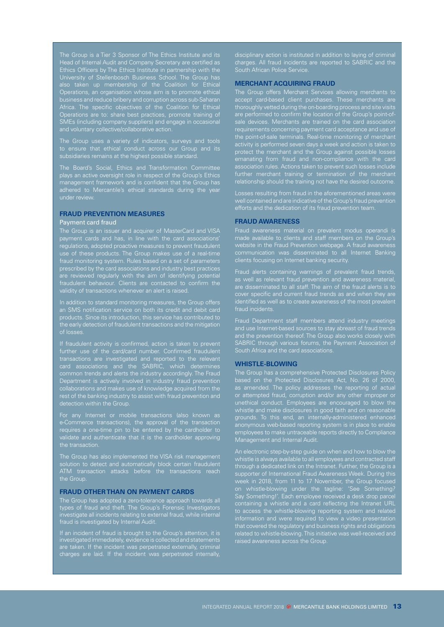The Group is a Tier 3 Sponsor of The Ethics Institute and its Ethics Officers by The Ethics Institute in partnership with the University of Stellenbosch Business School. The Group has Operations, an organisation whose aim is to promote ethical business and reduce bribery and corruption across sub-Saharan Africa. The specific objectives of the Coalition for Ethical Operations are to: share best practices, promote training of SMEs (including company suppliers) and engage in occasional

The Group uses a variety of indicators, surveys and tools to ensure that ethical conduct across our Group and its

The Board's Social, Ethics and Transformation Committee plays an active oversight role in respect of the Group's Ethics management framework and is confident that the Group has adhered to Mercantile's ethical standards during the year

#### **FRAUD PREVENTION MEASURES**

#### Payment card fraud

payment cards and has, in line with the card associations' regulations, adopted proactive measures to prevent fraudulent fraud monitoring system. Rules based on a set of parameters are reviewed regularly with the aim of identifying potential fraudulent behaviour. Clients are contacted to confirm the validity of transactions whenever an alert is raised.

In addition to standard monitoring measures, the Group offers an SMS notification service on both its credit and debit card products. Since its introduction, this service has contributed to the early detection of fraudulent transactions and the mitigation of losses.

further use of the card/card number. Confirmed fraudulent transactions are investigated and reported to the relevant card associations and the SABRIC, which determines common trends and alerts the industry accordingly. The Fraud Department is actively involved in industry fraud prevention collaborations and makes use of knowledge acquired from the rest of the banking industry to assist with fraud prevention and detection within the Group.

e-Commerce transactions), the approval of the transaction validate and authenticate that it is the cardholder approving the transaction.

ATM transaction attacks before the transactions reach the Group.

#### **FRAUD OTHER THAN ON PAYMENT CARDS**

The Group has adopted a zero-tolerance approach towards all types of fraud and theft. The Group's Forensic Investigators investigate all incidents relating to external fraud, while internal fraud is investigated by Internal Audit.

If an incident of fraud is brought to the Group's attention, it is investigated immediately, evidence is collected and statements charges are laid. If the incident was perpetrated internally, charges. All fraud incidents are reported to SABRIC and the South African Police Service.

#### **MERCHANT ACQUIRING FRAUD**

The Group offers Merchant Services allowing merchants to accept card-based client purchases. These merchants are thoroughly vetted during the on-boarding process and site visits are performed to confirm the location of the Group's point-ofrequirements concerning payment card acceptance and use of the point-of-sale terminals. Real-time monitoring of merchant emanating from fraud and non-compliance with the card further merchant training or termination of the merchant relationship should the training not have the desired outcome.

Losses resulting from fraud in the aforementioned areas were well contained and are indicative of the Group's fraud prevention efforts and the dedication of its fraud prevention team.

#### **FRAUD AWARENESS**

Fraud awareness material on prevalent modus operandi is website in the Fraud Prevention webpage. A fraud awareness communication was disseminated to all Internet Banking clients focusing on Internet banking security.

Fraud alerts containing warnings of prevalent fraud trends, are disseminated to all staff. The aim of the fraud alerts is to identified as well as to create awareness of the most prevalent fraud incidents.

Fraud Department staff members attend industry meetings and use Internet-based sources to stay abreast of fraud trends SABRIC through various forums, the Payment Association of

#### **WHISTLE-BLOWING**

The Group has a comprehensive Protected Disclosures Policy based on the Protected Disclosures Act, No. 26 of 2000, as amended. The policy addresses the reporting of actual whistle and make disclosures in good faith and on reasonable grounds. To this end, an internally-administered enhanced anonymous web-based reporting system is in place to enable employees to make untraceable reports directly to Compliance Management and Internal Audit.

An electronic step-by-step guide on when and how to blow the through a dedicated link on the Intranet. Further, the Group is a week in 2018, from 11 to 17 November, the Group focused on whistle-blowing under the tagline: 'See Something? Say Something!'. Each employee received a desk drop parcel containing a whistle and a card reflecting the Intranet URL that covered the regulatory and business rights and obligations related to whistle-blowing. This initiative was well-received and raised awareness across the Group.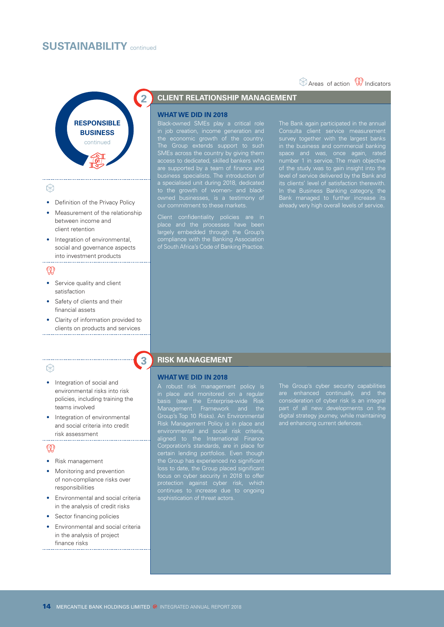## **SUSTAINABILITY** continued



#### ⊛

- Definition of the Privacy Policy
- Measurement of the relationship between income and client retention
- Integration of environmental, social and governance aspects into investment products

## $^{\circledR}$

- Service quality and client satisfaction
- Safety of clients and their financial assets

• Clarity of information provided to clients on products and services

#### ⊛

- Integration of social and environmental risks into risk policies, including training the teams involved
- Integration of environmental and social criteria into credit risk assessment

## $\mathbb Q$

- Risk management
- Monitoring and prevention of non-compliance risks over responsibilities
- Environmental and social criteria in the analysis of credit risks
- Sector financing policies
- Environmental and social criteria in the analysis of project finance risks

## **2 CLIENT RELATIONSHIP MANAGEMENT**

#### **WHAT WE DID IN 2018**

Black-owned SMEs play a critical role in job creation, income generation and the economic growth of the country. The Group extends support to such SMEs across the country by giving them access to dedicated, skilled bankers who are supported by a team of finance and business specialists. The introduction of a specialised unit during 2018, dedicated to the growth of women- and black-

Client confidentiality policies are in place and the processes have been largely embedded through the Group's compliance with the Banking Association of South Africa's Code of Banking Practice. The Bank again participated in the annual survey together with the largest banks in the business and commercial banking space and was, once again, rated of the study was to gain insight into the level of service delivered by the Bank and In the Business Banking category, the Bank managed to further increase its

 $\circledR$  Areas of action  $\circledR$  Indicators

## **3 RISK MANAGEMENT**

#### **WHAT WE DID IN 2018**

A robust risk management policy is in place and monitored on a regular basis (see the Enterprise-wide Risk Management Framework and the Group's Top 10 Risks). An Environmental aligned to the International Finance Corporation's standards, are in place for certain lending portfolios. Even though the Group has experienced no significant loss to date, the Group placed significant protection against cyber risk, which continues to increase due to ongoing consideration of cyber risk is an integral digital strategy journey, while maintaining

#### 14 MERCANTILE BANK HOLDINGS LIMITED <sup>®</sup> INTEGRATED ANNUAL REPORT 2018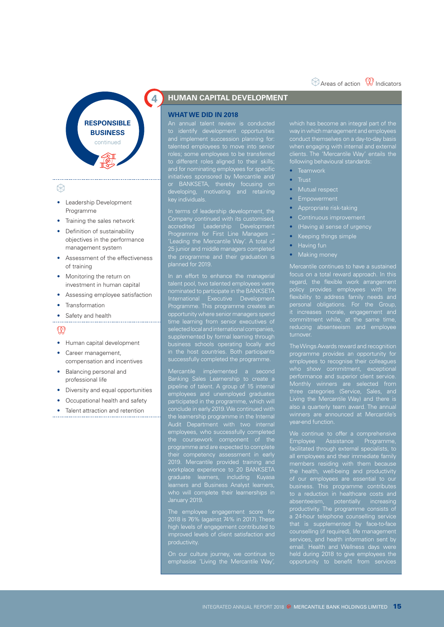## $\otimes$  Areas of action  $\mathbb \mathbb{R}$  Indicators



#### ⊛

- Leadership Development Programme
- Training the sales network
- Definition of sustainability objectives in the performance management system
- Assessment of the effectiveness of training
- Monitoring the return on investment in human capital
- Assessing employee satisfaction
- **Transformation**
- Safety and health

## $\mathbb Q$

- Human capital development
- Career management, compensation and incentives
- Balancing personal and professional life
- Diversity and equal opportunities
- Occupational health and safety
- Talent attraction and retention

## **4 HUMAN CAPITAL DEVELOPMENT**

#### **WHAT WE DID IN 2018**

An annual talent review is conducted to identify development opportunities to different roles aligned to their skills; and for nominating employees for specific initiatives sponsored by Mercantile and/ or BANKSETA, thereby focusing on key individuals.

In terms of leadership development, the accredited Leadership Development Programme for First Line Managers – 'Leading the Mercantile Way'. A total of 25 junior and middle managers completed the programme and their graduation is planned for 2019.

In an effort to enhance the managerial talent pool, two talented employees were nominated to participate in the BANKSETA International Executive Development Programme. This programme creates an opportunity where senior managers spend time learning from senior executives of supplemented by formal learning through in the host countries. Both participants successfully completed the programme.

Mercantile implemented a second Banking Sales Learnership to create a pipeline of talent. A group of 15 internal participated in the programme, which will the learnership programme in the Internal programme and are expected to complete 2019. Mercantile provided training and workplace experience to 20 BANKSETA graduate learners, including Kuyasa learners and Business Analyst learners, January 2019.

The employee engagement score for high levels of engagement contributed to improved levels of client satisfaction and productivity.

which has become an integral part of the way in which management and employees when engaging with internal and external clients. The 'Mercantile Way' entails the following behavioural standards:

- Teamwork
- Trust
- Mutual respect
- Empowerment
- Appropriate risk-taking
- 
- (Having a) sense of urgency
- Keeping things simple
- Having fun
- 

Mercantile continues to have a sustained focus on a total reward approach. In this regard, the flexible work arrangement policy provides employees with the flexibility to address family needs and personal obligations. For the Group, it increases morale, engagement and turnover.

programme provides an opportunity for employees to recognise their colleagues performance and superior client service. Monthly winners are selected from three categories (Service, Sales, and Living the Mercantile Way) and there is

Employee Assistance Programme, facilitated through external specialists, to all employees and their immediate family the health, well-being and productivity business. This programme contributes to a reduction in healthcare costs and absenteeism, potentially increasing productivity. The programme consists of a 24-hour telephone counselling service that is supplemented by face-to-face counselling (if required), life management email. Health and Wellness days were held during 2018 to give employees the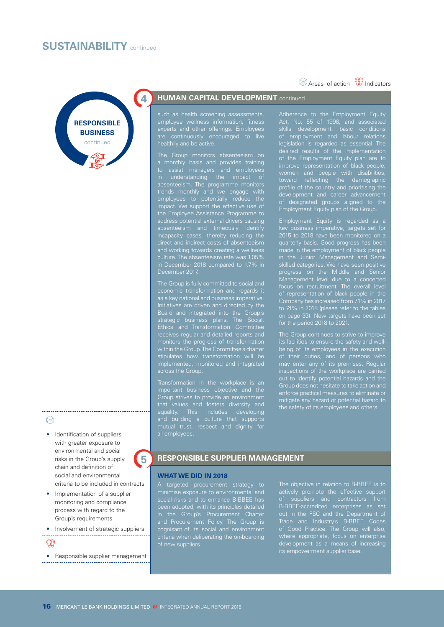## **SUSTAINABILITY** continued



## experts and other offerings. Employees

healthily and be active. a monthly basis and provides training to assist managers and employees in understanding the impact of absenteeism. The programme monitors trends monthly and we engage with employees to potentially reduce the impact. We support the effective use of the Employee Assistance Programme to address potential external drivers causing and working towards creating a wellness December 2017.

such as health screening assessments,

are continuously encouraged to live

The Group is fully committed to social and economic transformation and regards it Board and integrated into the Group's strategic business plans. The Social, Ethics and Transformation Committee receives regular and detailed reports and monitors the progress of transformation within the Group. The Committee's charter implemented, monitored and integrated across the Group.

Transformation in the workplace is an Group strives to provide an environment equality. This includes developing and building a culture that supports mutual trust, respect and dignity for

Act, No. 55 of 1998, and associated skills development, basic conditions legislation is regarded as essential. The of the Employment Equity plan are to women and people with disabilities, toward reflecting the demographic profile of the country and prioritising the of designated groups aligned to the

 $\circledR$  Areas of action  $\circledR$  Indicators

Employment Equity is regarded as a key business imperative, targets set for quarterly basis. Good progress has been in the Junior Management and Semiskilled categories. We have seen positive progress on the Middle and Senior Management level due to a concerted focus on recruitment. The overall level Company has increased from 71% in 2017 to 74% in 2018 (please refer to the tables on page 33). New targets have been set

The Group continues to strive to improve its facilities to ensure the safety and wellbeing of its employees in the execution may enter any of its premises. Regular mitigate any hazard or potential hazard to

#### $\otimes$

• Identification of suppliers with greater exposure to environmental and social risks in the Group's supply chain and definition of social and environmental criteria to be included in contracts

- Implementation of a supplier monitoring and compliance process with regard to the Group's requirements
- Involvement of strategic suppliers

 $\circledR$ 

• Responsible supplier management

### **5** RESPONSIBLE SUPPLIER MANAGEMENT

#### **WHAT WE DID IN 2018**

A targeted procurement strategy to social risks and to enhance B-BBEE has in the Group's Procurement Charter and Procurement Policy. The Group is cognisant of its social and environment criteria when deliberating the on-boarding of new suppliers.

The objective in relation to B-BBEE is to actively promote the effective support of suppliers and contractors from B-BBEE-accredited enterprises as set out in the FSC and the Department of Trade and Industry's B-BBEE Codes development as a means of increasing its empowerment supplier base.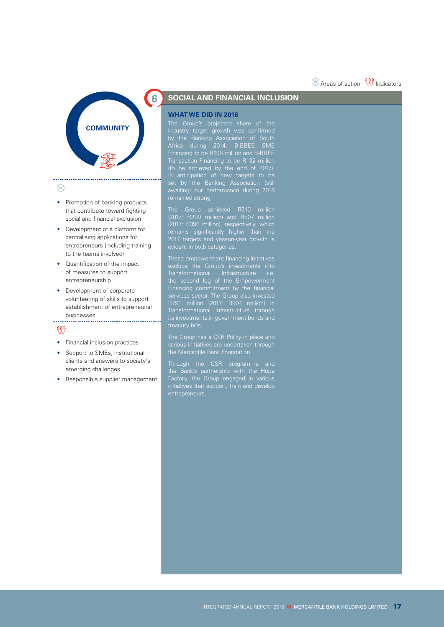## $\otimes$  Areas of action  $\mathbb \mathbb{R}$  Indicators



#### $\otimes$

- Promotion of banking products that contribute toward fighting social and financial exclusion
- Development of a platform for centralising applications for entrepreneurs (including training to the teams involved)
- Quantification of the impact of measures to support entrepreneurship
- Development of corporate volunteering of skills to support establishment of entrepreneurial businesses

## $\mathbb{Q}$

- Financial inclusion practices
- Support to SMEs, institutional clients and answers to society's emerging challenges
- Responsible supplier management

## **6 SOCIAL AND FINANCIAL INCLUSION**

#### **WHAT WE DID IN 2018**

industry target growth was confirmed by the Banking Association of South Africa during 2014: B-BBEE SME Financing to be R198 million and B-BBEE Transaction Financing to be R132 million (to be achieved by the end of 2017). In anticipation of new targets to be set by the Banking Association (still awaiting) our performance during 2018

The Group achieved R310 million (2017: R299 million) and R507 million (2017: R396 million), respectively, which remains significantly higher than the 2017 targets and year-on-year growth is

These empowerment financing initiatives Transformational Infrastructure i.e. Financing commitment by the financial services sector. The Group also invested **R791** million (2017: R904 million) in Transformational Infrastructure through its investments in government bonds and

various initiatives are undertaken through

Through the CSR programme and the Bank's partnership with the Hope Factory, the Group engaged in various initiatives that support, train and develop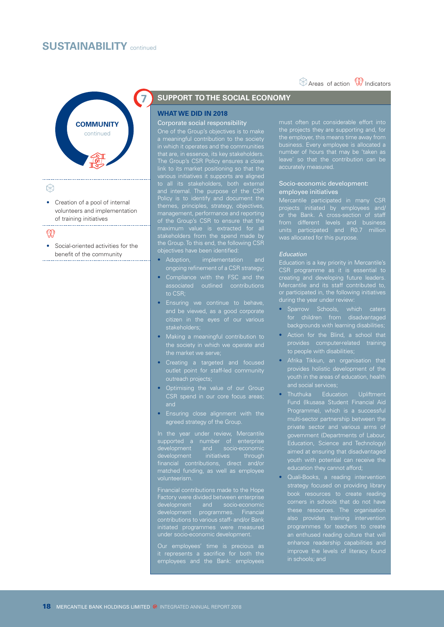## **SUSTAINABILITY** continued



#### $\circledR$

• Creation of a pool of internal volunteers and implementation of training initiatives

#### $@{0}$

• Social-oriented activities for the benefit of the community 

## **7 SUPPORT TO THE SOCIAL ECONOMY**

### **WHAT WE DID IN 2018**

#### Corporate social responsibility

a meaningful contribution to the society that are, in essence, its key stakeholders. The Group's CSR Policy ensures a close various initiatives it supports are aligned and internal. The purpose of the CSR Policy is to identify and document the management, performance and reporting of the Group's CSR to ensure that the stakeholders from the spend made by the Group. To this end, the following CSR

- Adoption, implementation and
- to CSR;
- Ensuring we continue to behave, and be viewed, as a good corporate stakeholders;
- Making a meaningful contribution to the society in which we operate and the market we serve;
- Creating a targeted and focused outlet point for staff-led community outreach projects;
- Optimising the value of our Group CSR spend in our core focus areas;
- Ensuring close alignment with the agreed strategy of the Group.

In the year under review, Mercantile supported a number of enterprise development initiatives through matched funding, as well as employee volunteerism.

development programmes. Financial initiated programmes were measured

Our employees' time is precious as

 $\circledR$  Areas of action  $\circledR$  Indicators

#### Socio-economic development: employee initiative

Mercantile participated in many CSR or the Bank. A cross-section of staff from different levels and business units participated and R0.7 million

#### *Education*

Education is a key priority in Mercantile's CSR programme as it is essential to creating and developing future leaders. Mercantile and its staff contributed to, or participated in, the following initiatives during the year under review:

- Sparrow Schools, which caters for children from disadvantaged backgrounds with learning disabilities;
- Action for the Blind, a school that provides computer-related training
- Afrika Tikkun, an organisation that
- Education, Science and Technology) aimed at ensuring that disadvantaged education they cannot afford;
- Quali-Books, a reading intervention these resources. The organisation also provides training intervention programmes for teachers to create enhance readership capabilities and in schools; and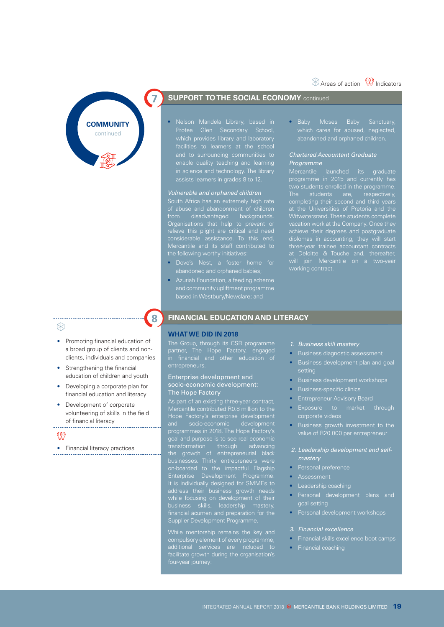## $\otimes$  Areas of action  $\mathbb{Q}$  Indicators



## **7 SUPPORT TO THE SOCIAL ECONOMY** continued

• Nelson Mandela Library, based in and to surrounding communities to enable quality teaching and learning in science and technology. The library assists learners in grades 8 to 12.

#### *Vulnerable and orphaned children*

South Africa has an extremely high rate from disadvantaged backgrounds. Organisations that help to prevent or relieve this plight are critical and need considerable assistance. To this end, Mercantile and its staff contributed to

- Dove's Nest, a foster home for abandoned and orphaned babies;
- Azuriah Foundation, a feeding scheme and community upliftment programme based in Westbury/Newclare; and

• Baby Moses Baby Sanctuary, which cares for abused, neglected,

#### *Chartered Accountant Graduate Programme*

Mercantile launched its graduate programme in 2015 and currently has two students enrolled in the programme. The students are, respectively, completing their second and third years at the Universities of Pretoria and the Witwatersrand. These students complete diplomas in accounting, they will start at Deloitte & Touche and, thereafter, will join Mercantile on a two-year working contract.

## ₩

- Promoting financial education of a broad group of clients and nonclients, individuals and companies
- Strengthening the financial education of children and youth
- Developing a corporate plan for financial education and literacy
- Development of corporate volunteering of skills in the field of financial literacy

#### $\mathbb Q$

• Financial literacy practices

## **8 FINANCIAL EDUCATION AND LITERACY**

#### **WHAT WE DID IN 2018**

The Group, through its CSR programme partner, The Hope Factory, engaged entrepreneurs.

#### Enterprise development and socio-economic development: The Hope Factory

As part of an existing three-year contract, Mercantile contributed R0.8 million to the Mercantile continuated noto million to the<br>Hope Factory's enterprise development<br>and socio-economic development programmes in 2018. The Hope Factory's goal and purpose is to see real economic transformation through advancing the growth of entrepreneurial black on-boarded to the impactful Flagship Enterprise Development Programme. It is individually designed for SMMEs to The individually docigned to the meds while focusing on development of their business skills, leadership mastery, Supplier Development Programme.

compulsory element of every programme, facilitate growth during the organisation's

- *1. Business skill mastery*
- Business diagnostic assessment
- Business development plan and goal setting
- Business development workshops
- Business-specific clinics
- Entrepreneur Advisory Board
- Exposure to market through corporate videos
- Business growth investment to the
- *2. Leadership development and selfmastery*
- Personal preference
- 
- Leadership coaching
- Personal development plans and goal setting
- Personal development workshops
- *3. Financial excellence*
- Financial skills excellence boot camps
- Financial coaching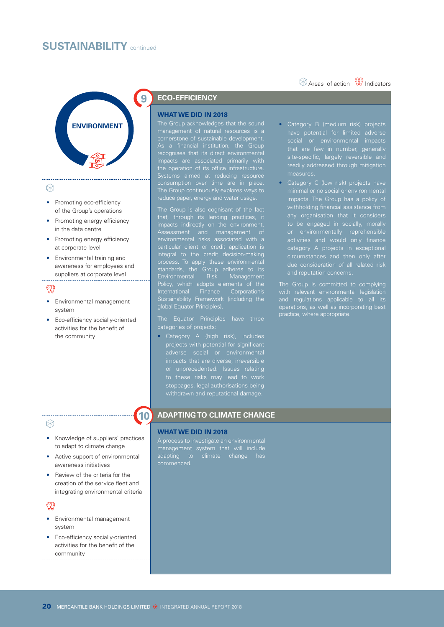## **SUSTAINABILITY** continued



### $\otimes$

- Promoting eco-efficiency of the Group's operations
- Promoting energy efficiency in the data centre
- Promoting energy efficiency at corporate level
- Environmental training and awareness for employees and suppliers at corporate level

## $\mathbb{Q}$

- Environmental management system
- Eco-efficiency socially-oriented activities for the benefit of the community

## **ECO-EFFICIENCY**

#### **WHAT WE DID IN 2018**

The Group acknowledges that the sound management of natural resources is a As a financial institution, the Group recognises that its direct environmental impacts are associated primarily with the operation of its office infrastructure. Systems aimed at reducing resource The Group continuously explores ways to reduce paper, energy and water usage.

that, through its lending practices, it Assessment and management of particular client or credit application is integral to the credit decision-making process. To apply these environmental standards, the Group adheres to its Environmental Risk Management Policy, which adopts elements of the International Finance Corporation's International Finance Corporations<br>Sustainability Framework (including the global Equator Principles).

categories of projects:

• Category A (high risk), includes projects with potential for significant stoppages, legal authorisations being withdrawn and reputational damage.

Category B (medium risk) projects that are few in number, generally site-specific, largely reversible and readily addressed through mitigation measures.

 $\circledR$  Areas of action  $\circledR$  Indicators

• Category C (low risk) projects have impacts. The Group has a policy of withholding financial assistance from any organisation that it considers to be engaged in socially, morally category A projects in exceptional

The Group is committed to complying with relevant environmental legislation and regulations applicable to all its practice, where appropriate.

#### ⊛

- Knowledge of suppliers' practices to adapt to climate change
- Active support of environmental awareness initiatives
- Review of the criteria for the creation of the service fleet and integrating environmental criteria

## $\mathbb{Q}$

- Environmental management system
- Eco-efficiency socially-oriented activities for the benefit of the community

## **10 ADAPTING TO CLIMATE CHANGE**

#### **WHAT WE DID IN 2018**

A process to investigate an environmental management system that will include adapting to climate change has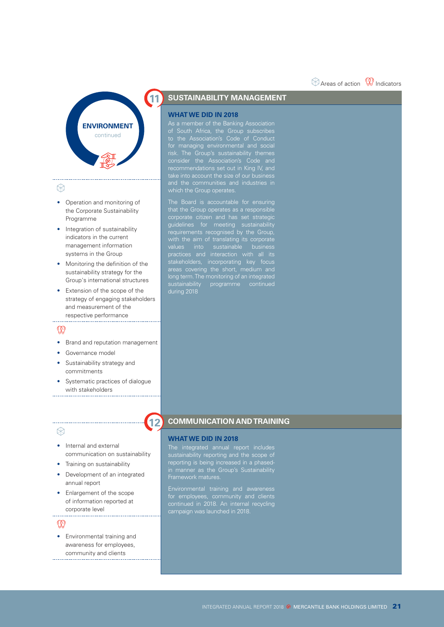## $\otimes$  Areas of action  $\mathbb \mathbb{R}$  Indicators



### $\otimes$

- Operation and monitoring of the Corporate Sustainability Programme
- Integration of sustainability indicators in the current management information systems in the Group
- Monitoring the definition of the sustainability strategy for the Group's international structures
- Extension of the scope of the strategy of engaging stakeholders and measurement of the respective performance

- Brand and reputation management
- Governance model
- Sustainability strategy and commitments
- Systematic practices of dialogue with stakeholders

## $\otimes$

- Internal and external communication on sustainability
- Training on sustainability
- Development of an integrated annual report
- Enlargement of the scope of information reported at corporate level

#### $\mathbb{Q}$

• Environmental training and awareness for employees, community and clients . . . . . . . . . . . . . . . . .

## **SUSTAINABILITY MANAGEMENT**

#### **WHAT WE DID IN 2018**

As a member of the Banking Association for managing environmental and social risk. The Group's sustainability themes recommendations set out in King IV, and which the Group operates.

that the Group operates as a responsible corporate citizen and has set strategic guidelines for meeting sustainability requirements recognised by the Group, values into sustainable business stakeholders, incorporating key focus long term. The monitoring of an integrated sustainability programme continued during 2018

## **12 COMMUNICATION AND TRAINING**

#### **WHAT WE DID IN 2018**

The integrated annual report includes sustainability reporting and the scope of reporting is being increased in a phasedin manner as the Group's Sustainability

Environmental training and awareness campaign was launched in 2018.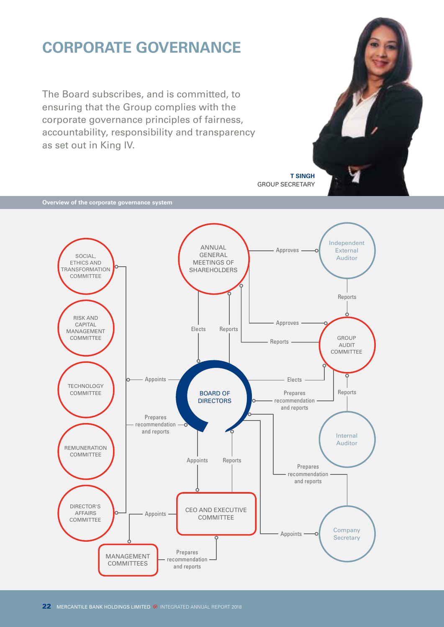# **CORPORATE GOVERNANCE**

The Board subscribes, and is committed, to ensuring that the Group complies with the corporate governance principles of fairness, accountability, responsibility and transparency as set out in King IV.



**Overview of the corporate governance system**

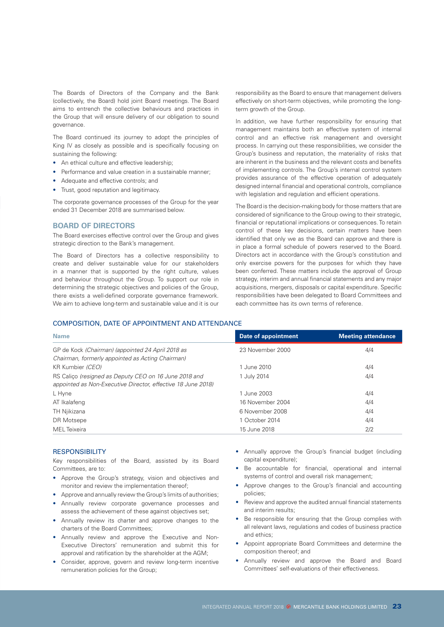The Boards of Directors of the Company and the Bank (collectively, the Board) hold joint Board meetings. The Board aims to entrench the collective behaviours and practices in the Group that will ensure delivery of our obligation to sound governance.

The Board continued its journey to adopt the principles of King IV as closely as possible and is specifically focusing on sustaining the following:

- An ethical culture and effective leadership;
- Performance and value creation in a sustainable manner;
- Adequate and effective controls; and
- Trust, good reputation and legitimacy.

The corporate governance processes of the Group for the year ended 31 December 2018 are summarised below.

#### **BOARD OF DIRECTORS**

The Board exercises effective control over the Group and gives strategic direction to the Bank's management.

The Board of Directors has a collective responsibility to create and deliver sustainable value for our stakeholders in a manner that is supported by the right culture, values and behaviour throughout the Group. To support our role in determining the strategic objectives and policies of the Group, there exists a well-defined corporate governance framework. We aim to achieve long-term and sustainable value and it is our responsibility as the Board to ensure that management delivers effectively on short-term objectives, while promoting the longterm growth of the Group.

In addition, we have further responsibility for ensuring that management maintains both an effective system of internal control and an effective risk management and oversight process. In carrying out these responsibilities, we consider the Group's business and reputation, the materiality of risks that are inherent in the business and the relevant costs and benefits of implementing controls. The Group's internal control system provides assurance of the effective operation of adequately designed internal financial and operational controls, compliance with legislation and regulation and efficient operations.

The Board is the decision-making body for those matters that are considered of significance to the Group owing to their strategic, financial or reputational implications or consequences. To retain control of these key decisions, certain matters have been identified that only we as the Board can approve and there is in place a formal schedule of powers reserved to the Board. Directors act in accordance with the Group's constitution and only exercise powers for the purposes for which they have been conferred. These matters include the approval of Group strategy, interim and annual financial statements and any major acquisitions, mergers, disposals or capital expenditure. Specific responsibilities have been delegated to Board Committees and each committee has its own terms of reference.

#### COMPOSITION, DATE OF APPOINTMENT AND ATTENDANCE

| <b>Name</b>                                                                                                           | Date of appointment | <b>Meeting attendance</b> |
|-----------------------------------------------------------------------------------------------------------------------|---------------------|---------------------------|
| GP de Kock (Chairman) (appointed 24 April 2018 as<br>Chairman, formerly appointed as Acting Chairman)                 | 23 November 2000    | 4/4                       |
| KR Kumbier (CEO)                                                                                                      | 1 June 2010         | 4/4                       |
| RS Calico (resigned as Deputy CEO on 16 June 2018 and<br>appointed as Non-Executive Director, effective 18 June 2018) | 1 July 2014         | 4/4                       |
| L Hyne                                                                                                                | 1 June 2003         | 4/4                       |
| AT Ikalafeng                                                                                                          | 16 November 2004    | 4/4                       |
| TH Njikizana                                                                                                          | 6 November 2008     | 4/4                       |
| DR Motsepe                                                                                                            | 1 October 2014      | 4/4                       |
| MEL Teixeira                                                                                                          | 15 June 2018        | 2/2                       |

#### **RESPONSIBILITY**

Key responsibilities of the Board, assisted by its Board Committees, are to:

- Approve the Group's strategy, vision and objectives and monitor and review the implementation thereof;
- Approve and annually review the Group's limits of authorities;
- Annually review corporate governance processes and assess the achievement of these against objectives set;
- Annually review its charter and approve changes to the charters of the Board Committees;
- Annually review and approve the Executive and Non-Executive Directors' remuneration and submit this for approval and ratification by the shareholder at the AGM;
- Consider, approve, govern and review long-term incentive remuneration policies for the Group;
- Annually approve the Group's financial budget (including capital expenditure);
- Be accountable for financial, operational and internal systems of control and overall risk management;
- Approve changes to the Group's financial and accounting policies;
- Review and approve the audited annual financial statements and interim results;
- Be responsible for ensuring that the Group complies with all relevant laws, regulations and codes of business practice and ethics;
- Appoint appropriate Board Committees and determine the composition thereof; and
- Annually review and approve the Board and Board Committees' self-evaluations of their effectiveness.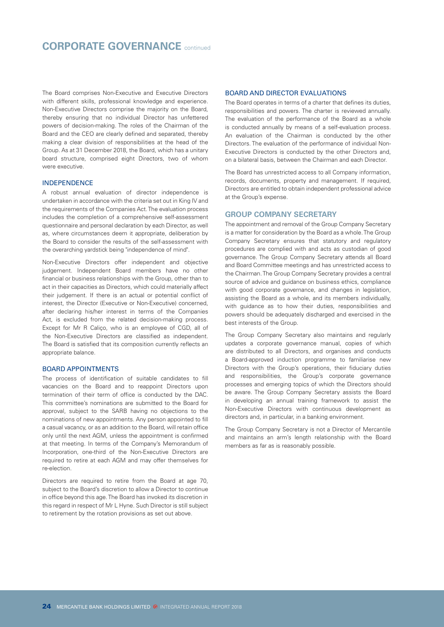The Board comprises Non-Executive and Executive Directors with different skills, professional knowledge and experience. Non-Executive Directors comprise the majority on the Board, thereby ensuring that no individual Director has unfettered powers of decision-making. The roles of the Chairman of the Board and the CEO are clearly defined and separated, thereby making a clear division of responsibilities at the head of the Group. As at 31 December 2018, the Board, which has a unitary board structure, comprised eight Directors, two of whom were executive.

#### INDEPENDENCE

A robust annual evaluation of director independence is undertaken in accordance with the criteria set out in King IV and the requirements of the Companies Act. The evaluation process includes the completion of a comprehensive self-assessment questionnaire and personal declaration by each Director, as well as, where circumstances deem it appropriate, deliberation by the Board to consider the results of the self-assessment with the overarching yardstick being "independence of mind".

Non-Executive Directors offer independent and objective judgement. Independent Board members have no other financial or business relationships with the Group, other than to act in their capacities as Directors, which could materially affect their judgement. If there is an actual or potential conflict of interest, the Director (Executive or Non-Executive) concerned, after declaring his/her interest in terms of the Companies Act, is excluded from the related decision-making process. Except for Mr R Caliço, who is an employee of CGD, all of the Non-Executive Directors are classified as independent. The Board is satisfied that its composition currently reflects an appropriate balance.

#### BOARD APPOINTMENTS

The process of identification of suitable candidates to fill vacancies on the Board and to reappoint Directors upon termination of their term of office is conducted by the DAC. This committee's nominations are submitted to the Board for approval, subject to the SARB having no objections to the nominations of new appointments. Any person appointed to fill a casual vacancy, or as an addition to the Board, will retain office only until the next AGM, unless the appointment is confirmed at that meeting. In terms of the Company's Memorandum of Incorporation, one-third of the Non-Executive Directors are required to retire at each AGM and may offer themselves for re-election.

Directors are required to retire from the Board at age 70, subject to the Board's discretion to allow a Director to continue in office beyond this age. The Board has invoked its discretion in this regard in respect of Mr L Hyne. Such Director is still subject to retirement by the rotation provisions as set out above.

#### BOARD AND DIRECTOR EVALUATIONS

The Board operates in terms of a charter that defines its duties, responsibilities and powers. The charter is reviewed annually. The evaluation of the performance of the Board as a whole is conducted annually by means of a self-evaluation process. An evaluation of the Chairman is conducted by the other Directors. The evaluation of the performance of individual Non-Executive Directors is conducted by the other Directors and, on a bilateral basis, between the Chairman and each Director.

The Board has unrestricted access to all Company information, records, documents, property and management. If required, Directors are entitled to obtain independent professional advice at the Group's expense.

#### **GROUP COMPANY SECRETARY**

The appointment and removal of the Group Company Secretary is a matter for consideration by the Board as a whole. The Group Company Secretary ensures that statutory and regulatory procedures are complied with and acts as custodian of good governance. The Group Company Secretary attends all Board and Board Committee meetings and has unrestricted access to the Chairman. The Group Company Secretary provides a central source of advice and guidance on business ethics, compliance with good corporate governance, and changes in legislation, assisting the Board as a whole, and its members individually, with guidance as to how their duties, responsibilities and powers should be adequately discharged and exercised in the best interests of the Group.

The Group Company Secretary also maintains and regularly updates a corporate governance manual, copies of which are distributed to all Directors, and organises and conducts a Board-approved induction programme to familiarise new Directors with the Group's operations, their fiduciary duties and responsibilities, the Group's corporate governance processes and emerging topics of which the Directors should be aware. The Group Company Secretary assists the Board in developing an annual training framework to assist the Non-Executive Directors with continuous development as directors and, in particular, in a banking environment.

The Group Company Secretary is not a Director of Mercantile and maintains an arm's length relationship with the Board members as far as is reasonably possible.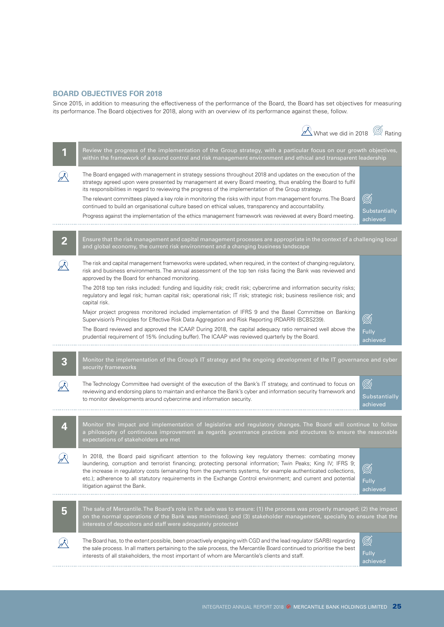#### **BOARD OBJECTIVES FOR 2018**

Since 2015, in addition to measuring the effectiveness of the performance of the Board, the Board has set objectives for measuring its performance. The Board objectives for 2018, along with an overview of its performance against these, follow.

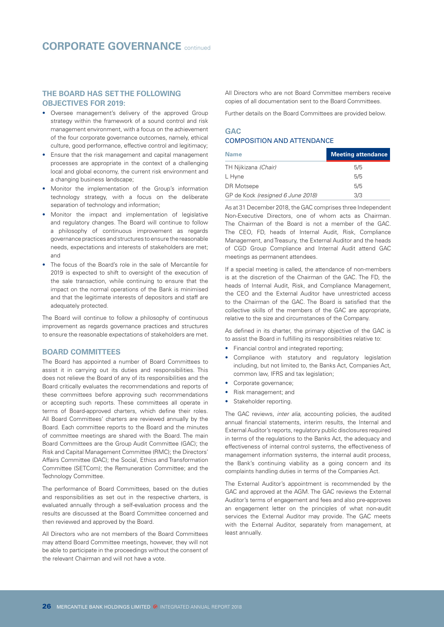#### **THE BOARD HAS SET THE FOLLOWING OBJECTIVES FOR 2019:**

- Oversee management's delivery of the approved Group strategy within the framework of a sound control and risk management environment, with a focus on the achievement of the four corporate governance outcomes, namely, ethical culture, good performance, effective control and legitimacy;
- Ensure that the risk management and capital management processes are appropriate in the context of a challenging local and global economy, the current risk environment and a changing business landscape;
- Monitor the implementation of the Group's information technology strategy, with a focus on the deliberate separation of technology and information;
- Monitor the impact and implementation of legislative and regulatory changes. The Board will continue to follow a philosophy of continuous improvement as regards governance practices and structures to ensure the reasonable needs, expectations and interests of stakeholders are met; and
- The focus of the Board's role in the sale of Mercantile for 2019 is expected to shift to oversight of the execution of the sale transaction, while continuing to ensure that the impact on the normal operations of the Bank is minimised and that the legitimate interests of depositors and staff are adequately protected.

The Board will continue to follow a philosophy of continuous improvement as regards governance practices and structures to ensure the reasonable expectations of stakeholders are met.

#### **BOARD COMMITTEES**

The Board has appointed a number of Board Committees to assist it in carrying out its duties and responsibilities. This does not relieve the Board of any of its responsibilities and the Board critically evaluates the recommendations and reports of these committees before approving such recommendations or accepting such reports. These committees all operate in terms of Board-approved charters, which define their roles. All Board Committees' charters are reviewed annually by the Board. Each committee reports to the Board and the minutes of committee meetings are shared with the Board. The main Board Committees are the Group Audit Committee (GAC); the Risk and Capital Management Committee (RMC); the Directors' Affairs Committee (DAC); the Social, Ethics and Transformation Committee (SETCom); the Remuneration Committee; and the Technology Committee.

The performance of Board Committees, based on the duties and responsibilities as set out in the respective charters, is evaluated annually through a self-evaluation process and the results are discussed at the Board Committee concerned and then reviewed and approved by the Board.

All Directors who are not members of the Board Committees may attend Board Committee meetings, however, they will not be able to participate in the proceedings without the consent of the relevant Chairman and will not have a vote.

All Directors who are not Board Committee members receive copies of all documentation sent to the Board Committees.

Further details on the Board Committees are provided below.

## **GAC** COMPOSITION AND ATTENDANCE

| <b>Name</b>                       | <b>Meeting attendance</b> |
|-----------------------------------|---------------------------|
| TH Njikizana (Chair)              | 5/5                       |
| L Hyne                            | 5/5                       |
| DR Motsepe                        | 5/5                       |
| GP de Kock (resigned 6 June 2018) | 3/3                       |

As at 31 December 2018, the GAC comprises three Independent Non-Executive Directors, one of whom acts as Chairman. The Chairman of the Board is not a member of the GAC. The CEO, FD, heads of Internal Audit, Risk, Compliance Management, and Treasury, the External Auditor and the heads of CGD Group Compliance and Internal Audit attend GAC meetings as permanent attendees.

If a special meeting is called, the attendance of non-members is at the discretion of the Chairman of the GAC. The FD, the heads of Internal Audit, Risk, and Compliance Management, the CEO and the External Auditor have unrestricted access to the Chairman of the GAC. The Board is satisfied that the collective skills of the members of the GAC are appropriate, relative to the size and circumstances of the Company.

As defined in its charter, the primary objective of the GAC is to assist the Board in fulfilling its responsibilities relative to:

- Financial control and integrated reporting;
- Compliance with statutory and regulatory legislation including, but not limited to, the Banks Act, Companies Act, common law, IFRS and tax legislation;
- Corporate governance;
- Risk management; and
- Stakeholder reporting.

The GAC reviews, *inter alia*, accounting policies, the audited annual financial statements, interim results, the Internal and External Auditor's reports, regulatory public disclosures required in terms of the regulations to the Banks Act, the adequacy and effectiveness of internal control systems, the effectiveness of management information systems, the internal audit process, the Bank's continuing viability as a going concern and its complaints handling duties in terms of the Companies Act.

The External Auditor's appointment is recommended by the GAC and approved at the AGM. The GAC reviews the External Auditor's terms of engagement and fees and also pre-approves an engagement letter on the principles of what non-audit services the External Auditor may provide. The GAC meets with the External Auditor, separately from management, at least annually.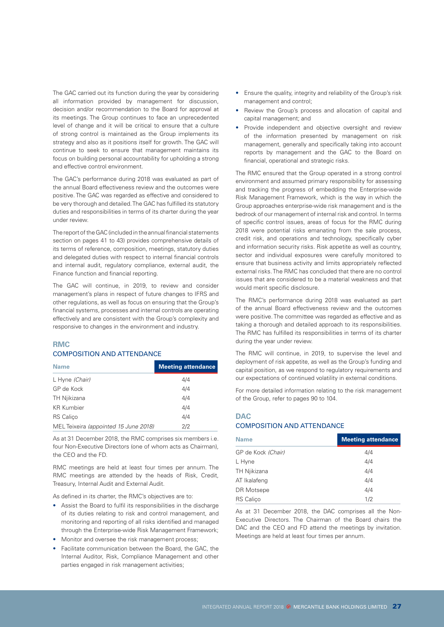The GAC carried out its function during the year by considering all information provided by management for discussion, decision and/or recommendation to the Board for approval at its meetings. The Group continues to face an unprecedented level of change and it will be critical to ensure that a culture of strong control is maintained as the Group implements its strategy and also as it positions itself for growth. The GAC will continue to seek to ensure that management maintains its focus on building personal accountability for upholding a strong and effective control environment.

The GAC's performance during 2018 was evaluated as part of the annual Board effectiveness review and the outcomes were positive. The GAC was regarded as effective and considered to be very thorough and detailed. The GAC has fulfilled its statutory duties and responsibilities in terms of its charter during the year under review.

The report of the GAC (included in the annual financial statements section on pages 41 to 43) provides comprehensive details of its terms of reference, composition, meetings, statutory duties and delegated duties with respect to internal financial controls and internal audit, regulatory compliance, external audit, the Finance function and financial reporting.

The GAC will continue, in 2019, to review and consider management's plans in respect of future changes to IFRS and other regulations, as well as focus on ensuring that the Group's financial systems, processes and internal controls are operating effectively and are consistent with the Group's complexity and responsive to changes in the environment and industry.

### **RMC** COMPOSITION AND ATTENDANCE

| <b>Name</b>                           | <b>Meeting attendance</b> |
|---------------------------------------|---------------------------|
| L Hyne (Chair)                        | 4/4                       |
| GP de Kock                            | 4/4                       |
| TH Njikizana                          | 4/4                       |
| <b>KR Kumbier</b>                     | 4/4                       |
| <b>RS</b> Calico                      | 4/4                       |
| MEL Teixeira (appointed 15 June 2018) | 2/2                       |

As at 31 December 2018, the RMC comprises six members i.e. four Non-Executive Directors (one of whom acts as Chairman), the CEO and the FD.

RMC meetings are held at least four times per annum. The RMC meetings are attended by the heads of Risk, Credit, Treasury, Internal Audit and External Audit.

As defined in its charter, the RMC's objectives are to:

- Assist the Board to fulfil its responsibilities in the discharge of its duties relating to risk and control management, and monitoring and reporting of all risks identified and managed through the Enterprise-wide Risk Management Framework;
- Monitor and oversee the risk management process;
- Facilitate communication between the Board, the GAC, the Internal Auditor, Risk, Compliance Management and other parties engaged in risk management activities;
- Ensure the quality, integrity and reliability of the Group's risk management and control;
- Review the Group's process and allocation of capital and capital management; and
- Provide independent and objective oversight and review of the information presented by management on risk management, generally and specifically taking into account reports by management and the GAC to the Board on financial, operational and strategic risks.

The RMC ensured that the Group operated in a strong control environment and assumed primary responsibility for assessing and tracking the progress of embedding the Enterprise-wide Risk Management Framework, which is the way in which the Group approaches enterprise-wide risk management and is the bedrock of our management of internal risk and control. In terms of specific control issues, areas of focus for the RMC during 2018 were potential risks emanating from the sale process, credit risk, and operations and technology, specifically cyber and information security risks. Risk appetite as well as country, sector and individual exposures were carefully monitored to ensure that business activity and limits appropriately reflected external risks. The RMC has concluded that there are no control issues that are considered to be a material weakness and that would merit specific disclosure.

The RMC's performance during 2018 was evaluated as part of the annual Board effectiveness review and the outcomes were positive. The committee was regarded as effective and as taking a thorough and detailed approach to its responsibilities. The RMC has fulfilled its responsibilities in terms of its charter during the year under review.

The RMC will continue, in 2019, to supervise the level and deployment of risk appetite, as well as the Group's funding and capital position, as we respond to regulatory requirements and our expectations of continued volatility in external conditions.

For more detailed information relating to the risk management of the Group, refer to pages 90 to 104.

#### **DAC** COMPOSITION AND ATTENDANCE

| <b>Name</b>        | <b>Meeting attendance</b> |
|--------------------|---------------------------|
| GP de Kock (Chair) | 4/4                       |
| L Hyne             | 4/4                       |
| TH Njikizana       | 4/4                       |
| AT Ikalafeng       | 4/4                       |
| DR Motsepe         | 4/4                       |
| <b>RS</b> Calico   | 1/2                       |

As at 31 December 2018, the DAC comprises all the Non-Executive Directors. The Chairman of the Board chairs the DAC and the CEO and FD attend the meetings by invitation. Meetings are held at least four times per annum.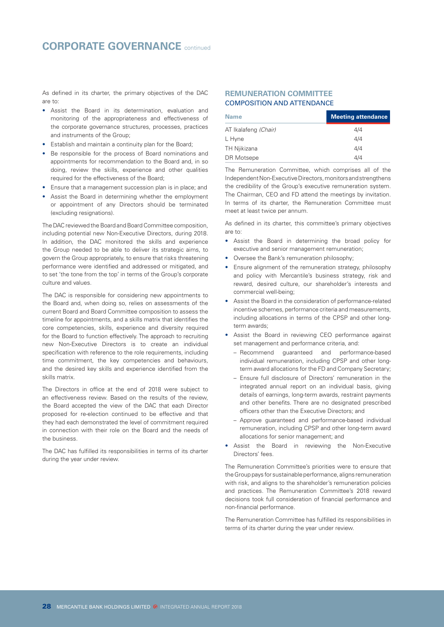As defined in its charter, the primary objectives of the DAC are to:

- Assist the Board in its determination, evaluation and monitoring of the appropriateness and effectiveness of the corporate governance structures, processes, practices and instruments of the Group;
- Establish and maintain a continuity plan for the Board;
- Be responsible for the process of Board nominations and appointments for recommendation to the Board and, in so doing, review the skills, experience and other qualities required for the effectiveness of the Board;
- Ensure that a management succession plan is in place; and
- Assist the Board in determining whether the employment or appointment of any Directors should be terminated (excluding resignations).

The DAC reviewed the Board and Board Committee composition, including potential new Non-Executive Directors, during 2018. In addition, the DAC monitored the skills and experience the Group needed to be able to deliver its strategic aims, to govern the Group appropriately, to ensure that risks threatening performance were identified and addressed or mitigated, and to set 'the tone from the top' in terms of the Group's corporate culture and values.

The DAC is responsible for considering new appointments to the Board and, when doing so, relies on assessments of the current Board and Board Committee composition to assess the timeline for appointments, and a skills matrix that identifies the core competencies, skills, experience and diversity required for the Board to function effectively. The approach to recruiting new Non-Executive Directors is to create an individual specification with reference to the role requirements, including time commitment, the key competencies and behaviours, and the desired key skills and experience identified from the skills matrix.

The Directors in office at the end of 2018 were subject to an effectiveness review. Based on the results of the review, the Board accepted the view of the DAC that each Director proposed for re-election continued to be effective and that they had each demonstrated the level of commitment required in connection with their role on the Board and the needs of the business.

The DAC has fulfilled its responsibilities in terms of its charter during the year under review.

#### **REMUNERATION COMMITTEE** COMPOSITION AND ATTENDANCE

| <b>Name</b>          | <b>Meeting attendance</b> |
|----------------------|---------------------------|
| AT Ikalafeng (Chair) | 4/4                       |
| L Hyne               | 4/4                       |
| TH Njikizana         | 4/4                       |
| DR Motsepe           | 4/4                       |

The Remuneration Committee, which comprises all of the Independent Non-Executive Directors, monitors and strengthens the credibility of the Group's executive remuneration system. The Chairman, CEO and FD attend the meetings by invitation. In terms of its charter, the Remuneration Committee must meet at least twice per annum.

As defined in its charter, this committee's primary objectives are to:

- Assist the Board in determining the broad policy for executive and senior management remuneration;
- Oversee the Bank's remuneration philosophy;
- Ensure alignment of the remuneration strategy, philosophy and policy with Mercantile's business strategy, risk and reward, desired culture, our shareholder's interests and commercial well-being;
- Assist the Board in the consideration of performance-related incentive schemes, performance criteria and measurements, including allocations in terms of the CPSP and other longterm awards;
- Assist the Board in reviewing CEO performance against set management and performance criteria, and:
	- Recommend guaranteed and performance-based individual remuneration, including CPSP and other longterm award allocations for the FD and Company Secretary;
	- Ensure full disclosure of Directors' remuneration in the integrated annual report on an individual basis, giving details of earnings, long-term awards, restraint payments and other benefits. There are no designated prescribed officers other than the Executive Directors; and
	- Approve guaranteed and performance-based individual remuneration, including CPSP and other long-term award allocations for senior management; and
- Assist the Board in reviewing the Non-Executive Directors' fees.

The Remuneration Committee's priorities were to ensure that the Group pays for sustainable performance, aligns remuneration with risk, and aligns to the shareholder's remuneration policies and practices. The Remuneration Committee's 2018 reward decisions took full consideration of financial performance and non-financial performance.

The Remuneration Committee has fulfilled its responsibilities in terms of its charter during the year under review.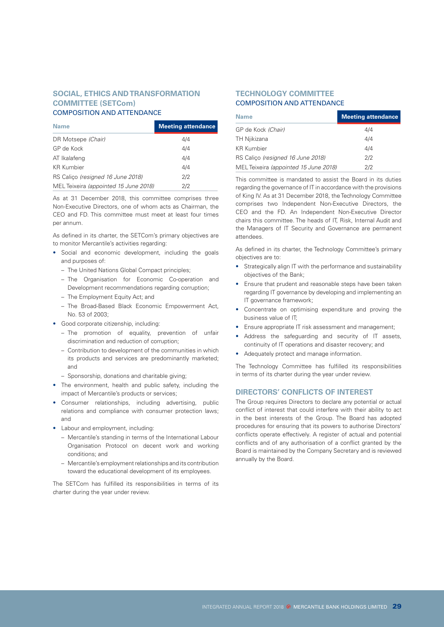#### **SOCIAL, ETHICS AND TRANSFORMATION COMMITTEE (SETCom)** COMPOSITION AND ATTENDANCE

| <b>Name</b>                           | <b>Meeting attendance</b> |
|---------------------------------------|---------------------------|
| DR Motsepe (Chair)                    | 4/4                       |
| GP de Kock                            | 4/4                       |
| AT Ikalafeng                          | 4/4                       |
| <b>KR Kumbier</b>                     | 4/4                       |
| RS Calico (resigned 16 June 2018)     | 2/2                       |
| MEL Teixeira (appointed 15 June 2018) | 2/2                       |

As at 31 December 2018, this committee comprises three Non-Executive Directors, one of whom acts as Chairman, the CEO and FD. This committee must meet at least four times per annum.

As defined in its charter, the SETCom's primary objectives are to monitor Mercantile's activities regarding:

- Social and economic development, including the goals and purposes of:
	- The United Nations Global Compact principles;
	- The Organisation for Economic Co-operation and Development recommendations regarding corruption;
	- The Employment Equity Act; and
	- The Broad-Based Black Economic Empowerment Act, No. 53 of 2003;
- Good corporate citizenship, including:
	- The promotion of equality, prevention of unfair discrimination and reduction of corruption;
	- Contribution to development of the communities in which its products and services are predominantly marketed; and
	- Sponsorship, donations and charitable giving;
- The environment, health and public safety, including the impact of Mercantile's products or services;
- Consumer relationships, including advertising, public relations and compliance with consumer protection laws; and
- Labour and employment, including:
	- Mercantile's standing in terms of the International Labour Organisation Protocol on decent work and working conditions; and
	- Mercantile's employment relationships and its contribution toward the educational development of its employees.

The SETCom has fulfilled its responsibilities in terms of its charter during the year under review.

### **TECHNOLOGY COMMITTEE** COMPOSITION AND ATTENDANCE

| <b>Name</b>                           | <b>Meeting attendance</b> |
|---------------------------------------|---------------------------|
| GP de Kock (Chair)                    | 4/4                       |
| TH Njikizana                          | 4/4                       |
| <b>KR Kumbier</b>                     | 4/4                       |
| RS Calico (resigned 16 June 2018)     | 2/2                       |
| MEL Teixeira (appointed 15 June 2018) | 2/2                       |

This committee is mandated to assist the Board in its duties regarding the governance of IT in accordance with the provisions of King IV. As at 31 December 2018, the Technology Committee comprises two Independent Non-Executive Directors, the CEO and the FD. An Independent Non-Executive Director chairs this committee. The heads of IT, Risk, Internal Audit and the Managers of IT Security and Governance are permanent attendees.

As defined in its charter, the Technology Committee's primary objectives are to:

- Strategically align IT with the performance and sustainability objectives of the Bank;
- Ensure that prudent and reasonable steps have been taken regarding IT governance by developing and implementing an IT governance framework;
- Concentrate on optimising expenditure and proving the business value of IT;
- Ensure appropriate IT risk assessment and management;
- Address the safeguarding and security of IT assets, continuity of IT operations and disaster recovery; and
- Adequately protect and manage information.

The Technology Committee has fulfilled its responsibilities in terms of its charter during the year under review.

#### **DIRECTORS' CONFLICTS OF INTEREST**

The Group requires Directors to declare any potential or actual conflict of interest that could interfere with their ability to act in the best interests of the Group. The Board has adopted procedures for ensuring that its powers to authorise Directors' conflicts operate effectively. A register of actual and potential conflicts and of any authorisation of a conflict granted by the Board is maintained by the Company Secretary and is reviewed annually by the Board.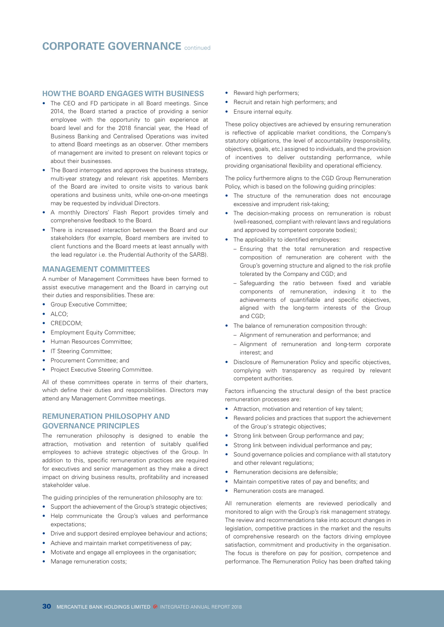### **HOW THE BOARD ENGAGES WITH BUSINESS**

- The CEO and FD participate in all Board meetings. Since 2014, the Board started a practice of providing a senior employee with the opportunity to gain experience at board level and for the 2018 financial year, the Head of Business Banking and Centralised Operations was invited to attend Board meetings as an observer. Other members of management are invited to present on relevant topics or about their businesses.
- The Board interrogates and approves the business strategy, multi-year strategy and relevant risk appetites. Members of the Board are invited to onsite visits to various bank operations and business units, while one-on-one meetings may be requested by individual Directors.
- A monthly Directors' Flash Report provides timely and comprehensive feedback to the Board.
- There is increased interaction between the Board and our stakeholders (for example, Board members are invited to client functions and the Board meets at least annually with the lead regulator i.e. the Prudential Authority of the SARB).

#### **MANAGEMENT COMMITTEES**

A number of Management Committees have been formed to assist executive management and the Board in carrying out their duties and responsibilities. These are:

- Group Executive Committee;
- $\bullet$  ALCO;
- CREDCOM;
- Employment Equity Committee:
- Human Resources Committee;
- IT Steering Committee;
- Procurement Committee; and
- Project Executive Steering Committee.

All of these committees operate in terms of their charters, which define their duties and responsibilities. Directors may attend any Management Committee meetings.

#### **REMUNERATION PHILOSOPHY AND GOVERNANCE PRINCIPLES**

The remuneration philosophy is designed to enable the attraction, motivation and retention of suitably qualified employees to achieve strategic objectives of the Group. In addition to this, specific remuneration practices are required for executives and senior management as they make a direct impact on driving business results, profitability and increased stakeholder value.

The guiding principles of the remuneration philosophy are to:

- Support the achievement of the Group's strategic objectives; • Help communicate the Group's values and performance expectations;
- Drive and support desired employee behaviour and actions;
- Achieve and maintain market competitiveness of pay;
- Motivate and engage all employees in the organisation;
- Manage remuneration costs;
- Reward high performers;
- Recruit and retain high performers; and
- Ensure internal equity.

These policy objectives are achieved by ensuring remuneration is reflective of applicable market conditions, the Company's statutory obligations, the level of accountability (responsibility, objectives, goals, etc.) assigned to individuals, and the provision of incentives to deliver outstanding performance, while providing organisational flexibility and operational efficiency.

The policy furthermore aligns to the CGD Group Remuneration Policy, which is based on the following guiding principles:

- The structure of the remuneration does not encourage excessive and imprudent risk-taking;
- The decision-making process on remuneration is robust (well-reasoned, compliant with relevant laws and regulations and approved by competent corporate bodies);
- The applicability to identified employees:
	- Ensuring that the total remuneration and respective composition of remuneration are coherent with the Group's governing structure and aligned to the risk profile tolerated by the Company and CGD; and
	- Safeguarding the ratio between fixed and variable components of remuneration, indexing it to the achievements of quantifiable and specific objectives, aligned with the long-term interests of the Group and CGD;
- The balance of remuneration composition through:
	- Alignment of remuneration and performance; and
	- Alignment of remuneration and long-term corporate interest; and
- Disclosure of Remuneration Policy and specific objectives, complying with transparency as required by relevant competent authorities.

Factors influencing the structural design of the best practice remuneration processes are:

- Attraction, motivation and retention of key talent;
- Reward policies and practices that support the achievement of the Group's strategic objectives;
- Strong link between Group performance and pay;
- Strong link between individual performance and pay;
- Sound governance policies and compliance with all statutory and other relevant regulations;
- Remuneration decisions are defensible;
- Maintain competitive rates of pay and benefits; and
- Remuneration costs are managed.

All remuneration elements are reviewed periodically and monitored to align with the Group's risk management strategy. The review and recommendations take into account changes in legislation, competitive practices in the market and the results of comprehensive research on the factors driving employee satisfaction, commitment and productivity in the organisation. The focus is therefore on pay for position, competence and performance. The Remuneration Policy has been drafted taking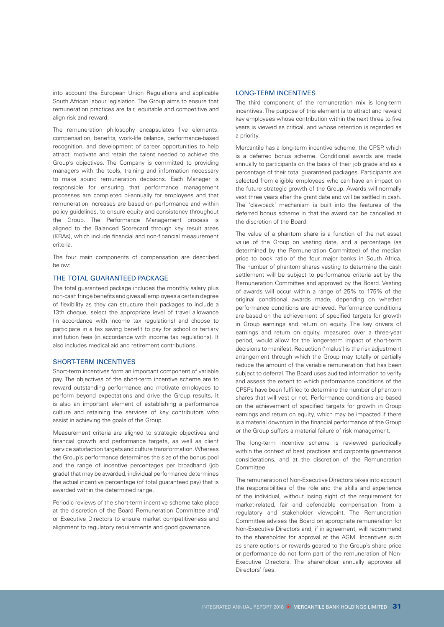into account the European Union Regulations and applicable South African labour legislation. The Group aims to ensure that remuneration practices are fair, equitable and competitive and align risk and reward.

The remuneration philosophy encapsulates five elements: compensation, benefits, work-life balance, performance-based recognition, and development of career opportunities to help attract, motivate and retain the talent needed to achieve the Group's objectives. The Company is committed to providing managers with the tools, training and information necessary to make sound remuneration decisions. Each Manager is responsible for ensuring that performance management processes are completed bi-annually for employees and that remuneration increases are based on performance and within policy guidelines, to ensure equity and consistency throughout the Group. The Performance Management process is aligned to the Balanced Scorecard through key result areas (KRAs), which include financial and non-financial measurement criteria.

The four main components of compensation are described below:

#### THE TOTAL GUARANTEED PACKAGE

The total guaranteed package includes the monthly salary plus non-cash fringe benefits and gives all employees a certain degree of flexibility as they can structure their packages to include a 13th cheque, select the appropriate level of travel allowance (in accordance with income tax regulations) and choose to participate in a tax saving benefit to pay for school or tertiary institution fees (in accordance with income tax regulations). It also includes medical aid and retirement contributions.

#### SHORT-TERM INCENTIVES

Short-term incentives form an important component of variable pay. The objectives of the short-term incentive scheme are to reward outstanding performance and motivate employees to perform beyond expectations and drive the Group results. It is also an important element of establishing a performance culture and retaining the services of key contributors who assist in achieving the goals of the Group.

Measurement criteria are aligned to strategic objectives and financial growth and performance targets, as well as client service satisfaction targets and culture transformation. Whereas the Group's performance determines the size of the bonus pool and the range of incentive percentages per broadband (job grade) that may be awarded, individual performance determines the actual incentive percentage (of total guaranteed pay) that is awarded within the determined range.

Periodic reviews of the short-term incentive scheme take place at the discretion of the Board Remuneration Committee and/ or Executive Directors to ensure market competitiveness and alignment to regulatory requirements and good governance.

#### LONG-TERM INCENTIVES

The third component of the remuneration mix is long-term incentives. The purpose of this element is to attract and reward key employees whose contribution within the next three to five years is viewed as critical, and whose retention is regarded as a priority.

Mercantile has a long-term incentive scheme, the CPSP, which is a deferred bonus scheme. Conditional awards are made annually to participants on the basis of their job grade and as a percentage of their total guaranteed packages. Participants are selected from eligible employees who can have an impact on the future strategic growth of the Group. Awards will normally vest three years after the grant date and will be settled in cash. The 'clawback' mechanism is built into the features of the deferred bonus scheme in that the award can be cancelled at the discretion of the Board.

The value of a phantom share is a function of the net asset value of the Group on vesting date, and a percentage (as determined by the Remuneration Committee) of the median price to book ratio of the four major banks in South Africa. The number of phantom shares vesting to determine the cash settlement will be subject to performance criteria set by the Remuneration Committee and approved by the Board. Vesting of awards will occur within a range of 25% to 175% of the original conditional awards made, depending on whether performance conditions are achieved. Performance conditions are based on the achievement of specified targets for growth in Group earnings and return on equity. The key drivers of earnings and return on equity, measured over a three-year period, would allow for the longer-term impact of short-term decisions to manifest. Reduction ('malus') is the risk adjustment arrangement through which the Group may totally or partially reduce the amount of the variable remuneration that has been subject to deferral. The Board uses audited information to verify and assess the extent to which performance conditions of the CPSPs have been fulfilled to determine the number of phantom shares that will vest or not. Performance conditions are based on the achievement of specified targets for growth in Group earnings and return on equity, which may be impacted if there is a material downturn in the financial performance of the Group or the Group suffers a material failure of risk management.

The long-term incentive scheme is reviewed periodically within the context of best practices and corporate governance considerations, and at the discretion of the Remuneration Committee.

The remuneration of Non-Executive Directors takes into account the responsibilities of the role and the skills and experience of the individual, without losing sight of the requirement for market-related, fair and defendable compensation from a regulatory and stakeholder viewpoint. The Remuneration Committee advises the Board on appropriate remuneration for Non-Executive Directors and, if in agreement, will recommend to the shareholder for approval at the AGM. Incentives such as share options or rewards geared to the Group's share price or performance do not form part of the remuneration of Non-Executive Directors. The shareholder annually approves all Directors' fees.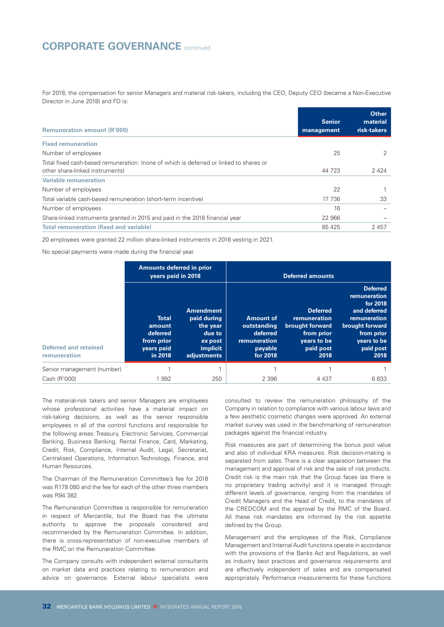## **CORPORATE GOVERNANCE** continued

For 2018, the compensation for senior Managers and material risk-takers, including the CEO, Deputy CEO (became a Non-Executive Director in June 2018) and FD is:

| <b>Remuneration amount (R'000)</b>                                                     | <b>Senior</b><br>management | <b>Other</b><br>material<br>risk-takers |
|----------------------------------------------------------------------------------------|-----------------------------|-----------------------------------------|
| <b>Fixed remuneration</b>                                                              |                             |                                         |
| Number of employees                                                                    | 25                          |                                         |
| Total fixed cash-based remuneration: (none of which is deferred or linked to shares or |                             |                                         |
| other share-linked instruments)                                                        | 44 723                      | 2424                                    |
| <b>Variable remuneration</b>                                                           |                             |                                         |
| Number of employees                                                                    | 22                          |                                         |
| Total variable cash-based remuneration (short-term incentive)                          | 17 736                      | 33                                      |
| Number of employees                                                                    | 16                          |                                         |
| Share-linked instruments granted in 2015 and paid in the 2018 financial year           | 22 966                      |                                         |
| <b>Total remuneration (fixed and variable)</b>                                         | 85 4 25                     | 2457                                    |

20 employees were granted 22 million share-linked instruments in 2018 vesting in 2021.

No special payments were made during the financial year.

|                                              | <b>Amounts deferred in prior</b><br>vears paid in 2018                    |                                                                                             | <b>Deferred amounts</b>                                                            |                                                                                                      |                                                                                                                                                  |  |  |
|----------------------------------------------|---------------------------------------------------------------------------|---------------------------------------------------------------------------------------------|------------------------------------------------------------------------------------|------------------------------------------------------------------------------------------------------|--------------------------------------------------------------------------------------------------------------------------------------------------|--|--|
| <b>Deferred and retained</b><br>remuneration | <b>Total</b><br>amount<br>deferred<br>from prior<br>years paid<br>in 2018 | <b>Amendment</b><br>paid during<br>the year<br>due to<br>ex post<br>implicit<br>adjustments | <b>Amount of</b><br>outstanding<br>deferred<br>remuneration<br>payable<br>for 2018 | <b>Deferred</b><br>remuneration<br>brought forward<br>from prior<br>years to be<br>paid post<br>2018 | <b>Deferred</b><br>remuneration<br>for 2018<br>and deferred<br>remuneration<br>brought forward<br>from prior<br>years to be<br>paid post<br>2018 |  |  |
| Senior management (number)                   |                                                                           |                                                                                             |                                                                                    |                                                                                                      |                                                                                                                                                  |  |  |
| Cash (R'000)                                 | 1992                                                                      | 250                                                                                         | 2 3 9 6                                                                            | 4 4 3 7                                                                                              | 6833                                                                                                                                             |  |  |

The material-risk takers and senior Managers are employees whose professional activities have a material impact on risk-taking decisions, as well as the senior responsible employees in all of the control functions and responsible for the following areas: Treasury, Electronic Services, Commercial Banking, Business Banking, Rental Finance, Card, Marketing, Credit, Risk, Compliance, Internal Audit, Legal, Secretariat, Centralised Operations, Information Technology, Finance, and Human Resources.

The Chairman of the Remuneration Committee's fee for 2018 was R178 080 and the fee for each of the other three members was R94 382.

The Remuneration Committee is responsible for remuneration in respect of Mercantile, but the Board has the ultimate authority to approve the proposals considered and recommended by the Remuneration Committee. In addition, there is cross-representation of non-executive members of the RMC on the Remuneration Committee.

The Company consults with independent external consultants on market data and practices relating to remuneration and advice on governance. External labour specialists were

consulted to review the remuneration philosophy of the Company in relation to compliance with various labour laws and a few aesthetic cosmetic changes were approved. An external market survey was used in the benchmarking of remuneration packages against the financial industry.

Risk measures are part of determining the bonus pool value and also of individual KRA measures. Risk decision-making is separated from sales. There is a clear separation between the management and approval of risk and the sale of risk products. Credit risk is the main risk that the Group faces (as there is no proprietary trading activity) and it is managed through different levels of governance, ranging from the mandates of Credit Managers and the Head of Credit, to the mandates of the CREDCOM and the approval by the RMC of the Board. All these risk mandates are informed by the risk appetite defined by the Group.

Management and the employees of the Risk, Compliance Management and Internal Audit functions operate in accordance with the provisions of the Banks Act and Regulations, as well as industry best practices and governance requirements and are effectively independent of sales and are compensated appropriately. Performance measurements for these functions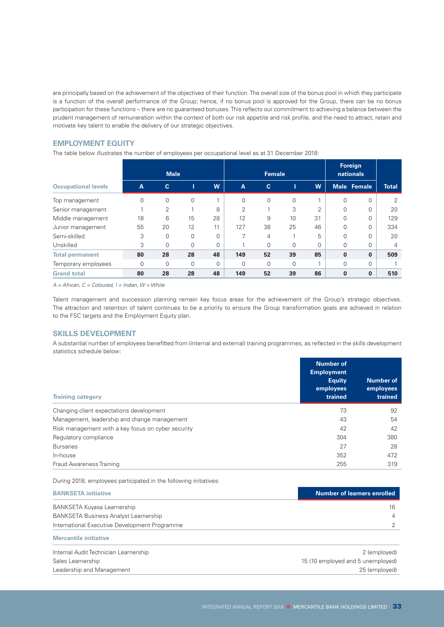are principally based on the achievement of the objectives of their function. The overall size of the bonus pool in which they participate is a function of the overall performance of the Group; hence, if no bonus pool is approved for the Group, there can be no bonus participation for these functions – there are no guaranteed bonuses. This reflects our commitment to achieving a balance between the prudent management of remuneration within the context of both our risk appetite and risk profile, and the need to attract, retain and motivate key talent to enable the delivery of our strategic objectives.

#### **EMPLOYMENT EQUITY**

The table below illustrates the number of employees per occupational level as at 31 December 2018:

|                            |                | <b>Male</b>  |          |          | <b>Female</b>  |              |          | Foreign<br>nationals |          |                    |                |
|----------------------------|----------------|--------------|----------|----------|----------------|--------------|----------|----------------------|----------|--------------------|----------------|
| <b>Occupational levels</b> | $\overline{A}$ | $\mathbf{c}$ | Ш        | W        | $\overline{A}$ | $\mathbf{C}$ |          | W                    |          | <b>Male Female</b> | <b>Total</b>   |
| Top management             | $\Omega$       | 0            | 0        |          | 0              | 0            | $\Omega$ |                      | $\Omega$ | 0                  | 2              |
| Senior management          |                | 2            |          | 8        | っ              |              | 3        | ↷                    | $\Omega$ | 0                  | 20             |
| Middle management          | 18             | 6            | 15       | 28       | 12             | 9            | 10       | 31                   | $\Omega$ | 0                  | 129            |
| Junior management          | 55             | 20           | 12       | 11       | 127            | 38           | 25       | 46                   | $\Omega$ | 0                  | 334            |
| Semi-skilled               | 3              | 0            | 0        | $\Omega$ |                | 4            |          | 5                    | $\Omega$ | 0                  | 20             |
| Unskilled                  | 3              | $\Omega$     | $\Omega$ | $\Omega$ |                | $\Omega$     | $\Omega$ | $\Omega$             | $\Omega$ | 0                  | $\overline{4}$ |
| <b>Total permanent</b>     | 80             | 28           | 28       | 48       | 149            | 52           | 39       | 85                   | $\bf{0}$ | $\bf{0}$           | 509            |
| Temporary employees        | $\Omega$       | $\Omega$     | 0        | $\Omega$ | $\Omega$       | $\Omega$     | $\Omega$ |                      | $\Omega$ | 0                  |                |
| <b>Grand total</b>         | 80             | 28           | 28       | 48       | 149            | 52           | 39       | 86                   | $\bf{0}$ | $\bf{0}$           | 510            |

*A = African, C = Coloured, I = Indian, W = White*

Talent management and succession planning remain key focus areas for the achievement of the Group's strategic objectives. The attraction and retention of talent continues to be a priority to ensure the Group transformation goals are achieved in relation to the FSC targets and the Employment Equity plan.

#### **SKILLS DEVELOPMENT**

A substantial number of employees benefitted from (internal and external) training programmes, as reflected in the skills development statistics schedule below:

| <b>Training category</b>                           | <b>Number of</b><br><b>Employment</b><br><b>Equity</b><br>employees<br>trained | <b>Number of</b><br>employees<br>trained |
|----------------------------------------------------|--------------------------------------------------------------------------------|------------------------------------------|
| Changing client expectations development           | 73                                                                             | 92                                       |
| Management, leadership and change management       | 43                                                                             | 54                                       |
| Risk management with a key focus on cyber security | 42                                                                             | 42                                       |
| Regulatory compliance                              | 304                                                                            | 380                                      |
| <b>Bursaries</b>                                   | 27                                                                             | 28                                       |
| In-house                                           | 352                                                                            | 472                                      |
| Fraud Awareness Training                           | 255                                                                            | 319                                      |

During 2018, employees participated in the following initiatives:

| <b>BANKSETA initiative</b>                    | <b>Number of learners enrolled</b> |
|-----------------------------------------------|------------------------------------|
| BANKSETA Kuyasa Learnership                   | 16                                 |
| <b>BANKSETA Business Analyst Learnership</b>  | 4                                  |
| International Executive Development Programme |                                    |
| <b>Mercantile initiative</b>                  |                                    |
| Internal Audit Technician Learnership         | 2 (employed)                       |
| Sales Learnership                             | 15 (10 employed and 5 unemployed)  |

Leadership and Management 25 (employed)

INTEGRATED ANNUAL REPORT 2018 @ MERCANTILE BANK HOLDINGS LIMITED 33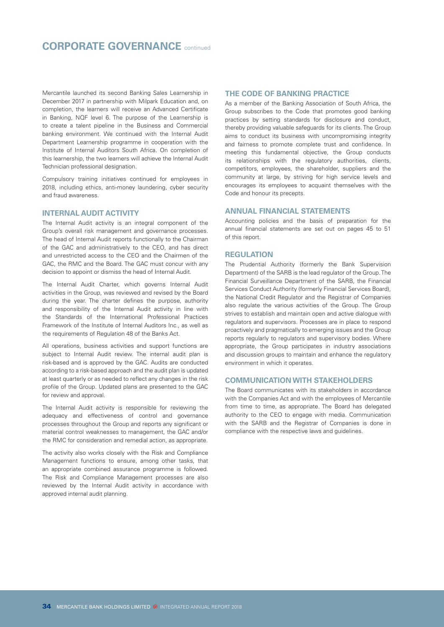Mercantile launched its second Banking Sales Learnership in December 2017 in partnership with Milpark Education and, on completion, the learners will receive an Advanced Certificate in Banking, NQF level 6. The purpose of the Learnership is to create a talent pipeline in the Business and Commercial banking environment. We continued with the Internal Audit Department Learnership programme in cooperation with the Institute of Internal Auditors South Africa. On completion of this learnership, the two learners will achieve the Internal Audit Technician professional designation.

Compulsory training initiatives continued for employees in 2018, including ethics, anti-money laundering, cyber security and fraud awareness.

#### **INTERNAL AUDIT ACTIVITY**

The Internal Audit activity is an integral component of the Group's overall risk management and governance processes. The head of Internal Audit reports functionally to the Chairman of the GAC and administratively to the CEO, and has direct and unrestricted access to the CEO and the Chairmen of the GAC, the RMC and the Board. The GAC must concur with any decision to appoint or dismiss the head of Internal Audit.

The Internal Audit Charter, which governs Internal Audit activities in the Group, was reviewed and revised by the Board during the year. The charter defines the purpose, authority and responsibility of the Internal Audit activity in line with the Standards of the International Professional Practices Framework of the Institute of Internal Auditors Inc., as well as the requirements of Regulation 48 of the Banks Act.

All operations, business activities and support functions are subject to Internal Audit review. The internal audit plan is risk-based and is approved by the GAC. Audits are conducted according to a risk-based approach and the audit plan is updated at least quarterly or as needed to reflect any changes in the risk profile of the Group. Updated plans are presented to the GAC for review and approval.

The Internal Audit activity is responsible for reviewing the adequacy and effectiveness of control and governance processes throughout the Group and reports any significant or material control weaknesses to management, the GAC and/or the RMC for consideration and remedial action, as appropriate.

The activity also works closely with the Risk and Compliance Management functions to ensure, among other tasks, that an appropriate combined assurance programme is followed. The Risk and Compliance Management processes are also reviewed by the Internal Audit activity in accordance with approved internal audit planning.

#### **THE CODE OF BANKING PRACTICE**

As a member of the Banking Association of South Africa, the Group subscribes to the Code that promotes good banking practices by setting standards for disclosure and conduct, thereby providing valuable safeguards for its clients. The Group aims to conduct its business with uncompromising integrity and fairness to promote complete trust and confidence. In meeting this fundamental objective, the Group conducts its relationships with the regulatory authorities, clients, competitors, employees, the shareholder, suppliers and the community at large, by striving for high service levels and encourages its employees to acquaint themselves with the Code and honour its precepts.

#### **ANNUAL FINANCIAL STATEMENTS**

Accounting policies and the basis of preparation for the annual financial statements are set out on pages 45 to 51 of this report.

#### **REGULATION**

The Prudential Authority (formerly the Bank Supervision Department) of the SARB is the lead regulator of the Group. The Financial Surveillance Department of the SARB, the Financial Services Conduct Authority (formerly Financial Services Board), the National Credit Regulator and the Registrar of Companies also regulate the various activities of the Group. The Group strives to establish and maintain open and active dialogue with regulators and supervisors. Processes are in place to respond proactively and pragmatically to emerging issues and the Group reports regularly to regulators and supervisory bodies. Where appropriate, the Group participates in industry associations and discussion groups to maintain and enhance the regulatory environment in which it operates.

#### **COMMUNICATION WITH STAKEHOLDERS**

The Board communicates with its stakeholders in accordance with the Companies Act and with the employees of Mercantile from time to time, as appropriate. The Board has delegated authority to the CEO to engage with media. Communication with the SARB and the Registrar of Companies is done in compliance with the respective laws and guidelines.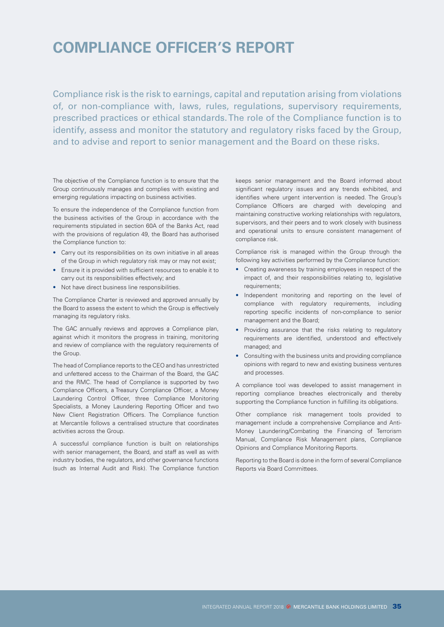## **COMPLIANCE OFFICER'S REPORT**

Compliance risk is the risk to earnings, capital and reputation arising from violations of, or non-compliance with, laws, rules, regulations, supervisory requirements, prescribed practices or ethical standards. The role of the Compliance function is to identify, assess and monitor the statutory and regulatory risks faced by the Group, and to advise and report to senior management and the Board on these risks.

The objective of the Compliance function is to ensure that the Group continuously manages and complies with existing and emerging regulations impacting on business activities.

To ensure the independence of the Compliance function from the business activities of the Group in accordance with the requirements stipulated in section 60A of the Banks Act, read with the provisions of regulation 49, the Board has authorised the Compliance function to:

- Carry out its responsibilities on its own initiative in all areas of the Group in which regulatory risk may or may not exist;
- Ensure it is provided with sufficient resources to enable it to carry out its responsibilities effectively; and
- Not have direct business line responsibilities.

The Compliance Charter is reviewed and approved annually by the Board to assess the extent to which the Group is effectively managing its regulatory risks.

The GAC annually reviews and approves a Compliance plan, against which it monitors the progress in training, monitoring and review of compliance with the regulatory requirements of the Group.

The head of Compliance reports to the CEO and has unrestricted and unfettered access to the Chairman of the Board, the GAC and the RMC. The head of Compliance is supported by two Compliance Officers, a Treasury Compliance Officer, a Money Laundering Control Officer, three Compliance Monitoring Specialists, a Money Laundering Reporting Officer and two New Client Registration Officers. The Compliance function at Mercantile follows a centralised structure that coordinates activities across the Group.

A successful compliance function is built on relationships with senior management, the Board, and staff as well as with industry bodies, the regulators, and other governance functions (such as Internal Audit and Risk). The Compliance function keeps senior management and the Board informed about significant regulatory issues and any trends exhibited, and identifies where urgent intervention is needed. The Group's Compliance Officers are charged with developing and maintaining constructive working relationships with regulators, supervisors, and their peers and to work closely with business and operational units to ensure consistent management of compliance risk.

Compliance risk is managed within the Group through the following key activities performed by the Compliance function:

- Creating awareness by training employees in respect of the impact of, and their responsibilities relating to, legislative requirements;
- Independent monitoring and reporting on the level of compliance with regulatory requirements, including reporting specific incidents of non-compliance to senior management and the Board;
- Providing assurance that the risks relating to regulatory requirements are identified, understood and effectively managed; and
- Consulting with the business units and providing compliance opinions with regard to new and existing business ventures and processes.

A compliance tool was developed to assist management in reporting compliance breaches electronically and thereby supporting the Compliance function in fulfilling its obligations.

Other compliance risk management tools provided to management include a comprehensive Compliance and Anti-Money Laundering/Combating the Financing of Terrorism Manual, Compliance Risk Management plans, Compliance Opinions and Compliance Monitoring Reports.

Reporting to the Board is done in the form of several Compliance Reports via Board Committees.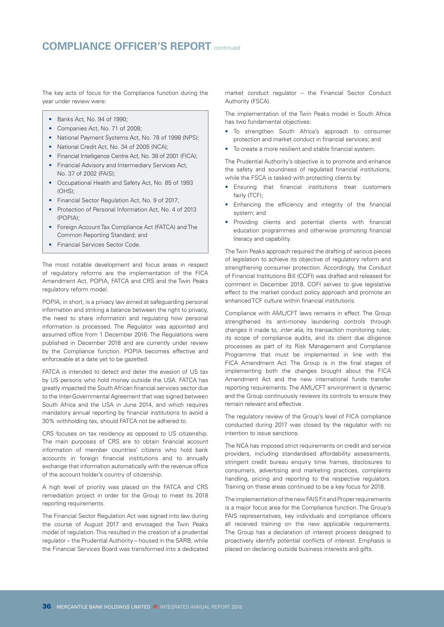### **COMPLIANCE OFFICER'S REPORT** continued

The key acts of focus for the Compliance function during the year under review were:

- Banks Act, No. 94 of 1990;
- Companies Act, No. 71 of 2008;
- National Payment Systems Act, No. 78 of 1998 (NPS);
- National Credit Act, No. 34 of 2005 (NCA);
- Financial Intelligence Centre Act, No. 38 of 2001 (FICA);
- Financial Advisory and Intermediary Services Act, No. 37 of 2002 (FAIS);
- Occupational Health and Safety Act, No. 85 of 1993  $(OHS)$
- Financial Sector Regulation Act, No. 9 of 2017;
- Protection of Personal Information Act, No. 4 of 2013 (POPIA);
- Foreign Account Tax Compliance Act (FATCA) and The Common Reporting Standard; and
- Financial Services Sector Code.

The most notable development and focus areas in respect of regulatory reforms are the implementation of the FICA Amendment Act, POPIA, FATCA and CRS and the Twin Peaks regulatory reform model.

POPIA, in short, is a privacy law aimed at safeguarding personal information and striking a balance between the right to privacy, the need to share information and regulating how personal information is processed. The Regulator was appointed and assumed office from 1 December 2016. The Regulations were published in December 2018 and are currently under review by the Compliance function. POPIA becomes effective and enforceable at a date yet to be gazetted.

FATCA is intended to detect and deter the evasion of US tax by US persons who hold money outside the USA. FATCA has greatly impacted the South African financial services sector due to the Inter-Governmental Agreement that was signed between South Africa and the USA in June 2014, and which requires mandatory annual reporting by financial institutions to avoid a 30% withholding tax, should FATCA not be adhered to.

CRS focuses on tax residency as opposed to US citizenship. The main purposes of CRS are to obtain financial account information of member countries' citizens who hold bank accounts in foreign financial institutions and to annually exchange that information automatically with the revenue office of the account holder's country of citizenship.

A high level of priority was placed on the FATCA and CRS remediation project in order for the Group to meet its 2018 reporting requirements.

The Financial Sector Regulation Act was signed into law during the course of August 2017 and envisaged the Twin Peaks model of regulation. This resulted in the creation of a prudential regulator – the Prudential Authority – housed in the SARB, while the Financial Services Board was transformed into a dedicated

market conduct regulator – the Financial Sector Conduct Authority (FSCA).

The implementation of the Twin Peaks model in South Africa has two fundamental objectives:

- To strengthen South Africa's approach to consumer protection and market conduct in financial services; and
- To create a more resilient and stable financial system.

The Prudential Authority's objective is to promote and enhance the safety and soundness of regulated financial institutions, while the FSCA is tasked with protecting clients by:

- Ensuring that financial institutions treat customers fairly (TCF);
- Enhancing the efficiency and integrity of the financial system; and
- Providing clients and potential clients with financial education programmes and otherwise promoting financial literacy and capability.

The Twin Peaks approach required the drafting of various pieces of legislation to achieve its objective of regulatory reform and strengthening consumer protection. Accordingly, the Conduct of Financial Institutions Bill (COFI) was drafted and released for comment in December 2018. COFI serves to give legislative effect to the market conduct policy approach and promote an enhanced TCF culture within financial institutions.

Compliance with AML/CFT laws remains in effect. The Group strengthened its anti-money laundering controls through changes it made to, *inter alia*, its transaction monitoring rules, its scope of compliance audits, and its client due diligence processes as part of its Risk Management and Compliance Programme that must be implemented in line with the FICA Amendment Act. The Group is in the final stages of implementing both the changes brought about the FICA Amendment Act and the new international funds transfer reporting requirements. The AML/CFT environment is dynamic and the Group continuously reviews its controls to ensure they remain relevant and effective.

The regulatory review of the Group's level of FICA compliance conducted during 2017 was closed by the regulator with no intention to issue sanctions.

The NCA has imposed strict requirements on credit and service providers, including standardised affordability assessments, stringent credit bureau enquiry time frames, disclosures to consumers, advertising and marketing practices, complaints handling, pricing and reporting to the respective regulators. Training on these areas continued to be a key focus for 2018.

The implementation of the new FAIS Fit and Proper requirements is a major focus area for the Compliance function. The Group's FAIS representatives, key individuals and compliance officers all received training on the new applicable requirements. The Group has a declaration of interest process designed to proactively identify potential conflicts of interest. Emphasis is placed on declaring outside business interests and gifts.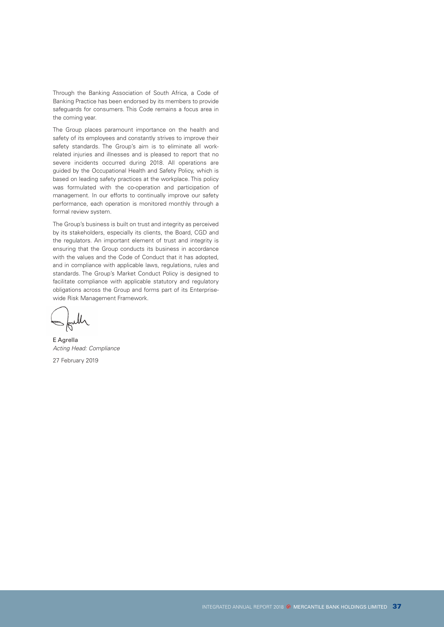Through the Banking Association of South Africa, a Code of Banking Practice has been endorsed by its members to provide safeguards for consumers. This Code remains a focus area in the coming year.

The Group places paramount importance on the health and safety of its employees and constantly strives to improve their safety standards. The Group's aim is to eliminate all workrelated injuries and illnesses and is pleased to report that no severe incidents occurred during 2018. All operations are guided by the Occupational Health and Safety Policy, which is based on leading safety practices at the workplace. This policy was formulated with the co-operation and participation of management. In our efforts to continually improve our safety performance, each operation is monitored monthly through a formal review system.

The Group's business is built on trust and integrity as perceived by its stakeholders, especially its clients, the Board, CGD and the regulators. An important element of trust and integrity is ensuring that the Group conducts its business in accordance with the values and the Code of Conduct that it has adopted, and in compliance with applicable laws, regulations, rules and standards. The Group's Market Conduct Policy is designed to facilitate compliance with applicable statutory and regulatory obligations across the Group and forms part of its Enterprisewide Risk Management Framework.

E Agrella *Acting Head: Compliance*

27 February 2019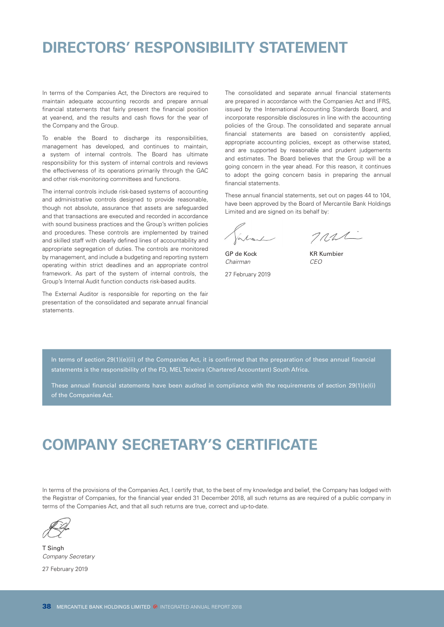## **DIRECTORS' RESPONSIBILITY STATEMENT**

In terms of the Companies Act, the Directors are required to maintain adequate accounting records and prepare annual financial statements that fairly present the financial position at year-end, and the results and cash flows for the year of the Company and the Group.

To enable the Board to discharge its responsibilities, management has developed, and continues to maintain, a system of internal controls. The Board has ultimate responsibility for this system of internal controls and reviews the effectiveness of its operations primarily through the GAC and other risk-monitoring committees and functions.

The internal controls include risk-based systems of accounting and administrative controls designed to provide reasonable, though not absolute, assurance that assets are safeguarded and that transactions are executed and recorded in accordance with sound business practices and the Group's written policies and procedures. These controls are implemented by trained and skilled staff with clearly defined lines of accountability and appropriate segregation of duties. The controls are monitored by management, and include a budgeting and reporting system operating within strict deadlines and an appropriate control framework. As part of the system of internal controls, the Group's Internal Audit function conducts risk-based audits.

The External Auditor is responsible for reporting on the fair presentation of the consolidated and separate annual financial statements.

The consolidated and separate annual financial statements are prepared in accordance with the Companies Act and IFRS, issued by the International Accounting Standards Board, and incorporate responsible disclosures in line with the accounting policies of the Group. The consolidated and separate annual financial statements are based on consistently applied, appropriate accounting policies, except as otherwise stated, and are supported by reasonable and prudent judgements and estimates. The Board believes that the Group will be a going concern in the year ahead. For this reason, it continues to adopt the going concern basis in preparing the annual financial statements.

These annual financial statements, set out on pages 44 to 104, have been approved by the Board of Mercantile Bank Holdings Limited and are signed on its behalf by:

TRUL

GP de Kock KR Kumbier *Chairman CEO*

27 February 2019

In terms of section 29(1)(e)(ii) of the Companies Act, it is confirmed that the preparation of these annual financial statements is the responsibility of the FD, MEL Teixeira (Chartered Accountant) South Africa.

These annual financial statements have been audited in compliance with the requirements of section  $29(1)(e)(i)$ of the Companies Act.

## **COMPANY SECRETARY'S CERTIFICATE**

In terms of the provisions of the Companies Act, I certify that, to the best of my knowledge and belief, the Company has lodged with the Registrar of Companies, for the financial year ended 31 December 2018, all such returns as are required of a public company in terms of the Companies Act, and that all such returns are true, correct and up-to-date.

T Singh *Company Secretary*

27 February 2019

38 MERCANTILE BANK HOLDINGS LIMITED <sup>®</sup> INTEGRATED ANNUAL REPORT 2018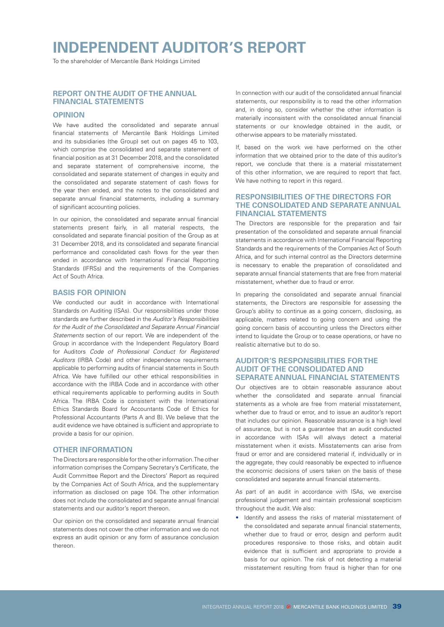# **INDEPENDENT AUDITOR'S REPORT**

To the shareholder of Mercantile Bank Holdings Limited

### **REPORT ON THE AUDIT OF THE ANNUAL FINANCIAL STATEMENTS**

### **OPINION**

We have audited the consolidated and separate annual financial statements of Mercantile Bank Holdings Limited and its subsidiaries (the Group) set out on pages 45 to 103, which comprise the consolidated and separate statement of financial position as at 31 December 2018, and the consolidated and separate statement of comprehensive income, the consolidated and separate statement of changes in equity and the consolidated and separate statement of cash flows for the year then ended, and the notes to the consolidated and separate annual financial statements, including a summary of significant accounting policies.

In our opinion, the consolidated and separate annual financial statements present fairly, in all material respects, the consolidated and separate financial position of the Group as at 31 December 2018, and its consolidated and separate financial performance and consolidated cash flows for the year then ended in accordance with International Financial Reporting Standards (IFRSs) and the requirements of the Companies Act of South Africa.

### **BASIS FOR OPINION**

We conducted our audit in accordance with International Standards on Auditing (ISAs). Our responsibilities under those standards are further described in the *Auditor's Responsibilities for the Audit of the Consolidated and Separate Annual Financial Statements* section of our report. We are independent of the Group in accordance with the Independent Regulatory Board for Auditors *Code of Professional Conduct for Registered Auditors* (IRBA Code) and other independence requirements applicable to performing audits of financial statements in South Africa. We have fulfilled our other ethical responsibilities in accordance with the IRBA Code and in accordance with other ethical requirements applicable to performing audits in South Africa. The IRBA Code is consistent with the International Ethics Standards Board for Accountants Code of Ethics for Professional Accountants (Parts A and B). We believe that the audit evidence we have obtained is sufficient and appropriate to provide a basis for our opinion.

### **OTHER INFORMATION**

The Directors are responsible for the other information. The other information comprises the Company Secretary's Certificate, the Audit Committee Report and the Directors' Report as required by the Companies Act of South Africa, and the supplementary information as disclosed on page 104. The other information does not include the consolidated and separate annual financial statements and our auditor's report thereon.

Our opinion on the consolidated and separate annual financial statements does not cover the other information and we do not express an audit opinion or any form of assurance conclusion thereon.

In connection with our audit of the consolidated annual financial statements, our responsibility is to read the other information and, in doing so, consider whether the other information is materially inconsistent with the consolidated annual financial statements or our knowledge obtained in the audit, or otherwise appears to be materially misstated.

If, based on the work we have performed on the other information that we obtained prior to the date of this auditor's report, we conclude that there is a material misstatement of this other information, we are required to report that fact. We have nothing to report in this regard.

### **RESPONSIBILITIES OF THE DIRECTORS FOR THE CONSOLIDATED AND SEPARATE ANNUAL FINANCIAL STATEMENTS**

The Directors are responsible for the preparation and fair presentation of the consolidated and separate annual financial statements in accordance with International Financial Reporting Standards and the requirements of the Companies Act of South Africa, and for such internal control as the Directors determine is necessary to enable the preparation of consolidated and separate annual financial statements that are free from material misstatement, whether due to fraud or error.

In preparing the consolidated and separate annual financial statements, the Directors are responsible for assessing the Group's ability to continue as a going concern, disclosing, as applicable, matters related to going concern and using the going concern basis of accounting unless the Directors either intend to liquidate the Group or to cease operations, or have no realistic alternative but to do so.

### **AUDITOR'S RESPONSIBILITIES FOR THE AUDIT OF THE CONSOLIDATED AND SEPARATE ANNUAL FINANCIAL STATEMENTS**

Our objectives are to obtain reasonable assurance about whether the consolidated and separate annual financial statements as a whole are free from material misstatement, whether due to fraud or error, and to issue an auditor's report that includes our opinion. Reasonable assurance is a high level of assurance, but is not a guarantee that an audit conducted in accordance with ISAs will always detect a material misstatement when it exists. Misstatements can arise from fraud or error and are considered material if, individually or in the aggregate, they could reasonably be expected to influence the economic decisions of users taken on the basis of these consolidated and separate annual financial statements.

As part of an audit in accordance with ISAs, we exercise professional judgement and maintain professional scepticism throughout the audit. We also:

Identify and assess the risks of material misstatement of the consolidated and separate annual financial statements, whether due to fraud or error, design and perform audit procedures responsive to those risks, and obtain audit evidence that is sufficient and appropriate to provide a basis for our opinion. The risk of not detecting a material misstatement resulting from fraud is higher than for one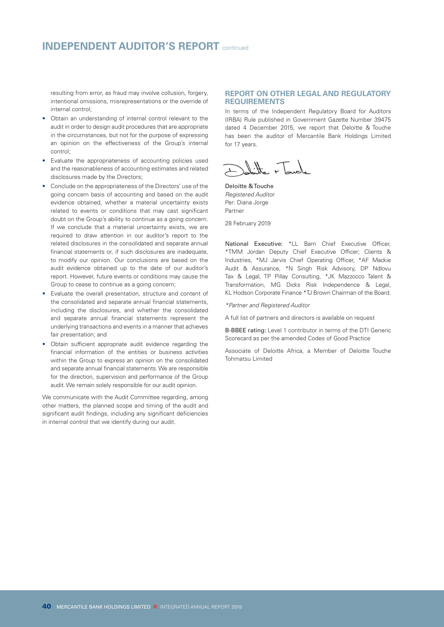### **INDEPENDENT AUDITOR'S REPORT** continued

resulting from error, as fraud may involve collusion, forgery, intentional omissions, misrepresentations or the override of internal control;

- Obtain an understanding of internal control relevant to the audit in order to design audit procedures that are appropriate in the circumstances, but not for the purpose of expressing an opinion on the effectiveness of the Group's internal control;
- Evaluate the appropriateness of accounting policies used and the reasonableness of accounting estimates and related disclosures made by the Directors;
- Conclude on the appropriateness of the Directors' use of the going concern basis of accounting and based on the audit evidence obtained, whether a material uncertainty exists related to events or conditions that may cast significant doubt on the Group's ability to continue as a going concern. If we conclude that a material uncertainty exists, we are required to draw attention in our auditor's report to the related disclosures in the consolidated and separate annual financial statements or, if such disclosures are inadequate, to modify our opinion. Our conclusions are based on the audit evidence obtained up to the date of our auditor's report. However, future events or conditions may cause the Group to cease to continue as a going concern;
- Evaluate the overall presentation, structure and content of the consolidated and separate annual financial statements, including the disclosures, and whether the consolidated and separate annual financial statements represent the underlying transactions and events in a manner that achieves fair presentation; and
- Obtain sufficient appropriate audit evidence regarding the financial information of the entities or business activities within the Group to express an opinion on the consolidated and separate annual financial statements. We are responsible for the direction, supervision and performance of the Group audit. We remain solely responsible for our audit opinion.

We communicate with the Audit Committee regarding, among other matters, the planned scope and timing of the audit and significant audit findings, including any significant deficiencies in internal control that we identify during our audit.

### **REPORT ON OTHER LEGAL AND REGULATORY REQUIREMENTS**

In terms of the Independent Regulatory Board for Auditors (IRBA) Rule published in Government Gazette Number 39475 dated 4 December 2015, we report that Deloitte & Touche has been the auditor of Mercantile Bank Holdings Limited for 17 years.

Deloitte & Touche *Registered Auditor* Per: Diana Jorge Partner

28 February 2019

National Executive: \*LL Bam Chief Executive Officer, \*TMM Jordan Deputy Chief Executive Officer; Clients & Industries, \*MJ Jarvis Chief Operating Officer, \*AF Mackie Audit & Assurance, \*N Singh Risk Advisory, DP Ndlovu Tax & Legal, TP Pillay Consulting, \*JK Mazzocco Talent & Transformation, MG Dicks Risk Independence & Legal, KL Hodson Corporate Finance \*TJ Brown Chairman of the Board.

*\*Partner and Registered Auditor*

A full list of partners and directors is available on request

B-BBEE rating: Level 1 contributor in terms of the DTI Generic Scorecard as per the amended Codes of Good Practice

Associate of Deloitte Africa, a Member of Deloitte Touche Tohmatsu Limited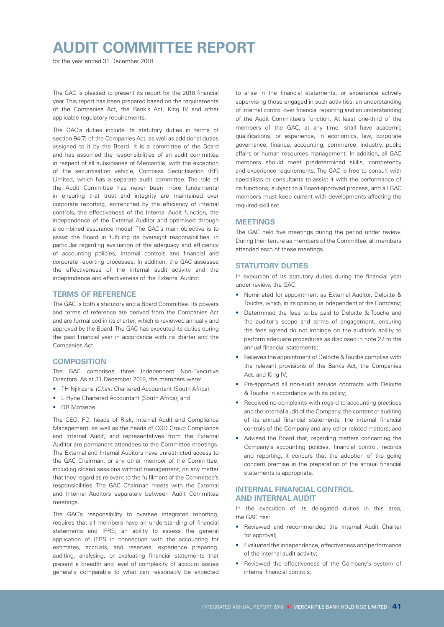## **AUDIT COMMITTEE REPORT**

for the year ended 31 December 2018

The GAC is pleased to present its report for the 2018 financial year. This report has been prepared based on the requirements of the Companies Act, the Bank's Act, King IV and other applicable regulatory requirements.

The GAC's duties include its statutory duties in terms of section 94(7) of the Companies Act, as well as additional duties assigned to it by the Board. It is a committee of the Board and has assumed the responsibilities of an audit committee in respect of all subsidiaries of Mercantile, with the exception of the securitisation vehicle, Compass Securitisation (RF) Limited, which has a separate audit committee. The role of the Audit Committee has never been more fundamental in ensuring that trust and integrity are maintained over corporate reporting, entrenched by the efficiency of internal controls, the effectiveness of the Internal Audit function, the independence of the External Auditor and optimised through a combined assurance model. The GAC's main objective is to assist the Board in fulfilling its oversight responsibilities, in particular regarding evaluation of the adequacy and efficiency of accounting policies, internal controls and financial and corporate reporting processes. In addition, the GAC assesses the effectiveness of the internal audit activity and the independence and effectiveness of the External Auditor.

### **TERMS OF REFERENCE**

The GAC is both a statutory and a Board Committee. Its powers and terms of reference are derived from the Companies Act and are formalised in its charter, which is reviewed annually and approved by the Board. The GAC has executed its duties during the past financial year in accordance with its charter and the Companies Act.

### **COMPOSITION**

The GAC comprises three Independent Non-Executive Directors. As at 31 December 2018, the members were:

- TH Njikizana *(Chair)* Chartered Accountant (South Africa);
- L Hyne Chartered Accountant (South Africa); and
- DR Motsepe.

The CEO, FD, heads of Risk, Internal Audit and Compliance Management, as well as the heads of CGD Group Compliance and Internal Audit, and representatives from the External Auditor are permanent attendees to the Committee meetings. The External and Internal Auditors have unrestricted access to the GAC Chairman, or any other member of the Committee, including closed sessions without management, on any matter that they regard as relevant to the fulfilment of the Committee's responsibilities. The GAC Chairman meets with the External and Internal Auditors separately between Audit Committee meetings.

The GAC's responsibility to oversee integrated reporting, requires that all members have an understanding of financial statements and IFRS; an ability to assess the general application of IFRS in connection with the accounting for estimates, accruals, and reserves; experience preparing, auditing, analysing, or evaluating financial statements that present a breadth and level of complexity of account issues generally comparable to what can reasonably be expected to arise in the financial statements, or experience actively supervising those engaged in such activities; an understanding of internal control over financial reporting and an understanding of the Audit Committee's function. At least one-third of the members of the GAC, at any time, shall have academic qualifications, or experience, in economics, law, corporate governance, finance, accounting, commerce, industry, public affairs or human resources management. In addition, all GAC members should meet predetermined skills, competency and experience requirements. The GAC is free to consult with specialists or consultants to assist it with the performance of its functions, subject to a Board-approved process, and all GAC members must keep current with developments affecting the required skill set.

### **MEETINGS**

The GAC held five meetings during the period under review. During their tenure as members of the Committee, all members attended each of these meetings.

### **STATUTORY DUTIES**

In execution of its statutory duties during the financial year under review, the GAC:

- Nominated for appointment as External Auditor, Deloitte & Touche, which, in its opinion, is independent of the Company;
- Determined the fees to be paid to Deloitte & Touche and the auditor's scope and terms of engagement, ensuring the fees agreed do not impinge on the auditor's ability to perform adequate procedures as disclosed in note 27 to the annual financial statements;
- Believes the appointment of Deloitte & Touche complies with the relevant provisions of the Banks Act, the Companies Act, and King IV;
- Pre-approved all non-audit service contracts with Deloitte & Touche in accordance with its policy;
- Received no complaints with regard to accounting practices and the internal audit of the Company, the content or auditing of its annual financial statements, the internal financial controls of the Company and any other related matters; and
- Advised the Board that, regarding matters concerning the Company's accounting policies, financial control, records and reporting, it concurs that the adoption of the going concern premise in the preparation of the annual financial statements is appropriate.

### **INTERNAL FINANCIAL CONTROL AND INTERNAL AUDIT**

In the execution of its delegated duties in this area, the GAC has:

- Reviewed and recommended the Internal Audit Charter for approval:
- Evaluated the independence, effectiveness and performance of the internal audit activity;
- Reviewed the effectiveness of the Company's system of internal financial controls;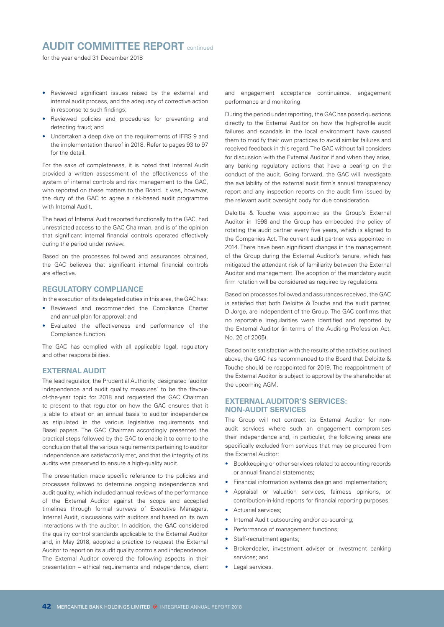### **AUDIT COMMITTEE REPORT** continued

for the year ended 31 December 2018

- Reviewed significant issues raised by the external and internal audit process, and the adequacy of corrective action in response to such findings;
- Reviewed policies and procedures for preventing and detecting fraud; and
- Undertaken a deep dive on the requirements of IFRS 9 and the implementation thereof in 2018. Refer to pages 93 to 97 for the detail.

For the sake of completeness, it is noted that Internal Audit provided a written assessment of the effectiveness of the system of internal controls and risk management to the GAC, who reported on these matters to the Board. It was, however, the duty of the GAC to agree a risk-based audit programme with Internal Audit.

The head of Internal Audit reported functionally to the GAC, had unrestricted access to the GAC Chairman, and is of the opinion that significant internal financial controls operated effectively during the period under review.

Based on the processes followed and assurances obtained, the GAC believes that significant internal financial controls are effective.

### **REGULATORY COMPLIANCE**

In the execution of its delegated duties in this area, the GAC has:

- Reviewed and recommended the Compliance Charter and annual plan for approval; and
- Evaluated the effectiveness and performance of the Compliance function.

The GAC has complied with all applicable legal, regulatory and other responsibilities.

### **EXTERNAL AUDIT**

The lead regulator, the Prudential Authority, designated 'auditor independence and audit quality measures' to be the flavourof-the-year topic for 2018 and requested the GAC Chairman to present to that regulator on how the GAC ensures that it is able to attest on an annual basis to auditor independence as stipulated in the various legislative requirements and Basel papers. The GAC Chairman accordingly presented the practical steps followed by the GAC to enable it to come to the conclusion that all the various requirements pertaining to auditor independence are satisfactorily met, and that the integrity of its audits was preserved to ensure a high-quality audit.

The presentation made specific reference to the policies and processes followed to determine ongoing independence and audit quality, which included annual reviews of the performance of the External Auditor against the scope and accepted timelines through formal surveys of Executive Managers, Internal Audit, discussions with auditors and based on its own interactions with the auditor. In addition, the GAC considered the quality control standards applicable to the External Auditor and, in May 2018, adopted a practice to request the External Auditor to report on its audit quality controls and independence. The External Auditor covered the following aspects in their presentation – ethical requirements and independence, client

and engagement acceptance continuance, engagement performance and monitoring.

During the period under reporting, the GAC has posed questions directly to the External Auditor on how the high-profile audit failures and scandals in the local environment have caused them to modify their own practices to avoid similar failures and received feedback in this regard. The GAC without fail considers for discussion with the External Auditor if and when they arise, any banking regulatory actions that have a bearing on the conduct of the audit. Going forward, the GAC will investigate the availability of the external audit firm's annual transparency report and any inspection reports on the audit firm issued by the relevant audit oversight body for due consideration.

Deloitte & Touche was appointed as the Group's External Auditor in 1998 and the Group has embedded the policy of rotating the audit partner every five years, which is aligned to the Companies Act. The current audit partner was appointed in 2014. There have been significant changes in the management of the Group during the External Auditor's tenure, which has mitigated the attendant risk of familiarity between the External Auditor and management. The adoption of the mandatory audit firm rotation will be considered as required by regulations.

Based on processes followed and assurances received, the GAC is satisfied that both Deloitte & Touche and the audit partner, D Jorge, are independent of the Group. The GAC confirms that no reportable irregularities were identified and reported by the External Auditor (in terms of the Auditing Profession Act, No. 26 of 2005).

Based on its satisfaction with the results of the activities outlined above, the GAC has recommended to the Board that Deloitte & Touche should be reappointed for 2019. The reappointment of the External Auditor is subject to approval by the shareholder at the upcoming AGM.

### **EXTERNAL AUDITOR'S SERVICES: NON-AUDIT SERVICES**

The Group will not contract its External Auditor for nonaudit services where such an engagement compromises their independence and, in particular, the following areas are specifically excluded from services that may be procured from the External Auditor:

- Bookkeeping or other services related to accounting records or annual financial statements;
- Financial information systems design and implementation;
- Appraisal or valuation services, fairness opinions, or contribution-in-kind reports for financial reporting purposes;
- Actuarial services:
- Internal Audit outsourcing and/or co-sourcing;
- Performance of management functions;
- Staff-recruitment agents;
- Broker-dealer, investment adviser or investment banking services; and
- Legal services.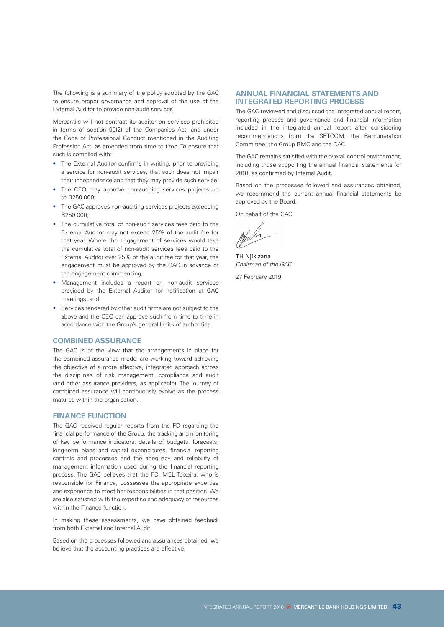The following is a summary of the policy adopted by the GAC to ensure proper governance and approval of the use of the External Auditor to provide non-audit services.

Mercantile will not contract its auditor on services prohibited in terms of section 90(2) of the Companies Act, and under the Code of Professional Conduct mentioned in the Auditing Profession Act, as amended from time to time. To ensure that such is complied with:

- The External Auditor confirms in writing, prior to providing a service for non-audit services, that such does not impair their independence and that they may provide such service;
- The CEO may approve non-auditing services projects up to R250 000;
- The GAC approves non-auditing services projects exceeding R250 000;
- The cumulative total of non-audit services fees paid to the External Auditor may not exceed 25% of the audit fee for that year. Where the engagement of services would take the cumulative total of non-audit services fees paid to the External Auditor over 25% of the audit fee for that year, the engagement must be approved by the GAC in advance of the engagement commencing;
- Management includes a report on non-audit services provided by the External Auditor for notification at GAC meetings; and
- Services rendered by other audit firms are not subject to the above and the CEO can approve such from time to time in accordance with the Group's general limits of authorities.

### **COMBINED ASSURANCE**

The GAC is of the view that the arrangements in place for the combined assurance model are working toward achieving the objective of a more effective, integrated approach across the disciplines of risk management, compliance and audit (and other assurance providers, as applicable). The journey of combined assurance will continuously evolve as the process matures within the organisation.

### **FINANCE FUNCTION**

The GAC received regular reports from the FD regarding the financial performance of the Group, the tracking and monitoring of key performance indicators, details of budgets, forecasts, long-term plans and capital expenditures, financial reporting controls and processes and the adequacy and reliability of management information used during the financial reporting process. The GAC believes that the FD, MEL Teixeira, who is responsible for Finance, possesses the appropriate expertise and experience to meet her responsibilities in that position. We are also satisfied with the expertise and adequacy of resources within the Finance function.

In making these assessments, we have obtained feedback from both External and Internal Audit.

Based on the processes followed and assurances obtained, we believe that the accounting practices are effective.

### **ANNUAL FINANCIAL STATEMENTS AND INTEGRATED REPORTING PROCESS**

The GAC reviewed and discussed the integrated annual report, reporting process and governance and financial information included in the integrated annual report after considering recommendations from the SETCOM; the Remuneration Committee; the Group RMC and the DAC.

The GAC remains satisfied with the overall control environment, including those supporting the annual financial statements for 2018, as confirmed by Internal Audit.

Based on the processes followed and assurances obtained, we recommend the current annual financial statements be approved by the Board.

On behalf of the GAC

 $\mathscr{L}$ 

TH Njikizana *Chairman of the GAC*

27 February 2019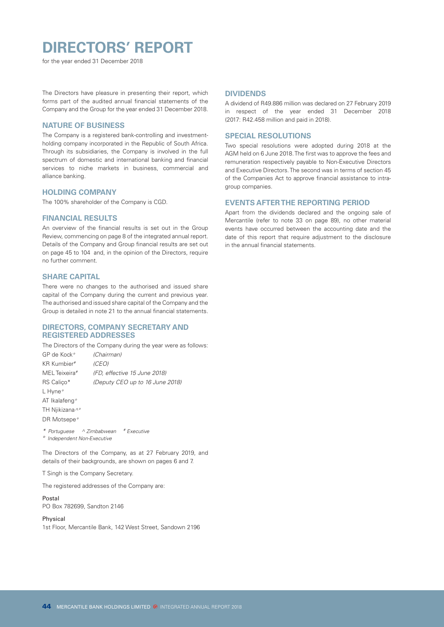# **DIRECTORS' REPORT**

for the year ended 31 December 2018

The Directors have pleasure in presenting their report, which forms part of the audited annual financial statements of the Company and the Group for the year ended 31 December 2018.

### **NATURE OF BUSINESS**

The Company is a registered bank-controlling and investmentholding company incorporated in the Republic of South Africa. Through its subsidiaries, the Company is involved in the full spectrum of domestic and international banking and financial services to niche markets in business, commercial and alliance banking.

### **HOLDING COMPANY**

The 100% shareholder of the Company is CGD.

### **FINANCIAL RESULTS**

An overview of the financial results is set out in the Group Review, commencing on page 8 of the integrated annual report. Details of the Company and Group financial results are set out on page 45 to 104 and, in the opinion of the Directors, require no further comment.

### **SHARE CAPITAL**

There were no changes to the authorised and issued share capital of the Company during the current and previous year. The authorised and issued share capital of the Company and the Group is detailed in note 21 to the annual financial statements.

### **DIRECTORS, COMPANY SECRETARY AND REGISTERED ADDRESSES**

The Directors of the Company during the year were as follows:

GP de Kock*° (Chairman)* KR Kumbier*# (CEO)* MEL Teixeira*# (FD, effective 15 June 2018)* RS Caliço\* *(Deputy CEO up to 16 June 2018)* L Hyne*°* AT Ikalafeng*°* TH Njikizana*^°* DR Motsepe*°*

*\* Portuguese ^ Zimbabwean # Executive ° Independent Non-Executive*

The Directors of the Company, as at 27 February 2019, and details of their backgrounds, are shown on pages 6 and 7.

T Singh is the Company Secretary.

The registered addresses of the Company are:

Postal PO Box 782699, Sandton 2146

Physical 1st Floor, Mercantile Bank, 142 West Street, Sandown 2196

### **DIVIDENDS**

A dividend of R49.886 million was declared on 27 February 2019 in respect of the year ended 31 December 2018 (2017: R42.458 million and paid in 2018).

### **SPECIAL RESOLUTIONS**

Two special resolutions were adopted during 2018 at the AGM held on 6 June 2018. The first was to approve the fees and remuneration respectively payable to Non-Executive Directors and Executive Directors. The second was in terms of section 45 of the Companies Act to approve financial assistance to intragroup companies.

### **EVENTS AFTER THE REPORTING PERIOD**

Apart from the dividends declared and the ongoing sale of Mercantile (refer to note 33 on page 89), no other material events have occurred between the accounting date and the date of this report that require adjustment to the disclosure in the annual financial statements.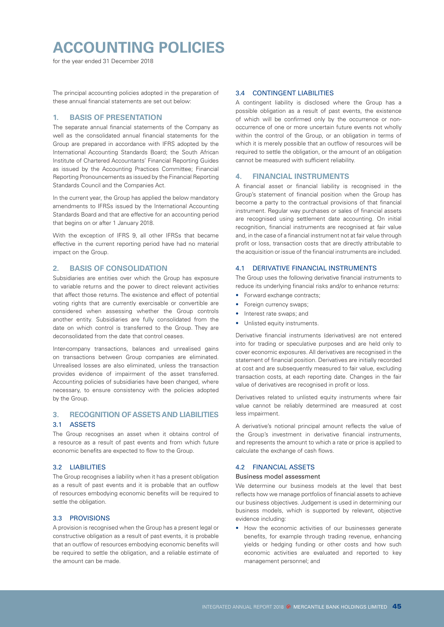# **ACCOUNTING POLICIES**

for the year ended 31 December 2018

The principal accounting policies adopted in the preparation of these annual financial statements are set out below:

### **1. BASIS OF PRESENTATION**

The separate annual financial statements of the Company as well as the consolidated annual financial statements for the Group are prepared in accordance with IFRS adopted by the International Accounting Standards Board; the South African Institute of Chartered Accountants' Financial Reporting Guides as issued by the Accounting Practices Committee; Financial Reporting Pronouncements as issued by the Financial Reporting Standards Council and the Companies Act.

In the current year, the Group has applied the below mandatory amendments to IFRSs issued by the International Accounting Standards Board and that are effective for an accounting period that begins on or after 1 January 2018.

With the exception of IFRS 9, all other IFRSs that became effective in the current reporting period have had no material impact on the Group.

### **2. BASIS OF CONSOLIDATION**

Subsidiaries are entities over which the Group has exposure to variable returns and the power to direct relevant activities that affect those returns. The existence and effect of potential voting rights that are currently exercisable or convertible are considered when assessing whether the Group controls another entity. Subsidiaries are fully consolidated from the date on which control is transferred to the Group. They are deconsolidated from the date that control ceases.

Inter-company transactions, balances and unrealised gains on transactions between Group companies are eliminated. Unrealised losses are also eliminated, unless the transaction provides evidence of impairment of the asset transferred. Accounting policies of subsidiaries have been changed, where necessary, to ensure consistency with the policies adopted by the Group.

### **3. RECOGNITION OF ASSETS AND LIABILITIES**  3.1 ASSETS

The Group recognises an asset when it obtains control of a resource as a result of past events and from which future economic benefits are expected to flow to the Group.

### 3.2 LIABILITIES

The Group recognises a liability when it has a present obligation as a result of past events and it is probable that an outflow of resources embodying economic benefits will be required to settle the obligation.

### 3.3 PROVISIONS

A provision is recognised when the Group has a present legal or constructive obligation as a result of past events, it is probable that an outflow of resources embodying economic benefits will be required to settle the obligation, and a reliable estimate of the amount can be made.

### 3.4 CONTINGENT LIABILITIES

A contingent liability is disclosed where the Group has a possible obligation as a result of past events, the existence of which will be confirmed only by the occurrence or nonoccurrence of one or more uncertain future events not wholly within the control of the Group, or an obligation in terms of which it is merely possible that an outflow of resources will be required to settle the obligation, or the amount of an obligation cannot be measured with sufficient reliability.

### **4. FINANCIAL INSTRUMENTS**

A financial asset or financial liability is recognised in the Group's statement of financial position when the Group has become a party to the contractual provisions of that financial instrument. Regular way purchases or sales of financial assets are recognised using settlement date accounting. On initial recognition, financial instruments are recognised at fair value and, in the case of a financial instrument not at fair value through profit or loss, transaction costs that are directly attributable to the acquisition or issue of the financial instruments are included.

### 4.1 DERIVATIVE FINANCIAL INSTRUMENTS

The Group uses the following derivative financial instruments to reduce its underlying financial risks and/or to enhance returns:

- Forward exchange contracts;
- Foreign currency swaps;
- Interest rate swaps; and
- Unlisted equity instruments.

Derivative financial instruments (derivatives) are not entered into for trading or speculative purposes and are held only to cover economic exposures. All derivatives are recognised in the statement of financial position. Derivatives are initially recorded at cost and are subsequently measured to fair value, excluding transaction costs, at each reporting date. Changes in the fair value of derivatives are recognised in profit or loss.

Derivatives related to unlisted equity instruments where fair value cannot be reliably determined are measured at cost less impairment.

A derivative's notional principal amount reflects the value of the Group's investment in derivative financial instruments, and represents the amount to which a rate or price is applied to calculate the exchange of cash flows.

### 4.2 FINANCIAL ASSETS

### Business model assessment

We determine our business models at the level that best reflects how we manage portfolios of financial assets to achieve our business objectives. Judgement is used in determining our business models, which is supported by relevant, objective evidence including:

• How the economic activities of our businesses generate benefits, for example through trading revenue, enhancing yields or hedging funding or other costs and how such economic activities are evaluated and reported to key management personnel; and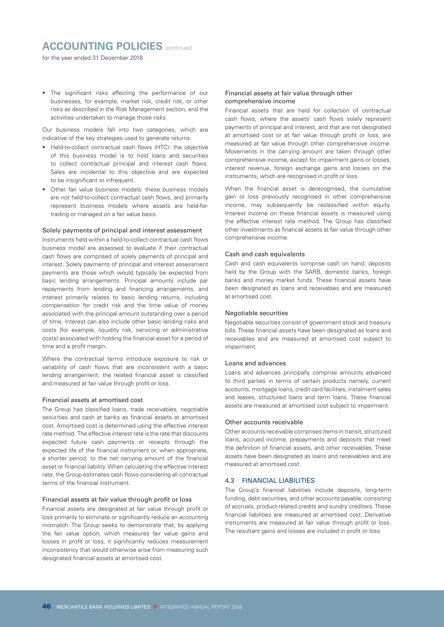### **ACCOUNTING POLICIES** continued

for the year ended 31 December 2018

• The significant risks affecting the performance of our businesses, for example, market risk, credit risk, or other risks as described in the Risk Management section, and the activities undertaken to manage those risks.

Our business models fall into two categories, which are indicative of the key strategies used to generate returns:

- Held-to-collect contractual cash flows (HTC): the objective of this business model is to hold loans and securities to collect contractual principal and interest cash flows. Sales are incidental to this objective and are expected to be insignificant or infrequent.
- Other fair value business models: these business models are not held-to-collect contractual cash flows, and primarily represent business models where assets are held-fortrading or managed on a fair value basis.

#### Solely payments of principal and interest assessment

Instruments held within a held-to-collect contractual cash flows business model are assessed to evaluate if their contractual cash flows are comprised of solely payments of principal and interest. Solely payments of principal and interest assessment payments are those which would typically be expected from basic lending arrangements. Principal amounts include par repayments from lending and financing arrangements, and interest primarily relates to basic lending returns, including compensation for credit risk and the time value of money associated with the principal amount outstanding over a period of time. Interest can also include other basic lending risks and costs (for example, liquidity risk, servicing or administrative costs) associated with holding the financial asset for a period of time and a profit margin.

Where the contractual terms introduce exposure to risk or variability of cash flows that are inconsistent with a basic lending arrangement, the related financial asset is classified and measured at fair value through profit or loss.

#### Financial assets at amortised cost

The Group has classified loans, trade receivables, negotiable securities and cash at banks as financial assets at amortised cost. Amortised cost is determined using the effective interest rate method. The effective interest rate is the rate that discounts expected future cash payments or receipts through the expected life of the financial instrument or, when appropriate, a shorter period, to the net carrying amount of the financial asset or financial liability. When calculating the effective interest rate, the Group estimates cash flows considering all contractual terms of the financial instrument.

#### Financial assets at fair value through profit or loss

Financial assets are designated at fair value through profit or loss primarily to eliminate or significantly reduce an accounting mismatch. The Group seeks to demonstrate that, by applying the fair value option, which measures fair value gains and losses in profit or loss, it significantly reduces measurement inconsistency that would otherwise arise from measuring such designated financial assets at amortised cost.

### Financial assets at fair value through other comprehensive income

Financial assets that are held for collection of contractual cash flows, where the assets' cash flows solely represent payments of principal and interest, and that are not designated at amortised cost or at fair value through profit or loss, are measured at fair value through other comprehensive income. Movements in the carrying amount are taken through other comprehensive income, except for impairment gains or losses, interest revenue, foreign exchange gains and losses on the instruments, which are recognised in profit or loss.

When the financial asset is derecognised, the cumulative gain or loss previously recognised in other comprehensive income, may subsequently be reclassified within equity. Interest income on these financial assets is measured using the effective interest rate method. The Group has classified other investments as financial assets at fair value through other comprehensive income.

#### Cash and cash equivalents

Cash and cash equivalents comprise cash on hand, deposits held by the Group with the SARB, domestic banks, foreign banks and money market funds. These financial assets have been designated as loans and receivables and are measured at amortised cost.

### Negotiable securities

Negotiable securities consist of government stock and treasury bills. These financial assets have been designated as loans and receivables and are measured at amortised cost subject to impairment.

#### Loans and advances

Loans and advances principally comprise amounts advanced to third parties in terms of certain products namely, current accounts, mortgage loans, credit card facilities, instalment sales and leases, structured loans and term loans. These financial assets are measured at amortised cost subject to impairment.

### Other accounts receivable

Other accounts receivable comprises items in transit, structured loans, accrued income, prepayments and deposits that meet the definition of financial assets, and other receivables. These assets have been designated as loans and receivables and are measured at amortised cost.

#### 4.3 FINANCIAL LIABILITIES

The Group's financial liabilities include deposits, long-term funding, debt securities, and other accounts payable, consisting of accruals, product-related credits and sundry creditors. These financial liabilities are measured at amortised cost. Derivative instruments are measured at fair value through profit or loss. The resultant gains and losses are included in profit or loss.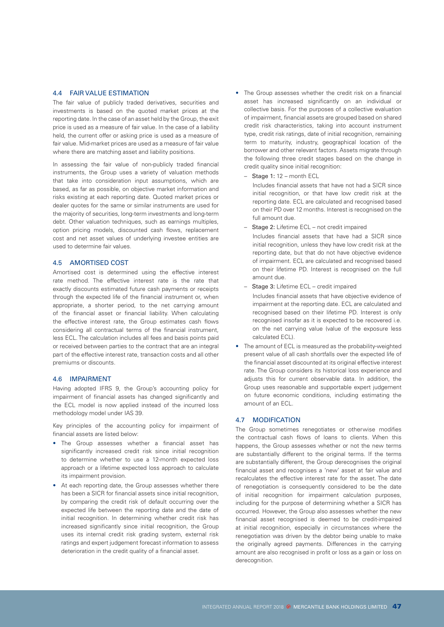### 4.4 FAIR VALUE ESTIMATION

The fair value of publicly traded derivatives, securities and investments is based on the quoted market prices at the reporting date. In the case of an asset held by the Group, the exit price is used as a measure of fair value. In the case of a liability held, the current offer or asking price is used as a measure of fair value. Mid-market prices are used as a measure of fair value where there are matching asset and liability positions.

In assessing the fair value of non-publicly traded financial instruments, the Group uses a variety of valuation methods that take into consideration input assumptions, which are based, as far as possible, on objective market information and risks existing at each reporting date. Quoted market prices or dealer quotes for the same or similar instruments are used for the majority of securities, long-term investments and long-term debt. Other valuation techniques, such as earnings multiples, option pricing models, discounted cash flows, replacement cost and net asset values of underlying investee entities are used to determine fair values.

### 4.5 AMORTISED COST

Amortised cost is determined using the effective interest rate method. The effective interest rate is the rate that exactly discounts estimated future cash payments or receipts through the expected life of the financial instrument or, when appropriate, a shorter period, to the net carrying amount of the financial asset or financial liability. When calculating the effective interest rate, the Group estimates cash flows considering all contractual terms of the financial instrument, less ECL. The calculation includes all fees and basis points paid or received between parties to the contract that are an integral part of the effective interest rate, transaction costs and all other premiums or discounts.

### 4.6 IMPAIRMENT

Having adopted IFRS 9, the Group's accounting policy for impairment of financial assets has changed significantly and the ECL model is now applied instead of the incurred loss methodology model under IAS 39.

Key principles of the accounting policy for impairment of financial assets are listed below:

- The Group assesses whether a financial asset has significantly increased credit risk since initial recognition to determine whether to use a 12-month expected loss approach or a lifetime expected loss approach to calculate its impairment provision.
- At each reporting date, the Group assesses whether there has been a SICR for financial assets since initial recognition, by comparing the credit risk of default occurring over the expected life between the reporting date and the date of initial recognition. In determining whether credit risk has increased significantly since initial recognition, the Group uses its internal credit risk grading system, external risk ratings and expert judgement forecast information to assess deterioration in the credit quality of a financial asset.
- The Group assesses whether the credit risk on a financial asset has increased significantly on an individual or collective basis. For the purposes of a collective evaluation of impairment, financial assets are grouped based on shared credit risk characteristics, taking into account instrument type, credit risk ratings, date of initial recognition, remaining term to maturity, industry, geographical location of the borrower and other relevant factors. Assets migrate through the following three credit stages based on the change in credit quality since initial recognition:
	- –Stage 1: 12 month ECL

Includes financial assets that have not had a SICR since initial recognition, or that have low credit risk at the reporting date. ECL are calculated and recognised based on their PD over 12 months. Interest is recognised on the full amount due.

- **Stage 2: Lifetime ECL not credit impaired** 
	- Includes financial assets that have had a SICR since initial recognition, unless they have low credit risk at the reporting date, but that do not have objective evidence of impairment. ECL are calculated and recognised based on their lifetime PD. Interest is recognised on the full amount due.
- –Stage 3: Lifetime ECL credit impaired

Includes financial assets that have objective evidence of impairment at the reporting date. ECL are calculated and recognised based on their lifetime PD. Interest is only recognised insofar as it is expected to be recovered i.e. on the net carrying value (value of the exposure less calculated ECL).

• The amount of ECL is measured as the probability-weighted present value of all cash shortfalls over the expected life of the financial asset discounted at its original effective interest rate. The Group considers its historical loss experience and adjusts this for current observable data. In addition, the Group uses reasonable and supportable expert judgement on future economic conditions, including estimating the amount of an ECL.

### 4.7 MODIFICATION

The Group sometimes renegotiates or otherwise modifies the contractual cash flows of loans to clients. When this happens, the Group assesses whether or not the new terms are substantially different to the original terms. If the terms are substantially different, the Group derecognises the original financial asset and recognises a 'new' asset at fair value and recalculates the effective interest rate for the asset. The date of renegotiation is consequently considered to be the date of initial recognition for impairment calculation purposes, including for the purpose of determining whether a SICR has occurred. However, the Group also assesses whether the new financial asset recognised is deemed to be credit-impaired at initial recognition, especially in circumstances where the renegotiation was driven by the debtor being unable to make the originally agreed payments. Differences in the carrying amount are also recognised in profit or loss as a gain or loss on derecognition.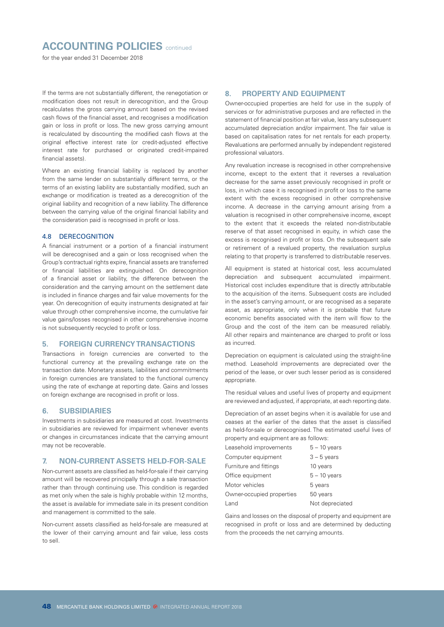### **ACCOUNTING POLICIES** continued

for the year ended 31 December 2018

If the terms are not substantially different, the renegotiation or modification does not result in derecognition, and the Group recalculates the gross carrying amount based on the revised cash flows of the financial asset, and recognises a modification gain or loss in profit or loss. The new gross carrying amount is recalculated by discounting the modified cash flows at the original effective interest rate (or credit-adjusted effective interest rate for purchased or originated credit-impaired financial assets).

Where an existing financial liability is replaced by another from the same lender on substantially different terms, or the terms of an existing liability are substantially modified, such an exchange or modification is treated as a derecognition of the original liability and recognition of a new liability. The difference between the carrying value of the original financial liability and the consideration paid is recognised in profit or loss.

### 4.8 DERECOGNITION

A financial instrument or a portion of a financial instrument will be derecognised and a gain or loss recognised when the Group's contractual rights expire, financial assets are transferred or financial liabilities are extinguished. On derecognition of a financial asset or liability, the difference between the consideration and the carrying amount on the settlement date is included in finance charges and fair value movements for the year. On derecognition of equity instruments designated at fair value through other comprehensive income, the cumulative fair value gains/losses recognised in other comprehensive income is not subsequently recycled to profit or loss.

#### **5. FOREIGN CURRENCY TRANSACTIONS**

Transactions in foreign currencies are converted to the functional currency at the prevailing exchange rate on the transaction date. Monetary assets, liabilities and commitments in foreign currencies are translated to the functional currency using the rate of exchange at reporting date. Gains and losses on foreign exchange are recognised in profit or loss.

### **6. SUBSIDIARIES**

Investments in subsidiaries are measured at cost. Investments in subsidiaries are reviewed for impairment whenever events or changes in circumstances indicate that the carrying amount may not be recoverable.

### **7. NON-CURRENT ASSETS HELD-FOR-SALE**

Non-current assets are classified as held-for-sale if their carrying amount will be recovered principally through a sale transaction rather than through continuing use. This condition is regarded as met only when the sale is highly probable within 12 months. the asset is available for immediate sale in its present condition and management is committed to the sale.

Non-current assets classified as held-for-sale are measured at the lower of their carrying amount and fair value, less costs to sell.

### **8. PROPERTY AND EQUIPMENT**

Owner-occupied properties are held for use in the supply of services or for administrative purposes and are reflected in the statement of financial position at fair value, less any subsequent accumulated depreciation and/or impairment. The fair value is based on capitalisation rates for net rentals for each property. Revaluations are performed annually by independent registered professional valuators.

Any revaluation increase is recognised in other comprehensive income, except to the extent that it reverses a revaluation decrease for the same asset previously recognised in profit or loss, in which case it is recognised in profit or loss to the same extent with the excess recognised in other comprehensive income. A decrease in the carrying amount arising from a valuation is recognised in other comprehensive income, except to the extent that it exceeds the related non-distributable reserve of that asset recognised in equity, in which case the excess is recognised in profit or loss. On the subsequent sale or retirement of a revalued property, the revaluation surplus relating to that property is transferred to distributable reserves.

All equipment is stated at historical cost, less accumulated depreciation and subsequent accumulated impairment. Historical cost includes expenditure that is directly attributable to the acquisition of the items. Subsequent costs are included in the asset's carrying amount, or are recognised as a separate asset, as appropriate, only when it is probable that future economic benefits associated with the item will flow to the Group and the cost of the item can be measured reliably. All other repairs and maintenance are charged to profit or loss as incurred.

Depreciation on equipment is calculated using the straight-line method. Leasehold improvements are depreciated over the period of the lease, or over such lesser period as is considered appropriate.

The residual values and useful lives of property and equipment are reviewed and adjusted, if appropriate, at each reporting date.

Depreciation of an asset begins when it is available for use and ceases at the earlier of the dates that the asset is classified as held-for-sale or derecognised. The estimated useful lives of property and equipment are as follows:

| Leasehold improvements    | $5 - 10$ years  |
|---------------------------|-----------------|
| Computer equipment        | $3 - 5$ years   |
| Furniture and fittings    | 10 years        |
| Office equipment          | $5 - 10$ years  |
| Motor vehicles            | 5 years         |
| Owner-occupied properties | 50 years        |
| Land                      | Not depreciated |

Gains and losses on the disposal of property and equipment are recognised in profit or loss and are determined by deducting from the proceeds the net carrying amounts.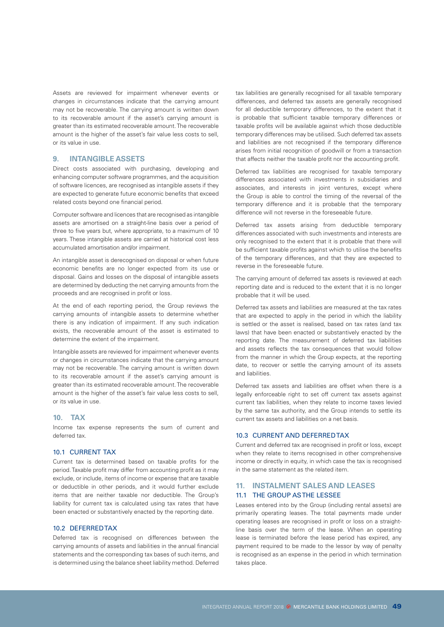Assets are reviewed for impairment whenever events or changes in circumstances indicate that the carrying amount may not be recoverable. The carrying amount is written down to its recoverable amount if the asset's carrying amount is greater than its estimated recoverable amount. The recoverable amount is the higher of the asset's fair value less costs to sell, or its value in use.

### **9. INTANGIBLE ASSETS**

Direct costs associated with purchasing, developing and enhancing computer software programmes, and the acquisition of software licences, are recognised as intangible assets if they are expected to generate future economic benefits that exceed related costs beyond one financial period.

Computer software and licences that are recognised as intangible assets are amortised on a straight-line basis over a period of three to five years but, where appropriate, to a maximum of 10 years. These intangible assets are carried at historical cost less accumulated amortisation and/or impairment.

An intangible asset is derecognised on disposal or when future economic benefits are no longer expected from its use or disposal. Gains and losses on the disposal of intangible assets are determined by deducting the net carrying amounts from the proceeds and are recognised in profit or loss.

At the end of each reporting period, the Group reviews the carrying amounts of intangible assets to determine whether there is any indication of impairment. If any such indication exists, the recoverable amount of the asset is estimated to determine the extent of the impairment.

Intangible assets are reviewed for impairment whenever events or changes in circumstances indicate that the carrying amount may not be recoverable. The carrying amount is written down to its recoverable amount if the asset's carrying amount is greater than its estimated recoverable amount. The recoverable amount is the higher of the asset's fair value less costs to sell, or its value in use.

### **10. TAX**

Income tax expense represents the sum of current and deferred tax.

### 10.1 CURRENT TAX

Current tax is determined based on taxable profits for the period. Taxable profit may differ from accounting profit as it may exclude, or include, items of income or expense that are taxable or deductible in other periods, and it would further exclude items that are neither taxable nor deductible. The Group's liability for current tax is calculated using tax rates that have been enacted or substantively enacted by the reporting date.

#### 10.2 DEFERRED TAX

Deferred tax is recognised on differences between the carrying amounts of assets and liabilities in the annual financial statements and the corresponding tax bases of such items, and is determined using the balance sheet liability method. Deferred tax liabilities are generally recognised for all taxable temporary differences, and deferred tax assets are generally recognised for all deductible temporary differences, to the extent that it is probable that sufficient taxable temporary differences or taxable profits will be available against which those deductible temporary differences may be utilised. Such deferred tax assets and liabilities are not recognised if the temporary difference arises from initial recognition of goodwill or from a transaction that affects neither the taxable profit nor the accounting profit.

Deferred tax liabilities are recognised for taxable temporary differences associated with investments in subsidiaries and associates, and interests in joint ventures, except where the Group is able to control the timing of the reversal of the temporary difference and it is probable that the temporary difference will not reverse in the foreseeable future.

Deferred tax assets arising from deductible temporary differences associated with such investments and interests are only recognised to the extent that it is probable that there will be sufficient taxable profits against which to utilise the benefits of the temporary differences, and that they are expected to reverse in the foreseeable future.

The carrying amount of deferred tax assets is reviewed at each reporting date and is reduced to the extent that it is no longer probable that it will be used.

Deferred tax assets and liabilities are measured at the tax rates that are expected to apply in the period in which the liability is settled or the asset is realised, based on tax rates (and tax laws) that have been enacted or substantively enacted by the reporting date. The measurement of deferred tax liabilities and assets reflects the tax consequences that would follow from the manner in which the Group expects, at the reporting date, to recover or settle the carrying amount of its assets and liabilities.

Deferred tax assets and liabilities are offset when there is a legally enforceable right to set off current tax assets against current tax liabilities, when they relate to income taxes levied by the same tax authority, and the Group intends to settle its current tax assets and liabilities on a net basis.

### 10.3 CURRENT AND DEFERRED TAX

Current and deferred tax are recognised in profit or loss, except when they relate to items recognised in other comprehensive income or directly in equity, in which case the tax is recognised in the same statement as the related item.

### **11. INSTALMENT SALES AND LEASES** 11.1 THE GROUP AS THE LESSEE

Leases entered into by the Group (including rental assets) are primarily operating leases. The total payments made under operating leases are recognised in profit or loss on a straightline basis over the term of the lease. When an operating lease is terminated before the lease period has expired, any payment required to be made to the lessor by way of penalty is recognised as an expense in the period in which termination takes place.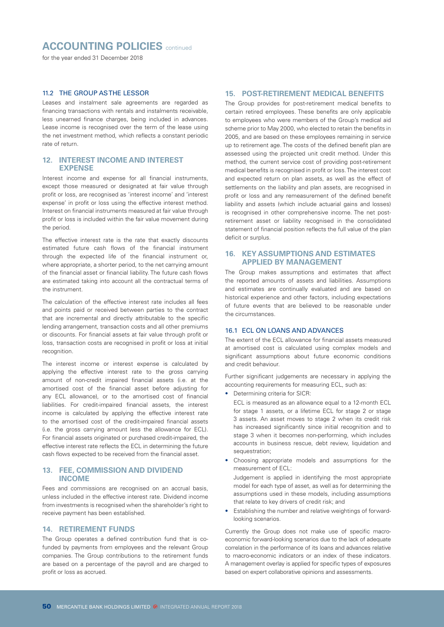### **ACCOUNTING POLICIES** continued

for the year ended 31 December 2018

### 11.2 THE GROUP AS THE LESSOR

Leases and instalment sale agreements are regarded as financing transactions with rentals and instalments receivable, less unearned finance charges, being included in advances. Lease income is recognised over the term of the lease using the net investment method, which reflects a constant periodic rate of return.

### **12. INTEREST INCOME AND INTEREST EXPENSE**

Interest income and expense for all financial instruments, except those measured or designated at fair value through profit or loss, are recognised as 'interest income' and 'interest expense' in profit or loss using the effective interest method. Interest on financial instruments measured at fair value through profit or loss is included within the fair value movement during the period.

The effective interest rate is the rate that exactly discounts estimated future cash flows of the financial instrument through the expected life of the financial instrument or, where appropriate, a shorter period, to the net carrying amount of the financial asset or financial liability. The future cash flows are estimated taking into account all the contractual terms of the instrument.

The calculation of the effective interest rate includes all fees and points paid or received between parties to the contract that are incremental and directly attributable to the specific lending arrangement, transaction costs and all other premiums or discounts. For financial assets at fair value through profit or loss, transaction costs are recognised in profit or loss at initial recognition.

The interest income or interest expense is calculated by applying the effective interest rate to the gross carrying amount of non-credit impaired financial assets (i.e. at the amortised cost of the financial asset before adjusting for any ECL allowance), or to the amortised cost of financial liabilities. For credit-impaired financial assets, the interest income is calculated by applying the effective interest rate to the amortised cost of the credit-impaired financial assets (i.e. the gross carrying amount less the allowance for ECL). For financial assets originated or purchased credit-impaired, the effective interest rate reflects the ECL in determining the future cash flows expected to be received from the financial asset.

### **13. FEE, COMMISSION AND DIVIDEND INCOME**

Fees and commissions are recognised on an accrual basis, unless included in the effective interest rate. Dividend income from investments is recognised when the shareholder's right to receive payment has been established.

### **14. RETIREMENT FUNDS**

The Group operates a defined contribution fund that is cofunded by payments from employees and the relevant Group companies. The Group contributions to the retirement funds are based on a percentage of the payroll and are charged to profit or loss as accrued.

### **15. POST-RETIREMENT MEDICAL BENEFITS**

The Group provides for post-retirement medical benefits to certain retired employees. These benefits are only applicable to employees who were members of the Group's medical aid scheme prior to May 2000, who elected to retain the benefits in 2005, and are based on these employees remaining in service up to retirement age. The costs of the defined benefit plan are assessed using the projected unit credit method. Under this method, the current service cost of providing post-retirement medical benefits is recognised in profit or loss. The interest cost and expected return on plan assets, as well as the effect of settlements on the liability and plan assets, are recognised in profit or loss and any remeasurement of the defined benefit liability and assets (which include actuarial gains and losses) is recognised in other comprehensive income. The net postretirement asset or liability recognised in the consolidated statement of financial position reflects the full value of the plan deficit or surplus.

### **16. KEY ASSUMPTIONS AND ESTIMATES APPLIED BY MANAGEMENT**

The Group makes assumptions and estimates that affect the reported amounts of assets and liabilities. Assumptions and estimates are continually evaluated and are based on historical experience and other factors, including expectations of future events that are believed to be reasonable under the circumstances.

### 16.1 ECL ON LOANS AND ADVANCES

The extent of the ECL allowance for financial assets measured at amortised cost is calculated using complex models and significant assumptions about future economic conditions and credit behaviour.

Further significant judgements are necessary in applying the accounting requirements for measuring ECL, such as:

• Determining criteria for SICR:

ECL is measured as an allowance equal to a 12-month ECL for stage 1 assets, or a lifetime ECL for stage 2 or stage 3 assets. An asset moves to stage 2 when its credit risk has increased significantly since initial recognition and to stage 3 when it becomes non-performing, which includes accounts in business rescue, debt review, liquidation and sequestration:

• Choosing appropriate models and assumptions for the measurement of ECL:

Judgement is applied in identifying the most appropriate model for each type of asset, as well as for determining the assumptions used in these models, including assumptions that relate to key drivers of credit risk; and

• Establishing the number and relative weightings of forwardlooking scenarios.

Currently the Group does not make use of specific macroeconomic forward-looking scenarios due to the lack of adequate correlation in the performance of its loans and advances relative to macro-economic indicators or an index of these indicators. A management overlay is applied for specific types of exposures based on expert collaborative opinions and assessments.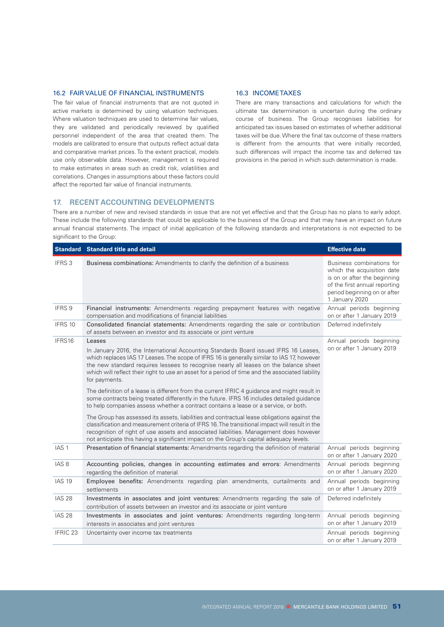### 16.2 FAIR VALUE OF FINANCIAL INSTRUMENTS

The fair value of financial instruments that are not quoted in active markets is determined by using valuation techniques. Where valuation techniques are used to determine fair values, they are validated and periodically reviewed by qualified personnel independent of the area that created them. The models are calibrated to ensure that outputs reflect actual data and comparative market prices. To the extent practical, models use only observable data. However, management is required to make estimates in areas such as credit risk, volatilities and correlations. Changes in assumptions about these factors could affect the reported fair value of financial instruments.

### 16.3 INCOME TAXES

There are many transactions and calculations for which the ultimate tax determination is uncertain during the ordinary course of business. The Group recognises liabilities for anticipated tax issues based on estimates of whether additional taxes will be due. Where the final tax outcome of these matters is different from the amounts that were initially recorded, such differences will impact the income tax and deferred tax provisions in the period in which such determination is made.

### **17. RECENT ACCOUNTING DEVELOPMENTS**

There are a number of new and revised standards in issue that are not yet effective and that the Group has no plans to early adopt. These include the following standards that could be applicable to the business of the Group and that may have an impact on future annual financial statements. The impact of initial application of the following standards and interpretations is not expected to be significant to the Group:

|                   | <b>Standard Standard title and detail</b>                                                                                                                                                                                                                                                                                                                                                                  | <b>Effective date</b>                                                                                                                                                      |
|-------------------|------------------------------------------------------------------------------------------------------------------------------------------------------------------------------------------------------------------------------------------------------------------------------------------------------------------------------------------------------------------------------------------------------------|----------------------------------------------------------------------------------------------------------------------------------------------------------------------------|
| IFRS <sub>3</sub> | Business combinations: Amendments to clarify the definition of a business                                                                                                                                                                                                                                                                                                                                  | Business combinations for<br>which the acquisition date<br>is on or after the beginning<br>of the first annual reporting<br>period beginning on or after<br>1 January 2020 |
| IFRS 9            | Financial instruments: Amendments regarding prepayment features with negative<br>compensation and modifications of financial liabilities                                                                                                                                                                                                                                                                   | Annual periods beginning<br>on or after 1 January 2019                                                                                                                     |
| IFRS 10           | Consolidated financial statements: Amendments regarding the sale or contribution<br>of assets between an investor and its associate or joint venture                                                                                                                                                                                                                                                       | Deferred indefinitely                                                                                                                                                      |
| IFRS16            | Leases<br>In January 2016, the International Accounting Standards Board issued IFRS 16 Leases,<br>which replaces IAS 17 Leases. The scope of IFRS 16 is generally similar to IAS 17, however<br>the new standard requires lessees to recognise nearly all leases on the balance sheet<br>which will reflect their right to use an asset for a period of time and the associated liability<br>for payments. | Annual periods beginning<br>on or after 1 January 2019                                                                                                                     |
|                   | The definition of a lease is different from the current IFRIC 4 guidance and might result in<br>some contracts being treated differently in the future. IFRS 16 includes detailed guidance<br>to help companies assess whether a contract contains a lease or a service, or both.                                                                                                                          |                                                                                                                                                                            |
|                   | The Group has assessed its assets, liabilities and contractual lease obligations against the<br>classification and measurement criteria of IFRS 16. The transitional impact will result in the<br>recognition of right of use assets and associated liabilities. Management does however<br>not anticipate this having a significant impact on the Group's capital adequacy levels.                        |                                                                                                                                                                            |
| IAS <sub>1</sub>  | Presentation of financial statements: Amendments regarding the definition of material                                                                                                                                                                                                                                                                                                                      | Annual periods beginning<br>on or after 1 January 2020                                                                                                                     |
| IAS <sub>8</sub>  | Accounting policies, changes in accounting estimates and errors: Amendments<br>regarding the definition of material                                                                                                                                                                                                                                                                                        | Annual periods beginning<br>on or after 1 January 2020                                                                                                                     |
| <b>IAS 19</b>     | Employee benefits: Amendments regarding plan amendments, curtailments and<br>settlements                                                                                                                                                                                                                                                                                                                   | Annual periods beginning<br>on or after 1 January 2019                                                                                                                     |
| <b>IAS 28</b>     | Investments in associates and joint ventures: Amendments regarding the sale of<br>contribution of assets between an investor and its associate or joint venture                                                                                                                                                                                                                                            | Deferred indefinitely                                                                                                                                                      |
| <b>IAS 28</b>     | Investments in associates and joint ventures: Amendments regarding long-term<br>interests in associates and joint ventures                                                                                                                                                                                                                                                                                 | Annual periods beginning<br>on or after 1 January 2019                                                                                                                     |
| IFRIC 23          | Uncertainty over income tax treatments                                                                                                                                                                                                                                                                                                                                                                     | Annual periods beginning<br>on or after 1 January 2019                                                                                                                     |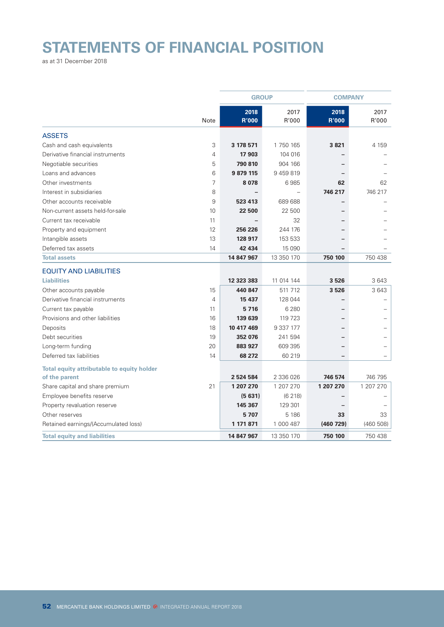# **STATEMENTS OF FINANCIAL POSITION**

as at 31 December 2018

|                                            |                |                      | <b>GROUP</b>  |               | <b>COMPANY</b> |  |
|--------------------------------------------|----------------|----------------------|---------------|---------------|----------------|--|
|                                            | Note           | 2018<br><b>R'000</b> | 2017<br>R'000 | 2018<br>R'000 | 2017<br>R'000  |  |
| <b>ASSETS</b>                              |                |                      |               |               |                |  |
| Cash and cash equivalents                  | 3              | 3 178 571            | 1 750 165     | 3821          | 4 1 5 9        |  |
| Derivative financial instruments           | $\overline{4}$ | 17903                | 104 016       |               |                |  |
| Negotiable securities                      | 5              | 790 810              | 904 166       |               |                |  |
| Loans and advances                         | 6              | 9 879 115            | 9459819       |               |                |  |
| Other investments                          | 7              | 8078                 | 6985          | 62            | 62             |  |
| Interest in subsidiaries                   | 8              |                      |               | 746 217       | 746 217        |  |
| Other accounts receivable                  | 9              | 523 413              | 689 688       |               |                |  |
| Non-current assets held-for-sale           | 10             | 22 500               | 22 500        |               |                |  |
| Current tax receivable                     | 11             |                      | 32            |               |                |  |
| Property and equipment                     | 12             | 256 226              | 244 176       |               |                |  |
| Intangible assets                          | 13             | 128 917              | 153 533       |               |                |  |
| Deferred tax assets                        | 14             | 42 434               | 15 0 90       |               |                |  |
| <b>Total assets</b>                        |                | 14 847 967           | 13 350 170    | 750 100       | 750 438        |  |
| <b>EQUITY AND LIABILITIES</b>              |                |                      |               |               |                |  |
| <b>Liabilities</b>                         |                | 12 323 383           | 11 014 144    | 3526          | 3643           |  |
| Other accounts payable                     | 15             | 440 847              | 511 712       | 3526          | 3 643          |  |
| Derivative financial instruments           | $\overline{4}$ | 15 437               | 128 044       |               |                |  |
| Current tax payable                        | 11             | 5716                 | 6 2 8 0       |               |                |  |
| Provisions and other liabilities           | 16             | 139 639              | 119 723       |               |                |  |
| Deposits                                   | 18             | 10 417 469           | 9 3 3 177     |               |                |  |
| Debt securities                            | 19             | 352 076              | 241 594       |               |                |  |
| Long-term funding                          | 20             | 883 927              | 609 395       |               |                |  |
| Deferred tax liabilities                   | 14             | 68 272               | 60 219        |               |                |  |
| Total equity attributable to equity holder |                |                      |               |               |                |  |
| of the parent                              |                | 2 524 584            | 2 336 026     | 746 574       | 746 795        |  |
| Share capital and share premium            | 21             | 1 207 270            | 1 207 270     | 1 207 270     | 1 207 270      |  |
| Employee benefits reserve                  |                | (5631)               | (6218)        |               |                |  |
| Property revaluation reserve               |                | 145 367              | 129 301       |               |                |  |
| Other reserves                             |                | 5707                 | 5 1 8 6       | 33            | 33             |  |
| Retained earnings/(Accumulated loss)       |                | 1 171 871            | 1 000 487     | (460 729)     | (460 508)      |  |
| <b>Total equity and liabilities</b>        |                | 14 847 967           | 13 350 170    | 750 100       | 750 438        |  |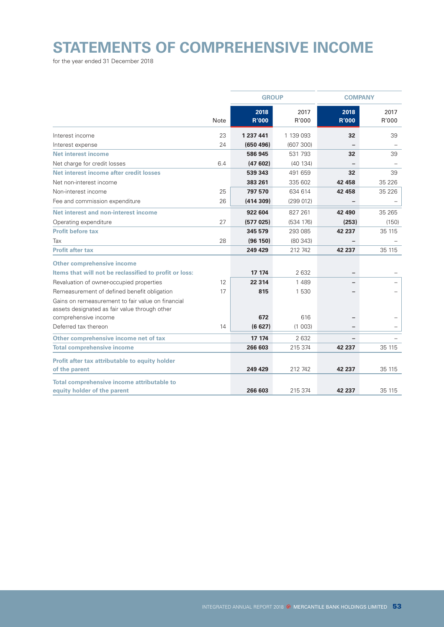# **STATEMENTS OF COMPREHENSIVE INCOME**

for the year ended 31 December 2018

|                                                                                                                            |      | <b>GROUP</b>         |               | <b>COMPANY</b>       |               |
|----------------------------------------------------------------------------------------------------------------------------|------|----------------------|---------------|----------------------|---------------|
|                                                                                                                            | Note | 2018<br><b>R'000</b> | 2017<br>R'000 | 2018<br><b>R'000</b> | 2017<br>R'000 |
| Interest income                                                                                                            | 23   | 1 237 441            | 1 139 093     | 32                   | 39            |
| Interest expense                                                                                                           | 24   | (650, 496)           | (607 300)     |                      |               |
| Net interest income                                                                                                        |      | 586 945              | 531 793       | 32                   | 39            |
| Net charge for credit losses                                                                                               | 6.4  | (47602)              | (40134)       |                      |               |
| Net interest income after credit losses                                                                                    |      | 539 343              | 491 659       | 32                   | 39            |
| Net non-interest income                                                                                                    |      | 383 261              | 335 602       | 42 458               | 35 2 26       |
| Non-interest income                                                                                                        | 25   | 797 570              | 634 614       | 42 458               | 35 2 26       |
| Fee and commission expenditure                                                                                             | 26   | (414309)             | (299 012)     |                      |               |
| Net interest and non-interest income                                                                                       |      | 922 604              | 827 261       | 42 490               | 35 265        |
| Operating expenditure                                                                                                      | 27   | (577025)             | (534 176)     | (253)                | (150)         |
| <b>Profit before tax</b>                                                                                                   |      | 345 579              | 293 085       | 42 237               | 35 115        |
| Tax                                                                                                                        | 28   | (96 150)             | (80343)       |                      |               |
| <b>Profit after tax</b>                                                                                                    |      | 249 429              | 212 742       | 42 237               | 35 115        |
| <b>Other comprehensive income</b>                                                                                          |      |                      |               |                      |               |
| Items that will not be reclassified to profit or loss:                                                                     |      | 17 174               | 2632          |                      |               |
| Revaluation of owner-occupied properties                                                                                   | 12   | 22 3 14              | 1 4 8 9       |                      |               |
| Remeasurement of defined benefit obligation                                                                                | 17   | 815                  | 1 530         |                      |               |
| Gains on remeasurement to fair value on financial<br>assets designated as fair value through other<br>comprehensive income |      | 672                  | 616           |                      |               |
| Deferred tax thereon                                                                                                       | 14   | (6627)               | (1 003)       |                      |               |
|                                                                                                                            |      |                      |               |                      |               |
| Other comprehensive income net of tax                                                                                      |      | 17 174               | 2632          |                      |               |
| <b>Total comprehensive income</b>                                                                                          |      | 266 603              | 215 374       | 42 237               | 35 115        |
| Profit after tax attributable to equity holder<br>of the parent                                                            |      | 249 429              | 212 742       | 42 237               | 35 115        |
|                                                                                                                            |      |                      |               |                      |               |
| Total comprehensive income attributable to<br>equity holder of the parent                                                  |      | 266 603              | 215 374       | 42 237               | 35 115        |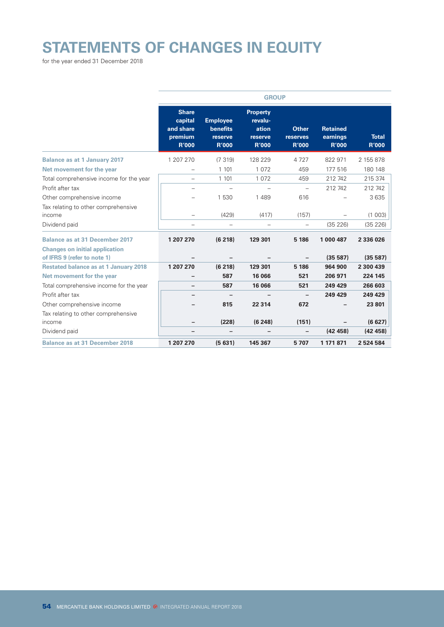# **STATEMENTS OF CHANGES IN EQUITY**

for the year ended 31 December 2018

|                                                                                |                                                                 |                                                               | <b>GROUP</b>                                                   |                                          |                                             |                              |
|--------------------------------------------------------------------------------|-----------------------------------------------------------------|---------------------------------------------------------------|----------------------------------------------------------------|------------------------------------------|---------------------------------------------|------------------------------|
|                                                                                | <b>Share</b><br>capital<br>and share<br>premium<br><b>R'000</b> | <b>Employee</b><br><b>benefits</b><br>reserve<br><b>R'000</b> | <b>Property</b><br>revalu-<br>ation<br>reserve<br><b>R'000</b> | <b>Other</b><br>reserves<br><b>R'000</b> | <b>Retained</b><br>earnings<br><b>R'000</b> | <b>Total</b><br><b>R'000</b> |
| <b>Balance as at 1 January 2017</b>                                            | 1 207 270                                                       | (7319)                                                        | 128 229                                                        | 4727                                     | 822 971                                     | 2 155 878                    |
| Net movement for the year                                                      |                                                                 | 1 1 0 1                                                       | 1 0 7 2                                                        | 459                                      | 177 516                                     | 180 148                      |
| Total comprehensive income for the year                                        |                                                                 | 1 1 0 1                                                       | 1 0 7 2                                                        | 459                                      | 212 742                                     | 215 374                      |
| Profit after tax                                                               |                                                                 |                                                               |                                                                | $\overline{\phantom{0}}$                 | 212 742                                     | 212 742                      |
| Other comprehensive income                                                     |                                                                 | 1530                                                          | 1 4 8 9                                                        | 616                                      |                                             | 3635                         |
| Tax relating to other comprehensive<br>income                                  |                                                                 | (429)                                                         | (417)                                                          | (157)                                    |                                             | (1 003)                      |
| Dividend paid                                                                  | -                                                               | $\overline{\phantom{0}}$                                      |                                                                | -                                        | (35 226)                                    | (35 226)                     |
| <b>Balance as at 31 December 2017</b><br><b>Changes on initial application</b> | 1 207 270                                                       | (6218)                                                        | 129 301                                                        | 5 186                                    | 1 000 487                                   | 2 336 026                    |
| of IFRS 9 (refer to note 1)                                                    |                                                                 |                                                               |                                                                |                                          | (35 587)                                    | (35 587)                     |
| <b>Restated balance as at 1 January 2018</b>                                   | 1 207 270                                                       | (6 218)                                                       | 129 301                                                        | 5 186                                    | 964 900                                     | 2 300 439                    |
| Net movement for the year                                                      | -                                                               | 587                                                           | 16 066                                                         | 521                                      | 206 971                                     | 224 145                      |
| Total comprehensive income for the year                                        |                                                                 | 587                                                           | 16 066                                                         | 521                                      | 249 429                                     | 266 603                      |
| Profit after tax                                                               |                                                                 |                                                               |                                                                | $\qquad \qquad -$                        | 249 429                                     | 249 429                      |
| Other comprehensive income                                                     |                                                                 | 815                                                           | 22 3 14                                                        | 672                                      |                                             | 23 801                       |
| Tax relating to other comprehensive<br>income                                  | -                                                               | (228)                                                         | (6248)                                                         | (151)                                    |                                             | (6627)                       |
| Dividend paid                                                                  | -                                                               | -                                                             |                                                                | -                                        | (42458)                                     | (42, 458)                    |
| <b>Balance as at 31 December 2018</b>                                          | 1 207 270                                                       | (5631)                                                        | 145 367                                                        | 5707                                     | 1 171 871                                   | 2 524 584                    |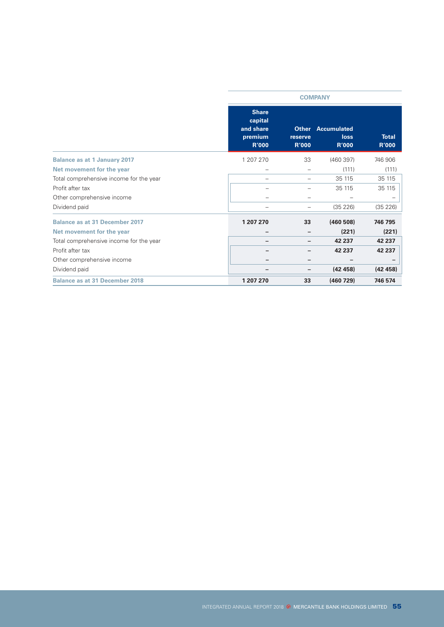|                                         |                                                                 | <b>COMPANY</b>                          |                                            |                              |  |  |
|-----------------------------------------|-----------------------------------------------------------------|-----------------------------------------|--------------------------------------------|------------------------------|--|--|
|                                         | <b>Share</b><br>capital<br>and share<br>premium<br><b>R'000</b> | <b>Other</b><br>reserve<br><b>R'000</b> | <b>Accumulated</b><br>loss<br><b>R'000</b> | <b>Total</b><br><b>R'000</b> |  |  |
| <b>Balance as at 1 January 2017</b>     | 1 207 270                                                       | 33                                      | (460397)                                   | 746 906                      |  |  |
| Net movement for the year               |                                                                 |                                         | (111)                                      | (111)                        |  |  |
| Total comprehensive income for the year |                                                                 |                                         | 35 115                                     | 35 115                       |  |  |
| Profit after tax                        |                                                                 |                                         | 35 115                                     | 35 115                       |  |  |
| Other comprehensive income              |                                                                 |                                         |                                            |                              |  |  |
| Dividend paid                           |                                                                 |                                         | (35 226)                                   | (35 226)                     |  |  |
| <b>Balance as at 31 December 2017</b>   | 1 207 270                                                       | 33                                      | (460 508)                                  | 746 795                      |  |  |
| Net movement for the year               |                                                                 |                                         | (221)                                      | (221)                        |  |  |
| Total comprehensive income for the year |                                                                 |                                         | 42 237                                     | 42 237                       |  |  |
| Profit after tax                        |                                                                 |                                         | 42 237                                     | 42 237                       |  |  |
| Other comprehensive income              |                                                                 |                                         |                                            |                              |  |  |
| Dividend paid                           |                                                                 |                                         | (42458)                                    | (42458)                      |  |  |
| <b>Balance as at 31 December 2018</b>   | 1 207 270                                                       | 33                                      | (460 729)                                  | 746 574                      |  |  |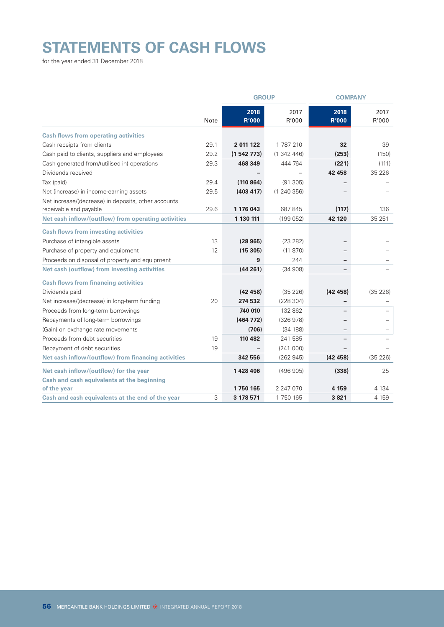# **STATEMENTS OF CASH FLOWS**

for the year ended 31 December 2018

|                                                                               |             | <b>GROUP</b>         |               | <b>COMPANY</b>           |               |
|-------------------------------------------------------------------------------|-------------|----------------------|---------------|--------------------------|---------------|
|                                                                               | <b>Note</b> | 2018<br><b>R'000</b> | 2017<br>R'000 | 2018<br><b>R'000</b>     | 2017<br>R'000 |
| <b>Cash flows from operating activities</b>                                   |             |                      |               |                          |               |
| Cash receipts from clients                                                    | 29.1        | 2 011 122            | 1 787 210     | 32                       | 39            |
| Cash paid to clients, suppliers and employees                                 | 29.2        | (1542773)            | (1342446)     | (253)                    | (150)         |
| Cash generated from/(utilised in) operations                                  | 29.3        | 468 349              | 444 764       | (221)                    | (111)         |
| Dividends received                                                            |             |                      |               | 42 458                   | 35 2 26       |
| Tax (paid)                                                                    | 29.4        | (110864)             | (91305)       |                          |               |
| Net (increase) in income-earning assets                                       | 29.5        | (403 417)            | (1240356)     |                          |               |
| Net increase/(decrease) in deposits, other accounts<br>receivable and payable | 29.6        | 1 176 043            | 687 845       | (117)                    | 136           |
| Net cash inflow/(outflow) from operating activities                           |             | 1 130 111            | (199052)      | 42 120                   | 35 251        |
| <b>Cash flows from investing activities</b>                                   |             |                      |               |                          |               |
| Purchase of intangible assets                                                 | 13          | (28965)              | (23 282)      |                          |               |
| Purchase of property and equipment                                            | 12          | (15305)              | (11 870)      |                          |               |
| Proceeds on disposal of property and equipment                                |             | 9                    | 244           | $\overline{\phantom{0}}$ |               |
| Net cash (outflow) from investing activities                                  |             | (44261)              | (34908)       | $\overline{\phantom{a}}$ |               |
| <b>Cash flows from financing activities</b>                                   |             |                      |               |                          |               |
| Dividends paid                                                                |             | (42458)              | (35 226)      | (42458)                  | (35 226)      |
| Net increase/(decrease) in long-term funding                                  | 20          | 274 532              | (228304)      |                          |               |
| Proceeds from long-term borrowings                                            |             | 740 010              | 132 862       |                          |               |
| Repayments of long-term borrowings                                            |             | (464 772)            | (326978)      |                          |               |
| (Gain) on exchange rate movements                                             |             | (706)                | (34 188)      | $\overline{\phantom{m}}$ | -             |
| Proceeds from debt securities                                                 | 19          | 110 482              | 241 585       |                          |               |
| Repayment of debt securities                                                  | 19          |                      | (241000)      |                          |               |
| Net cash inflow/(outflow) from financing activities                           |             | 342 556              | (262945)      | (42458)                  | (35 226)      |
| Net cash inflow/(outflow) for the year                                        |             | 1428406              | (496905)      | (338)                    | 25            |
| Cash and cash equivalents at the beginning                                    |             |                      |               |                          |               |
| of the year                                                                   |             | 1750 165             | 2 247 070     | 4 1 5 9                  | 4 1 3 4       |
| Cash and cash equivalents at the end of the year                              | 3           | 3 178 571            | 1 750 165     | 3821                     | 4 1 5 9       |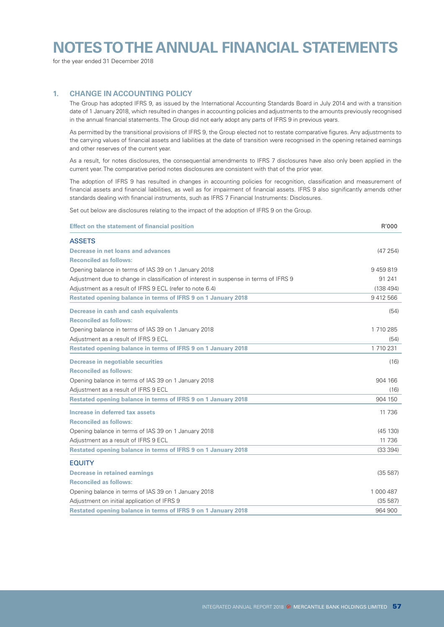# **NOTES TO THE ANNUAL FINANCIAL STATEMENTS**

for the year ended 31 December 2018

### **1. CHANGE IN ACCOUNTING POLICY**

The Group has adopted IFRS 9, as issued by the International Accounting Standards Board in July 2014 and with a transition date of 1 January 2018, which resulted in changes in accounting policies and adjustments to the amounts previously recognised in the annual financial statements. The Group did not early adopt any parts of IFRS 9 in previous years.

As permitted by the transitional provisions of IFRS 9, the Group elected not to restate comparative figures. Any adjustments to the carrying values of financial assets and liabilities at the date of transition were recognised in the opening retained earnings and other reserves of the current year.

As a result, for notes disclosures, the consequential amendments to IFRS 7 disclosures have also only been applied in the current year. The comparative period notes disclosures are consistent with that of the prior year.

The adoption of IFRS 9 has resulted in changes in accounting policies for recognition, classification and measurement of financial assets and financial liabilities, as well as for impairment of financial assets. IFRS 9 also significantly amends other standards dealing with financial instruments, such as IFRS 7 Financial Instruments: Disclosures.

Set out below are disclosures relating to the impact of the adoption of IFRS 9 on the Group.

| <b>Effect on the statement of financial position</b>                                  | R'000     |
|---------------------------------------------------------------------------------------|-----------|
| <b>ASSETS</b>                                                                         |           |
| Decrease in net loans and advances                                                    | (47254)   |
| <b>Reconciled as follows:</b>                                                         |           |
| Opening balance in terms of IAS 39 on 1 January 2018                                  | 9459819   |
| Adjustment due to change in classification of interest in suspense in terms of IFRS 9 | 91 241    |
| Adjustment as a result of IFRS 9 ECL (refer to note 6.4)                              | (138494)  |
| Restated opening balance in terms of IFRS 9 on 1 January 2018                         | 9 412 566 |
| Decrease in cash and cash equivalents                                                 | (54)      |
| <b>Reconciled as follows:</b>                                                         |           |
| Opening balance in terms of IAS 39 on 1 January 2018                                  | 1 710 285 |
| Adjustment as a result of IFRS 9 ECL                                                  | (54)      |
| Restated opening balance in terms of IFRS 9 on 1 January 2018                         | 1 710 231 |
| <b>Decrease in negotiable securities</b>                                              | (16)      |
| <b>Reconciled as follows:</b>                                                         |           |
| Opening balance in terms of IAS 39 on 1 January 2018                                  | 904 166   |
| Adjustment as a result of IFRS 9 ECL                                                  | (16)      |
| Restated opening balance in terms of IFRS 9 on 1 January 2018                         | 904 150   |
| Increase in deferred tax assets                                                       | 11 736    |
| <b>Reconciled as follows:</b>                                                         |           |
| Opening balance in terms of IAS 39 on 1 January 2018                                  | (45 130)  |
| Adjustment as a result of IFRS 9 ECL                                                  | 11 736    |
| Restated opening balance in terms of IFRS 9 on 1 January 2018                         | (33 394)  |
| <b>FOUITY</b>                                                                         |           |
| <b>Decrease in retained earnings</b>                                                  | (35 587)  |
| <b>Reconciled as follows:</b>                                                         |           |
| Opening balance in terms of IAS 39 on 1 January 2018                                  | 1 000 487 |
| Adjustment on initial application of IFRS 9                                           | (35 587)  |
| Restated opening balance in terms of IFRS 9 on 1 January 2018                         | 964 900   |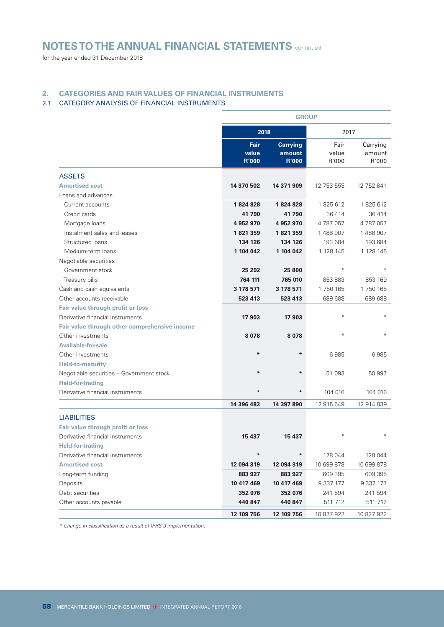for the year ended 31 December 2018

### **2. CATEGORIES AND FAIR VALUES OF FINANCIAL INSTRUMENTS**

### 2.1 CATEGORY ANALYSIS OF FINANCIAL INSTRUMENTS

|                                               |                               | <b>GROUP</b>                              |                        |                             |  |  |
|-----------------------------------------------|-------------------------------|-------------------------------------------|------------------------|-----------------------------|--|--|
|                                               | 2018                          |                                           | 2017                   |                             |  |  |
|                                               | Fair<br>value<br><b>R'000</b> | <b>Carrying</b><br>amount<br><b>R'000</b> | Fair<br>value<br>R'000 | Carrying<br>amount<br>R'000 |  |  |
| <b>ASSETS</b>                                 |                               |                                           |                        |                             |  |  |
| <b>Amortised cost</b>                         | 14 370 502                    | 14 371 909                                | 12 753 555             | 12 752 841                  |  |  |
| Loans and advances                            |                               |                                           |                        |                             |  |  |
| Current accounts                              | 1824828                       | 1824828                                   | 1825612                | 1825612                     |  |  |
| Credit cards                                  | 41790                         | 41790                                     | 36 414                 | 36 414                      |  |  |
| Mortgage loans                                | 4 952 970                     | 4952970                                   | 4787057                | 4787057                     |  |  |
| Instalment sales and leases                   | 1821359                       | 1821359                                   | 1 488 907              | 1 488 907                   |  |  |
| Structured loans                              | 134 126                       | 134 126                                   | 193 684                | 193 684                     |  |  |
| Medium-term loans                             | 1 104 042                     | 1 104 042                                 | 1 128 145              | 1 128 145                   |  |  |
| Negotiable securities                         |                               |                                           |                        |                             |  |  |
| Government stock                              | 25 292                        | 25 800                                    | $\ast$                 | $\divideontimes$            |  |  |
| Treasury bills                                | 764 111                       | 765 010                                   | 853 883                | 853 169                     |  |  |
| Cash and cash equivalents                     | 3 178 571                     | 3 178 571                                 | 1750 165               | 1750165                     |  |  |
| Other accounts receivable                     | 523 413                       | 523 413                                   | 689 688                | 689 688                     |  |  |
| Fair value through profit or loss             |                               |                                           |                        |                             |  |  |
| Derivative financial instruments              | 17 903                        | 17 903                                    | $\ast$                 |                             |  |  |
| Fair value through other comprehensive income |                               |                                           |                        |                             |  |  |
| Other investments                             | 8078                          | 8078                                      | $\ast$                 |                             |  |  |
| <b>Available-for-sale</b>                     |                               |                                           |                        |                             |  |  |
| Other investments                             | $*$                           | ∗                                         | 6985                   | 6985                        |  |  |
| <b>Held-to-maturity</b>                       |                               |                                           |                        |                             |  |  |
| Negotiable securities - Government stock      |                               | $\ast$                                    | 51 093                 | 50 997                      |  |  |
| <b>Held-for-trading</b>                       |                               |                                           |                        |                             |  |  |
| Derivative financial instruments              | ₩                             | $\ast$                                    | 104 016                | 104 016                     |  |  |
|                                               | 14 396 483                    | 14 397 890                                | 12 915 649             | 12 914 839                  |  |  |
| <b>LIABILITIES</b>                            |                               |                                           |                        |                             |  |  |
| Fair value through profit or loss             |                               |                                           |                        |                             |  |  |
| Derivative financial instruments              | 15 437                        | 15 437                                    |                        |                             |  |  |
| <b>Held-for-trading</b>                       |                               |                                           |                        |                             |  |  |
| Derivative financial instruments              | ₩                             | $\ast$                                    | 128 044                | 128 044                     |  |  |
| <b>Amortised cost</b>                         | 12 094 319                    | 12 094 319                                | 10 699 878             | 10 699 878                  |  |  |
| Long-term funding                             | 883 927                       | 883 927                                   | 609 395                | 609 395                     |  |  |
| Deposits                                      | 10 417 469                    | 10 417 469                                | 9 3 3 177              | 9 3 3 177                   |  |  |
| Debt securities                               | 352 076                       | 352 076                                   | 241 594                | 241 594                     |  |  |
| Other accounts payable                        | 440 847                       | 440 847                                   | 511 712                | 511 712                     |  |  |
|                                               | 12 109 756                    | 12 109 756                                | 10 827 922             | 10 827 922                  |  |  |

*\* Change in classification as a result of IFRS 9 implementation.*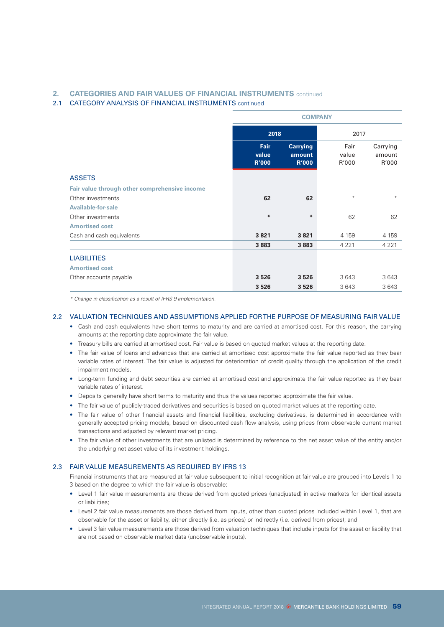### **2. CATEGORIES AND FAIR VALUES OF FINANCIAL INSTRUMENTS** continued

### 2.1 CATEGORY ANALYSIS OF FINANCIAL INSTRUMENTS continued

|                                               |                               | <b>COMPANY</b>                            |                        |                             |  |
|-----------------------------------------------|-------------------------------|-------------------------------------------|------------------------|-----------------------------|--|
|                                               |                               | 2018                                      |                        | 2017                        |  |
|                                               | Fair<br>value<br><b>R'000</b> | <b>Carrying</b><br>amount<br><b>R'000</b> | Fair<br>value<br>R'000 | Carrying<br>amount<br>R'000 |  |
| <b>ASSETS</b>                                 |                               |                                           |                        |                             |  |
| Fair value through other comprehensive income |                               |                                           |                        |                             |  |
| Other investments                             | 62                            | 62                                        | $\ast$                 | $*$                         |  |
| <b>Available-for-sale</b>                     |                               |                                           |                        |                             |  |
| Other investments                             | ₩                             | ₩                                         | 62                     | 62                          |  |
| <b>Amortised cost</b>                         |                               |                                           |                        |                             |  |
| Cash and cash equivalents                     | 3821                          | 3821                                      | 4 1 5 9                | 4 1 5 9                     |  |
|                                               | 3883                          | 3883                                      | 4 2 2 1                | 4 2 2 1                     |  |
| <b>LIABILITIES</b>                            |                               |                                           |                        |                             |  |
| <b>Amortised cost</b>                         |                               |                                           |                        |                             |  |
| Other accounts payable                        | 3526                          | 3526                                      | 3643                   | 3643                        |  |
|                                               | 3526                          | 3526                                      | 3643                   | 3 6 4 3                     |  |

*\* Change in classification as a result of IFRS 9 implementation.*

### 2.2 VALUATION TECHNIQUES AND ASSUMPTIONS APPLIED FOR THE PURPOSE OF MEASURING FAIR VALUE

- Cash and cash equivalents have short terms to maturity and are carried at amortised cost. For this reason, the carrying amounts at the reporting date approximate the fair value.
- Treasury bills are carried at amortised cost. Fair value is based on quoted market values at the reporting date.
- The fair value of loans and advances that are carried at amortised cost approximate the fair value reported as they bear variable rates of interest. The fair value is adjusted for deterioration of credit quality through the application of the credit impairment models.
- Long-term funding and debt securities are carried at amortised cost and approximate the fair value reported as they bear variable rates of interest.
- Deposits generally have short terms to maturity and thus the values reported approximate the fair value.
- The fair value of publicly-traded derivatives and securities is based on quoted market values at the reporting date.
- The fair value of other financial assets and financial liabilities, excluding derivatives, is determined in accordance with generally accepted pricing models, based on discounted cash flow analysis, using prices from observable current market transactions and adjusted by relevant market pricing.
- The fair value of other investments that are unlisted is determined by reference to the net asset value of the entity and/or the underlying net asset value of its investment holdings.

### 2.3 FAIR VALUE MEASUREMENTS AS REQUIRED BY IFRS 13

Financial instruments that are measured at fair value subsequent to initial recognition at fair value are grouped into Levels 1 to 3 based on the degree to which the fair value is observable:

- Level 1 fair value measurements are those derived from quoted prices (unadjusted) in active markets for identical assets or liabilities;
- Level 2 fair value measurements are those derived from inputs, other than quoted prices included within Level 1, that are observable for the asset or liability, either directly (i.e. as prices) or indirectly (i.e. derived from prices); and
- Level 3 fair value measurements are those derived from valuation techniques that include inputs for the asset or liability that are not based on observable market data (unobservable inputs).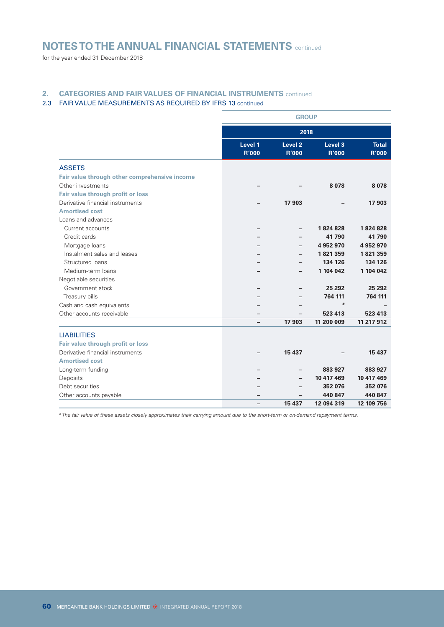for the year ended 31 December 2018

### **2. CATEGORIES AND FAIR VALUES OF FINANCIAL INSTRUMENTS** continued

### 2.3 FAIR VALUE MEASUREMENTS AS REQUIRED BY IFRS 13 continued

|                                               |                         | <b>GROUP</b>                       |                         |                              |  |
|-----------------------------------------------|-------------------------|------------------------------------|-------------------------|------------------------------|--|
|                                               |                         | 2018                               |                         |                              |  |
|                                               | Level 1<br><b>R'000</b> | Level <sub>2</sub><br><b>R'000</b> | Level 3<br><b>R'000</b> | <b>Total</b><br><b>R'000</b> |  |
| <b>ASSETS</b>                                 |                         |                                    |                         |                              |  |
| Fair value through other comprehensive income |                         |                                    |                         |                              |  |
| Other investments                             |                         |                                    | 8078                    | 8078                         |  |
| Fair value through profit or loss             |                         |                                    |                         |                              |  |
| Derivative financial instruments              |                         | 17 903                             |                         | 17 903                       |  |
| <b>Amortised cost</b>                         |                         |                                    |                         |                              |  |
| Loans and advances                            |                         |                                    |                         |                              |  |
| Current accounts                              |                         |                                    | 1824828                 | 1824828                      |  |
| Credit cards                                  |                         |                                    | 41790                   | 41790                        |  |
| Mortgage loans                                |                         |                                    | 4 952 970               | 4 952 970                    |  |
| Instalment sales and leases                   |                         |                                    | 1821359                 | 1821359                      |  |
| Structured loans                              |                         |                                    | 134 126                 | 134 126                      |  |
| Medium-term loans                             |                         |                                    | 1 104 042               | 1 104 042                    |  |
| Negotiable securities                         |                         |                                    |                         |                              |  |
| Government stock                              |                         |                                    | 25 29 2                 | 25 29 2                      |  |
| Treasury bills                                |                         |                                    | 764 111                 | 764 111                      |  |
| Cash and cash equivalents                     |                         |                                    | #                       |                              |  |
| Other accounts receivable                     |                         |                                    | 523 413                 | 523 413                      |  |
|                                               | -                       | 17 903                             | 11 200 009              | 11 217 912                   |  |
| <b>LIABILITIES</b>                            |                         |                                    |                         |                              |  |
| Fair value through profit or loss             |                         |                                    |                         |                              |  |
| Derivative financial instruments              |                         | 15 437                             |                         | 15 437                       |  |
| <b>Amortised cost</b>                         |                         |                                    |                         |                              |  |
| Long-term funding                             |                         |                                    | 883 927                 | 883 927                      |  |
| Deposits                                      |                         |                                    | 10 417 469              | 10 417 469                   |  |
| Debt securities                               |                         |                                    | 352 076                 | 352 076                      |  |
| Other accounts payable                        |                         |                                    | 440 847                 | 440 847                      |  |
|                                               |                         | 15 437                             | 12 094 319              | 12 109 756                   |  |

*# The fair value of these assets closely approximates their carrying amount due to the short-term or on-demand repayment terms.*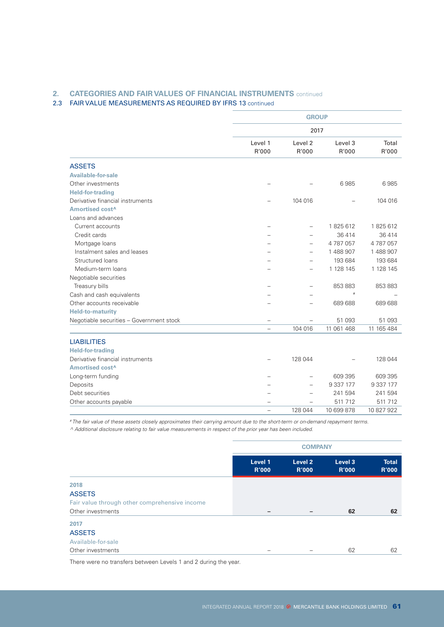### **2. CATEGORIES AND FAIR VALUES OF FINANCIAL INSTRUMENTS** continued

### 2.3 FAIR VALUE MEASUREMENTS AS REQUIRED BY IFRS 13 continued

|                                          | <b>GROUP</b>             |                             |                  |                |  |  |
|------------------------------------------|--------------------------|-----------------------------|------------------|----------------|--|--|
|                                          |                          | 2017                        |                  |                |  |  |
|                                          | Level 1<br>R'000         | Level <sub>2</sub><br>R'000 | Level 3<br>R'000 | Total<br>R'000 |  |  |
| <b>ASSETS</b>                            |                          |                             |                  |                |  |  |
| <b>Available-for-sale</b>                |                          |                             |                  |                |  |  |
| Other investments                        |                          |                             | 6985             | 6985           |  |  |
| <b>Held-for-trading</b>                  |                          |                             |                  |                |  |  |
| Derivative financial instruments         |                          | 104 016                     |                  | 104 016        |  |  |
| Amortised cost <sup>^</sup>              |                          |                             |                  |                |  |  |
| Loans and advances                       |                          |                             |                  |                |  |  |
| Current accounts                         | $\overline{\phantom{0}}$ | $\overline{\phantom{0}}$    | 1825612          | 1825612        |  |  |
| Credit cards                             |                          |                             | 36 4 14          | 36 414         |  |  |
| Mortgage loans                           |                          | $\overline{\phantom{0}}$    | 4787057          | 4787057        |  |  |
| Instalment sales and leases              |                          |                             | 1488907          | 1 488 907      |  |  |
| Structured loans                         |                          |                             | 193 684          | 193 684        |  |  |
| Medium-term loans                        |                          |                             | 1 128 145        | 1 128 145      |  |  |
| Negotiable securities                    |                          |                             |                  |                |  |  |
| Treasury bills                           |                          |                             | 853 883          | 853 883        |  |  |
| Cash and cash equivalents                |                          |                             | #                |                |  |  |
| Other accounts receivable                |                          |                             | 689 688          | 689 688        |  |  |
| <b>Held-to-maturity</b>                  |                          |                             |                  |                |  |  |
| Negotiable securities - Government stock |                          |                             | 51 093           | 51 093         |  |  |
|                                          |                          | 104 016                     | 11 061 468       | 11 165 484     |  |  |
| <b>LIABILITIES</b>                       |                          |                             |                  |                |  |  |
| <b>Held-for-trading</b>                  |                          |                             |                  |                |  |  |
| Derivative financial instruments         |                          | 128 044                     |                  | 128 044        |  |  |
| Amortised cost <sup>^</sup>              |                          |                             |                  |                |  |  |
| Long-term funding                        |                          |                             | 609 395          | 609 395        |  |  |
| Deposits                                 |                          |                             | 9 337 177        | 9 337 177      |  |  |
| Debt securities                          |                          |                             | 241 594          | 241 594        |  |  |
| Other accounts payable                   |                          |                             | 511 712          | 511 712        |  |  |
|                                          | $\equiv$                 | 128 044                     | 10 699 878       | 10 827 922     |  |  |

*# The fair value of these assets closely approximates their carrying amount due to the short-term or on-demand repayment terms. ^ Additional disclosure relating to fair value measurements in respect of the prior year has been included.*

|                                               | <b>COMPANY</b>          |                         |                         |                              |  |  |
|-----------------------------------------------|-------------------------|-------------------------|-------------------------|------------------------------|--|--|
|                                               | Level 1<br><b>R'000</b> | Level 2<br><b>R'000</b> | Level 3<br><b>R'000</b> | <b>Total</b><br><b>R'000</b> |  |  |
| 2018                                          |                         |                         |                         |                              |  |  |
| <b>ASSETS</b>                                 |                         |                         |                         |                              |  |  |
| Fair value through other comprehensive income |                         |                         |                         |                              |  |  |
| Other investments                             | -                       | -                       | 62                      | 62                           |  |  |
| 2017                                          |                         |                         |                         |                              |  |  |
| <b>ASSETS</b>                                 |                         |                         |                         |                              |  |  |
| Available-for-sale                            |                         |                         |                         |                              |  |  |
| Other investments                             |                         |                         | 62                      | 62                           |  |  |

There were no transfers between Levels 1 and 2 during the year.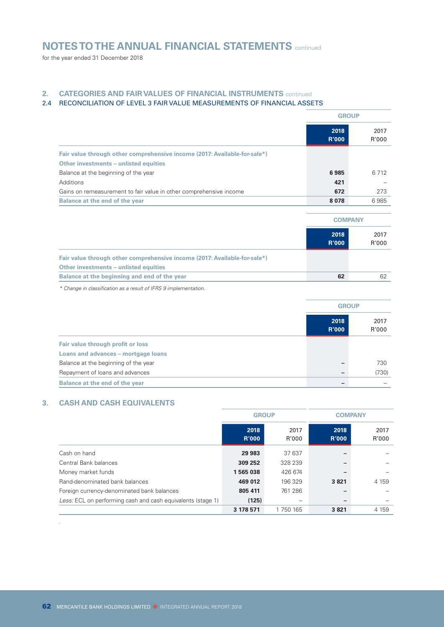for the year ended 31 December 2018

### **2. CATEGORIES AND FAIR VALUES OF FINANCIAL INSTRUMENTS** continued

### 2.4 RECONCILIATION OF LEVEL 3 FAIR VALUE MEASUREMENTS OF FINANCIAL ASSETS

|                                                                           | <b>GROUP</b>         |               |
|---------------------------------------------------------------------------|----------------------|---------------|
|                                                                           | 2018<br><b>R'000</b> | 2017<br>R'000 |
| Fair value through other comprehensive income (2017: Available-for-sale*) |                      |               |
| Other investments – unlisted equities                                     |                      |               |
| Balance at the beginning of the year                                      | 6985                 | 6 7 1 2       |
| Additions                                                                 | 421                  |               |
| Gains on remeasurement to fair value in other comprehensive income        | 672                  | 273           |
| Balance at the end of the year                                            | 8078                 | 6985          |
|                                                                           |                      |               |
|                                                                           | <b>COMPANY</b>       |               |
|                                                                           | 2018<br><b>R'000</b> | 2017<br>R'000 |
| Fair value through other comprehensive income (2017: Available-for-sale*) |                      |               |
| Other investments - unlisted equities                                     |                      |               |
| Balance at the beginning and end of the year                              | 62                   | 62            |

*\* Change in classification as a result of IFRS 9 implementation.*

|                                      | <b>GROUP</b>         |               |
|--------------------------------------|----------------------|---------------|
|                                      | 2018<br><b>R'000</b> | 2017<br>R'000 |
| Fair value through profit or loss    |                      |               |
| Loans and advances - mortgage loans  |                      |               |
| Balance at the beginning of the year |                      | 730           |
| Repayment of loans and advances      |                      | (730)         |
| Balance at the end of the year       |                      |               |

### **3. CASH AND CASH EQUIVALENTS**

*.*

|                                                             | <b>GROUP</b>         |               | <b>COMPANY</b>       |               |
|-------------------------------------------------------------|----------------------|---------------|----------------------|---------------|
|                                                             | 2018<br><b>R'000</b> | 2017<br>R'000 | 2018<br><b>R'000</b> | 2017<br>R'000 |
| Cash on hand                                                | 29 983               | 37 637        | -                    |               |
| Central Bank balances                                       | 309 252              | 328 239       | -                    |               |
| Money market funds                                          | 1565038              | 426 674       | -                    |               |
| Rand-denominated bank balances                              | 469 012              | 196 329       | 3821                 | 4 1 5 9       |
| Foreign currency-denominated bank balances                  | 805 411              | 761 286       | -                    |               |
| Less: ECL on performing cash and cash equivalents (stage 1) | (125)                | -             | -                    |               |
|                                                             | 3 178 571            | 1 750 165     | 3821                 | 4 1 5 9       |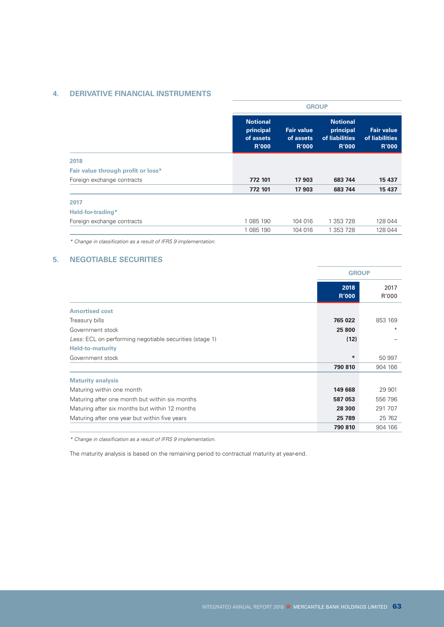### **4. DERIVATIVE FINANCIAL INSTRUMENTS**

|                                                                                                                                                                                                                                                  |                                                | <b>GROUP</b>                                                   |                                                     |         |  |  |  |
|--------------------------------------------------------------------------------------------------------------------------------------------------------------------------------------------------------------------------------------------------|------------------------------------------------|----------------------------------------------------------------|-----------------------------------------------------|---------|--|--|--|
| <b>Notional</b><br>principal<br>of assets<br><b>R'000</b><br>2018<br>Fair value through profit or loss*<br>Foreign exchange contracts<br>772 101<br>772 101<br>2017<br>Held-for-trading*<br>1 085 190<br>Foreign exchange contracts<br>1 085 190 | <b>Fair value</b><br>of assets<br><b>R'000</b> | <b>Notional</b><br>principal<br>of liabilities<br><b>R'000</b> | <b>Fair value</b><br>of liabilities<br><b>R'000</b> |         |  |  |  |
|                                                                                                                                                                                                                                                  |                                                |                                                                |                                                     |         |  |  |  |
|                                                                                                                                                                                                                                                  |                                                |                                                                |                                                     |         |  |  |  |
|                                                                                                                                                                                                                                                  |                                                | 17 903                                                         | 683 744                                             | 15 437  |  |  |  |
|                                                                                                                                                                                                                                                  |                                                | 17 903                                                         | 683 744                                             | 15 437  |  |  |  |
|                                                                                                                                                                                                                                                  |                                                |                                                                |                                                     |         |  |  |  |
|                                                                                                                                                                                                                                                  |                                                |                                                                |                                                     |         |  |  |  |
|                                                                                                                                                                                                                                                  |                                                | 104 016                                                        | 1 353 728                                           | 128 044 |  |  |  |
|                                                                                                                                                                                                                                                  |                                                | 104 016                                                        | 1 353 728                                           | 128 044 |  |  |  |

*\* Change in classification as a result of IFRS 9 implementation.*

### **5. NEGOTIABLE SECURITIES**

|                                                         | <b>GROUP</b>         |               |
|---------------------------------------------------------|----------------------|---------------|
|                                                         | 2018<br><b>R'000</b> | 2017<br>R'000 |
| <b>Amortised cost</b>                                   |                      |               |
| Treasury bills                                          | 765 022              | 853 169       |
| Government stock                                        | 25 800               | $*$           |
| Less: ECL on performing negotiable securities (stage 1) | (12)                 |               |
| <b>Held-to-maturity</b>                                 |                      |               |
| Government stock                                        | $\ast$               | 50 997        |
|                                                         | 790 810              | 904 166       |
| <b>Maturity analysis</b>                                |                      |               |
| Maturing within one month                               | 149 668              | 29 901        |
| Maturing after one month but within six months          | 587 053              | 556 796       |
| Maturing after six months but within 12 months          | 28 300               | 291 707       |
| Maturing after one year but within five years           | 25 789               | 25 762        |
|                                                         | 790 810              | 904 166       |

*\* Change in classification as a result of IFRS 9 implementation.*

The maturity analysis is based on the remaining period to contractual maturity at year-end.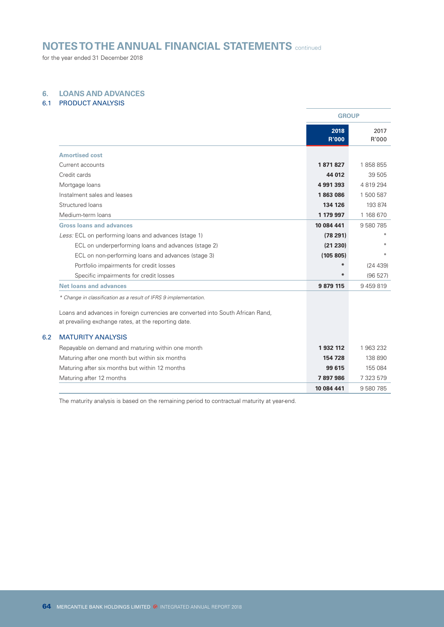for the year ended 31 December 2018

### **6. LOANS AND ADVANCES**

### 6.1 PRODUCT ANALYSIS

 $6.2$ 

|                                                                                 | <b>GROUP</b>         |               |
|---------------------------------------------------------------------------------|----------------------|---------------|
|                                                                                 | 2018<br><b>R'000</b> | 2017<br>R'000 |
| <b>Amortised cost</b>                                                           |                      |               |
| Current accounts                                                                | 1871827              | 1858855       |
| Credit cards                                                                    | 44 012               | 39 505        |
| Mortgage loans                                                                  | 4991393              | 4 819 294     |
| Instalment sales and leases                                                     | 1863086              | 1 500 587     |
| Structured loans                                                                | 134 126              | 193 874       |
| Medium-term loans                                                               | 1 179 997            | 1 168 670     |
| <b>Gross loans and advances</b>                                                 | 10 084 441           | 9 580 785     |
| Less: ECL on performing loans and advances (stage 1)                            | (78291)              |               |
| ECL on underperforming loans and advances (stage 2)                             | (21 230)             |               |
| ECL on non-performing loans and advances (stage 3)                              | (105 805)            | $*$           |
| Portfolio impairments for credit losses                                         | $\ast$               | (24 439)      |
| Specific impairments for credit losses                                          | $\ast$               | (96 527)      |
| <b>Net loans and advances</b>                                                   | 9 879 115            | 9459819       |
| * Change in classification as a result of IFRS 9 implementation.                |                      |               |
| Loans and advances in foreign currencies are converted into South African Rand, |                      |               |
| at prevailing exchange rates, at the reporting date.                            |                      |               |
| <b>MATURITY ANALYSIS</b>                                                        |                      |               |
| Repayable on demand and maturing within one month                               | 1932112              | 1 963 232     |
| Maturing after one month but within six months                                  | 154 728              | 138 890       |
| Maturing after six months but within 12 months                                  | 99 615               | 155 084       |
| Maturing after 12 months                                                        | 7897986              | 7 323 579     |
|                                                                                 | 10 084 441           | 9 580 785     |

The maturity analysis is based on the remaining period to contractual maturity at year-end.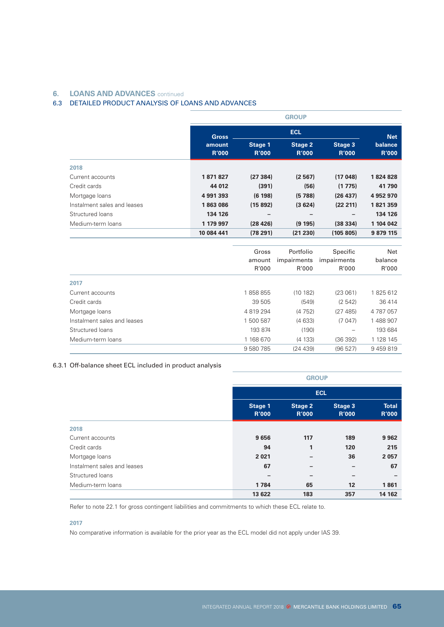### **6. LOANS AND ADVANCES** continued

### 6.3 DETAILED PRODUCT ANALYSIS OF LOANS AND ADVANCES

|                             |                        | <b>GROUP</b>            |                         |                         |                         |  |  |
|-----------------------------|------------------------|-------------------------|-------------------------|-------------------------|-------------------------|--|--|
|                             | <b>Gross</b>           |                         | <b>Net</b>              |                         |                         |  |  |
|                             | amount<br><b>R'000</b> | Stage 1<br><b>R'000</b> | Stage 2<br><b>R'000</b> | Stage 3<br><b>R'000</b> | balance<br><b>R'000</b> |  |  |
| 2018                        |                        |                         |                         |                         |                         |  |  |
| Current accounts            | 1871827                | (27384)                 | (2567)                  | (17048)                 | 1824828                 |  |  |
| Credit cards                | 44 012                 | (391)                   | (56)                    | (1775)                  | 41 790                  |  |  |
| Mortgage loans              | 4 991 393              | (6198)                  | (5788)                  | (26 437)                | 4 952 970               |  |  |
| Instalment sales and leases | 1863086                | (15892)                 | (3624)                  | (22 211)                | 1821359                 |  |  |
| Structured loans            | 134 126                |                         |                         |                         | 134 126                 |  |  |
| Medium-term loans           | 1 179 997              | (28 426)                | (9195)                  | (38334)                 | 1 104 042               |  |  |
|                             | 10 084 441             | (78291)                 | (21 230)                | (105 805)               | 9 879 115               |  |  |
|                             |                        |                         |                         |                         |                         |  |  |
|                             |                        | Gross                   | Portfolio               | Specific                | Net                     |  |  |
|                             |                        | amount                  | impairments             | impairments             | balance                 |  |  |
|                             |                        | R'000                   | R'000                   | R'000                   | R'000                   |  |  |

| 2017                        |           |         |         |           |
|-----------------------------|-----------|---------|---------|-----------|
| Current accounts            | 1858855   | (10182) | (23061) | 1825612   |
| Credit cards                | 39 505    | (549)   | (2542)  | 36 414    |
| Mortgage loans              | 4 819 294 | (4752)  | (27485) | 4 787 057 |
| Instalment sales and leases | 1 500 587 | (4633)  | (7 047) | 488 907   |
| Structured loans            | 193 874   | (190)   |         | 193 684   |
| Medium-term loans           | 1 168 670 | (4133)  | (36392) | 1 128 145 |
|                             | 9 580 785 | (24439) | (96527) | 9459819   |

### 6.3.1 Off-balance sheet ECL included in product analysis

|                             |                         | <b>GROUP</b>                   |                         |                              |  |  |
|-----------------------------|-------------------------|--------------------------------|-------------------------|------------------------------|--|--|
|                             |                         | <b>ECL</b>                     |                         |                              |  |  |
|                             | Stage 1<br><b>R'000</b> | <b>Stage 2</b><br><b>R'000</b> | Stage 3<br><b>R'000</b> | <b>Total</b><br><b>R'000</b> |  |  |
| 2018                        |                         |                                |                         |                              |  |  |
| Current accounts            | 9656                    | 117                            | 189                     | 9 9 6 2                      |  |  |
| Credit cards                | 94                      | 1                              | 120                     | 215                          |  |  |
| Mortgage loans              | 2 0 2 1                 |                                | 36                      | 2 0 5 7                      |  |  |
| Instalment sales and leases | 67                      |                                | -                       | 67                           |  |  |
| Structured loans            | -                       | $\overline{\phantom{0}}$       | -                       | $\overline{\phantom{0}}$     |  |  |
| Medium-term loans           | 1784                    | 65                             | 12                      | 1861                         |  |  |
|                             | 13 622                  | 183                            | 357                     | 14 162                       |  |  |

Refer to note 22.1 for gross contingent liabilities and commitments to which these ECL relate to.

### **2017**

No comparative information is available for the prior year as the ECL model did not apply under IAS 39.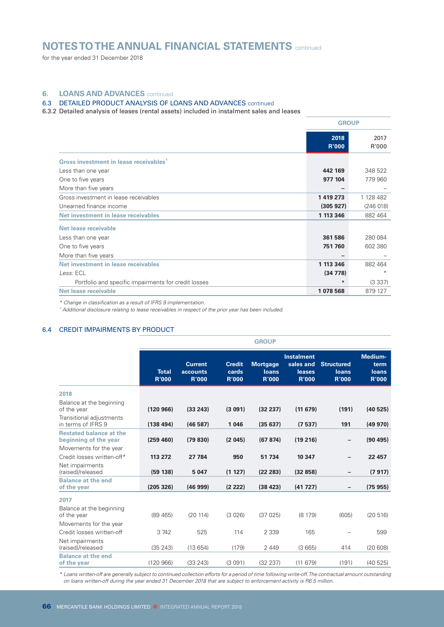for the year ended 31 December 2018

### **6. LOANS AND ADVANCES** continued

### 6.3 DETAILED PRODUCT ANALYSIS OF LOANS AND ADVANCES continued

6.3.2 Detailed analysis of leases (rental assets) included in instalment sales and leases

|                                                      | <b>GROUP</b>         |               |
|------------------------------------------------------|----------------------|---------------|
|                                                      | 2018<br><b>R'000</b> | 2017<br>R'000 |
| Gross investment in lease receivables <sup>^</sup>   |                      |               |
| Less than one year                                   | 442 169              | 348 522       |
| One to five years                                    | 977 104              | 779 960       |
| More than five years                                 | -                    |               |
| Gross investment in lease receivables                | 1419273              | 1 128 482     |
| Unearned finance income                              | (305927)             | (246018)      |
| Net investment in lease receivables                  | 1 113 346            | 882 464       |
| Net lease receivable                                 |                      |               |
| Less than one year                                   | 361 586              | 280 084       |
| One to five years                                    | 751 760              | 602 380       |
| More than five years                                 |                      |               |
| Net investment in lease receivables                  | 1 113 346            | 882 464       |
| Less: ECL                                            | (34778)              | $*$           |
| Portfolio and specific impairments for credit losses | $*$                  | (3337)        |
| Net lease receivable                                 | 1078568              | 879 127       |

*\* Change in classification as a result of IFRS 9 implementation.*

*^ Additional disclosure relating to lease receivables in respect of the prior year has been included.*

### 6.4 CREDIT IMPAIRMENTS BY PRODUCT

|                                                                                           |                              |                                                   |                                        | <b>GROUP</b>                                    |                                                          |                                            |                                                 |
|-------------------------------------------------------------------------------------------|------------------------------|---------------------------------------------------|----------------------------------------|-------------------------------------------------|----------------------------------------------------------|--------------------------------------------|-------------------------------------------------|
|                                                                                           | <b>Total</b><br><b>R'000</b> | <b>Current</b><br><b>accounts</b><br><b>R'000</b> | <b>Credit</b><br>cards<br><b>R'000</b> | <b>Mortgage</b><br><b>loans</b><br><b>R'000</b> | <b>Instalment</b><br>sales and<br>leases<br><b>R'000</b> | <b>Structured</b><br>loans<br><b>R'000</b> | Medium-<br>term<br><b>loans</b><br><b>R'000</b> |
| 2018                                                                                      |                              |                                                   |                                        |                                                 |                                                          |                                            |                                                 |
| Balance at the beginning<br>of the year<br>Transitional adjustments<br>in terms of IFRS 9 | (120966)<br>(138494)         | (33 243)<br>(46587)                               | (3091)<br>1 0 4 6                      | (32 237)<br>(35637)                             | (11679)<br>(7537)                                        | (191)<br>191                               | (40525)<br>(49970)                              |
| <b>Restated balance at the</b><br>beginning of the year                                   | (259 460)                    | (79 830)                                          | (2045)                                 | (67 874)                                        | (19216)                                                  |                                            | (90, 495)                                       |
| Movements for the year<br>Credit losses written-off*                                      | 113 272                      | 27 784                                            | 950                                    | 51 734                                          | 10 347                                                   | -                                          | 22 457                                          |
| Net impairments<br>(raised)/released                                                      | (59 138)                     | 5 0 4 7                                           | (1 127)                                | (22 283)                                        | (32858)                                                  | -                                          | (7917)                                          |
| <b>Balance at the end</b><br>of the year                                                  | (205 326)                    | (46999)                                           | (2 222)                                | (38 423)                                        | (41727)                                                  | -                                          | (75955)                                         |
| 2017                                                                                      |                              |                                                   |                                        |                                                 |                                                          |                                            |                                                 |
| Balance at the beginning<br>of the year                                                   | (89, 465)                    | (20114)                                           | (3026)                                 | (37025)                                         | (8179)                                                   | (605)                                      | (20516)                                         |
| Movements for the year                                                                    |                              |                                                   |                                        |                                                 |                                                          |                                            |                                                 |
| Credit losses written-off                                                                 | 3 742                        | 525                                               | 114                                    | 2 3 3 9                                         | 165                                                      |                                            | 599                                             |
| Net impairments<br>(raised)/released                                                      | (35 243)                     | (13654)                                           | (179)                                  | 2 4 4 9                                         | (3665)                                                   | 414                                        | (20608)                                         |
| <b>Balance at the end</b><br>of the year                                                  | (120966)                     | (33 243)                                          | (3091)                                 | (32 237)                                        | (11679)                                                  | (191)                                      | (40525)                                         |

*\* Loans written-off are generally subject to continued collection efforts for a period of time following write-off. The contractual amount outstanding on loans written-off during the year ended 31 December 2018 that are subject to enforcement activity is R6.5 million.*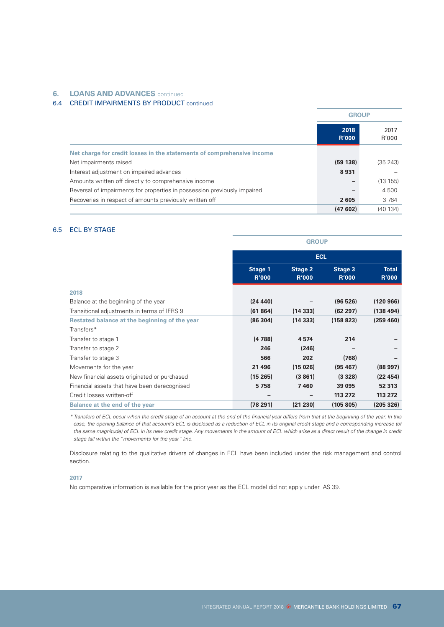### **6. LOANS AND ADVANCES** continued

### 6.4 CREDIT IMPAIRMENTS BY PRODUCT continued

|                                                                          |                      | <b>GROUP</b>  |  |
|--------------------------------------------------------------------------|----------------------|---------------|--|
|                                                                          | 2018<br><b>R'000</b> | 2017<br>R'000 |  |
| Net charge for credit losses in the statements of comprehensive income   |                      |               |  |
| Net impairments raised                                                   | (59138)              | (35 243)      |  |
| Interest adjustment on impaired advances                                 | 8931                 |               |  |
| Amounts written off directly to comprehensive income                     | -                    | (13 155)      |  |
| Reversal of impairments for properties in possession previously impaired | -                    | 4 500         |  |
| Recoveries in respect of amounts previously written off                  | 2605                 | 3 7 6 4       |  |
|                                                                          | (47602)              | (40134)       |  |

### 6.5 ECL BY STAGE

|                                               | <b>GROUP</b>            |                                |                         |                              |
|-----------------------------------------------|-------------------------|--------------------------------|-------------------------|------------------------------|
|                                               | <b>ECL</b>              |                                |                         |                              |
|                                               | Stage 1<br><b>R'000</b> | <b>Stage 2</b><br><b>R'000</b> | Stage 3<br><b>R'000</b> | <b>Total</b><br><b>R'000</b> |
| 2018                                          |                         |                                |                         |                              |
| Balance at the beginning of the year          | (24 440)                |                                | (96526)                 | (120 966)                    |
| Transitional adjustments in terms of IFRS 9   | (61864)                 | (14333)                        | (62297)                 | (138494)                     |
| Restated balance at the beginning of the year | (86304)                 | (14333)                        | (158823)                | (259 460)                    |
| Transfers*                                    |                         |                                |                         |                              |
| Transfer to stage 1                           | (4788)                  | 4 5 7 4                        | 214                     |                              |
| Transfer to stage 2                           | 246                     | (246)                          |                         |                              |
| Transfer to stage 3                           | 566                     | 202                            | (768)                   |                              |
| Movements for the year                        | 21 4 96                 | (15026)                        | (95, 467)               | (88997)                      |
| New financial assets originated or purchased  | (15265)                 | (3861)                         | (3328)                  | (22 454)                     |
| Financial assets that have been derecognised  | 5758                    | 7460                           | 39 095                  | 52 313                       |
| Credit losses written-off                     | -                       | $\overline{\phantom{0}}$       | 113 272                 | 113 272                      |
| <b>Balance at the end of the year</b>         | (78291)                 | (21 230)                       | (105 805)               | (205 326)                    |

*\* Transfers of ECL occur when the credit stage of an account at the end of the financial year differs from that at the beginning of the year. In this*  case, the opening balance of that account's ECL is disclosed as a reduction of ECL in its original credit stage and a corresponding increase (of *the same magnitude) of ECL in its new credit stage. Any movements in the amount of ECL which arise as a direct result of the change in credit stage fall within the "movements for the year" line.*

Disclosure relating to the qualitative drivers of changes in ECL have been included under the risk management and control section.

### **2017**

No comparative information is available for the prior year as the ECL model did not apply under IAS 39.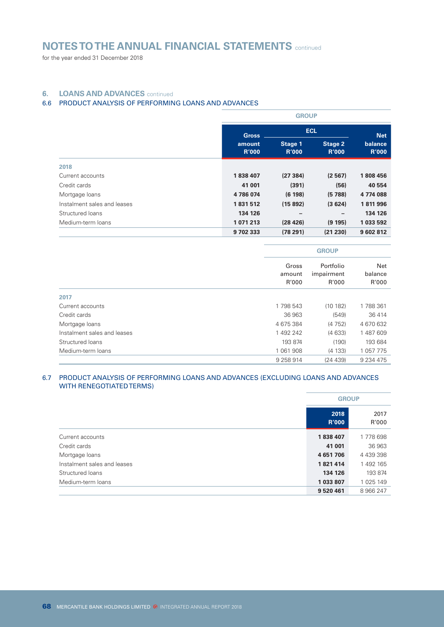for the year ended 31 December 2018

### **6. LOANS AND ADVANCES** continued

### 6.6 PRODUCT ANALYSIS OF PERFORMING LOANS AND ADVANCES

|                             |                        | <b>GROUP</b>            |                                |                         |
|-----------------------------|------------------------|-------------------------|--------------------------------|-------------------------|
|                             | <b>Gross</b>           | <b>ECL</b>              |                                | <b>Net</b>              |
|                             | amount<br><b>R'000</b> | Stage 1<br><b>R'000</b> | <b>Stage 2</b><br><b>R'000</b> | balance<br><b>R'000</b> |
| 2018                        |                        |                         |                                |                         |
| Current accounts            | 1838407                | (27384)                 | (2567)                         | 1808456                 |
| Credit cards                | 41 001                 | (391)                   | (56)                           | 40 554                  |
| Mortgage loans              | 4786074                | (6198)                  | (5788)                         | 4 774 088               |
| Instalment sales and leases | 1831512                | (15892)                 | (3624)                         | 1811996                 |
| Structured loans            | 134 126                |                         |                                | 134 126                 |
| Medium-term loans           | 1071213                | (28 426)                | (9 195)                        | 1 033 592               |
|                             | 9702333                | (78291)                 | (21 230)                       | 9 602 812               |

|                             |                          | <b>GROUP</b>                     |                         |  |
|-----------------------------|--------------------------|----------------------------------|-------------------------|--|
|                             | Gross<br>amount<br>R'000 | Portfolio<br>impairment<br>R'000 | Net<br>balance<br>R'000 |  |
| 2017                        |                          |                                  |                         |  |
| Current accounts            | 1 798 543                | (10182)                          | 1788361                 |  |
| Credit cards                | 36 963                   | (549)                            | 36 414                  |  |
| Mortgage loans              | 4 675 384                | (4752)                           | 4 670 632               |  |
| Instalment sales and leases | 1 492 242                | (4633)                           | 1 487 609               |  |
| Structured loans            | 193 874                  | (190)                            | 193 684                 |  |
| Medium-term loans           | 1 061 908                | (4133)                           | 1 057 775               |  |
|                             | 9 258 914                | (24439)                          | 9 234 475               |  |

### 6.7 PRODUCT ANALYSIS OF PERFORMING LOANS AND ADVANCES (EXCLUDING LOANS AND ADVANCES WITH RENEGOTIATED TERMS)

|                             |                      | <b>GROUP</b>  |  |
|-----------------------------|----------------------|---------------|--|
|                             | 2018<br><b>R'000</b> | 2017<br>R'000 |  |
| Current accounts            | 1838407              | 1778698       |  |
| Credit cards                | 41 001               | 36 963        |  |
| Mortgage loans              | 4651706              | 4 439 398     |  |
| Instalment sales and leases | 1821414              | 1 492 165     |  |
| Structured loans            | 134 126              | 193 874       |  |
| Medium-term loans           | 1 033 807            | 1 025 149     |  |
|                             | 9 520 461            | 8 966 247     |  |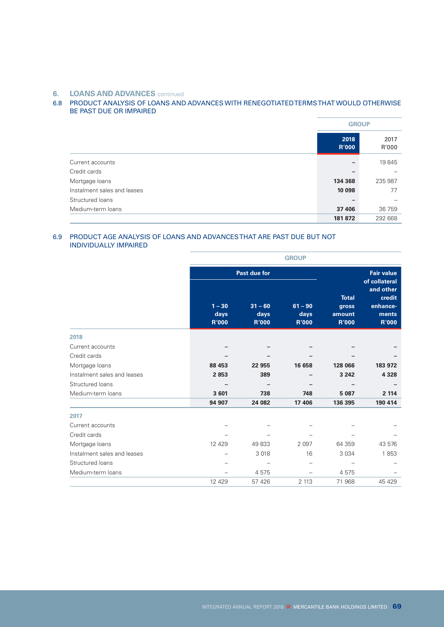### **6. LOANS AND ADVANCES** continued

### 6.8 PRODUCT ANALYSIS OF LOANS AND ADVANCES WITH RENEGOTIATED TERMS THAT WOULD OTHERWISE BE PAST DUE OR IMPAIRED

|                             | <b>GROUP</b>         |               |
|-----------------------------|----------------------|---------------|
|                             | 2018<br><b>R'000</b> | 2017<br>R'000 |
| Current accounts            |                      | 19845         |
| Credit cards                |                      |               |
| Mortgage loans              | 134 368              | 235 987       |
| Instalment sales and leases | 10 098               | 77            |
| Structured loans            |                      |               |
| Medium-term loans           | 37 406               | 36 759        |
|                             | 181 872              | 292 668       |

### 6.9 PRODUCT AGE ANALYSIS OF LOANS AND ADVANCES THAT ARE PAST DUE BUT NOT INDIVIDUALLY IMPAIRED

|                             |                                  |                                   | <b>GROUP</b>                      |                                                 |                                                          |
|-----------------------------|----------------------------------|-----------------------------------|-----------------------------------|-------------------------------------------------|----------------------------------------------------------|
|                             |                                  | Past due for                      |                                   |                                                 | <b>Fair value</b><br>of collateral                       |
|                             | $1 - 30$<br>days<br><b>R'000</b> | $31 - 60$<br>days<br><b>R'000</b> | $61 - 90$<br>days<br><b>R'000</b> | <b>Total</b><br>gross<br>amount<br><b>R'000</b> | and other<br>credit<br>enhance-<br>ments<br><b>R'000</b> |
| 2018                        |                                  |                                   |                                   |                                                 |                                                          |
| Current accounts            |                                  |                                   |                                   |                                                 |                                                          |
| Credit cards                |                                  |                                   |                                   |                                                 |                                                          |
| Mortgage loans              | 88 453                           | 22 955                            | 16 658                            | 128 066                                         | 183 972                                                  |
| Instalment sales and leases | 2853                             | 389                               |                                   | 3 2 4 2                                         | 4 3 2 8                                                  |
| Structured loans            |                                  |                                   |                                   |                                                 |                                                          |
| Medium-term loans           | 3601                             | 738                               | 748                               | 5 0 8 7                                         | 2 1 1 4                                                  |
|                             | 94 907                           | 24 082                            | 17 406                            | 136 395                                         | 190 414                                                  |
| 2017                        |                                  |                                   |                                   |                                                 |                                                          |
| Current accounts            |                                  |                                   |                                   |                                                 |                                                          |
| Credit cards                |                                  |                                   |                                   |                                                 |                                                          |
| Mortgage loans              | 12 4 2 9                         | 49833                             | 2 0 9 7                           | 64 359                                          | 43 576                                                   |
| Instalment sales and leases |                                  | 3 0 18                            | 16                                | 3 0 3 4                                         | 1853                                                     |
| Structured loans            |                                  |                                   |                                   |                                                 |                                                          |
| Medium-term loans           |                                  | 4575                              |                                   | 4575                                            |                                                          |
|                             | 12 4 29                          | 57 4 26                           | 2 1 1 3                           | 71 968                                          | 45 4 29                                                  |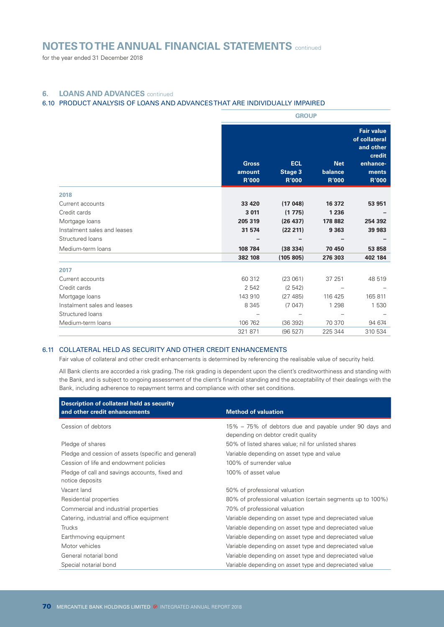for the year ended 31 December 2018

### **6. LOANS AND ADVANCES** continued

### 6.10 PRODUCT ANALYSIS OF LOANS AND ADVANCES THAT ARE INDIVIDUALLY IMPAIRED

|                             | <b>GROUP</b>                           |                                              |                                       |                                                                                                |
|-----------------------------|----------------------------------------|----------------------------------------------|---------------------------------------|------------------------------------------------------------------------------------------------|
|                             | <b>Gross</b><br>amount<br><b>R'000</b> | <b>ECL</b><br><b>Stage 3</b><br><b>R'000</b> | <b>Net</b><br>balance<br><b>R'000</b> | <b>Fair value</b><br>of collateral<br>and other<br>credit<br>enhance-<br>ments<br><b>R'000</b> |
| 2018                        |                                        |                                              |                                       |                                                                                                |
| Current accounts            | 33 4 20                                | (17048)                                      | 16 372                                | 53 951                                                                                         |
| Credit cards                | 3 0 1 1                                | (1775)                                       | 1 2 3 6                               |                                                                                                |
| Mortgage loans              | 205 319                                | (26 437)                                     | 178 882                               | 254 392                                                                                        |
| Instalment sales and leases | 31 574                                 | (22 211)                                     | 9 3 6 3                               | 39 983                                                                                         |
| Structured loans            |                                        |                                              |                                       |                                                                                                |
| Medium-term loans           | 108 784                                | (38334)                                      | 70 450                                | 53 858                                                                                         |
|                             | 382 108                                | (105 805)                                    | 276 303                               | 402 184                                                                                        |
| 2017                        |                                        |                                              |                                       |                                                                                                |
| Current accounts            | 60 312                                 | (23061)                                      | 37 251                                | 48 519                                                                                         |
| Credit cards                | 2 5 4 2                                | (2542)                                       |                                       |                                                                                                |
| Mortgage loans              | 143 910                                | (27 485)                                     | 116 425                               | 165 811                                                                                        |
| Instalment sales and leases | 8 3 4 5                                | (7047)                                       | 1 2 9 8                               | 1530                                                                                           |
| Structured loans            |                                        |                                              |                                       |                                                                                                |
| Medium-term loans           | 106 762                                | (36 392)                                     | 70 370                                | 94 674                                                                                         |
|                             | 321 871                                | (96 527)                                     | 225 344                               | 310 534                                                                                        |

### 6.11 COLLATERAL HELD AS SECURITY AND OTHER CREDIT ENHANCEMENTS

Fair value of collateral and other credit enhancements is determined by referencing the realisable value of security held.

All Bank clients are accorded a risk grading. The risk grading is dependent upon the client's creditworthiness and standing with the Bank, and is subject to ongoing assessment of the client's financial standing and the acceptability of their dealings with the Bank, including adherence to repayment terms and compliance with other set conditions.

| Description of collateral held as security<br>and other credit enhancements | <b>Method of valuation</b>                                                                   |
|-----------------------------------------------------------------------------|----------------------------------------------------------------------------------------------|
| Cession of debtors                                                          | 15% – 75% of debtors due and payable under 90 days and<br>depending on debtor credit quality |
| Pledge of shares                                                            | 50% of listed shares value; nil for unlisted shares                                          |
| Pledge and cession of assets (specific and general)                         | Variable depending on asset type and value                                                   |
| Cession of life and endowment policies                                      | 100% of surrender value                                                                      |
| Pledge of call and savings accounts, fixed and<br>notice deposits           | 100% of asset value                                                                          |
| Vacant land                                                                 | 50% of professional valuation                                                                |
| Residential properties                                                      | 80% of professional valuation (certain segments up to 100%)                                  |
| Commercial and industrial properties                                        | 70% of professional valuation                                                                |
| Catering, industrial and office equipment                                   | Variable depending on asset type and depreciated value                                       |
| <b>Trucks</b>                                                               | Variable depending on asset type and depreciated value                                       |
| Earthmoving equipment                                                       | Variable depending on asset type and depreciated value                                       |
| Motor vehicles                                                              | Variable depending on asset type and depreciated value                                       |
| General notarial bond                                                       | Variable depending on asset type and depreciated value                                       |
| Special notarial bond                                                       | Variable depending on asset type and depreciated value                                       |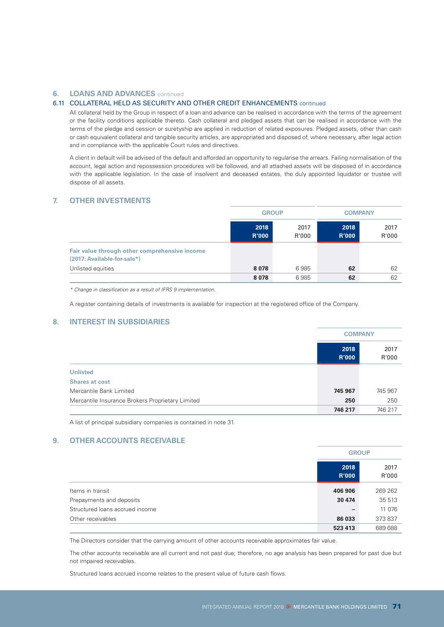#### **6. LOANS AND ADVANCES** continued

### 6.11 COLLATERAL HELD AS SECURITY AND OTHER CREDIT ENHANCEMENTS continued

All collateral held by the Group in respect of a loan and advance can be realised in accordance with the terms of the agreement or the facility conditions applicable thereto. Cash collateral and pledged assets that can be realised in accordance with the terms of the pledge and cession or suretyship are applied in reduction of related exposures. Pledged assets, other than cash or cash equivalent collateral and tangible security articles, are appropriated and disposed of, where necessary, after legal action and in compliance with the applicable Court rules and directives.

A client in default will be advised of the default and afforded an opportunity to regularise the arrears. Failing normalisation of the account, legal action and repossession procedures will be followed, and all attached assets will be disposed of in accordance with the applicable legislation. In the case of insolvent and deceased estates, the duly appointed liquidator or trustee will dispose of all assets.

# **7. OTHER INVESTMENTS**

|                                                                              | <b>GROUP</b>         |               | <b>COMPANY</b>       |               |
|------------------------------------------------------------------------------|----------------------|---------------|----------------------|---------------|
|                                                                              | 2018<br><b>R'000</b> | 2017<br>R'000 | 2018<br><b>R'000</b> | 2017<br>R'000 |
| Fair value through other comprehensive income<br>(2017: Available-for-sale*) |                      |               |                      |               |
| Unlisted equities                                                            | 8078                 | 6985          | 62                   | 62            |
|                                                                              | 8 0 7 8              | 6985          | 62                   | 62            |

*\* Change in classification as a result of IFRS 9 implementation.*

A register containing details of investments is available for inspection at the registered office of the Company.

# **8. INTEREST IN SUBSIDIARIES**

|                                                  | <b>COMPANY</b>       |               |
|--------------------------------------------------|----------------------|---------------|
|                                                  | 2018<br><b>R'000</b> | 2017<br>R'000 |
| <b>Unlisted</b>                                  |                      |               |
| <b>Shares at cost</b>                            |                      |               |
| Mercantile Bank Limited                          | 745 967              | 745 967       |
| Mercantile Insurance Brokers Proprietary Limited | 250                  | 250           |
|                                                  | 746 217              | 746 217       |

A list of principal subsidiary companies is contained in note 31.

#### **9. OTHER ACCOUNTS RECEIVABLE**

|                                 |                      | <b>GROUP</b>  |  |  |
|---------------------------------|----------------------|---------------|--|--|
|                                 | 2018<br><b>R'000</b> | 2017<br>R'000 |  |  |
| Items in transit                | 406 906              | 269 262       |  |  |
| Prepayments and deposits        | 30 474               | 35 513        |  |  |
| Structured loans accrued income | -                    | 11 0 76       |  |  |
| Other receivables               | 86 033               | 373 837       |  |  |
|                                 | 523 413              | 689 688       |  |  |

The Directors consider that the carrying amount of other accounts receivable approximates fair value.

The other accounts receivable are all current and not past due; therefore, no age analysis has been prepared for past due but not impaired receivables.

Structured loans accrued income relates to the present value of future cash flows.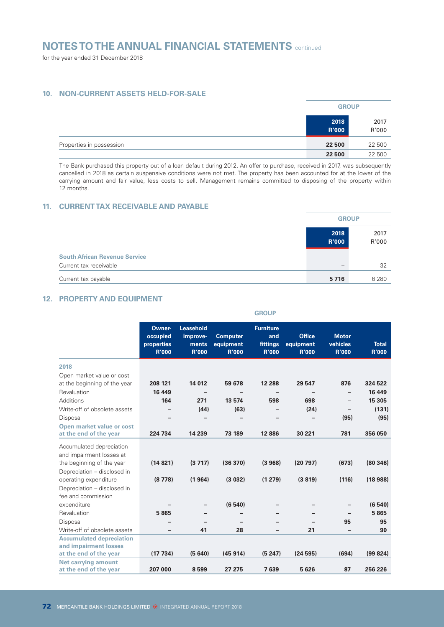for the year ended 31 December 2018

# **10. NON-CURRENT ASSETS HELD-FOR-SALE**

|                          | <b>GROUP</b>         |               |
|--------------------------|----------------------|---------------|
|                          | 2018<br><b>R'000</b> | 2017<br>R'000 |
| Properties in possession | 22 500               | 22 500        |
|                          | 22 500               | 22 500        |

The Bank purchased this property out of a loan default during 2012. An offer to purchase, received in 2017, was subsequently cancelled in 2018 as certain suspensive conditions were not met. The property has been accounted for at the lower of the carrying amount and fair value, less costs to sell. Management remains committed to disposing of the property within 12 months.

# **11. CURRENT TAX RECEIVABLE AND PAYABLE**

|                                      |                      | <b>GROUP</b>  |  |  |
|--------------------------------------|----------------------|---------------|--|--|
|                                      | 2018<br><b>R'000</b> | 2017<br>R'000 |  |  |
| <b>South African Revenue Service</b> |                      |               |  |  |
| Current tax receivable               |                      | 32            |  |  |
| Current tax payable                  | 5716                 | 6 2 8 0       |  |  |

# **12. PROPERTY AND EQUIPMENT**

|                                                                                                           | <b>GROUP</b>                                     |                                                       |                                              |                                                     |                                            |                                          |                              |  |
|-----------------------------------------------------------------------------------------------------------|--------------------------------------------------|-------------------------------------------------------|----------------------------------------------|-----------------------------------------------------|--------------------------------------------|------------------------------------------|------------------------------|--|
|                                                                                                           | Owner-<br>occupied<br>properties<br><b>R'000</b> | <b>Leasehold</b><br>improve-<br>ments<br><b>R'000</b> | <b>Computer</b><br>equipment<br><b>R'000</b> | <b>Furniture</b><br>and<br>fittings<br><b>R'000</b> | <b>Office</b><br>equipment<br><b>R'000</b> | <b>Motor</b><br>vehicles<br><b>R'000</b> | <b>Total</b><br><b>R'000</b> |  |
| 2018                                                                                                      |                                                  |                                                       |                                              |                                                     |                                            |                                          |                              |  |
| Open market value or cost                                                                                 |                                                  |                                                       |                                              |                                                     |                                            |                                          |                              |  |
| at the beginning of the year                                                                              | 208 121                                          | 14 012                                                | 59 678                                       | 12 2 8 8                                            | 29 547                                     | 876                                      | 324 522                      |  |
| Revaluation                                                                                               | 16 449                                           |                                                       |                                              |                                                     |                                            |                                          | 16 449                       |  |
| Additions                                                                                                 | 164                                              | 271                                                   | 13 574                                       | 598                                                 | 698                                        |                                          | 15 305                       |  |
| Write-off of obsolete assets                                                                              |                                                  | (44)                                                  | (63)                                         | $\overline{\phantom{0}}$                            | (24)                                       | $\overline{\phantom{0}}$                 | (131)                        |  |
| Disposal                                                                                                  | $\qquad \qquad$                                  | $\overline{\phantom{0}}$                              | -                                            |                                                     | -                                          | (95)                                     | (95)                         |  |
| Open market value or cost<br>at the end of the year                                                       | 224 734                                          | 14 239                                                | 73 189                                       | 12886                                               | 30 221                                     | 781                                      | 356 050                      |  |
| Accumulated depreciation<br>and impairment losses at                                                      |                                                  |                                                       |                                              |                                                     |                                            |                                          |                              |  |
| the beginning of the year                                                                                 | (14821)                                          | (3717)                                                | (36 370)                                     | (3968)                                              | (20797)                                    | (673)                                    | (80346)                      |  |
| Depreciation - disclosed in<br>operating expenditure<br>Depreciation - disclosed in<br>fee and commission | (8778)                                           | (1964)                                                | (3032)                                       | (1279)                                              | (3819)                                     | (116)                                    | (18988)                      |  |
| expenditure                                                                                               |                                                  |                                                       | (6540)                                       |                                                     |                                            |                                          | (6540)                       |  |
| Revaluation                                                                                               | 5865                                             |                                                       |                                              |                                                     |                                            |                                          | 5865                         |  |
| Disposal                                                                                                  |                                                  |                                                       |                                              |                                                     |                                            | 95                                       | 95                           |  |
| Write-off of obsolete assets                                                                              |                                                  | 41                                                    | 28                                           |                                                     | 21                                         |                                          | 90                           |  |
| <b>Accumulated depreciation</b><br>and impairment losses                                                  |                                                  |                                                       |                                              |                                                     |                                            |                                          |                              |  |
| at the end of the year                                                                                    | (17734)                                          | (5640)                                                | (45914)                                      | (5247)                                              | (24595)                                    | (694)                                    | (99824)                      |  |
| <b>Net carrying amount</b><br>at the end of the year                                                      | 207 000                                          | 8599                                                  | 27 275                                       | 7639                                                | 5 6 26                                     | 87                                       | 256 226                      |  |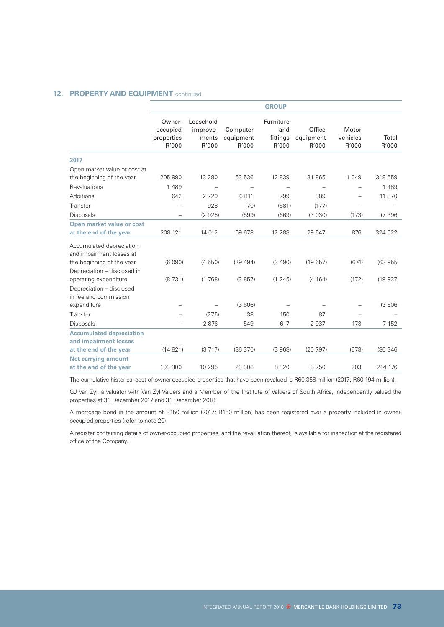# **12. PROPERTY AND EQUIPMENT** continued

|                                           |                                         |                                | <b>GROUP</b>                          |                              |                            |                |
|-------------------------------------------|-----------------------------------------|--------------------------------|---------------------------------------|------------------------------|----------------------------|----------------|
| Owner-<br>occupied<br>properties<br>R'000 | Leasehold<br>improve-<br>ments<br>R'000 | Computer<br>equipment<br>R'000 | Furniture<br>and<br>fittings<br>R'000 | Office<br>equipment<br>R'000 | Motor<br>vehicles<br>R'000 | Total<br>R'000 |
|                                           |                                         |                                |                                       |                              |                            |                |
|                                           |                                         |                                |                                       |                              |                            |                |
| 205 990                                   | 13 2 8 0                                | 53 536                         | 12 839                                | 31 865                       | 1 0 4 9                    | 318 559        |
| 1 4 8 9                                   |                                         |                                | $\overline{\phantom{0}}$              |                              | $\overline{\phantom{0}}$   | 1 4 8 9        |
| 642                                       | 2729                                    | 6811                           | 799                                   | 889                          | $\overline{\phantom{0}}$   | 11 870         |
| $\overline{\phantom{0}}$                  | 928                                     | (70)                           | (681)                                 | (177)                        | $\overline{\phantom{0}}$   |                |
| -                                         | (2925)                                  | (599)                          | (669)                                 | (3030)                       | (173)                      | (7396)         |
|                                           |                                         |                                |                                       |                              |                            |                |
| 208 121                                   | 14 012                                  | 59 678                         | 12 2 8 8                              | 29 547                       | 876                        | 324 522        |
|                                           |                                         |                                |                                       |                              |                            |                |
| (6090)                                    | (4550)                                  | (29494)                        | (3 490)                               | (19657)                      | (674)                      | (63955)        |
|                                           |                                         |                                |                                       |                              |                            | (19937)        |
|                                           |                                         |                                |                                       |                              |                            |                |
|                                           |                                         |                                |                                       |                              |                            |                |
| $\overline{\phantom{0}}$                  | $\overline{\phantom{0}}$                | (3606)                         |                                       |                              | $\overline{\phantom{0}}$   | (3606)         |
| $\overline{\phantom{0}}$                  | (275)                                   | 38                             | 150                                   | 87                           |                            |                |
|                                           | 2876                                    | 549                            | 617                                   | 2937                         | 173                        | 7 1 5 2        |
|                                           |                                         |                                |                                       |                              |                            |                |
|                                           |                                         |                                |                                       |                              |                            |                |
| (14821)                                   | (3717)                                  | (36370)                        | (3968)                                | (20797)                      | (673)                      | (80346)        |
|                                           |                                         |                                |                                       |                              |                            | 244 176        |
|                                           | (8731)<br>193 300                       | (1768)<br>10 295               | (3857)<br>23 308                      | (1245)<br>8 3 2 0            | (4 164)<br>8750            | (172)<br>203   |

The cumulative historical cost of owner-occupied properties that have been revalued is R60.358 million (2017: R60.194 million).

GJ van Zyl, a valuator with Van Zyl Valuers and a Member of the Institute of Valuers of South Africa, independently valued the properties at 31 December 2017 and 31 December 2018.

A mortgage bond in the amount of R150 million (2017: R150 million) has been registered over a property included in owneroccupied properties (refer to note 20).

A register containing details of owner-occupied properties, and the revaluation thereof, is available for inspection at the registered office of the Company.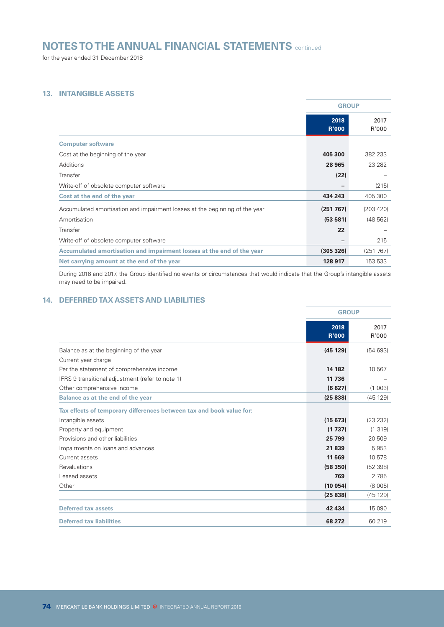for the year ended 31 December 2018

# **13. INTANGIBLE ASSETS**

|                                                                             | <b>GROUP</b>         |               |
|-----------------------------------------------------------------------------|----------------------|---------------|
|                                                                             | 2018<br><b>R'000</b> | 2017<br>R'000 |
| <b>Computer software</b>                                                    |                      |               |
| Cost at the beginning of the year                                           | 405 300              | 382 233       |
| Additions                                                                   | 28 965               | 23 2 8 2      |
| Transfer                                                                    | (22)                 |               |
| Write-off of obsolete computer software                                     |                      | (215)         |
| Cost at the end of the year                                                 | 434 243              | 405 300       |
| Accumulated amortisation and impairment losses at the beginning of the year | (251 767)            | (203 420)     |
| Amortisation                                                                | (53581)              | (48562)       |
| Transfer                                                                    | 22                   |               |
| Write-off of obsolete computer software                                     |                      | 215           |
| Accumulated amortisation and impairment losses at the end of the year       | (305 326)            | (251 767)     |
| Net carrying amount at the end of the year                                  | 128 917              | 153 533       |

During 2018 and 2017, the Group identified no events or circumstances that would indicate that the Group's intangible assets may need to be impaired.

# **14. DEFERRED TAX ASSETS AND LIABILITIES**

|                                                                      | <b>GROUP</b>         |               |
|----------------------------------------------------------------------|----------------------|---------------|
|                                                                      | 2018<br><b>R'000</b> | 2017<br>R'000 |
| Balance as at the beginning of the year                              | (45129)              | (54693)       |
| Current year charge                                                  |                      |               |
| Per the statement of comprehensive income                            | 14 182               | 10 567        |
| IFRS 9 transitional adjustment (refer to note 1)                     | 11 736               |               |
| Other comprehensive income                                           | (6627)               | (1 003)       |
| Balance as at the end of the year                                    | (25838)              | (45129)       |
| Tax effects of temporary differences between tax and book value for: |                      |               |
| Intangible assets                                                    | (15673)              | (23 232)      |
| Property and equipment                                               | (1737)               | (1319)        |
| Provisions and other liabilities                                     | 25 799               | 20 509        |
| Impairments on loans and advances                                    | 21839                | 5953          |
| Current assets                                                       | 11 569               | 10 578        |
| Revaluations                                                         | (58350)              | (52 398)      |
| Leased assets                                                        | 769                  | 2 7 8 5       |
| Other                                                                | (10054)              | (8005)        |
|                                                                      | (25838)              | (45129)       |
| <b>Deferred tax assets</b>                                           | 42 434               | 15 0 90       |
| <b>Deferred tax liabilities</b>                                      | 68 272               | 60 219        |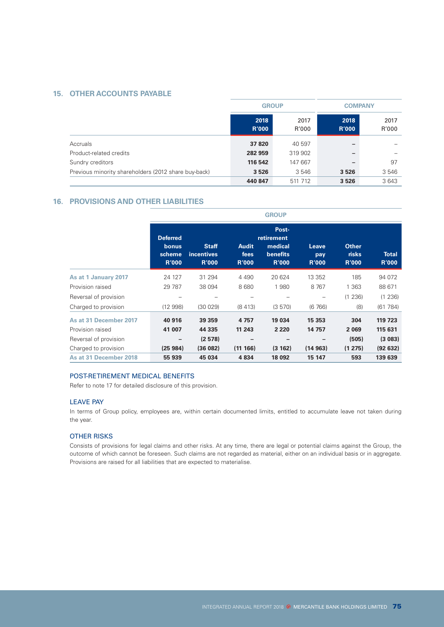# **15. OTHER ACCOUNTS PAYABLE**

|                                                      |                      | <b>GROUP</b>  |                      | <b>COMPANY</b> |  |  |
|------------------------------------------------------|----------------------|---------------|----------------------|----------------|--|--|
|                                                      | 2018<br><b>R'000</b> | 2017<br>R'000 | 2018<br><b>R'000</b> | 2017<br>R'000  |  |  |
| Accruals                                             | 37 820               | 40 597        | -                    |                |  |  |
| Product-related credits                              | 282 959              | 319 902       | -                    |                |  |  |
| Sundry creditors                                     | 116 542              | 147 667       | -                    | 97             |  |  |
| Previous minority shareholders (2012 share buy-back) | 3526                 | 3 5 4 6       | 3526                 | 3546           |  |  |
|                                                      | 440 847              | 511 712       | 3526                 | 3643           |  |  |

# **16. PROVISIONS AND OTHER LIABILITIES**

|                        | <b>GROUP</b>                                       |                                                   |                                      |                                                                   |                              |                                              |                              |
|------------------------|----------------------------------------------------|---------------------------------------------------|--------------------------------------|-------------------------------------------------------------------|------------------------------|----------------------------------------------|------------------------------|
|                        | <b>Deferred</b><br>bonus<br>scheme<br><b>R'000</b> | <b>Staff</b><br><b>incentives</b><br><b>R'000</b> | <b>Audit</b><br>fees<br><b>R'000</b> | Post-<br>retirement<br>medical<br><b>benefits</b><br><b>R'000</b> | Leave<br>pay<br><b>R'000</b> | <b>Other</b><br><b>risks</b><br><b>R'000</b> | <b>Total</b><br><b>R'000</b> |
| As at 1 January 2017   | 24 127                                             | 31 294                                            | 4 4 9 0                              | 20 624                                                            | 13 3 5 2                     | 185                                          | 94 072                       |
| Provision raised       | 29 7 87                                            | 38 094                                            | 8680                                 | 1980                                                              | 8767                         | 1 3 6 3                                      | 88 671                       |
| Reversal of provision  |                                                    |                                                   |                                      |                                                                   |                              | (1 236)                                      | (1 236)                      |
| Charged to provision   | (12998)                                            | (30029)                                           | (8413)                               | (3 570)                                                           | (6766)                       | (8)                                          | (61784)                      |
| As at 31 December 2017 | 40 916                                             | 39 359                                            | 4757                                 | 19 034                                                            | 15 3 53                      | 304                                          | 119 723                      |
| Provision raised       | 41 007                                             | 44 335                                            | 11 243                               | 2 2 2 0                                                           | 14 757                       | 2069                                         | 115 631                      |
| Reversal of provision  | -                                                  | (2578)                                            |                                      |                                                                   |                              | (505)                                        | (3083)                       |
| Charged to provision   | (25984)                                            | (36082)                                           | (11166)                              | (3162)                                                            | (14963)                      | (1275)                                       | (92632)                      |
| As at 31 December 2018 | 55 939                                             | 45 034                                            | 4834                                 | 18 092                                                            | 15 147                       | 593                                          | 139 639                      |

#### POST-RETIREMENT MEDICAL BENEFITS

Refer to note 17 for detailed disclosure of this provision.

### LEAVE PAY

In terms of Group policy, employees are, within certain documented limits, entitled to accumulate leave not taken during the year.

# OTHER RISKS

Consists of provisions for legal claims and other risks. At any time, there are legal or potential claims against the Group, the outcome of which cannot be foreseen. Such claims are not regarded as material, either on an individual basis or in aggregate. Provisions are raised for all liabilities that are expected to materialise.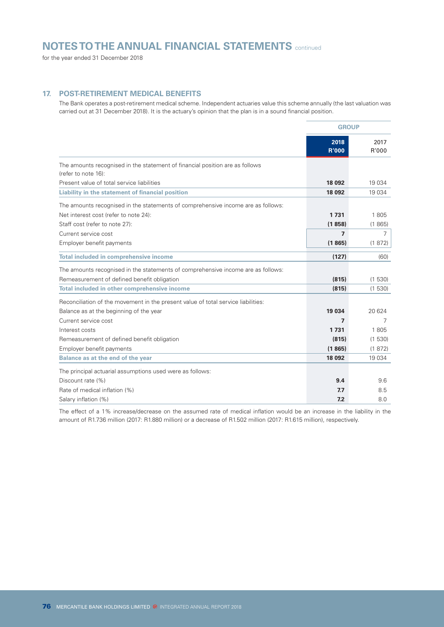for the year ended 31 December 2018

# **17. POST-RETIREMENT MEDICAL BENEFITS**

The Bank operates a post-retirement medical scheme. Independent actuaries value this scheme annually (the last valuation was carried out at 31 December 2018). It is the actuary's opinion that the plan is in a sound financial position.

|                                                                                                                           | <b>GROUP</b>         |               |
|---------------------------------------------------------------------------------------------------------------------------|----------------------|---------------|
|                                                                                                                           | 2018<br><b>R'000</b> | 2017<br>R'000 |
| The amounts recognised in the statement of financial position are as follows<br>(refer to note 16):                       |                      |               |
| Present value of total service liabilities                                                                                | 18 092               | 19 0 34       |
| Liability in the statement of financial position                                                                          | 18 092               | 19 0 34       |
| The amounts recognised in the statements of comprehensive income are as follows:<br>Net interest cost (refer to note 24): | 1731                 | 1805          |
| Staff cost (refer to note 27):                                                                                            | (1858)               | (1865)        |
| Current service cost                                                                                                      | $\mathbf{z}$         | 7             |
| Employer benefit payments                                                                                                 | (1865)               | (1872)        |
|                                                                                                                           |                      |               |
| <b>Total included in comprehensive income</b>                                                                             | (127)                | (60)          |
| The amounts recognised in the statements of comprehensive income are as follows:                                          |                      |               |
| Remeasurement of defined benefit obligation                                                                               | (815)                | (1530)        |
| Total included in other comprehensive income                                                                              | (815)                | (1530)        |
| Reconciliation of the movement in the present value of total service liabilities:                                         |                      |               |
| Balance as at the beginning of the year                                                                                   | 19 0 34              | 20 624        |
| Current service cost                                                                                                      | 7                    | 7             |
| Interest costs                                                                                                            | 1731                 | 1805          |
| Remeasurement of defined benefit obligation                                                                               | (815)                | (1530)        |
| Employer benefit payments                                                                                                 | (1865)               | (1872)        |
| Balance as at the end of the year                                                                                         | 18 0 9 2             | 19 0 34       |
| The principal actuarial assumptions used were as follows:                                                                 |                      |               |
| Discount rate (%)                                                                                                         | 9.4                  | 9.6           |
| Rate of medical inflation (%)                                                                                             | 7.7                  | 8.5           |
| Salary inflation (%)                                                                                                      | 7.2                  | 8.0           |

The effect of a 1% increase/decrease on the assumed rate of medical inflation would be an increase in the liability in the amount of R1.736 million (2017: R1.880 million) or a decrease of R1.502 million (2017: R1.615 million), respectively.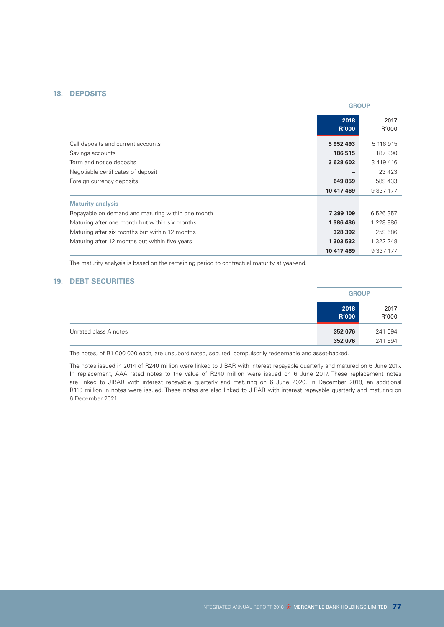# **18. DEPOSITS**

|                                                   |                      | <b>GROUP</b>  |  |
|---------------------------------------------------|----------------------|---------------|--|
|                                                   | 2018<br><b>R'000</b> | 2017<br>R'000 |  |
| Call deposits and current accounts                | 5952493              | 5 116 915     |  |
| Savings accounts                                  | 186 515              | 187 990       |  |
| Term and notice deposits                          | 3 628 602            | 3 4 1 9 4 1 6 |  |
| Negotiable certificates of deposit                |                      | 23 4 23       |  |
| Foreign currency deposits                         | 649 859              | 589 433       |  |
|                                                   | 10 417 469           | 9 3 3 7 1 7 7 |  |
| <b>Maturity analysis</b>                          |                      |               |  |
| Repayable on demand and maturing within one month | 7 399 109            | 6 526 357     |  |
| Maturing after one month but within six months    | 1386436              | 1 228 886     |  |
| Maturing after six months but within 12 months    | 328 392              | 259 686       |  |
| Maturing after 12 months but within five years    | 1 303 532            | 1 322 248     |  |
|                                                   | 10 417 469           | 9 337 177     |  |

The maturity analysis is based on the remaining period to contractual maturity at year-end.

# **19. DEBT SECURITIES**

|                       |                      | <b>GROUP</b>  |  |
|-----------------------|----------------------|---------------|--|
|                       | 2018<br><b>R'000</b> | 2017<br>R'000 |  |
| Unrated class A notes | 352 076              | 241 594       |  |
|                       | 352 076              | 241 594       |  |

The notes, of R1 000 000 each, are unsubordinated, secured, compulsorily redeemable and asset-backed.

The notes issued in 2014 of R240 million were linked to JIBAR with interest repayable quarterly and matured on 6 June 2017. In replacement, AAA rated notes to the value of R240 million were issued on 6 June 2017. These replacement notes are linked to JIBAR with interest repayable quarterly and maturing on 6 June 2020. In December 2018, an additional R110 million in notes were issued. These notes are also linked to JIBAR with interest repayable quarterly and maturing on 6 December 2021.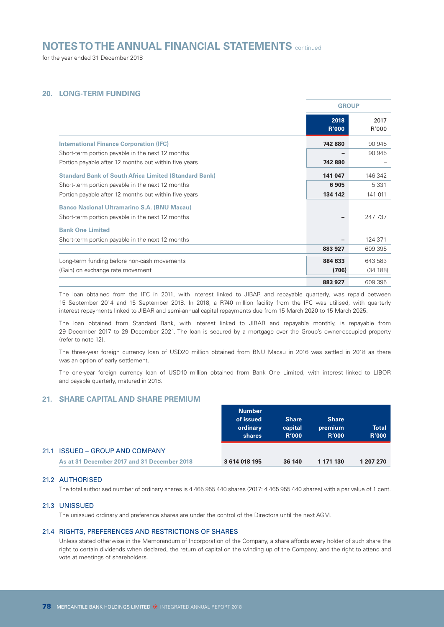for the year ended 31 December 2018

# **20. LONG-TERM FUNDING**

|                                                              |                      | <b>GROUP</b>  |  |
|--------------------------------------------------------------|----------------------|---------------|--|
|                                                              | 2018<br><b>R'000</b> | 2017<br>R'000 |  |
| <b>International Finance Corporation (IFC)</b>               | 742 880              | 90 945        |  |
| Short-term portion payable in the next 12 months             |                      | 90 945        |  |
| Portion payable after 12 months but within five years        | 742 880              |               |  |
| <b>Standard Bank of South Africa Limited (Standard Bank)</b> | 141 047              | 146 342       |  |
| Short-term portion payable in the next 12 months             | 6905                 | 5 3 3 1       |  |
| Portion payable after 12 months but within five years        | 134 142              | 141 011       |  |
| <b>Banco Nacional Ultramarino S.A. (BNU Macau)</b>           |                      |               |  |
| Short-term portion payable in the next 12 months             |                      | 247 737       |  |
| <b>Bank One Limited</b>                                      |                      |               |  |
| Short-term portion payable in the next 12 months             |                      | 124 371       |  |
|                                                              | 883 927              | 609 395       |  |
| Long-term funding before non-cash movements                  | 884 633              | 643 583       |  |
| (Gain) on exchange rate movement                             | (706)                | (34 188)      |  |
|                                                              | 883 927              | 609 395       |  |

The loan obtained from the IFC in 2011, with interest linked to JIBAR and repayable quarterly, was repaid between 15 September 2014 and 15 September 2018. In 2018, a R740 million facility from the IFC was utilised, with quarterly interest repayments linked to JIBAR and semi-annual capital repayments due from 15 March 2020 to 15 March 2025.

The loan obtained from Standard Bank, with interest linked to JIBAR and repayable monthly, is repayable from 29 December 2017 to 29 December 2021. The loan is secured by a mortgage over the Group's owner-occupied property (refer to note 12).

The three-year foreign currency loan of USD20 million obtained from BNU Macau in 2016 was settled in 2018 as there was an option of early settlement.

The one-year foreign currency loan of USD10 million obtained from Bank One Limited, with interest linked to LIBOR and payable quarterly, matured in 2018.

#### **21. SHARE CAPITAL AND SHARE PREMIUM**

|                                             | <b>Number</b><br>of issued<br>ordinary<br>shares | <b>Share</b><br>capital<br><b>R'000</b> | <b>Share</b><br>premium<br><b>R'000</b> | <b>Total</b><br><b>R'000</b> |
|---------------------------------------------|--------------------------------------------------|-----------------------------------------|-----------------------------------------|------------------------------|
| 21.1 ISSUED – GROUP AND COMPANY             |                                                  |                                         |                                         |                              |
| As at 31 December 2017 and 31 December 2018 | 3 614 018 195                                    | 36 140                                  | 1 171 130                               | 1 207 270                    |

#### 21.2 AUTHORISED

The total authorised number of ordinary shares is 4 465 955 440 shares (2017: 4 465 955 440 shares) with a par value of 1 cent.

#### 21.3 UNISSUED

The unissued ordinary and preference shares are under the control of the Directors until the next AGM.

#### 21.4 RIGHTS, PREFERENCES AND RESTRICTIONS OF SHARES

Unless stated otherwise in the Memorandum of Incorporation of the Company, a share affords every holder of such share the right to certain dividends when declared, the return of capital on the winding up of the Company, and the right to attend and vote at meetings of shareholders.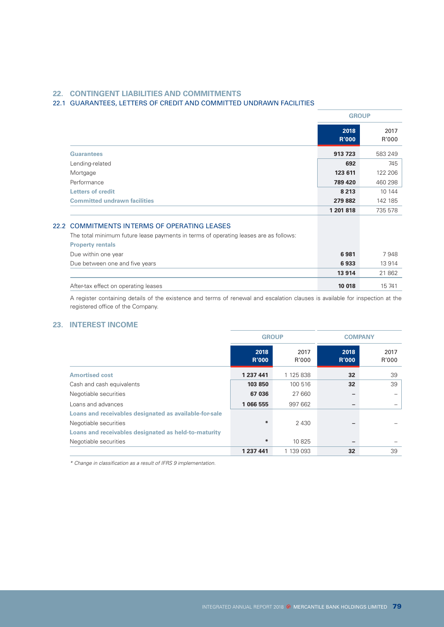# **22. CONTINGENT LIABILITIES AND COMMITMENTS**

# 22.1 GUARANTEES, LETTERS OF CREDIT AND COMMITTED UNDRAWN FACILITIES

|                                                                                                                                      | <b>GROUP</b>         |               |
|--------------------------------------------------------------------------------------------------------------------------------------|----------------------|---------------|
|                                                                                                                                      | 2018<br><b>R'000</b> | 2017<br>R'000 |
| <b>Guarantees</b>                                                                                                                    | 913 723              | 583 249       |
| Lending-related                                                                                                                      | 692                  | 745           |
| Mortgage                                                                                                                             | 123 611              | 122 206       |
| Performance                                                                                                                          | 789 420              | 460 298       |
| <b>Letters of credit</b>                                                                                                             | 8 2 1 3              | 10 144        |
| <b>Committed undrawn facilities</b>                                                                                                  | 279882               | 142 185       |
|                                                                                                                                      | 1 201 818            | 735 578       |
| 22.2 COMMITMENTS INTERMS OF OPERATING LEASES<br>The total minimum future lease payments in terms of operating leases are as follows: |                      |               |

| After-tax effect on operating leases                                                 | 10 018 | 15 741 |
|--------------------------------------------------------------------------------------|--------|--------|
|                                                                                      | 13914  | 21862  |
| Due between one and five years                                                       | 6933   | 13 914 |
| Due within one year                                                                  | 6981   | 7948   |
| <b>Property rentals</b>                                                              |        |        |
| and total minimum ratal oriodoo paymonto in tonno or opolating loadoo alo do lonomo. |        |        |

A register containing details of the existence and terms of renewal and escalation clauses is available for inspection at the registered office of the Company.

# **23. INTEREST INCOME**

|                                                        | <b>GROUP</b>         |               | <b>COMPANY</b>       |               |
|--------------------------------------------------------|----------------------|---------------|----------------------|---------------|
|                                                        | 2018<br><b>R'000</b> | 2017<br>R'000 | 2018<br><b>R'000</b> | 2017<br>R'000 |
| <b>Amortised cost</b>                                  | 1 237 441            | 1 125 838     | 32                   | 39            |
| Cash and cash equivalents                              | 103 850              | 100 516       | 32                   | 39            |
| Negotiable securities                                  | 67 036               | 27 660        | -                    |               |
| Loans and advances                                     | 1 066 555            | 997 662       | -                    |               |
| Loans and receivables designated as available-for-sale |                      |               |                      |               |
| Negotiable securities                                  | $*$                  | 2 4 3 0       | -                    |               |
| Loans and receivables designated as held-to-maturity   |                      |               |                      |               |
| Negotiable securities                                  | ∗                    | 10 825        | -                    |               |
|                                                        | 1 237 441            | 1 139 093     | 32                   | 39            |

*\* Change in classification as a result of IFRS 9 implementation.*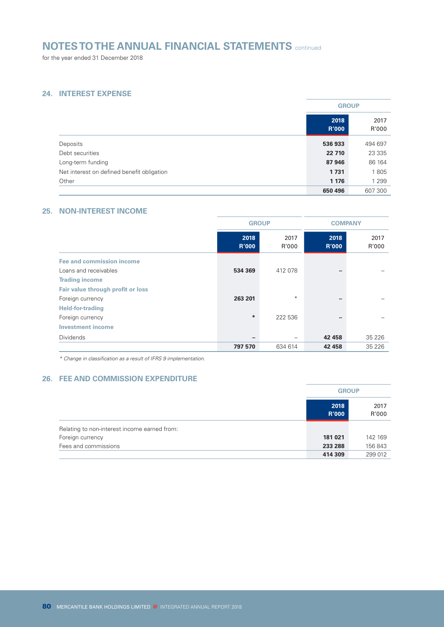for the year ended 31 December 2018

# **24. INTEREST EXPENSE**

|                                            |                      | <b>GROUP</b>  |  |
|--------------------------------------------|----------------------|---------------|--|
|                                            | 2018<br><b>R'000</b> | 2017<br>R'000 |  |
| Deposits                                   | 536933               | 494 697       |  |
| Debt securities                            | 22 7 10              | 23 3 3 5      |  |
| Long-term funding                          | 87946                | 86 164        |  |
| Net interest on defined benefit obligation | 1731                 | 1805          |  |
| Other                                      | 1 1 7 6              | 1 2 9 9       |  |
|                                            | 650 496              | 607 300       |  |

# **25. NON-INTEREST INCOME**

|                                   | <b>GROUP</b>         |               | <b>COMPANY</b>       |               |
|-----------------------------------|----------------------|---------------|----------------------|---------------|
|                                   | 2018<br><b>R'000</b> | 2017<br>R'000 | 2018<br><b>R'000</b> | 2017<br>R'000 |
| Fee and commission income         |                      |               |                      |               |
| Loans and receivables             | 534 369              | 412 078       |                      |               |
| <b>Trading income</b>             |                      |               |                      |               |
| Fair value through profit or loss |                      |               |                      |               |
| Foreign currency                  | 263 201              | $\ast$        |                      |               |
| <b>Held-for-trading</b>           |                      |               |                      |               |
| Foreign currency                  | $\ast$               | 222 536       |                      |               |
| <b>Investment income</b>          |                      |               |                      |               |
| <b>Dividends</b>                  | -                    |               | 42 458               | 35 2 26       |
|                                   | 797 570              | 634 614       | 42 458               | 35 2 2 6      |

*\* Change in classification as a result of IFRS 9 implementation.*

# **26. FEE AND COMMISSION EXPENDITURE**

|                                              | <b>GROUP</b>         |               |
|----------------------------------------------|----------------------|---------------|
|                                              | 2018<br><b>R'000</b> | 2017<br>R'000 |
| Relating to non-interest income earned from: |                      |               |
| Foreign currency                             | 181 021              | 142 169       |
| Fees and commissions                         | 233 288              | 156 843       |
|                                              | 414 309              | 299 012       |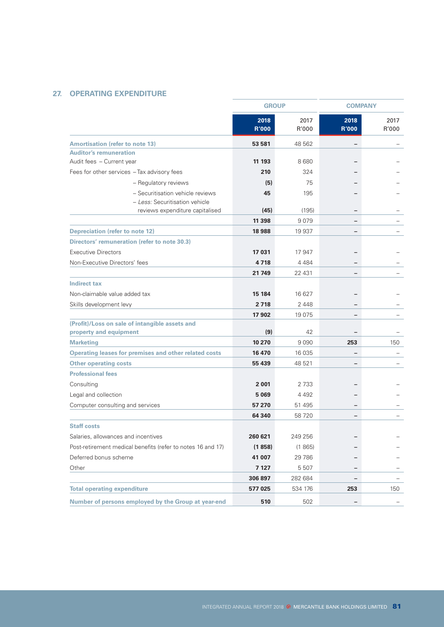# **27. OPERATING EXPENDITURE**

|                                                              | <b>GROUP</b>         |               | <b>COMPANY</b>       |               |
|--------------------------------------------------------------|----------------------|---------------|----------------------|---------------|
|                                                              | 2018<br><b>R'000</b> | 2017<br>R'000 | 2018<br><b>R'000</b> | 2017<br>R'000 |
| <b>Amortisation (refer to note 13)</b>                       | 53 581               | 48 562        |                      |               |
| <b>Auditor's remuneration</b>                                |                      |               |                      |               |
| Audit fees - Current year                                    | 11 193               | 8680          |                      |               |
| Fees for other services - Tax advisory fees                  | 210                  | 324           |                      |               |
| - Regulatory reviews                                         | (5)                  | 75            |                      |               |
| - Securitisation vehicle reviews                             | 45                   | 195           |                      |               |
| - Less: Securitisation vehicle                               |                      |               |                      |               |
| reviews expenditure capitalised                              | (45)                 | (195)         | $\qquad \qquad -$    |               |
|                                                              | 11 398               | 9079          | -                    |               |
| <b>Depreciation (refer to note 12)</b>                       | 18988                | 19 937        | -                    |               |
| Directors' remuneration (refer to note 30.3)                 |                      |               |                      |               |
| <b>Executive Directors</b>                                   | 17 031               | 17 947        |                      |               |
| Non-Executive Directors' fees                                | 4718                 | 4 4 8 4       |                      |               |
|                                                              | 21 749               | 22 431        | $\qquad \qquad -$    |               |
| <b>Indirect tax</b>                                          |                      |               |                      |               |
| Non-claimable value added tax                                | 15 184               | 16 627        |                      |               |
| Skills development levy                                      | 2 7 18               | 2 4 4 8       |                      |               |
|                                                              | 17 902               | 19 0 75       | $\qquad \qquad -$    |               |
| (Profit)/Loss on sale of intangible assets and               |                      |               |                      |               |
| property and equipment                                       | (9)                  | 42            |                      |               |
| <b>Marketing</b>                                             | 10 270               | 9090          | 253                  | 150           |
| <b>Operating leases for premises and other related costs</b> | 16 470               | 16 035        | $\qquad \qquad -$    |               |
| <b>Other operating costs</b>                                 | 55 439               | 48 521        | -                    |               |
| <b>Professional fees</b>                                     |                      |               |                      |               |
| Consulting                                                   | 2 0 0 1              | 2 7 3 3       |                      |               |
| Legal and collection                                         | 5 0 6 9              | 4 4 9 2       |                      |               |
| Computer consulting and services                             | 57 270               | 51 495        |                      |               |
|                                                              | 64 340               | 58720         | -                    |               |
| <b>Staff costs</b>                                           |                      |               |                      |               |
| Salaries, allowances and incentives                          | 260 621              | 249 256       |                      |               |
| Post-retirement medical benefits (refer to notes 16 and 17)  | (1858)               | (1865)        |                      |               |
| Deferred bonus scheme                                        | 41 007               | 29 7 86       |                      |               |
| Other                                                        | 7 127                | 5 5 0 7       |                      |               |
|                                                              | 306 897              | 282 684       | -                    |               |
| <b>Total operating expenditure</b>                           | 577 025              | 534 176       | 253                  | 150           |
| Number of persons employed by the Group at year-end          | 510                  | 502           |                      |               |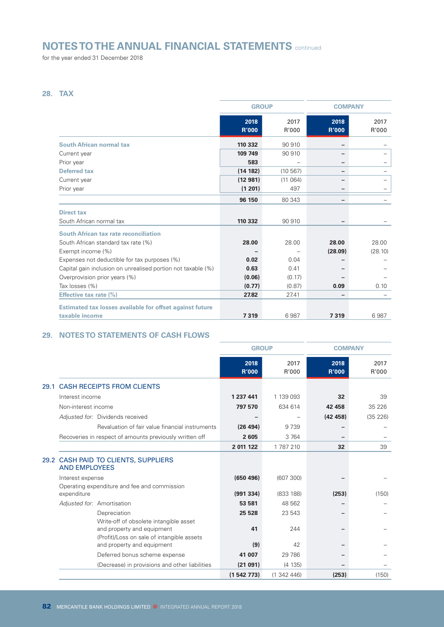for the year ended 31 December 2018

# **28. TAX**

|                                                                 | <b>GROUP</b>         |               | <b>COMPANY</b>       |               |
|-----------------------------------------------------------------|----------------------|---------------|----------------------|---------------|
|                                                                 | 2018<br><b>R'000</b> | 2017<br>R'000 | 2018<br><b>R'000</b> | 2017<br>R'000 |
| <b>South African normal tax</b>                                 | 110 332              | 90 910        |                      |               |
| Current year                                                    | 109 749              | 90 910        |                      |               |
| Prior year                                                      | 583                  |               | -                    |               |
| <b>Deferred tax</b>                                             | (14 182)             | (10 567)      |                      |               |
| Current year                                                    | (12981)              | (11064)       |                      |               |
| Prior year                                                      | (1 201)              | 497           | -                    |               |
|                                                                 | 96 150               | 80 343        | -                    |               |
| <b>Direct tax</b>                                               |                      |               |                      |               |
| South African normal tax                                        | 110 332              | 90 910        |                      |               |
| South African tax rate reconciliation                           |                      |               |                      |               |
| South African standard tax rate (%)                             | 28.00                | 28.00         | 28.00                | 28.00         |
| Exempt income (%)                                               |                      |               | (28.09)              | (28.10)       |
| Expenses not deductible for tax purposes (%)                    | 0.02                 | 0.04          |                      |               |
| Capital gain inclusion on unrealised portion not taxable (%)    | 0.63                 | 0.41          |                      |               |
| Overprovision prior years (%)                                   | (0.06)               | (0.17)        |                      |               |
| Tax losses (%)                                                  | (0.77)               | (0.87)        | 0.09                 | 0.10          |
| <b>Effective tax rate (%)</b>                                   | 27.82                | 27.41         |                      |               |
| <b>Estimated tax losses available for offset against future</b> |                      |               |                      |               |
| taxable income                                                  | 7319                 | 6987          | 7319                 | 6987          |

<u> 1990 - Johann Barn, mars ann an t-</u>

# **29. NOTES TO STATEMENTS OF CASH FLOWS**

|      |                                                                                                                    |           | <b>GROUP</b>         |               | <b>COMPANY</b>       |               |
|------|--------------------------------------------------------------------------------------------------------------------|-----------|----------------------|---------------|----------------------|---------------|
|      |                                                                                                                    |           | 2018<br><b>R'000</b> | 2017<br>R'000 | 2018<br><b>R'000</b> | 2017<br>R'000 |
| 29.1 | <b>CASH RECEIPTS FROM CLIENTS</b>                                                                                  |           |                      |               |                      |               |
|      | Interest income                                                                                                    | 1 237 441 |                      | 1 139 093     | 32                   | 39            |
|      | Non-interest income                                                                                                | 797 570   |                      | 634 614       | 42 458               | 35 2 26       |
|      | Adjusted for: Dividends received                                                                                   |           |                      |               | (42458)              | (35 226)      |
|      | Revaluation of fair value financial instruments                                                                    |           | (26 494)             | 9739          |                      |               |
|      | Recoveries in respect of amounts previously written off                                                            |           | 2605                 | 3 7 6 4       |                      |               |
|      |                                                                                                                    | 2 011 122 |                      | 1787210       | 32                   | 39            |
|      | 29.2 CASH PAID TO CLIENTS, SUPPLIERS<br><b>AND EMPLOYEES</b>                                                       |           |                      |               |                      |               |
|      | Interest expense                                                                                                   |           | (650, 496)           | (607 300)     |                      |               |
|      | Operating expenditure and fee and commission<br>expenditure                                                        |           | (991334)             | (833 188)     | (253)                | (150)         |
|      | Adjusted for: Amortisation                                                                                         |           | 53 581               | 48 562        |                      |               |
|      | Depreciation                                                                                                       |           | 25 5 28              | 23 543        |                      |               |
|      | Write-off of obsolete intangible asset<br>and property and equipment<br>(Profit)/Loss on sale of intangible assets |           | 41                   | 244           |                      |               |
|      | and property and equipment                                                                                         |           | (9)                  | 42            |                      |               |
|      | Deferred bonus scheme expense                                                                                      |           | 41 007               | 29 7 86       |                      |               |
|      | (Decrease) in provisions and other liabilities                                                                     |           | (21091)              | (4135)        |                      |               |
|      |                                                                                                                    | (1542773) |                      | (1342446)     | (253)                | (150)         |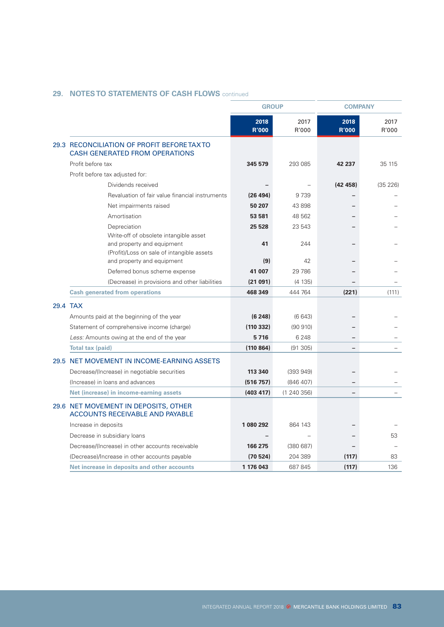|                                                                                      | <b>GROUP</b>         |               |                      | <b>COMPANY</b> |  |  |
|--------------------------------------------------------------------------------------|----------------------|---------------|----------------------|----------------|--|--|
|                                                                                      | 2018<br><b>R'000</b> | 2017<br>R'000 | 2018<br><b>R'000</b> | 2017<br>R'000  |  |  |
| 29.3 RECONCILIATION OF PROFIT BEFORE TAX TO<br><b>CASH GENERATED FROM OPERATIONS</b> |                      |               |                      |                |  |  |
| Profit before tax                                                                    | 345 579              | 293 085       | 42 237               | 35 115         |  |  |
| Profit before tax adjusted for:                                                      |                      |               |                      |                |  |  |
| Dividends received                                                                   |                      |               | (42458)              | (35 226)       |  |  |
| Revaluation of fair value financial instruments                                      | (26 494)             | 9739          |                      |                |  |  |
| Net impairments raised                                                               | 50 207               | 43 898        |                      |                |  |  |
| Amortisation                                                                         | 53 581               | 48 562        |                      |                |  |  |
| Depreciation                                                                         | 25 5 28              | 23 543        |                      |                |  |  |
| Write-off of obsolete intangible asset<br>and property and equipment                 | 41                   | 244           |                      |                |  |  |
| (Profit)/Loss on sale of intangible assets<br>and property and equipment             | (9)                  | 42            |                      |                |  |  |
| Deferred bonus scheme expense                                                        | 41 007               | 29 786        |                      |                |  |  |
| (Decrease) in provisions and other liabilities                                       | (21091)              | (4 135)       |                      |                |  |  |
| <b>Cash generated from operations</b>                                                | 468 349              | 444 764       | (221)                | (111)          |  |  |
|                                                                                      |                      |               |                      |                |  |  |
| 29.4 TAX                                                                             |                      |               |                      |                |  |  |
| Amounts paid at the beginning of the year                                            | (6248)               | (6643)        |                      |                |  |  |
| Statement of comprehensive income (charge)                                           | (110 332)            | (90 910)      |                      |                |  |  |
| Less: Amounts owing at the end of the year                                           | 5716                 | 6 2 4 8       |                      |                |  |  |
| <b>Total tax (paid)</b>                                                              | (110 864)            | (91305)       |                      |                |  |  |
| 29.5 NET MOVEMENT IN INCOME-EARNING ASSETS                                           |                      |               |                      |                |  |  |
| Decrease/(Increase) in negotiable securities                                         | 113 340              | (393949)      |                      |                |  |  |
| (Increase) in loans and advances                                                     | (516 757)            | (846 407)     |                      |                |  |  |
| Net (increase) in income-earning assets                                              | (403 417)            | (1240356)     | -                    |                |  |  |
| 29.6 NET MOVEMENT IN DEPOSITS, OTHER<br><b>ACCOUNTS RECEIVABLE AND PAYABLE</b>       |                      |               |                      |                |  |  |
| Increase in deposits                                                                 | 1 080 292            | 864 143       |                      |                |  |  |
| Decrease in subsidiary loans                                                         |                      |               |                      | 53             |  |  |
| Decrease/(Increase) in other accounts receivable                                     | 166 275              | (380687)      |                      |                |  |  |
| (Decrease)/Increase in other accounts payable                                        | (70524)              | 204 389       | (117)                | 83             |  |  |
| Net increase in deposits and other accounts                                          | 1 176 043            | 687 845       | (117)                | 136            |  |  |

# **29. NOTES TO STATEMENTS OF CASH FLOWS** continued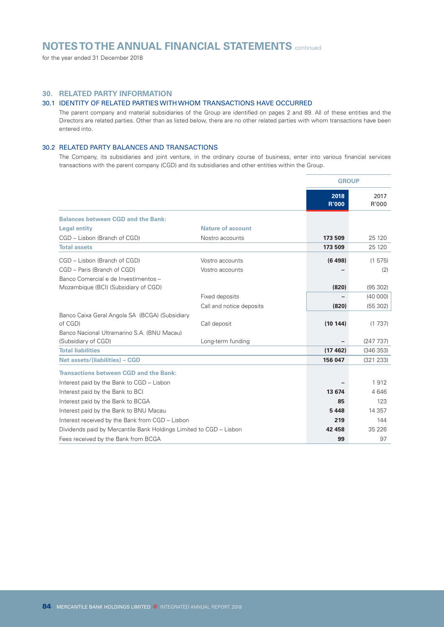for the year ended 31 December 2018

# **30. RELATED PARTY INFORMATION**

### 30.1 IDENTITY OF RELATED PARTIES WITH WHOM TRANSACTIONS HAVE OCCURRED

The parent company and material subsidiaries of the Group are identified on pages 2 and 89. All of these entities and the Directors are related parties. Other than as listed below, there are no other related parties with whom transactions have been entered into.

#### 30.2 RELATED PARTY BALANCES AND TRANSACTIONS

The Company, its subsidiaries and joint venture, in the ordinary course of business, enter into various financial services transactions with the parent company (CGD) and its subsidiaries and other entities within the Group.

|                                                                    |                          | <b>GROUP</b>         |               |
|--------------------------------------------------------------------|--------------------------|----------------------|---------------|
|                                                                    |                          | 2018<br><b>R'000</b> | 2017<br>R'000 |
| <b>Balances between CGD and the Bank:</b>                          |                          |                      |               |
| <b>Legal entity</b>                                                | <b>Nature of account</b> |                      |               |
| CGD - Lisbon (Branch of CGD)                                       | Nostro accounts          | 173 509              | 25 1 20       |
| <b>Total assets</b>                                                |                          | 173 509              | 25 1 20       |
| CGD - Lisbon (Branch of CGD)                                       | Vostro accounts          | (6498)               | (1575)        |
| CGD - Paris (Branch of CGD)                                        | Vostro accounts          |                      | (2)           |
| Banco Comercial e de Investimentos -                               |                          |                      |               |
| Mozambique (BCI) (Subsidiary of CGD)                               |                          | (820)                | (95302)       |
|                                                                    | Fixed deposits           |                      | (40 000)      |
|                                                                    | Call and notice deposits | (820)                | (55302)       |
| Banco Caixa Geral Angola SA (BCGA) (Subsidiary                     |                          |                      |               |
| of CGD)                                                            | Call deposit             | (10144)              | (1737)        |
| Banco Nacional Ultramarino S.A. (BNU Macau)<br>(Subsidiary of CGD) | Long-term funding        |                      | (247737)      |
| <b>Total liabilities</b>                                           |                          | (17462)              | (346353)      |
| <b>Net assets/(liabilities) - CGD</b>                              |                          | 156 047              | (321 233)     |
|                                                                    |                          |                      |               |
| Transactions between CGD and the Bank:                             |                          |                      |               |
| Interest paid by the Bank to CGD - Lisbon                          |                          |                      | 1912          |
| Interest paid by the Bank to BCI                                   |                          | 13 674               | 4646          |
| Interest paid by the Bank to BCGA                                  |                          | 85                   | 123           |
| Interest paid by the Bank to BNU Macau                             |                          | 5448                 | 14 3 5 7      |
| Interest received by the Bank from CGD - Lisbon                    |                          | 219                  | 144           |
| Dividends paid by Mercantile Bank Holdings Limited to CGD - Lisbon |                          | 42 458               | 35 2 26       |
| Fees received by the Bank from BCGA                                |                          | 99                   | 97            |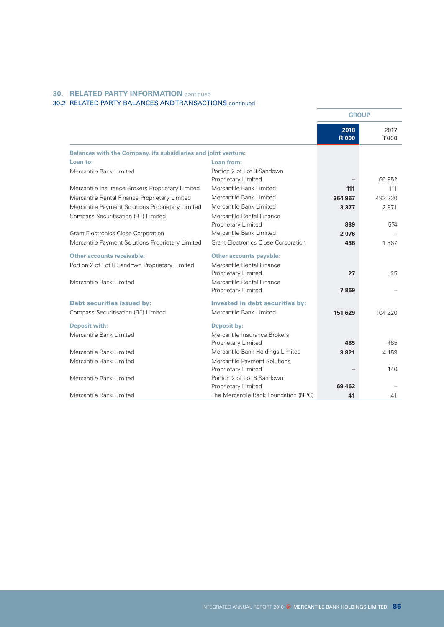# **30. RELATED PARTY INFORMATION** continued

# 30.2 RELATED PARTY BALANCES AND TRANSACTIONS continued

|                                                                       |                                                   | <b>GROUP</b>         |               |
|-----------------------------------------------------------------------|---------------------------------------------------|----------------------|---------------|
|                                                                       |                                                   | 2018<br><b>R'000</b> | 2017<br>R'000 |
| <b>Balances with the Company, its subsidiaries and joint venture:</b> |                                                   |                      |               |
| Loan to:                                                              | Loan from:                                        |                      |               |
| Mercantile Bank Limited                                               | Portion 2 of Lot 8 Sandown<br>Proprietary Limited |                      | 66 952        |
| Mercantile Insurance Brokers Proprietary Limited                      | Mercantile Bank Limited                           | 111                  | 111           |
| Mercantile Rental Finance Proprietary Limited                         | Mercantile Bank Limited                           | 364 967              | 483 230       |
| Mercantile Payment Solutions Proprietary Limited                      | Mercantile Bank Limited                           | 3 3 7 7              | 2971          |
| Compass Securitisation (RF) Limited                                   | Mercantile Rental Finance                         |                      |               |
|                                                                       | Proprietary Limited                               | 839                  | 574           |
| <b>Grant Electronics Close Corporation</b>                            | Mercantile Bank Limited                           | 2076                 |               |
| Mercantile Payment Solutions Proprietary Limited                      | <b>Grant Electronics Close Corporation</b>        | 436                  | 1867          |
| <b>Other accounts receivable:</b>                                     | <b>Other accounts payable:</b>                    |                      |               |
| Portion 2 of Lot 8 Sandown Proprietary Limited                        | Mercantile Rental Finance                         |                      |               |
|                                                                       | Proprietary Limited                               | 27                   | 25            |
| Mercantile Bank Limited                                               | Mercantile Rental Finance                         |                      |               |
|                                                                       | Proprietary Limited                               | 7869                 |               |
| <b>Debt securities issued by:</b>                                     | <b>Invested in debt securities by:</b>            |                      |               |
| Compass Securitisation (RF) Limited                                   | Mercantile Bank Limited                           | 151 629              | 104 220       |
| <b>Deposit with:</b>                                                  | <b>Deposit by:</b>                                |                      |               |
| Mercantile Bank Limited                                               | Mercantile Insurance Brokers                      |                      |               |
|                                                                       | Proprietary Limited                               | 485                  | 485           |
| Mercantile Bank Limited                                               | Mercantile Bank Holdings Limited                  | 3821                 | 4 1 5 9       |
| Mercantile Bank Limited                                               | Mercantile Payment Solutions                      |                      |               |
|                                                                       | Proprietary Limited                               |                      | 140           |
| Mercantile Bank Limited                                               | Portion 2 of Lot 8 Sandown                        |                      |               |
|                                                                       | Proprietary Limited                               | 69 462               |               |
| Mercantile Bank Limited                                               | The Mercantile Bank Foundation (NPC)              | 41                   | 41            |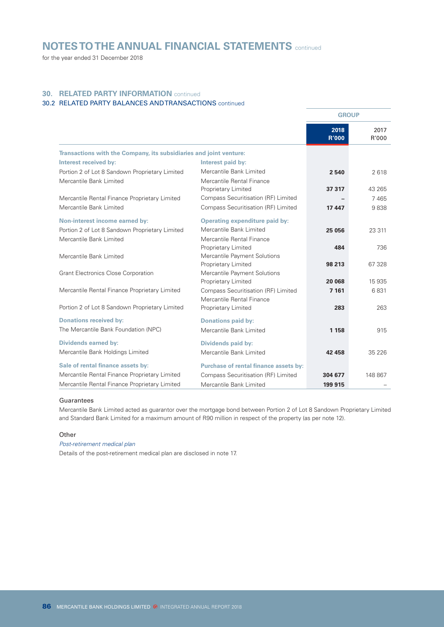for the year ended 31 December 2018

# **30. RELATED PARTY INFORMATION** continued

# 30.2 RELATED PARTY BALANCES AND TRANSACTIONS continued

|                                                                    |                                                            | <b>GROUP</b>         |               |
|--------------------------------------------------------------------|------------------------------------------------------------|----------------------|---------------|
|                                                                    |                                                            | 2018<br><b>R'000</b> | 2017<br>R'000 |
| Transactions with the Company, its subsidiaries and joint venture: |                                                            |                      |               |
| Interest received by:                                              | Interest paid by:                                          |                      |               |
| Portion 2 of Lot 8 Sandown Proprietary Limited                     | Mercantile Bank Limited                                    | 2540                 | 2618          |
| Mercantile Bank Limited                                            | Mercantile Rental Finance                                  | 37 317               | 43 265        |
| Mercantile Rental Finance Proprietary Limited                      | Proprietary Limited<br>Compass Securitisation (RF) Limited |                      | 7465          |
| Mercantile Bank Limited                                            | Compass Securitisation (RF) Limited                        | 17447                | 9838          |
|                                                                    |                                                            |                      |               |
| <b>Non-interest income earned by:</b>                              | Operating expenditure paid by:                             |                      |               |
| Portion 2 of Lot 8 Sandown Proprietary Limited                     | Mercantile Bank Limited                                    | 25 056               | 23 311        |
| Mercantile Bank Limited                                            | Mercantile Rental Finance                                  |                      |               |
|                                                                    | Proprietary Limited                                        | 484                  | 736           |
| Mercantile Bank Limited                                            | Mercantile Payment Solutions                               |                      |               |
|                                                                    | Proprietary Limited                                        | 98 213               | 67 328        |
| <b>Grant Electronics Close Corporation</b>                         | Mercantile Payment Solutions<br>Proprietary Limited        | 20 068               | 15 935        |
| Mercantile Rental Finance Proprietary Limited                      | Compass Securitisation (RF) Limited                        | 7 1 61               | 6831          |
|                                                                    | Mercantile Rental Finance                                  |                      |               |
| Portion 2 of Lot 8 Sandown Proprietary Limited                     | Proprietary Limited                                        | 283                  | 263           |
|                                                                    |                                                            |                      |               |
| <b>Donations received by:</b>                                      | <b>Donations paid by:</b>                                  |                      |               |
| The Mercantile Bank Foundation (NPC)                               | Mercantile Bank Limited                                    | 1 1 5 8              | 915           |
| <b>Dividends earned by:</b>                                        | <b>Dividends paid by:</b>                                  |                      |               |
| Mercantile Bank Holdings Limited                                   | Mercantile Bank Limited                                    | 42 458               | 35 2 26       |
| Sale of rental finance assets by:                                  | Purchase of rental finance assets by:                      |                      |               |
| Mercantile Rental Finance Proprietary Limited                      | Compass Securitisation (RF) Limited                        | 304 677              | 148 867       |
| Mercantile Rental Finance Proprietary Limited                      | Mercantile Bank Limited                                    | 199 915              |               |

#### Guarantees

Mercantile Bank Limited acted as guarantor over the mortgage bond between Portion 2 of Lot 8 Sandown Proprietary Limited and Standard Bank Limited for a maximum amount of R90 million in respect of the property (as per note 12).

#### **Other**

## *Post-retirement medical plan*

Details of the post-retirement medical plan are disclosed in note 17.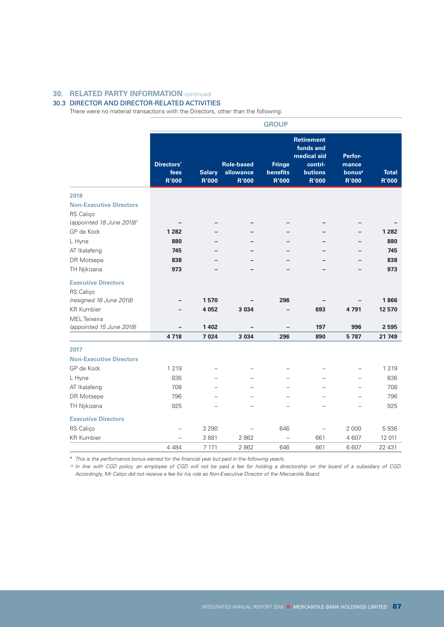# **30. RELATED PARTY INFORMATION** continued

### 30.3 DIRECTOR AND DIRECTOR-RELATED ACTIVITIES

There were no material transactions with the Directors, other than the following:

|                                |                                    |                               |                                                | <b>GROUP</b>                              |                                                                                            |                                                        |                              |
|--------------------------------|------------------------------------|-------------------------------|------------------------------------------------|-------------------------------------------|--------------------------------------------------------------------------------------------|--------------------------------------------------------|------------------------------|
|                                | Directors'<br>fees<br><b>R'000</b> | <b>Salary</b><br><b>R'000</b> | <b>Role-based</b><br>allowance<br><b>R'000</b> | <b>Fringe</b><br>benefits<br><b>R'000</b> | <b>Retirement</b><br>funds and<br>medical aid<br>contri-<br><b>butions</b><br><b>R'000</b> | Perfor-<br>mance<br>bonus <sup>#</sup><br><b>R'000</b> | <b>Total</b><br><b>R'000</b> |
| 2018                           |                                    |                               |                                                |                                           |                                                                                            |                                                        |                              |
| <b>Non-Executive Directors</b> |                                    |                               |                                                |                                           |                                                                                            |                                                        |                              |
| RS Caliço                      |                                    |                               |                                                |                                           |                                                                                            |                                                        |                              |
| (appointed 18 June 2018)^      |                                    |                               | -                                              | -                                         | -                                                                                          | -                                                      |                              |
| GP de Kock                     | 1 2 8 2                            |                               |                                                |                                           |                                                                                            |                                                        | 1 2 8 2                      |
| L Hyne                         | 880                                |                               |                                                |                                           |                                                                                            |                                                        | 880                          |
| AT Ikalafeng                   | 745                                |                               |                                                |                                           |                                                                                            |                                                        | 745                          |
| DR Motsepe                     | 838                                |                               |                                                |                                           |                                                                                            |                                                        | 838                          |
| TH Njikizana                   | 973                                |                               |                                                |                                           |                                                                                            |                                                        | 973                          |
| <b>Executive Directors</b>     |                                    |                               |                                                |                                           |                                                                                            |                                                        |                              |
| RS Caliço                      |                                    |                               |                                                |                                           |                                                                                            |                                                        |                              |
| (resigned 16 June 2018)        | -                                  | 1570                          |                                                | 296                                       |                                                                                            |                                                        | 1866                         |
| <b>KR Kumbier</b>              |                                    | 4 0 5 2                       | 3 0 3 4                                        |                                           | 693                                                                                        | 4791                                                   | 12 570                       |
| <b>MEL</b> Teixeira            |                                    |                               |                                                |                                           |                                                                                            |                                                        |                              |
| (appointed 15 June 2018)       | $\overline{\phantom{0}}$           | 1 4 0 2                       |                                                |                                           | 197                                                                                        | 996                                                    | 2 5 9 5                      |
|                                | 4718                               | 7 0 24                        | 3 0 3 4                                        | 296                                       | 890                                                                                        | 5787                                                   | 21 749                       |
| 2017                           |                                    |                               |                                                |                                           |                                                                                            |                                                        |                              |
| <b>Non-Executive Directors</b> |                                    |                               |                                                |                                           |                                                                                            |                                                        |                              |
| GP de Kock                     | 1 2 1 9                            |                               |                                                |                                           |                                                                                            | $\overline{a}$                                         | 1 2 1 9                      |
| L Hyne                         | 836                                |                               |                                                | $\equiv$                                  |                                                                                            | $\overline{a}$                                         | 836                          |
| AT Ikalafeng                   | 708                                |                               |                                                |                                           |                                                                                            | $\overline{\phantom{0}}$                               | 708                          |
| DR Motsepe                     | 796                                |                               |                                                |                                           |                                                                                            |                                                        | 796                          |
| TH Njikizana                   | 925                                |                               |                                                |                                           |                                                                                            |                                                        | 925                          |
| <b>Executive Directors</b>     |                                    |                               |                                                |                                           |                                                                                            |                                                        |                              |
| RS Caliço                      |                                    | 3 2 9 0                       | $\overline{a}$                                 | 646                                       | $\overline{\phantom{0}}$                                                                   | 2 0 0 0                                                | 5936                         |
| <b>KR Kumbier</b>              | $\overline{\phantom{0}}$           | 3881                          | 2 8 6 2                                        | $\overline{a}$                            | 661                                                                                        | 4 607                                                  | 12 011                       |
|                                | 4 4 8 4                            | 7 171                         | 2862                                           | 646                                       | 661                                                                                        | 6607                                                   | 22 431                       |

*# This is the performance bonus earned for the financial year but paid in the following year/s.*

*^ In line with CGD policy, an employee of CGD will not be paid a fee for holding a directorship on the board of a subsidiary of CGD. Accordingly, Mr Caliço did not receive a fee for his role as Non-Executive Director of the Mercantile Board.*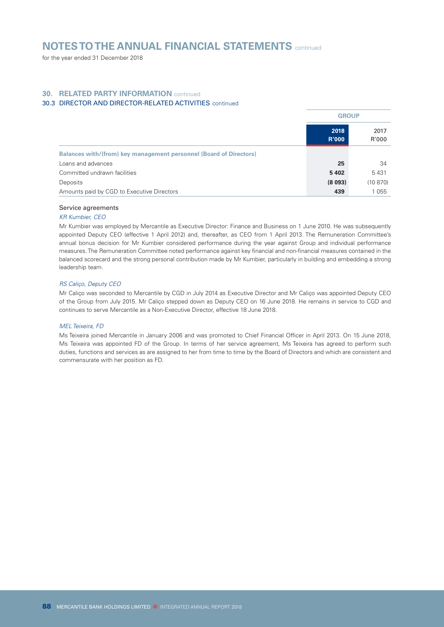for the year ended 31 December 2018

# **30. RELATED PARTY INFORMATION** continued

# 30.3 DIRECTOR AND DIRECTOR-RELATED ACTIVITIES continued

|                                                                    | <b>GROUP</b>         |               |
|--------------------------------------------------------------------|----------------------|---------------|
|                                                                    | 2018<br><b>R'000</b> | 2017<br>R'000 |
| Balances with/(from) key management personnel (Board of Directors) |                      |               |
| Loans and advances                                                 | 25                   | 34            |
| Committed undrawn facilities                                       | 5402                 | 5431          |
| Deposits                                                           | (8093)               | (10870)       |
| Amounts paid by CGD to Executive Directors                         | 439                  | 1055          |

#### Service agreements

#### *KR Kumbier, CEO*

Mr Kumbier was employed by Mercantile as Executive Director: Finance and Business on 1 June 2010. He was subsequently appointed Deputy CEO (effective 1 April 2012) and, thereafter, as CEO from 1 April 2013. The Remuneration Committee's annual bonus decision for Mr Kumbier considered performance during the year against Group and individual performance measures. The Remuneration Committee noted performance against key financial and non-financial measures contained in the balanced scorecard and the strong personal contribution made by Mr Kumbier, particularly in building and embedding a strong leadership team.

#### *RS Caliço, Deputy CEO*

Mr Caliço was seconded to Mercantile by CGD in July 2014 as Executive Director and Mr Caliço was appointed Deputy CEO of the Group from July 2015. Mr Caliço stepped down as Deputy CEO on 16 June 2018. He remains in service to CGD and continues to serve Mercantile as a Non-Executive Director, effective 18 June 2018.

#### *MEL Teixeira, FD*

Ms Teixeira joined Mercantile in January 2006 and was promoted to Chief Financial Officer in April 2013. On 15 June 2018, Ms Teixeira was appointed FD of the Group. In terms of her service agreement, Ms Teixeira has agreed to perform such duties, functions and services as are assigned to her from time to time by the Board of Directors and which are consistent and commensurate with her position as FD.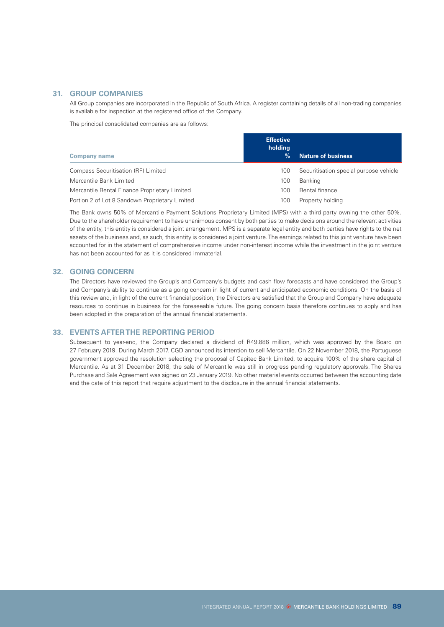# **31. GROUP COMPANIES**

All Group companies are incorporated in the Republic of South Africa. A register containing details of all non-trading companies is available for inspection at the registered office of the Company.

The principal consolidated companies are as follows:

| <b>Company name</b>                            | <b>Effective</b><br>holding<br>% | <b>Nature of business</b>              |
|------------------------------------------------|----------------------------------|----------------------------------------|
| Compass Securitisation (RF) Limited            | 100                              | Securitisation special purpose vehicle |
| Mercantile Bank Limited                        | 100                              | Banking                                |
| Mercantile Rental Finance Proprietary Limited  | 100                              | Rental finance                         |
| Portion 2 of Lot 8 Sandown Proprietary Limited | 100                              | Property holding                       |

The Bank owns 50% of Mercantile Payment Solutions Proprietary Limited (MPS) with a third party owning the other 50%. Due to the shareholder requirement to have unanimous consent by both parties to make decisions around the relevant activities of the entity, this entity is considered a joint arrangement. MPS is a separate legal entity and both parties have rights to the net assets of the business and, as such, this entity is considered a joint venture. The earnings related to this joint venture have been accounted for in the statement of comprehensive income under non-interest income while the investment in the joint venture has not been accounted for as it is considered immaterial.

#### **32. GOING CONCERN**

The Directors have reviewed the Group's and Company's budgets and cash flow forecasts and have considered the Group's and Company's ability to continue as a going concern in light of current and anticipated economic conditions. On the basis of this review and, in light of the current financial position, the Directors are satisfied that the Group and Company have adequate resources to continue in business for the foreseeable future. The going concern basis therefore continues to apply and has been adopted in the preparation of the annual financial statements.

#### **33. EVENTS AFTER THE REPORTING PERIOD**

Subsequent to year-end, the Company declared a dividend of R49.886 million, which was approved by the Board on 27 February 2019. During March 2017, CGD announced its intention to sell Mercantile. On 22 November 2018, the Portuguese government approved the resolution selecting the proposal of Capitec Bank Limited, to acquire 100% of the share capital of Mercantile. As at 31 December 2018, the sale of Mercantile was still in progress pending regulatory approvals. The Shares Purchase and Sale Agreement was signed on 23 January 2019. No other material events occurred between the accounting date and the date of this report that require adjustment to the disclosure in the annual financial statements.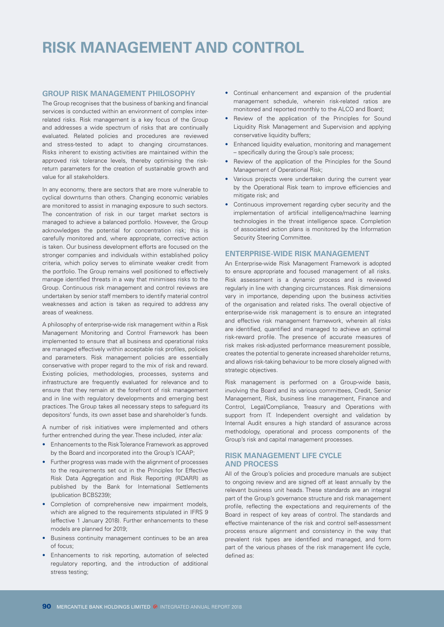# **RISK MANAGEMENT AND CONTROL**

#### **GROUP RISK MANAGEMENT PHILOSOPHY**

The Group recognises that the business of banking and financial services is conducted within an environment of complex interrelated risks. Risk management is a key focus of the Group and addresses a wide spectrum of risks that are continually evaluated. Related policies and procedures are reviewed and stress-tested to adapt to changing circumstances. Risks inherent to existing activities are maintained within the approved risk tolerance levels, thereby optimising the riskreturn parameters for the creation of sustainable growth and value for all stakeholders.

In any economy, there are sectors that are more vulnerable to cyclical downturns than others. Changing economic variables are monitored to assist in managing exposure to such sectors. The concentration of risk in our target market sectors is managed to achieve a balanced portfolio. However, the Group acknowledges the potential for concentration risk; this is carefully monitored and, where appropriate, corrective action is taken. Our business development efforts are focused on the stronger companies and individuals within established policy criteria, which policy serves to eliminate weaker credit from the portfolio. The Group remains well positioned to effectively manage identified threats in a way that minimises risks to the Group. Continuous risk management and control reviews are undertaken by senior staff members to identify material control weaknesses and action is taken as required to address any areas of weakness.

A philosophy of enterprise-wide risk management within a Risk Management Monitoring and Control Framework has been implemented to ensure that all business and operational risks are managed effectively within acceptable risk profiles, policies and parameters. Risk management policies are essentially conservative with proper regard to the mix of risk and reward. Existing policies, methodologies, processes, systems and infrastructure are frequently evaluated for relevance and to ensure that they remain at the forefront of risk management and in line with regulatory developments and emerging best practices. The Group takes all necessary steps to safeguard its depositors' funds, its own asset base and shareholder's funds.

A number of risk initiatives were implemented and others further entrenched during the year. These included, *inter alia:*

- Enhancements to the Risk Tolerance Framework as approved by the Board and incorporated into the Group's ICAAP;
- Further progress was made with the alignment of processes to the requirements set out in the Principles for Effective Risk Data Aggregation and Risk Reporting (RDARR) as published by the Bank for International Settlements (publication BCBS239);
- Completion of comprehensive new impairment models, which are aligned to the requirements stipulated in IFRS 9 (effective 1 January 2018). Further enhancements to these models are planned for 2019;
- Business continuity management continues to be an area of focus;
- Enhancements to risk reporting, automation of selected regulatory reporting, and the introduction of additional stress testing;
- Continual enhancement and expansion of the prudential management schedule, wherein risk-related ratios are monitored and reported monthly to the ALCO and Board;
- Review of the application of the Principles for Sound Liquidity Risk Management and Supervision and applying conservative liquidity buffers;
- Enhanced liquidity evaluation, monitoring and management – specifically during the Group's sale process;
- Review of the application of the Principles for the Sound Management of Operational Risk;
- Various projects were undertaken during the current year by the Operational Risk team to improve efficiencies and mitigate risk; and
- Continuous improvement regarding cyber security and the implementation of artificial intelligence/machine learning technologies in the threat intelligence space. Completion of associated action plans is monitored by the Information Security Steering Committee.

#### **ENTERPRISE-WIDE RISK MANAGEMENT**

An Enterprise-wide Risk Management Framework is adopted to ensure appropriate and focused management of all risks. Risk assessment is a dynamic process and is reviewed regularly in line with changing circumstances. Risk dimensions vary in importance, depending upon the business activities of the organisation and related risks. The overall objective of enterprise-wide risk management is to ensure an integrated and effective risk management framework, wherein all risks are identified, quantified and managed to achieve an optimal risk-reward profile. The presence of accurate measures of risk makes risk-adjusted performance measurement possible, creates the potential to generate increased shareholder returns, and allows risk-taking behaviour to be more closely aligned with strategic objectives.

Risk management is performed on a Group-wide basis, involving the Board and its various committees, Credit, Senior Management, Risk, business line management, Finance and Control, Legal/Compliance, Treasury and Operations with support from IT. Independent oversight and validation by Internal Audit ensures a high standard of assurance across methodology, operational and process components of the Group's risk and capital management processes.

# **RISK MANAGEMENT LIFE CYCLE AND PROCESS**

All of the Group's policies and procedure manuals are subject to ongoing review and are signed off at least annually by the relevant business unit heads. These standards are an integral part of the Group's governance structure and risk management profile, reflecting the expectations and requirements of the Board in respect of key areas of control. The standards and effective maintenance of the risk and control self-assessment process ensure alignment and consistency in the way that prevalent risk types are identified and managed, and form part of the various phases of the risk management life cycle, defined as: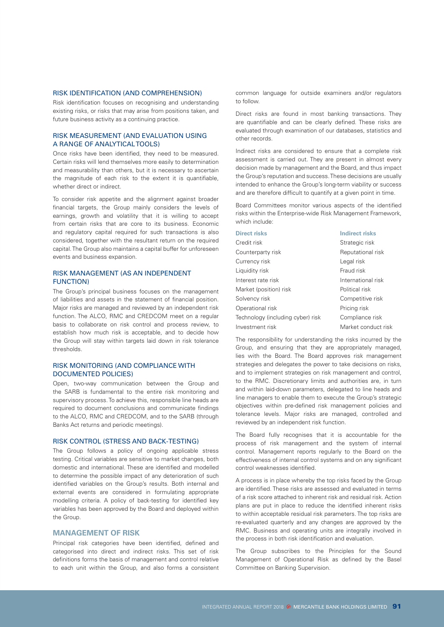#### RISK IDENTIFICATION (AND COMPREHENSION)

Risk identification focuses on recognising and understanding existing risks, or risks that may arise from positions taken, and future business activity as a continuing practice.

#### RISK MEASUREMENT (AND EVALUATION USING A RANGE OF ANALYTICAL TOOLS)

Once risks have been identified, they need to be measured. Certain risks will lend themselves more easily to determination and measurability than others, but it is necessary to ascertain the magnitude of each risk to the extent it is quantifiable, whether direct or indirect.

To consider risk appetite and the alignment against broader financial targets, the Group mainly considers the levels of earnings, growth and volatility that it is willing to accept from certain risks that are core to its business. Economic and regulatory capital required for such transactions is also considered, together with the resultant return on the required capital. The Group also maintains a capital buffer for unforeseen events and business expansion.

#### RISK MANAGEMENT (AS AN INDEPENDENT FUNCTION)

The Group's principal business focuses on the management of liabilities and assets in the statement of financial position. Major risks are managed and reviewed by an independent risk function. The ALCO, RMC and CREDCOM meet on a regular basis to collaborate on risk control and process review, to establish how much risk is acceptable, and to decide how the Group will stay within targets laid down in risk tolerance thresholds.

#### RISK MONITORING (AND COMPLIANCE WITH DOCUMENTED POLICIES)

Open, two-way communication between the Group and the SARB is fundamental to the entire risk monitoring and supervisory process. To achieve this, responsible line heads are required to document conclusions and communicate findings to the ALCO, RMC and CREDCOM, and to the SARB (through Banks Act returns and periodic meetings).

#### RISK CONTROL (STRESS AND BACK-TESTING)

The Group follows a policy of ongoing applicable stress testing. Critical variables are sensitive to market changes, both domestic and international. These are identified and modelled to determine the possible impact of any deterioration of such identified variables on the Group's results. Both internal and external events are considered in formulating appropriate modelling criteria. A policy of back-testing for identified key variables has been approved by the Board and deployed within the Group.

# **MANAGEMENT OF RISK**

Principal risk categories have been identified, defined and categorised into direct and indirect risks. This set of risk definitions forms the basis of management and control relative to each unit within the Group, and also forms a consistent common language for outside examiners and/or regulators to follow.

Direct risks are found in most banking transactions. They are quantifiable and can be clearly defined. These risks are evaluated through examination of our databases, statistics and other records.

Indirect risks are considered to ensure that a complete risk assessment is carried out. They are present in almost every decision made by management and the Board, and thus impact the Group's reputation and success. These decisions are usually intended to enhance the Group's long-term viability or success and are therefore difficult to quantify at a given point in time.

Board Committees monitor various aspects of the identified risks within the Enterprise-wide Risk Management Framework, which include:

| <b>Direct risks</b>               | <b>Indirect risks</b> |
|-----------------------------------|-----------------------|
| Credit risk                       | Strategic risk        |
| Counterparty risk                 | Reputational risk     |
| Currency risk                     | Legal risk            |
| Liquidity risk                    | Fraud risk            |
| Interest rate risk                | International risk    |
| Market (position) risk            | Political risk        |
| Solvency risk                     | Competitive risk      |
| Operational risk                  | Pricing risk          |
| Technology (including cyber) risk | Compliance risk       |
| Investment risk                   | Market conduct risk   |

The responsibility for understanding the risks incurred by the Group, and ensuring that they are appropriately managed, lies with the Board. The Board approves risk management strategies and delegates the power to take decisions on risks, and to implement strategies on risk management and control to the RMC. Discretionary limits and authorities are, in turn and within laid-down parameters, delegated to line heads and line managers to enable them to execute the Group's strategic objectives within pre-defined risk management policies and tolerance levels. Major risks are managed, controlled and reviewed by an independent risk function.

The Board fully recognises that it is accountable for the process of risk management and the system of internal control. Management reports regularly to the Board on the effectiveness of internal control systems and on any significant control weaknesses identified.

A process is in place whereby the top risks faced by the Group are identified. These risks are assessed and evaluated in terms of a risk score attached to inherent risk and residual risk. Action plans are put in place to reduce the identified inherent risks to within acceptable residual risk parameters. The top risks are re-evaluated quarterly and any changes are approved by the RMC. Business and operating units are integrally involved in the process in both risk identification and evaluation.

The Group subscribes to the Principles for the Sound Management of Operational Risk as defined by the Basel Committee on Banking Supervision.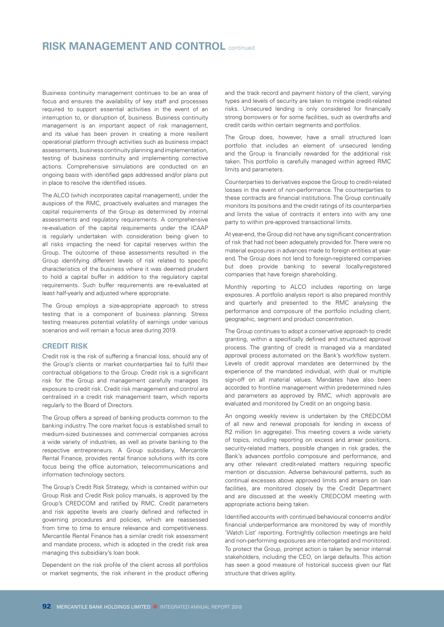# **RISK MANAGEMENT AND CONTROL** continued

Business continuity management continues to be an area of focus and ensures the availability of key staff and processes required to support essential activities in the event of an interruption to, or disruption of, business. Business continuity management is an important aspect of risk management, and its value has been proven in creating a more resilient operational platform through activities such as business impact assessments, business continuity planning and implementation, testing of business continuity and implementing corrective actions. Comprehensive simulations are conducted on an ongoing basis with identified gaps addressed and/or plans put in place to resolve the identified issues.

The ALCO (which incorporates capital management), under the auspices of the RMC, proactively evaluates and manages the capital requirements of the Group as determined by internal assessments and regulatory requirements. A comprehensive re-evaluation of the capital requirements under the ICAAP is regularly undertaken with consideration being given to all risks impacting the need for capital reserves within the Group. The outcome of these assessments resulted in the Group identifying different levels of risk related to specific characteristics of the business where it was deemed prudent to hold a capital buffer in addition to the regulatory capital requirements. Such buffer requirements are re-evaluated at least half-yearly and adjusted where appropriate.

The Group employs a size-appropriate approach to stress testing that is a component of business planning. Stress testing measures potential volatility of earnings under various scenarios and will remain a focus area during 2019.

#### **CREDIT RISK**

Credit risk is the risk of suffering a financial loss, should any of the Group's clients or market counterparties fail to fulfil their contractual obligations to the Group. Credit risk is a significant risk for the Group and management carefully manages its exposure to credit risk. Credit risk management and control are centralised in a credit risk management team, which reports regularly to the Board of Directors.

The Group offers a spread of banking products common to the banking industry. The core market focus is established small to medium-sized businesses and commercial companies across a wide variety of industries, as well as private banking to the respective entrepreneurs. A Group subsidiary, Mercantile Rental Finance, provides rental finance solutions with its core focus being the office automation, telecommunications and information technology sectors.

The Group's Credit Risk Strategy, which is contained within our Group Risk and Credit Risk policy manuals, is approved by the Group's CREDCOM and ratified by RMC. Credit parameters and risk appetite levels are clearly defined and reflected in governing procedures and policies, which are reassessed from time to time to ensure relevance and competitiveness. Mercantile Rental Finance has a similar credit risk assessment and mandate process, which is adopted in the credit risk area managing this subsidiary's loan book.

Dependent on the risk profile of the client across all portfolios or market segments, the risk inherent in the product offering

and the track record and payment history of the client, varying types and levels of security are taken to mitigate credit-related risks. Unsecured lending is only considered for financially strong borrowers or for some facilities, such as overdrafts and credit cards within certain segments and portfolios.

The Group does, however, have a small structured loan portfolio that includes an element of unsecured lending and the Group is financially rewarded for the additional risk taken. This portfolio is carefully managed within agreed RMC limits and parameters.

Counterparties to derivatives expose the Group to credit-related losses in the event of non-performance. The counterparties to these contracts are financial institutions. The Group continually monitors its positions and the credit ratings of its counterparties and limits the value of contracts it enters into with any one party to within pre-approved transactional limits.

At year-end, the Group did not have any significant concentration of risk that had not been adequately provided for. There were no material exposures in advances made to foreign entities at yearend. The Group does not lend to foreign-registered companies but does provide banking to several locally-registered companies that have foreign shareholding.

Monthly reporting to ALCO includes reporting on large exposures. A portfolio analysis report is also prepared monthly and quarterly and presented to the RMC analysing the performance and composure of the portfolio including client, geographic, segment and product concentration.

The Group continues to adopt a conservative approach to credit granting, within a specifically defined and structured approval process. The granting of credit is managed via a mandated approval process automated on the Bank's workflow system. Levels of credit approval mandates are determined by the experience of the mandated individual, with dual or multiple sign-off on all material values. Mandates have also been accorded to frontline management within predetermined rules and parameters as approved by RMC, which approvals are evaluated and monitored by Credit on an ongoing basis.

An ongoing weekly review is undertaken by the CREDCOM of all new and renewal proposals for lending in excess of R2 million (in aggregate). This meeting covers a wide variety of topics, including reporting on excess and arrear positions, security-related matters, possible changes in risk grades, the Bank's advances portfolio composure and performance, and any other relevant credit-related matters requiring specific mention or discussion. Adverse behavioural patterns, such as continual excesses above approved limits and arrears on loan facilities, are monitored closely by the Credit Department and are discussed at the weekly CREDCOM meeting with appropriate actions being taken.

Identified accounts with continued behavioural concerns and/or financial underperformance are monitored by way of monthly 'Watch List' reporting. Fortnightly collection meetings are held and non-performing exposures are interrogated and monitored. To protect the Group, prompt action is taken by senior internal stakeholders, including the CEO, on large defaults. This action has seen a good measure of historical success given our flat structure that drives agility.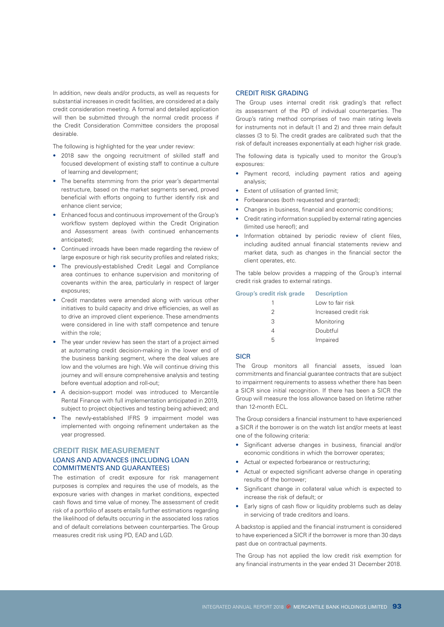In addition, new deals and/or products, as well as requests for substantial increases in credit facilities, are considered at a daily credit consideration meeting. A formal and detailed application will then be submitted through the normal credit process if the Credit Consideration Committee considers the proposal desirable.

The following is highlighted for the year under review:

- 2018 saw the ongoing recruitment of skilled staff and focused development of existing staff to continue a culture of learning and development;
- The benefits stemming from the prior year's departmental restructure, based on the market segments served, proved beneficial with efforts ongoing to further identify risk and enhance client service;
- Enhanced focus and continuous improvement of the Group's workflow system deployed within the Credit Origination and Assessment areas (with continued enhancements anticipated);
- Continued inroads have been made regarding the review of large exposure or high risk security profiles and related risks;
- The previously-established Credit Legal and Compliance area continues to enhance supervision and monitoring of covenants within the area, particularly in respect of larger exposures;
- Credit mandates were amended along with various other initiatives to build capacity and drive efficiencies, as well as to drive an improved client experience. These amendments were considered in line with staff competence and tenure within the role:
- The year under review has seen the start of a project aimed at automating credit decision-making in the lower end of the business banking segment, where the deal values are low and the volumes are high. We will continue driving this journey and will ensure comprehensive analysis and testing before eventual adoption and roll-out;
- A decision-support model was introduced to Mercantile Rental Finance with full implementation anticipated in 2019, subject to project objectives and testing being achieved; and
- The newly-established IFRS 9 impairment model was implemented with ongoing refinement undertaken as the year progressed.

# **CREDIT RISK MEASUREMENT** LOANS AND ADVANCES (INCLUDING LOAN COMMITMENTS AND GUARANTEES)

The estimation of credit exposure for risk management purposes is complex and requires the use of models, as the exposure varies with changes in market conditions, expected cash flows and time value of money. The assessment of credit risk of a portfolio of assets entails further estimations regarding the likelihood of defaults occurring in the associated loss ratios and of default correlations between counterparties. The Group measures credit risk using PD, EAD and LGD.

### CREDIT RISK GRADING

The Group uses internal credit risk grading's that reflect its assessment of the PD of individual counterparties. The Group's rating method comprises of two main rating levels for instruments not in default (1 and 2) and three main default classes (3 to 5). The credit grades are calibrated such that the risk of default increases exponentially at each higher risk grade.

The following data is typically used to monitor the Group's exposures:

- Payment record, including payment ratios and ageing analysis;
- Extent of utilisation of granted limit;
- Forbearances (both requested and granted);
- Changes in business, financial and economic conditions;
- Credit rating information supplied by external rating agencies (limited use hereof); and
- Information obtained by periodic review of client files, including audited annual financial statements review and market data, such as changes in the financial sector the client operates, etc.

The table below provides a mapping of the Group's internal credit risk grades to external ratings.

| <b>Group's credit risk grade</b> | <b>Description</b>    |
|----------------------------------|-----------------------|
|                                  | Low to fair risk      |
| 2                                | Increased credit risk |
| 3                                | Monitoring            |
| Δ                                | Doubtful              |
| 5                                | Impaired              |

# **SICR**

The Group monitors all financial assets, issued loan commitments and financial guarantee contracts that are subject to impairment requirements to assess whether there has been a SICR since initial recognition. If there has been a SICR the Group will measure the loss allowance based on lifetime rather than 12-month FCL

The Group considers a financial instrument to have experienced a SICR if the borrower is on the watch list and/or meets at least one of the following criteria:

- Significant adverse changes in business, financial and/or economic conditions in which the borrower operates;
- Actual or expected forbearance or restructuring;
- Actual or expected significant adverse change in operating results of the borrower;
- Significant change in collateral value which is expected to increase the risk of default; or
- Early signs of cash flow or liquidity problems such as delay in servicing of trade creditors and loans.

A backstop is applied and the financial instrument is considered to have experienced a SICR if the borrower is more than 30 days past due on contractual payments.

The Group has not applied the low credit risk exemption for any financial instruments in the year ended 31 December 2018.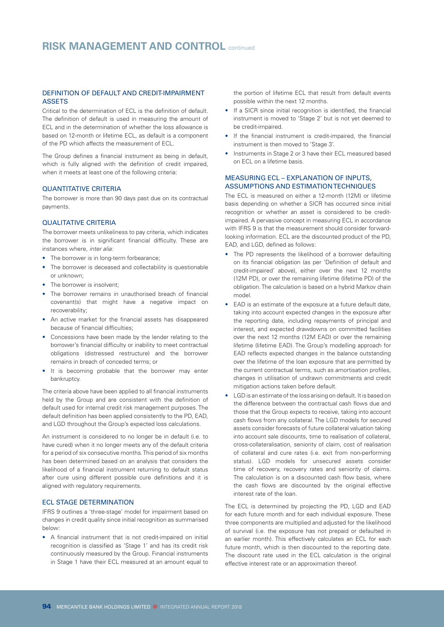### DEFINITION OF DEFAULT AND CREDIT-IMPAIRMENT **ASSETS**

Critical to the determination of ECL is the definition of default. The definition of default is used in measuring the amount of ECL and in the determination of whether the loss allowance is based on 12-month or lifetime ECL, as default is a component of the PD which affects the measurement of ECL.

The Group defines a financial instrument as being in default, which is fully aligned with the definition of credit impaired, when it meets at least one of the following criteria:

#### QUANTITATIVE CRITERIA

The borrower is more than 90 days past due on its contractual payments.

#### QUALITATIVE CRITERIA

The borrower meets unlikeliness to pay criteria, which indicates the borrower is in significant financial difficulty. These are instances where, *inter alia:*

- The borrower is in long-term forbearance;
- The borrower is deceased and collectability is questionable or unknown;
- The borrower is insolvent:
- The borrower remains in unauthorised breach of financial covenant(s) that might have a negative impact on recoverability;
- An active market for the financial assets has disappeared because of financial difficulties;
- Concessions have been made by the lender relating to the borrower's financial difficulty or inability to meet contractual obligations (distressed restructure) and the borrower remains in breach of conceded terms; or
- It is becoming probable that the borrower may enter bankruptcy.

The criteria above have been applied to all financial instruments held by the Group and are consistent with the definition of default used for internal credit risk management purposes. The default definition has been applied consistently to the PD, EAD, and LGD throughout the Group's expected loss calculations.

An instrument is considered to no longer be in default (i.e. to have cured) when it no longer meets any of the default criteria for a period of six consecutive months. This period of six months has been determined based on an analysis that considers the likelihood of a financial instrument returning to default status after cure using different possible cure definitions and it is aligned with regulatory requirements.

# ECL STAGE DETERMINATION

IFRS 9 outlines a 'three-stage' model for impairment based on changes in credit quality since initial recognition as summarised below:

• A financial instrument that is not credit-impaired on initial recognition is classified as 'Stage 1' and has its credit risk continuously measured by the Group. Financial instruments in Stage 1 have their ECL measured at an amount equal to

the portion of lifetime ECL that result from default events possible within the next 12 months.

- If a SICR since initial recognition is identified, the financial instrument is moved to 'Stage 2' but is not yet deemed to be credit-impaired.
- If the financial instrument is credit-impaired, the financial instrument is then moved to 'Stage 3'.
- Instruments in Stage 2 or 3 have their ECL measured based on ECL on a lifetime basis.

#### MEASURING ECL – EXPLANATION OF INPUTS, ASSUMPTIONS AND ESTIMATION TECHNIQUES

The ECL is measured on either a 12-month (12M) or lifetime basis depending on whether a SICR has occurred since initial recognition or whether an asset is considered to be creditimpaired. A pervasive concept in measuring ECL in accordance with IFRS 9 is that the measurement should consider forwardlooking information. ECL are the discounted product of the PD, EAD, and LGD, defined as follows:

- The PD represents the likelihood of a borrower defaulting on its financial obligation (as per 'Definition of default and credit-impaired' above), either over the next 12 months (12M PD), or over the remaining lifetime (lifetime PD) of the obligation. The calculation is based on a hybrid Markov chain model.
- EAD is an estimate of the exposure at a future default date, taking into account expected changes in the exposure after the reporting date, including repayments of principal and interest, and expected drawdowns on committed facilities over the next 12 months (12M EAD) or over the remaining lifetime (lifetime EAD). The Group's modelling approach for EAD reflects expected changes in the balance outstanding over the lifetime of the loan exposure that are permitted by the current contractual terms, such as amortisation profiles, changes in utilisation of undrawn commitments and credit mitigation actions taken before default.
- LGD is an estimate of the loss arising on default. It is based on the difference between the contractual cash flows due and those that the Group expects to receive, taking into account cash flows from any collateral. The LGD models for secured assets consider forecasts of future collateral valuation taking into account sale discounts, time to realisation of collateral, cross-collateralisation, seniority of claim, cost of realisation of collateral and cure rates (i.e. exit from non-performing status). LGD models for unsecured assets consider time of recovery, recovery rates and seniority of claims. The calculation is on a discounted cash flow basis, where the cash flows are discounted by the original effective interest rate of the loan.

The ECL is determined by projecting the PD, LGD and EAD for each future month and for each individual exposure. These three components are multiplied and adjusted for the likelihood of survival (i.e. the exposure has not prepaid or defaulted in an earlier month). This effectively calculates an ECL for each future month, which is then discounted to the reporting date. The discount rate used in the ECL calculation is the original effective interest rate or an approximation thereof.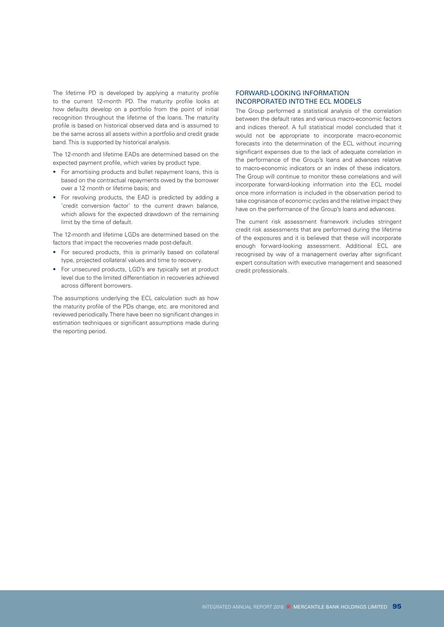The lifetime PD is developed by applying a maturity profile to the current 12-month PD. The maturity profile looks at how defaults develop on a portfolio from the point of initial recognition throughout the lifetime of the loans. The maturity profile is based on historical observed data and is assumed to be the same across all assets within a portfolio and credit grade band. This is supported by historical analysis.

The 12-month and lifetime EADs are determined based on the expected payment profile, which varies by product type.

- For amortising products and bullet repayment loans, this is based on the contractual repayments owed by the borrower over a 12 month or lifetime basis; and
- For revolving products, the EAD is predicted by adding a 'credit conversion factor' to the current drawn balance, which allows for the expected drawdown of the remaining limit by the time of default.

The 12-month and lifetime LGDs are determined based on the factors that impact the recoveries made post-default.

- For secured products, this is primarily based on collateral type, projected collateral values and time to recovery.
- For unsecured products, LGD's are typically set at product level due to the limited differentiation in recoveries achieved across different borrowers.

The assumptions underlying the ECL calculation such as how the maturity profile of the PDs change, etc. are monitored and reviewed periodically. There have been no significant changes in estimation techniques or significant assumptions made during the reporting period.

### FORWARD-LOOKING INFORMATION INCORPORATED INTO THE ECL MODELS

The Group performed a statistical analysis of the correlation between the default rates and various macro-economic factors and indices thereof. A full statistical model concluded that it would not be appropriate to incorporate macro-economic forecasts into the determination of the ECL without incurring significant expenses due to the lack of adequate correlation in the performance of the Group's loans and advances relative to macro-economic indicators or an index of these indicators. The Group will continue to monitor these correlations and will incorporate forward-looking information into the ECL model once more information is included in the observation period to take cognisance of economic cycles and the relative impact they have on the performance of the Group's loans and advances.

The current risk assessment framework includes stringent credit risk assessments that are performed during the lifetime of the exposures and it is believed that these will incorporate enough forward-looking assessment. Additional ECL are recognised by way of a management overlay after significant expert consultation with executive management and seasoned credit professionals.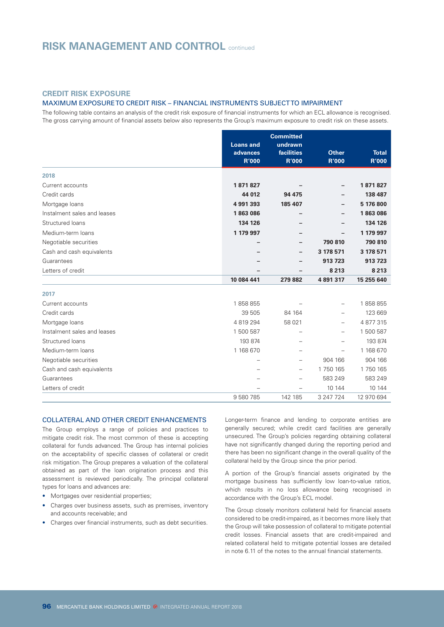# **CREDIT RISK EXPOSURE**

#### MAXIMUM EXPOSURE TO CREDIT RISK – FINANCIAL INSTRUMENTS SUBJECT TO IMPAIRMENT

The following table contains an analysis of the credit risk exposure of financial instruments for which an ECL allowance is recognised. The gross carrying amount of financial assets below also represents the Group's maximum exposure to credit risk on these assets.

|                             |                              | <b>Committed</b>         |              |              |
|-----------------------------|------------------------------|--------------------------|--------------|--------------|
|                             | <b>Loans and</b><br>advances | undrawn<br>facilities    | <b>Other</b> | <b>Total</b> |
|                             | <b>R'000</b>                 | <b>R'000</b>             | <b>R'000</b> | <b>R'000</b> |
|                             |                              |                          |              |              |
| 2018                        |                              |                          |              |              |
| Current accounts            | 1871827                      |                          |              | 1871827      |
| Credit cards                | 44 012                       | 94 475                   |              | 138 487      |
| Mortgage loans              | 4 991 393                    | 185 407                  |              | 5 176 800    |
| Instalment sales and leases | 1863086                      |                          |              | 1863086      |
| Structured loans            | 134 126                      |                          |              | 134 126      |
| Medium-term loans           | 1 179 997                    |                          |              | 1 179 997    |
| Negotiable securities       |                              |                          | 790 810      | 790 810      |
| Cash and cash equivalents   |                              |                          | 3 178 571    | 3 178 571    |
| Guarantees                  |                              |                          | 913 723      | 913 723      |
| Letters of credit           |                              | $\overline{\phantom{0}}$ | 8 2 1 3      | 8 2 1 3      |
|                             | 10 084 441                   | 279 882                  | 4 891 317    | 15 255 640   |
| 2017                        |                              |                          |              |              |
| Current accounts            | 1858855                      |                          |              | 1858855      |
| Credit cards                | 39 505                       | 84 164                   |              | 123 669      |
| Mortgage loans              | 4 819 294                    | 58 0 21                  |              | 4 877 315    |
| Instalment sales and leases | 1 500 587                    |                          |              | 1500587      |
| Structured loans            | 193 874                      |                          |              | 193 874      |
| Medium-term loans           | 1 168 670                    |                          |              | 1 168 670    |
| Negotiable securities       |                              |                          | 904 166      | 904 166      |
| Cash and cash equivalents   |                              | $\overline{\phantom{0}}$ | 1750 165     | 1 750 165    |
| Guarantees                  |                              |                          | 583 249      | 583 249      |
|                             |                              |                          |              |              |
| Letters of credit           |                              |                          | 10 144       | 10 144       |

### COLLATERAL AND OTHER CREDIT ENHANCEMENTS

The Group employs a range of policies and practices to mitigate credit risk. The most common of these is accepting collateral for funds advanced. The Group has internal policies on the acceptability of specific classes of collateral or credit risk mitigation. The Group prepares a valuation of the collateral obtained as part of the loan origination process and this assessment is reviewed periodically. The principal collateral types for loans and advances are:

- Mortgages over residential properties;
- Charges over business assets, such as premises, inventory and accounts receivable; and
- Charges over financial instruments, such as debt securities.

Longer-term finance and lending to corporate entities are generally secured; while credit card facilities are generally unsecured. The Group's policies regarding obtaining collateral have not significantly changed during the reporting period and there has been no significant change in the overall quality of the collateral held by the Group since the prior period.

A portion of the Group's financial assets originated by the mortgage business has sufficiently low loan-to-value ratios, which results in no loss allowance being recognised in accordance with the Group's ECL model.

The Group closely monitors collateral held for financial assets considered to be credit-impaired, as it becomes more likely that the Group will take possession of collateral to mitigate potential credit losses. Financial assets that are credit-impaired and related collateral held to mitigate potential losses are detailed in note 6.11 of the notes to the annual financial statements.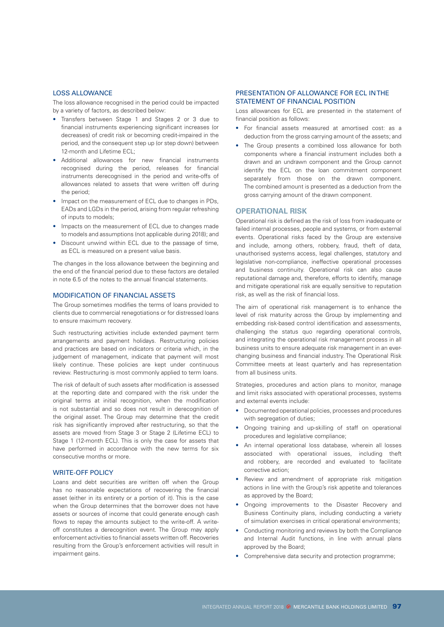#### LOSS ALLOWANCE

The loss allowance recognised in the period could be impacted by a variety of factors, as described below:

- Transfers between Stage 1 and Stages 2 or 3 due to financial instruments experiencing significant increases (or decreases) of credit risk or becoming credit-impaired in the period, and the consequent step up (or step down) between 12-month and Lifetime ECL;
- Additional allowances for new financial instruments recognised during the period, releases for financial instruments derecognised in the period and write-offs of allowances related to assets that were written off during the period;
- Impact on the measurement of ECL due to changes in PDs. EADs and LGDs in the period, arising from regular refreshing of inputs to models;
- Impacts on the measurement of ECL due to changes made to models and assumptions (not applicable during 2018); and
- Discount unwind within ECL due to the passage of time, as ECL is measured on a present value basis.

The changes in the loss allowance between the beginning and the end of the financial period due to these factors are detailed in note 6.5 of the notes to the annual financial statements.

#### MODIFICATION OF FINANCIAL ASSETS

The Group sometimes modifies the terms of loans provided to clients due to commercial renegotiations or for distressed loans to ensure maximum recovery.

Such restructuring activities include extended payment term arrangements and payment holidays. Restructuring policies and practices are based on indicators or criteria which, in the judgement of management, indicate that payment will most likely continue. These policies are kept under continuous review. Restructuring is most commonly applied to term loans.

The risk of default of such assets after modification is assessed at the reporting date and compared with the risk under the original terms at initial recognition, when the modification is not substantial and so does not result in derecognition of the original asset. The Group may determine that the credit risk has significantly improved after restructuring, so that the assets are moved from Stage 3 or Stage 2 (Lifetime ECL) to Stage 1 (12-month ECL). This is only the case for assets that have performed in accordance with the new terms for six consecutive months or more.

#### WRITE-OFF POLICY

Loans and debt securities are written off when the Group has no reasonable expectations of recovering the financial asset (either in its entirety or a portion of it). This is the case when the Group determines that the borrower does not have assets or sources of income that could generate enough cash flows to repay the amounts subject to the write-off. A writeoff constitutes a derecognition event. The Group may apply enforcement activities to financial assets written off. Recoveries resulting from the Group's enforcement activities will result in impairment gains.

#### PRESENTATION OF ALLOWANCE FOR ECL IN THE STATEMENT OF FINANCIAL POSITION

Loss allowances for ECL are presented in the statement of financial position as follows:

- For financial assets measured at amortised cost: as a deduction from the gross carrying amount of the assets; and
- The Group presents a combined loss allowance for both components where a financial instrument includes both a drawn and an undrawn component and the Group cannot identify the ECL on the loan commitment component separately from those on the drawn component. The combined amount is presented as a deduction from the gross carrying amount of the drawn component.

#### **OPERATIONAL RISK**

Operational risk is defined as the risk of loss from inadequate or failed internal processes, people and systems, or from external events. Operational risks faced by the Group are extensive and include, among others, robbery, fraud, theft of data, unauthorised systems access, legal challenges, statutory and legislative non-compliance, ineffective operational processes and business continuity. Operational risk can also cause reputational damage and, therefore, efforts to identify, manage and mitigate operational risk are equally sensitive to reputation risk, as well as the risk of financial loss.

The aim of operational risk management is to enhance the level of risk maturity across the Group by implementing and embedding risk-based control identification and assessments, challenging the status quo regarding operational controls, and integrating the operational risk management process in all business units to ensure adequate risk management in an everchanging business and financial industry. The Operational Risk Committee meets at least quarterly and has representation from all business units.

Strategies, procedures and action plans to monitor, manage and limit risks associated with operational processes, systems and external events include:

- Documented operational policies, processes and procedures with segregation of duties;
- Ongoing training and up-skilling of staff on operational procedures and legislative compliance;
- An internal operational loss database, wherein all losses associated with operational issues, including theft and robbery, are recorded and evaluated to facilitate corrective action;
- Review and amendment of appropriate risk mitigation actions in line with the Group's risk appetite and tolerances as approved by the Board;
- Ongoing improvements to the Disaster Recovery and Business Continuity plans, including conducting a variety of simulation exercises in critical operational environments;
- Conducting monitoring and reviews by both the Compliance and Internal Audit functions, in line with annual plans approved by the Board;
- Comprehensive data security and protection programme;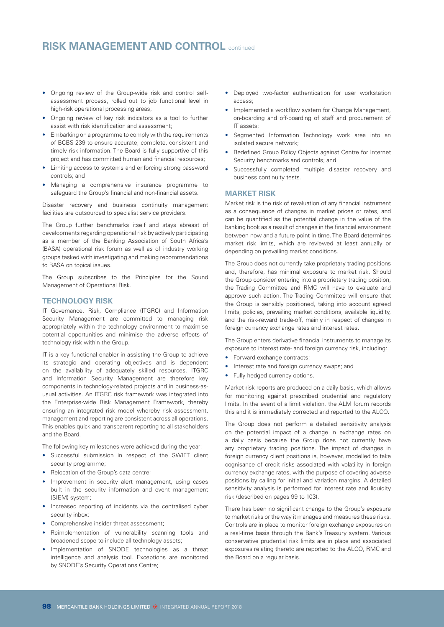# **RISK MANAGEMENT AND CONTROL** continued

- Ongoing review of the Group-wide risk and control selfassessment process, rolled out to job functional level in high-risk operational processing areas;
- Ongoing review of key risk indicators as a tool to further assist with risk identification and assessment;
- Embarking on a programme to comply with the requirements of BCBS 239 to ensure accurate, complete, consistent and timely risk information. The Board is fully supportive of this project and has committed human and financial resources;
- Limiting access to systems and enforcing strong password controls; and
- Managing a comprehensive insurance programme to safeguard the Group's financial and non-financial assets.

Disaster recovery and business continuity management facilities are outsourced to specialist service providers.

The Group further benchmarks itself and stays abreast of developments regarding operational risk by actively participating as a member of the Banking Association of South Africa's (BASA) operational risk forum as well as of industry working groups tasked with investigating and making recommendations to BASA on topical issues.

The Group subscribes to the Principles for the Sound Management of Operational Risk.

#### **TECHNOLOGY RISK**

IT Governance, Risk, Compliance (ITGRC) and Information Security Management are committed to managing risk appropriately within the technology environment to maximise potential opportunities and minimise the adverse effects of technology risk within the Group.

IT is a key functional enabler in assisting the Group to achieve its strategic and operating objectives and is dependent on the availability of adequately skilled resources. ITGRC and Information Security Management are therefore key components in technology-related projects and in business-asusual activities. An ITGRC risk framework was integrated into the Enterprise-wide Risk Management Framework, thereby ensuring an integrated risk model whereby risk assessment, management and reporting are consistent across all operations. This enables quick and transparent reporting to all stakeholders and the Board.

The following key milestones were achieved during the year:

- Successful submission in respect of the SWIFT client security programme;
- Relocation of the Group's data centre;
- Improvement in security alert management, using cases built in the security information and event management (SIEM) system;
- Increased reporting of incidents via the centralised cyber security inbox;
- Comprehensive insider threat assessment;
- Reimplementation of vulnerability scanning tools and broadened scope to include all technology assets;
- Implementation of SNODE technologies as a threat intelligence and analysis tool. Exceptions are monitored by SNODE's Security Operations Centre;
- Deployed two-factor authentication for user workstation access;
- Implemented a workflow system for Change Management, on-boarding and off-boarding of staff and procurement of IT assets;
- Segmented Information Technology work area into an isolated secure network;
- Redefined Group Policy Objects against Centre for Internet Security benchmarks and controls; and
- Successfully completed multiple disaster recovery and business continuity tests.

### **MARKET RISK**

Market risk is the risk of revaluation of any financial instrument as a consequence of changes in market prices or rates, and can be quantified as the potential change in the value of the banking book as a result of changes in the financial environment between now and a future point in time. The Board determines market risk limits, which are reviewed at least annually or depending on prevailing market conditions.

The Group does not currently take proprietary trading positions and, therefore, has minimal exposure to market risk. Should the Group consider entering into a proprietary trading position, the Trading Committee and RMC will have to evaluate and approve such action. The Trading Committee will ensure that the Group is sensibly positioned, taking into account agreed limits, policies, prevailing market conditions, available liquidity, and the risk-reward trade-off, mainly in respect of changes in foreign currency exchange rates and interest rates.

The Group enters derivative financial instruments to manage its exposure to interest rate- and foreign currency risk, including:

- Forward exchange contracts;
- Interest rate and foreign currency swaps; and
- Fully hedged currency options.

Market risk reports are produced on a daily basis, which allows for monitoring against prescribed prudential and regulatory limits. In the event of a limit violation, the ALM forum records this and it is immediately corrected and reported to the ALCO.

The Group does not perform a detailed sensitivity analysis on the potential impact of a change in exchange rates on a daily basis because the Group does not currently have any proprietary trading positions. The impact of changes in foreign currency client positions is, however, modelled to take cognisance of credit risks associated with volatility in foreign currency exchange rates, with the purpose of covering adverse positions by calling for initial and variation margins. A detailed sensitivity analysis is performed for interest rate and liquidity risk (described on pages 99 to 103).

There has been no significant change to the Group's exposure to market risks or the way it manages and measures these risks. Controls are in place to monitor foreign exchange exposures on a real-time basis through the Bank's Treasury system. Various conservative prudential risk limits are in place and associated exposures relating thereto are reported to the ALCO, RMC and the Board on a regular basis.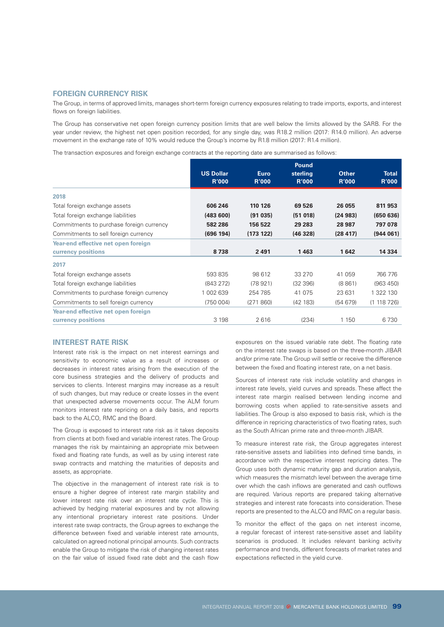# **FOREIGN CURRENCY RISK**

The Group, in terms of approved limits, manages short-term foreign currency exposures relating to trade imports, exports, and interest flows on foreign liabilities.

The Group has conservative net open foreign currency position limits that are well below the limits allowed by the SARB. For the year under review, the highest net open position recorded, for any single day, was R18.2 million (2017: R14.0 million). An adverse movement in the exchange rate of 10% would reduce the Group's income by R1.8 million (2017: R1.4 million).

The transaction exposures and foreign exchange contracts at the reporting date are summarised as follows:

|                                          | <b>US Dollar</b><br><b>R'000</b> | <b>Euro</b><br><b>R'000</b> | <b>Pound</b><br>sterling<br><b>R'000</b> | <b>Other</b><br><b>R'000</b> | <b>Total</b><br><b>R'000</b> |
|------------------------------------------|----------------------------------|-----------------------------|------------------------------------------|------------------------------|------------------------------|
|                                          |                                  |                             |                                          |                              |                              |
| 2018                                     |                                  |                             |                                          |                              |                              |
| Total foreign exchange assets            | 606 246                          | 110 126                     | 69 526                                   | 26 055                       | 811 953                      |
| Total foreign exchange liabilities       | (483600)                         | (91035)                     | (51018)                                  | (24983)                      | (650636)                     |
| Commitments to purchase foreign currency | 582 286                          | 156 522                     | 29 2 83                                  | 28 987                       | 797 078                      |
| Commitments to sell foreign currency     | (696 194)                        | (173 122)                   | (46328)                                  | (28 417)                     | (944061)                     |
| Year-end effective net open foreign      |                                  |                             |                                          |                              |                              |
| currency positions                       | 8738                             | 2491                        | 1463                                     | 1642                         | 14 3 34                      |
| 2017                                     |                                  |                             |                                          |                              |                              |
| Total foreign exchange assets            | 593 835                          | 98 612                      | 33 270                                   | 41 059                       | 766 776                      |
| Total foreign exchange liabilities       | (843 272)                        | (78921)                     | (32 396)                                 | (8861)                       | (963 450)                    |
| Commitments to purchase foreign currency | 1 002 639                        | 254 785                     | 41 0 75                                  | 23 631                       | 1 322 130                    |
| Commitments to sell foreign currency     | (750004)                         | (271860)                    | (42 183)                                 | (54679)                      | (1118726)                    |
| Year-end effective net open foreign      |                                  |                             |                                          |                              |                              |
| currency positions                       | 3 1 9 8                          | 2616                        | (234)                                    | 1 1 5 0                      | 6730                         |

#### **INTEREST RATE RISK**

Interest rate risk is the impact on net interest earnings and sensitivity to economic value as a result of increases or decreases in interest rates arising from the execution of the core business strategies and the delivery of products and services to clients. Interest margins may increase as a result of such changes, but may reduce or create losses in the event that unexpected adverse movements occur. The ALM forum monitors interest rate repricing on a daily basis, and reports back to the ALCO, RMC and the Board.

The Group is exposed to interest rate risk as it takes deposits from clients at both fixed and variable interest rates. The Group manages the risk by maintaining an appropriate mix between fixed and floating rate funds, as well as by using interest rate swap contracts and matching the maturities of deposits and assets, as appropriate.

The objective in the management of interest rate risk is to ensure a higher degree of interest rate margin stability and lower interest rate risk over an interest rate cycle. This is achieved by hedging material exposures and by not allowing any intentional proprietary interest rate positions. Under interest rate swap contracts, the Group agrees to exchange the difference between fixed and variable interest rate amounts, calculated on agreed notional principal amounts. Such contracts enable the Group to mitigate the risk of changing interest rates on the fair value of issued fixed rate debt and the cash flow

exposures on the issued variable rate debt. The floating rate on the interest rate swaps is based on the three-month JIBAR and/or prime rate. The Group will settle or receive the difference between the fixed and floating interest rate, on a net basis.

Sources of interest rate risk include volatility and changes in interest rate levels, yield curves and spreads. These affect the interest rate margin realised between lending income and borrowing costs when applied to rate-sensitive assets and liabilities. The Group is also exposed to basis risk, which is the difference in repricing characteristics of two floating rates, such as the South African prime rate and three-month JIBAR.

To measure interest rate risk, the Group aggregates interest rate-sensitive assets and liabilities into defined time bands, in accordance with the respective interest repricing dates. The Group uses both dynamic maturity gap and duration analysis, which measures the mismatch level between the average time over which the cash inflows are generated and cash outflows are required. Various reports are prepared taking alternative strategies and interest rate forecasts into consideration. These reports are presented to the ALCO and RMC on a regular basis.

To monitor the effect of the gaps on net interest income, a regular forecast of interest rate-sensitive asset and liability scenarios is produced. It includes relevant banking activity performance and trends, different forecasts of market rates and expectations reflected in the yield curve.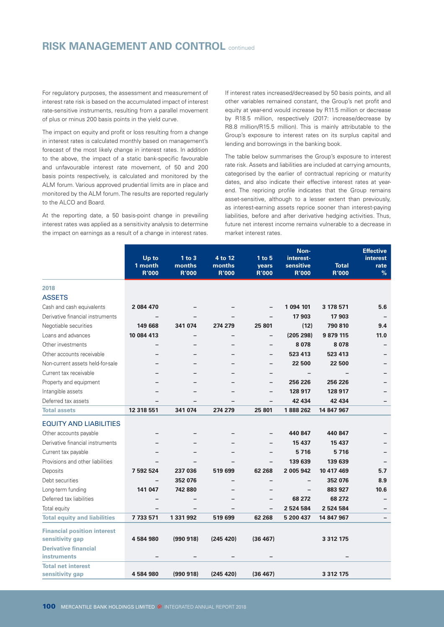# **RISK MANAGEMENT AND CONTROL** continued

For regulatory purposes, the assessment and measurement of interest rate risk is based on the accumulated impact of interest rate-sensitive instruments, resulting from a parallel movement of plus or minus 200 basis points in the yield curve.

The impact on equity and profit or loss resulting from a change in interest rates is calculated monthly based on management's forecast of the most likely change in interest rates. In addition to the above, the impact of a static bank-specific favourable and unfavourable interest rate movement, of 50 and 200 basis points respectively, is calculated and monitored by the ALM forum. Various approved prudential limits are in place and monitored by the ALM forum. The results are reported regularly to the ALCO and Board.

At the reporting date, a 50 basis-point change in prevailing interest rates was applied as a sensitivity analysis to determine the impact on earnings as a result of a change in interest rates.

If interest rates increased/decreased by 50 basis points, and all other variables remained constant, the Group's net profit and equity at year-end would increase by R11.5 million or decrease by R18.5 million, respectively (2017: increase/decrease by R8.8 million/R15.5 million). This is mainly attributable to the Group's exposure to interest rates on its surplus capital and lending and borrowings in the banking book.

The table below summarises the Group's exposure to interest rate risk. Assets and liabilities are included at carrying amounts, categorised by the earlier of contractual repricing or maturity dates, and also indicate their effective interest rates at yearend. The repricing profile indicates that the Group remains asset-sensitive, although to a lesser extent than previously, as interest-earning assets reprice sooner than interest-paying liabilities, before and after derivative hedging activities. Thus, future net interest income remains vulnerable to a decrease in market interest rates.

|                                     |                  |                      |                   |                          | Non-                     |               | <b>Effective</b>        |
|-------------------------------------|------------------|----------------------|-------------------|--------------------------|--------------------------|---------------|-------------------------|
|                                     | Up to<br>1 month | $1$ to $3$<br>months | 4 to 12<br>months | $1$ to $5$<br>years      | interest-<br>sensitive   | <b>Total</b>  | <i>interest</i><br>rate |
|                                     | <b>R'000</b>     | <b>R'000</b>         | <b>R'000</b>      | <b>R'000</b>             | <b>R'000</b>             | <b>R'000</b>  | $\%$                    |
| 2018                                |                  |                      |                   |                          |                          |               |                         |
| <b>ASSETS</b>                       |                  |                      |                   |                          |                          |               |                         |
| Cash and cash equivalents           | 2 084 470        |                      |                   |                          | 1 094 101                | 3 178 571     | 5.6                     |
| Derivative financial instruments    |                  |                      |                   |                          | 17 903                   | 17 903        |                         |
| Negotiable securities               | 149 668          | 341 074              | 274 279           | 25 801                   | (12)                     | 790 810       | 9.4                     |
| Loans and advances                  | 10 084 413       |                      |                   | -                        | (205 298)                | 9 879 115     | 11.0                    |
| Other investments                   |                  |                      |                   | -                        | 8078                     | 8 0 7 8       |                         |
| Other accounts receivable           |                  |                      |                   | $\overline{\phantom{0}}$ | 523 413                  | 523 413       |                         |
| Non-current assets held-for-sale    |                  |                      |                   | -                        | 22 500                   | 22 500        |                         |
| Current tax receivable              |                  |                      |                   | -                        |                          |               |                         |
| Property and equipment              |                  |                      |                   | -                        | 256 226                  | 256 226       |                         |
| Intangible assets                   |                  |                      |                   | -                        | 128 917                  | 128 917       |                         |
| Deferred tax assets                 |                  |                      |                   |                          | 42 434                   | 42 434        |                         |
| <b>Total assets</b>                 | 12 318 551       | 341 074              | 274 279           | 25 801                   | 1888262                  | 14 847 967    |                         |
| <b>EQUITY AND LIABILITIES</b>       |                  |                      |                   |                          |                          |               |                         |
| Other accounts payable              |                  |                      |                   |                          | 440 847                  | 440 847       |                         |
| Derivative financial instruments    |                  |                      |                   | -                        | 15 437                   | 15 437        |                         |
| Current tax payable                 |                  |                      |                   | -                        | 5716                     | 5716          |                         |
| Provisions and other liabilities    |                  |                      |                   | -                        | 139 639                  | 139 639       |                         |
| Deposits                            | 7 592 524        | 237 036              | 519 699           | 62 268                   | 2 005 942                | 10 417 469    | 5.7                     |
| Debt securities                     |                  | 352 076              |                   | -                        | $\overline{\phantom{a}}$ | 352 076       | 8.9                     |
| Long-term funding                   | 141 047          | 742 880              |                   | -                        |                          | 883 927       | 10.6                    |
| Deferred tax liabilities            |                  |                      |                   | -                        | 68 272                   | 68 272        |                         |
| Total equity                        |                  |                      |                   |                          | 2 5 2 4 5 8 4            | 2 5 2 4 5 8 4 |                         |
| <b>Total equity and liabilities</b> | 7733571          | 1 331 992            | 519 699           | 62 268                   | 5 200 437                | 14 847 967    |                         |
| <b>Financial position interest</b>  |                  |                      |                   |                          |                          |               |                         |
| sensitivity gap                     | 4584980          | (990 918)            | (245 420)         | (36 467)                 |                          | 3 3 1 2 1 7 5 |                         |
| <b>Derivative financial</b>         |                  |                      |                   |                          |                          |               |                         |
| <b>instruments</b>                  |                  |                      |                   |                          |                          |               |                         |
| <b>Total net interest</b>           |                  |                      |                   |                          |                          |               |                         |
| sensitivity gap                     | 4584980          | (990918)             | (245 420)         | (36 467)                 |                          | 3 3 1 2 1 7 5 |                         |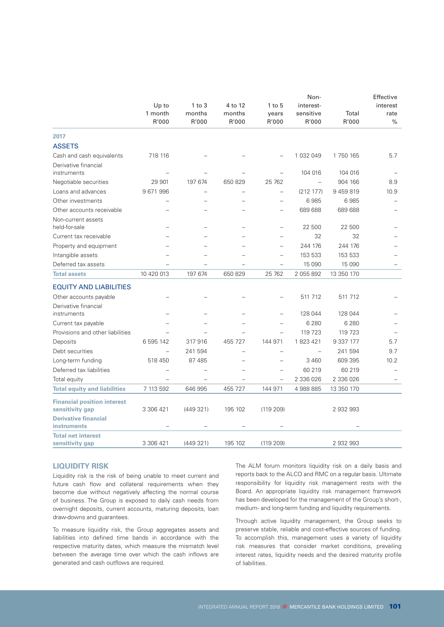|                                     | Non-       |            |                          |                          |                          | Effective  |          |
|-------------------------------------|------------|------------|--------------------------|--------------------------|--------------------------|------------|----------|
|                                     | $Up$ to    | $1$ to $3$ | 4 to 12                  | $1$ to $5$               | interest-                |            | interest |
|                                     | 1 month    | months     | months                   | years                    | sensitive                | Total      | rate     |
|                                     | R'000      | R'000      | R'000                    | R'000                    | R'000                    | R'000      | $\%$     |
| 2017                                |            |            |                          |                          |                          |            |          |
| <b>ASSETS</b>                       |            |            |                          |                          |                          |            |          |
| Cash and cash equivalents           | 718 116    |            |                          |                          | 1 032 049                | 1 750 165  | 5.7      |
| Derivative financial                |            |            |                          |                          |                          |            |          |
| instruments                         |            |            |                          | $\overline{\phantom{0}}$ | 104 016                  | 104 016    |          |
| Negotiable securities               | 29 901     | 197 674    | 650 829                  | 25 762                   | $\overline{\phantom{0}}$ | 904 166    | 8.9      |
| Loans and advances                  | 9671996    |            |                          | $\overline{a}$           | (212 177)                | 9459819    | 10.9     |
| Other investments                   |            |            |                          |                          | 6985                     | 6985       |          |
| Other accounts receivable           |            |            |                          |                          | 689 688                  | 689 688    |          |
| Non-current assets                  |            |            |                          |                          |                          |            |          |
| held-for-sale                       |            |            |                          | $\overline{\phantom{0}}$ | 22 500                   | 22 500     |          |
| Current tax receivable              |            |            | $\overline{\phantom{0}}$ | $\overline{\phantom{0}}$ | 32                       | 32         |          |
| Property and equipment              |            |            | $\overline{\phantom{0}}$ | $\overline{\phantom{0}}$ | 244 176                  | 244 176    |          |
| Intangible assets                   |            |            |                          | $\overline{\phantom{0}}$ | 153 533                  | 153 533    |          |
| Deferred tax assets                 |            |            |                          |                          | 15 090                   | 15 0 90    |          |
| <b>Total assets</b>                 | 10 420 013 | 197 674    | 650 829                  | 25 762                   | 2 055 892                | 13 350 170 |          |
| <b>EQUITY AND LIABILITIES</b>       |            |            |                          |                          |                          |            |          |
| Other accounts payable              |            |            |                          |                          | 511 712                  | 511 712    |          |
| Derivative financial                |            |            |                          |                          |                          |            |          |
| instruments                         |            |            |                          |                          | 128 044                  | 128 044    |          |
| Current tax payable                 |            |            |                          |                          | 6 2 8 0                  | 6 2 8 0    |          |
| Provisions and other liabilities    |            |            |                          |                          | 119 723                  | 119 723    |          |
| Deposits                            | 6 595 142  | 317916     | 455 727                  | 144 971                  | 1823421                  | 9 3 3 177  | 5.7      |
| Debt securities                     |            | 241 594    | $\overline{\phantom{0}}$ | $\overline{a}$           | $\overline{\phantom{0}}$ | 241 594    | 9.7      |
| Long-term funding                   | 518 450    | 87 485     | $\overline{\phantom{0}}$ | $\qquad \qquad -$        | 3 4 6 0                  | 609 395    | 10.2     |
| Deferred tax liabilities            |            |            | $\overline{\phantom{0}}$ | $\qquad \qquad -$        | 60 219                   | 60 219     |          |
| Total equity                        |            |            | $\overline{\phantom{0}}$ | $\qquad \qquad -$        | 2 336 026                | 2 336 026  |          |
| <b>Total equity and liabilities</b> | 7 113 592  | 646 995    | 455 727                  | 144 971                  | 4 988 885                | 13 350 170 |          |
| <b>Financial position interest</b>  |            |            |                          |                          |                          |            |          |
| sensitivity gap                     | 3 306 421  | (449321)   | 195 102                  | (119 209)                |                          | 2 932 993  |          |
| <b>Derivative financial</b>         |            |            |                          |                          |                          |            |          |
| instruments                         |            |            |                          |                          |                          |            |          |
| <b>Total net interest</b>           |            |            |                          |                          |                          |            |          |
| sensitivity gap                     | 3 306 421  | (449321)   | 195 102                  | (119 209)                |                          | 2 932 993  |          |

#### **LIQUIDITY RISK**

Liquidity risk is the risk of being unable to meet current and future cash flow and collateral requirements when they become due without negatively affecting the normal course of business. The Group is exposed to daily cash needs from overnight deposits, current accounts, maturing deposits, loan draw-downs and guarantees.

To measure liquidity risk, the Group aggregates assets and liabilities into defined time bands in accordance with the respective maturity dates, which measure the mismatch level between the average time over which the cash inflows are generated and cash outflows are required.

The ALM forum monitors liquidity risk on a daily basis and reports back to the ALCO and RMC on a regular basis. Ultimate responsibility for liquidity risk management rests with the Board. An appropriate liquidity risk management framework has been developed for the management of the Group's short-, medium- and long-term funding and liquidity requirements.

Through active liquidity management, the Group seeks to preserve stable, reliable and cost-effective sources of funding. To accomplish this, management uses a variety of liquidity risk measures that consider market conditions, prevailing interest rates, liquidity needs and the desired maturity profile of liabilities.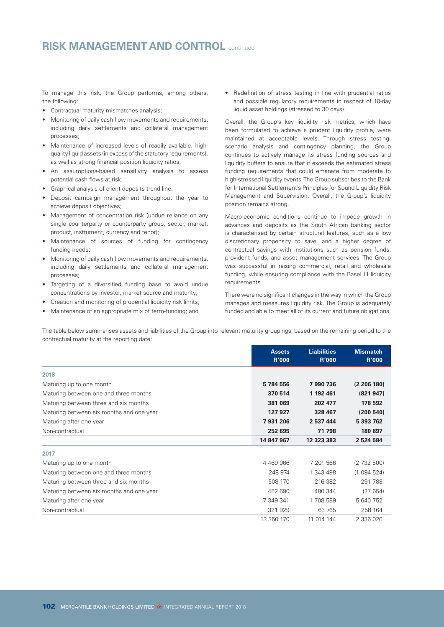# **RISK MANAGEMENT AND CONTROL** continued

To manage this risk, the Group performs, among others, the following:

- Contractual maturity mismatches analysis;
- Monitoring of daily cash flow movements and requirements, including daily settlements and collateral management processes;
- Maintenance of increased levels of readily available, highquality liquid assets (in excess of the statutory requirements), as well as strong financial position liquidity ratios;
- An assumptions-based sensitivity analysis to assess potential cash flows at risk;
- Graphical analysis of client deposits trend line;
- Deposit campaign management throughout the year to achieve deposit objectives;
- Management of concentration risk (undue reliance on any single counterparty or counterparty group, sector, market, product, instrument, currency and tenor);
- Maintenance of sources of funding for contingency funding needs;
- Monitoring of daily cash flow movements and requirements, including daily settlements and collateral management processes;
- Targeting of a diversified funding base to avoid undue concentrations by investor, market source and maturity;
- Creation and monitoring of prudential liquidity risk limits;
- Maintenance of an appropriate mix of term-funding; and

• Redefinition of stress testing in line with prudential ratios and possible regulatory requirements in respect of 10-day liquid asset holdings (stressed to 30 days).

Overall, the Group's key liquidity risk metrics, which have been formulated to achieve a prudent liquidity profile, were maintained at acceptable levels. Through stress testing, scenario analysis and contingency planning, the Group continues to actively manage its stress funding sources and liquidity buffers to ensure that it exceeds the estimated stress funding requirements that could emanate from moderate to high-stressed liquidity events. The Group subscribes to the Bank for International Settlement's Principles for Sound Liquidity Risk Management and Supervision. Overall, the Group's liquidity position remains strong.

Macro-economic conditions continue to impede growth in advances and deposits as the South African banking sector is characterised by certain structural features, such as a low discretionary propensity to save, and a higher degree of contractual savings with institutions such as pension funds, provident funds, and asset management services. The Group was successful in raising commercial, retail and wholesale funding, while ensuring compliance with the Basel III liquidity requirements.

There were no significant changes in the way in which the Group manages and measures liquidity risk. The Group is adequately funded and able to meet all of its current and future obligations.

The table below summarises assets and liabilities of the Group into relevant maturity groupings, based on the remaining period to the contractual maturity at the reporting date:

|                                          | <b>Assets</b><br><b>R'000</b> | <b>Liabilities</b><br><b>R'000</b> | <b>Mismatch</b><br><b>R'000</b> |
|------------------------------------------|-------------------------------|------------------------------------|---------------------------------|
| 2018                                     |                               |                                    |                                 |
| Maturing up to one month                 | 5784556                       | 7990736                            | (2 206 180)                     |
| Maturing between one and three months    | 370 514                       | 1 192 461                          | (821947)                        |
| Maturing between three and six months    | 381 069                       | 202 477                            | 178 592                         |
| Maturing between six months and one year | 127 927                       | 328 467                            | (200540)                        |
| Maturing after one year                  | 7931206                       | 2 537 444                          | 5 393 762                       |
| Non-contractual                          | 252 695                       | 71 798                             | 180 897                         |
|                                          | 14 847 967                    | 12 323 383                         | 2 524 584                       |
| 2017                                     |                               |                                    |                                 |
| Maturing up to one month                 | 4 4 6 9 0 6 6                 | 7 201 566                          | (2732500)                       |
| Maturing between one and three months    | 248 974                       | 1 343 498                          | (1094524)                       |
| Maturing between three and six months    | 508 170                       | 216 382                            | 291 788                         |
| Maturing between six months and one year | 452 690                       | 480 344                            | (27654)                         |
| Maturing after one year                  | 7 349 341                     | 1708589                            | 5 640 752                       |
| Non-contractual                          | 321 929                       | 63 765                             | 258 164                         |
|                                          | 13 350 170                    | 11 014 144                         | 2 336 026                       |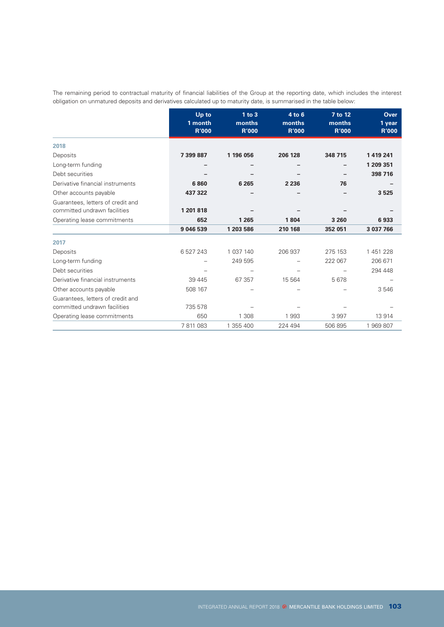The remaining period to contractual maturity of financial liabilities of the Group at the reporting date, which includes the interest obligation on unmatured deposits and derivatives calculated up to maturity date, is summarised in the table below:

|                                                                   | Up to<br>1 month<br><b>R'000</b> | $1$ to $3$<br>months<br><b>R'000</b> | 4 to 6<br>months<br><b>R'000</b> | 7 to 12<br>months<br><b>R'000</b> | <b>Over</b><br>1 year<br><b>R'000</b> |
|-------------------------------------------------------------------|----------------------------------|--------------------------------------|----------------------------------|-----------------------------------|---------------------------------------|
| 2018                                                              |                                  |                                      |                                  |                                   |                                       |
| Deposits                                                          | 7 399 887                        | 1 196 056                            | 206 128                          | 348 715                           | 1419241                               |
| Long-term funding                                                 |                                  |                                      |                                  |                                   | 1 209 351                             |
| Debt securities                                                   |                                  |                                      |                                  |                                   | 398 716                               |
| Derivative financial instruments                                  | 6860                             | 6 2 6 5                              | 2 2 3 6                          | 76                                |                                       |
| Other accounts payable                                            | 437 322                          |                                      |                                  |                                   | 3525                                  |
| Guarantees, letters of credit and<br>committed undrawn facilities | 1 201 818                        |                                      |                                  |                                   |                                       |
| Operating lease commitments                                       | 652                              | 1 2 6 5                              | 1804                             | 3 2 6 0                           | 6933                                  |
|                                                                   | 9 046 539                        | 1 203 586                            | 210 168                          | 352 051                           | 3 037 766                             |
| 2017                                                              |                                  |                                      |                                  |                                   |                                       |
| Deposits                                                          | 6 527 243                        | 1 037 140                            | 206 937                          | 275 153                           | 1451228                               |
| Long-term funding                                                 |                                  | 249 595                              |                                  | 222 067                           | 206 671                               |
| Debt securities                                                   |                                  |                                      |                                  |                                   | 294 448                               |
| Derivative financial instruments                                  | 39 445                           | 67 357                               | 15 5 64                          | 5678                              |                                       |
| Other accounts payable                                            | 508 167                          |                                      |                                  |                                   | 3546                                  |
| Guarantees, letters of credit and                                 |                                  |                                      |                                  |                                   |                                       |
| committed undrawn facilities                                      | 735 578                          |                                      |                                  |                                   |                                       |
| Operating lease commitments                                       | 650                              | 1 3 0 8                              | 1993                             | 3997                              | 13914                                 |
|                                                                   | 7 811 083                        | 1 355 400                            | 224 494                          | 506 895                           | 1969807                               |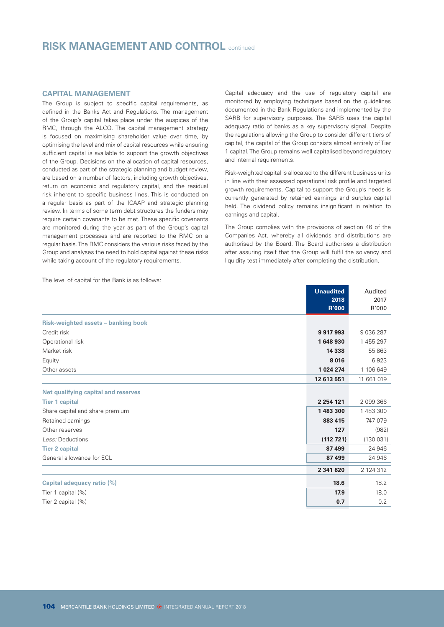# **RISK MANAGEMENT AND CONTROL** continued

# **CAPITAL MANAGEMENT**

The Group is subject to specific capital requirements, as defined in the Banks Act and Regulations. The management of the Group's capital takes place under the auspices of the RMC, through the ALCO. The capital management strategy is focused on maximising shareholder value over time, by optimising the level and mix of capital resources while ensuring sufficient capital is available to support the growth objectives of the Group. Decisions on the allocation of capital resources, conducted as part of the strategic planning and budget review, are based on a number of factors, including growth objectives, return on economic and regulatory capital, and the residual risk inherent to specific business lines. This is conducted on a regular basis as part of the ICAAP and strategic planning review. In terms of some term debt structures the funders may require certain covenants to be met. These specific covenants are monitored during the year as part of the Group's capital management processes and are reported to the RMC on a regular basis. The RMC considers the various risks faced by the Group and analyses the need to hold capital against these risks while taking account of the regulatory requirements.

Capital adequacy and the use of regulatory capital are monitored by employing techniques based on the guidelines documented in the Bank Regulations and implemented by the SARB for supervisory purposes. The SARB uses the capital adequacy ratio of banks as a key supervisory signal. Despite the regulations allowing the Group to consider different tiers of capital, the capital of the Group consists almost entirely of Tier 1 capital. The Group remains well capitalised beyond regulatory and internal requirements.

Risk-weighted capital is allocated to the different business units in line with their assessed operational risk profile and targeted growth requirements. Capital to support the Group's needs is currently generated by retained earnings and surplus capital held. The dividend policy remains insignificant in relation to earnings and capital.

The Group complies with the provisions of section 46 of the Companies Act, whereby all dividends and distributions are authorised by the Board. The Board authorises a distribution after assuring itself that the Group will fulfil the solvency and liquidity test immediately after completing the distribution.

|                                     | <b>Unaudited</b> | Audited      |
|-------------------------------------|------------------|--------------|
|                                     | 2018             | 2017         |
|                                     | <b>R'000</b>     | R'000        |
| Risk-weighted assets - banking book |                  |              |
| Credit risk                         | 9917993          | 9 0 36 2 8 7 |
| Operational risk                    | 1648930          | 1 455 297    |
| Market risk                         | 14 3 38          | 55 863       |
| Equity                              | 8016             | 6923         |
| Other assets                        | 1 024 274        | 1 106 649    |
|                                     | 12 613 551       | 11 661 019   |
| Net qualifying capital and reserves |                  |              |
| <b>Tier 1 capital</b>               | 2 2 5 4 1 2 1    | 2 099 366    |
| Share capital and share premium     | 1483300          | 1 483 300    |
| Retained earnings                   | 883 415          | 747 079      |
| Other reserves                      | 127              | (982)        |
| Less: Deductions                    | (112721)         | (130031)     |
| <b>Tier 2 capital</b>               | 87 499           | 24 946       |
| General allowance for ECL           | 87 499           | 24 946       |
|                                     | 2 341 620        | 2 124 312    |
| Capital adequacy ratio (%)          | 18.6             | 18.2         |
| Tier 1 capital (%)                  | 17.9             | 18.0         |
| Tier 2 capital (%)                  | 0.7              | 0.2          |

The level of capital for the Bank is as follows: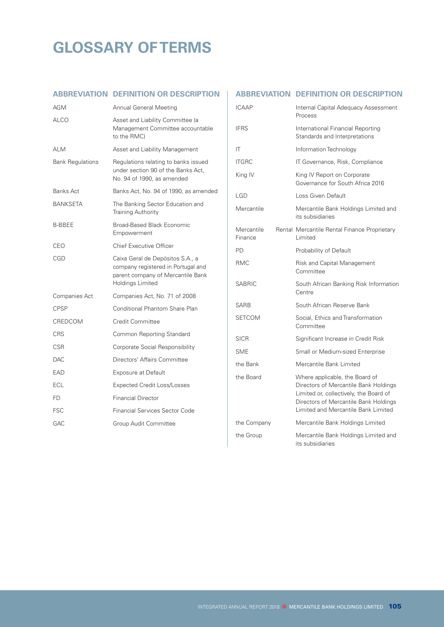# **GLOSSARY OF TERMS**

# **ABBREVIATION DEFINITION OR DESCRIPTION ABBREVIATION DEFINITION OR DESCRIPTION**

| AGM                     | Annual General Meeting                                                                                                                 |
|-------------------------|----------------------------------------------------------------------------------------------------------------------------------------|
| ALCO                    | Asset and Liability Committee (a<br>Management Committee accountable<br>to the RMC)                                                    |
| <b>ALM</b>              | Asset and Liability Management                                                                                                         |
| <b>Bank Regulations</b> | Regulations relating to banks issued<br>under section 90 of the Banks Act,<br>No. 94 of 1990, as amended                               |
| Banks Act               | Banks Act, No. 94 of 1990, as amended                                                                                                  |
| BANKSETA                | The Banking Sector Education and<br><b>Training Authority</b>                                                                          |
| B-BBEE                  | Broad-Based Black Economic<br>Empowerment                                                                                              |
| CEO                     | <b>Chief Executive Officer</b>                                                                                                         |
| CGD                     | Caixa Geral de Depósitos S.A., a<br>company registered in Portugal and<br>parent company of Mercantile Bank<br><b>Holdings Limited</b> |
| Companies Act           | Companies Act, No. 71 of 2008                                                                                                          |
| <b>CPSP</b>             | Conditional Phantom Share Plan                                                                                                         |
| CREDCOM                 | Credit Committee                                                                                                                       |
| <b>CRS</b>              | Common Reporting Standard                                                                                                              |
| <b>CSR</b>              | Corporate Social Responsibility                                                                                                        |
| <b>DAC</b>              | Directors' Affairs Committee                                                                                                           |
| <b>FAD</b>              | <b>Exposure at Default</b>                                                                                                             |
| ECL                     | <b>Expected Credit Loss/Losses</b>                                                                                                     |
| FD.                     | <b>Financial Director</b>                                                                                                              |
| <b>FSC</b>              | Financial Services Sector Code                                                                                                         |
| GAC                     | Group Audit Committee                                                                                                                  |

| <b>ICAAP</b>          | Internal Capital Adequacy Assessment<br>Process                                                                                                                                                   |
|-----------------------|---------------------------------------------------------------------------------------------------------------------------------------------------------------------------------------------------|
| <b>IFRS</b>           | International Financial Reporting<br>Standards and Interpretations                                                                                                                                |
| ΙT                    | Information Technology                                                                                                                                                                            |
| <b>ITGRC</b>          | IT Governance, Risk, Compliance                                                                                                                                                                   |
| King IV               | King IV Report on Corporate<br>Governance for South Africa 2016                                                                                                                                   |
| LGD                   | Loss Given Default                                                                                                                                                                                |
| Mercantile            | Mercantile Bank Holdings Limited and<br>its subsidiaries                                                                                                                                          |
| Mercantile<br>Finance | Rental Mercantile Rental Finance Proprietary<br>Limited                                                                                                                                           |
| <b>PD</b>             | Probability of Default                                                                                                                                                                            |
| <b>RMC</b>            | Risk and Capital Management<br>Committee                                                                                                                                                          |
| SABRIC                | South African Banking Risk Information<br>Centre                                                                                                                                                  |
| SARB                  | South African Reserve Bank                                                                                                                                                                        |
| <b>SETCOM</b>         | Social, Ethics and Transformation<br>Committee                                                                                                                                                    |
| <b>SICR</b>           | Significant Increase in Credit Risk                                                                                                                                                               |
| <b>SME</b>            | Small or Medium-sized Enterprise                                                                                                                                                                  |
| the Bank              | Mercantile Bank Limited                                                                                                                                                                           |
| the Board             | Where applicable, the Board of<br>Directors of Mercantile Bank Holdings<br>Limited or, collectively, the Board of<br>Directors of Mercantile Bank Holdings<br>Limited and Mercantile Bank Limited |
| the Company           | Mercantile Bank Holdings Limited                                                                                                                                                                  |
| the Group             | Mercantile Bank Holdings Limited and<br>its subsidiaries                                                                                                                                          |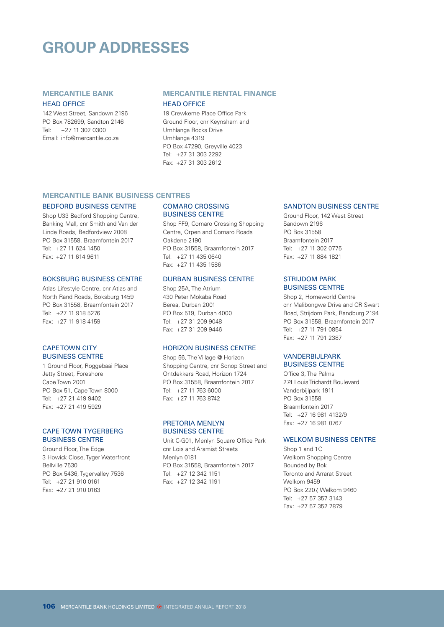# **GROUP ADDRESSES**

# **MERCANTILE BANK**

#### HEAD OFFICE

142 West Street, Sandown 2196 PO Box 782699, Sandton 2146 Tel: +27 11 302 0300 Email: info@mercantile.co.za

# **MERCANTILE RENTAL FINANCE**

### HEAD OFFICE

19 Crewkeme Place Office Park Ground Floor, cnr Keynsham and Umhlanga Rocks Drive Umhlanga 4319 PO Box 47290, Greyville 4023 Tel: +27 31 303 2292 Fax: +27 31 303 2612

### **MERCANTILE BANK BUSINESS CENTRES**

#### BEDFORD BUSINESS CENTRE

Shop U33 Bedford Shopping Centre, Banking Mall, cnr Smith and Van der Linde Roads, Bedfordview 2008 PO Box 31558, Braamfontein 2017 Tel: +27 11 624 1450 Fax: +27 11 614 9611

#### BOKSBURG BUSINESS CENTRE

Atlas Lifestyle Centre, cnr Atlas and North Rand Roads, Boksburg 1459 PO Box 31558, Braamfontein 2017 Tel: +27 11 918 5276 Fax: +27 11 918 4159

### CAPE TOWN CITY BUSINESS CENTRE

1 Ground Floor, Roggebaai Place Jetty Street, Foreshore Cape Town 2001 PO Box 51, Cape Town 8000 Tel: +27 21 419 9402 Fax: +27 21 419 5929

#### CAPE TOWN TYGERBERG BUSINESS CENTRE

Ground Floor, The Edge 3 Howick Close, Tyger Waterfront Bellville 7530 PO Box 5436, Tygervalley 7536 Tel: +27 21 910 0161 Fax: +27 21 910 0163

### COMARO CROSSING BUSINESS CENTRE

Shop FF9, Comaro Crossing Shopping Centre, Orpen and Comaro Roads Oakdene 2190 PO Box 31558, Braamfontein 2017 Tel: +27 11 435 0640 Fax: +27 11 435 1586

## DURBAN BUSINESS CENTRE

Shop 25A, The Atrium 430 Peter Mokaba Road Berea, Durban 2001 PO Box 519, Durban 4000 Tel: +27 31 209 9048 Fax: +27 31 209 9446

### HORIZON BUSINESS CENTRE

Shop 56, The Village @ Horizon Shopping Centre, cnr Sonop Street and Ontdekkers Road, Horizon 1724 PO Box 31558, Braamfontein 2017 Tel: +27 11 763 6000 Fax: +27 11 763 8742

#### PRETORIA MENLYN BUSINESS CENTRE

Unit C-G01, Menlyn Square Office Park cnr Lois and Aramist Streets Menlyn 0181 PO Box 31558, Braamfontein 2017 Tel: +27 12 342 1151 Fax: +27 12 342 1191

#### SANDTON BUSINESS CENTRE

Ground Floor, 142 West Street Sandown 2196 PO Box 31558 Braamfontein 2017 Tel: +27 11 302 0775 Fax: +27 11 884 1821

#### STRIJDOM PARK BUSINESS CENTRE

Shop 2, Homeworld Centre cnr Malibongwe Drive and CR Swart Road, Strijdom Park, Randburg 2194 PO Box 31558, Braamfontein 2017 Tel: +27 11 791 0854 Fax: +27 11 791 2387

#### VANDERBIJLPARK BUSINESS CENTRE

Office 3, The Palms 274 Louis Trichardt Boulevard Vanderbijlpark 1911 PO Box 31558 Braamfontein 2017 Tel: +27 16 981 4132/9 Fax: +27 16 981 0767

# WELKOM BUSINESS CENTRE

Shop 1 and 1C Welkom Shopping Centre Bounded by Bok Toronto and Arrarat Street Welkom 9459 PO Box 2207, Welkom 9460 Tel: +27 57 357 3143 Fax: +27 57 352 7879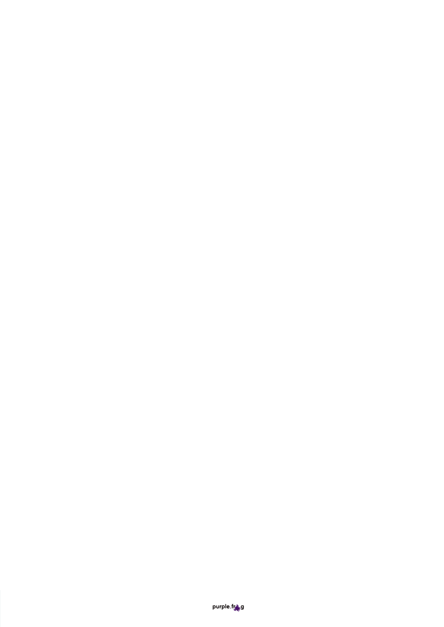purple.free